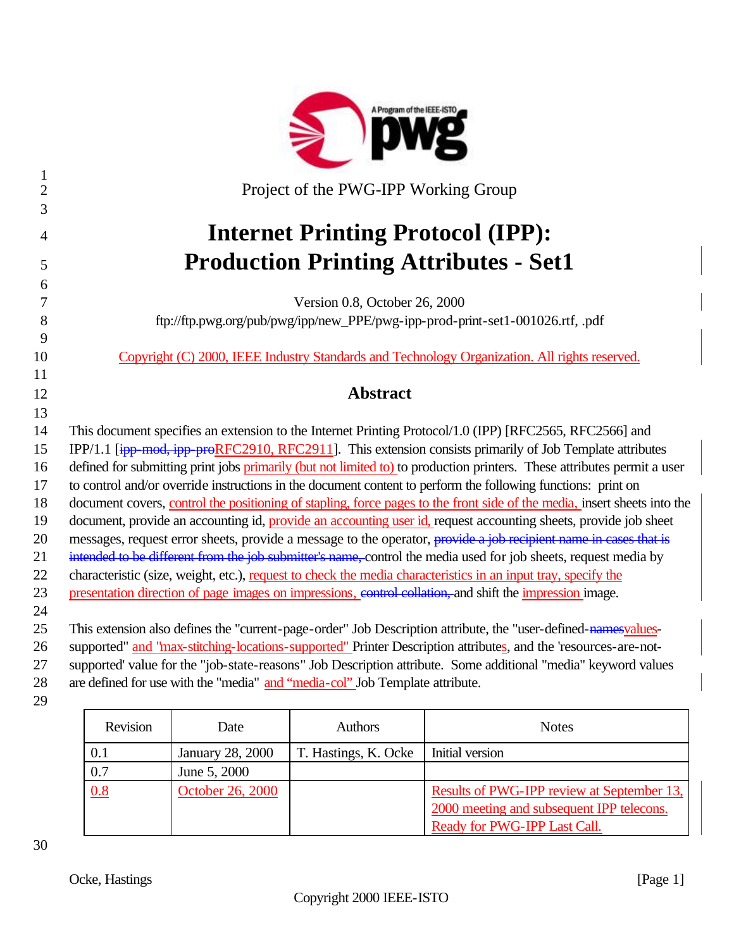|                | A Program of the IEEE-ISTO                                                                                               |
|----------------|--------------------------------------------------------------------------------------------------------------------------|
| $\mathbf{1}$   |                                                                                                                          |
| $\overline{2}$ | Project of the PWG-IPP Working Group                                                                                     |
| 3              |                                                                                                                          |
| 4              | <b>Internet Printing Protocol (IPP):</b>                                                                                 |
| 5              | <b>Production Printing Attributes - Set1</b>                                                                             |
| 6              |                                                                                                                          |
| 7              | Version 0.8, October 26, 2000                                                                                            |
| 8              | ftp://ftp.pwg.org/pub/pwg/ipp/new_PPE/pwg-ipp-prod-print-set1-001026.rtf, .pdf                                           |
| 9              |                                                                                                                          |
| 10             | Copyright (C) 2000, IEEE Industry Standards and Technology Organization. All rights reserved.                            |
| 11             |                                                                                                                          |
| 12             | <b>Abstract</b>                                                                                                          |
| 13             |                                                                                                                          |
| 14             | This document specifies an extension to the Internet Printing Protocol/1.0 (IPP) [RFC2565, RFC2566] and                  |
| 15             | IPP/1.1 [ipp-mod, ipp-proRFC2910, RFC2911]. This extension consists primarily of Job Template attributes                 |
| 16             | defined for submitting print jobs primarily (but not limited to) to production printers. These attributes permit a user  |
| 17             | to control and/or override instructions in the document content to perform the following functions: print on             |
| 18             | document covers, control the positioning of stapling, force pages to the front side of the media, insert sheets into the |
| 19             | document, provide an accounting id, provide an accounting user id, request accounting sheets, provide job sheet          |
| 20             | messages, request error sheets, provide a message to the operator, provide a job recipient name in cases that is         |
| 21             | intended to be different from the job submitter's name, control the media used for job sheets, request media by          |
| 22             | characteristic (size, weight, etc.), request to check the media characteristics in an input tray, specify the            |
| 23             | presentation direction of page images on impressions, control collation, and shift the impression image.                 |
| 24             |                                                                                                                          |
| 25             | This extension also defines the "current-page-order" Job Description attribute, the "user-defined-namesvalues-           |
| 26             | supported" and "max-stitching-locations-supported" Printer Description attributes, and the 'resources-are-not-           |
| 27             | supported' value for the "job-state-reasons" Job Description attribute. Some additional "media" keyword values           |
| 28             | are defined for use with the "media" and "media-col" Job Template attribute.                                             |
| 29             |                                                                                                                          |

| Revision | Date             | <b>Authors</b>       | <b>Notes</b>                                                                                                            |
|----------|------------------|----------------------|-------------------------------------------------------------------------------------------------------------------------|
| 0.1      | January 28, 2000 | T. Hastings, K. Ocke | Initial version                                                                                                         |
| 0.7      | June 5, 2000     |                      |                                                                                                                         |
| 0.8      | October 26, 2000 |                      | Results of PWG-IPP review at September 13,<br>2000 meeting and subsequent IPP telecons.<br>Ready for PWG-IPP Last Call. |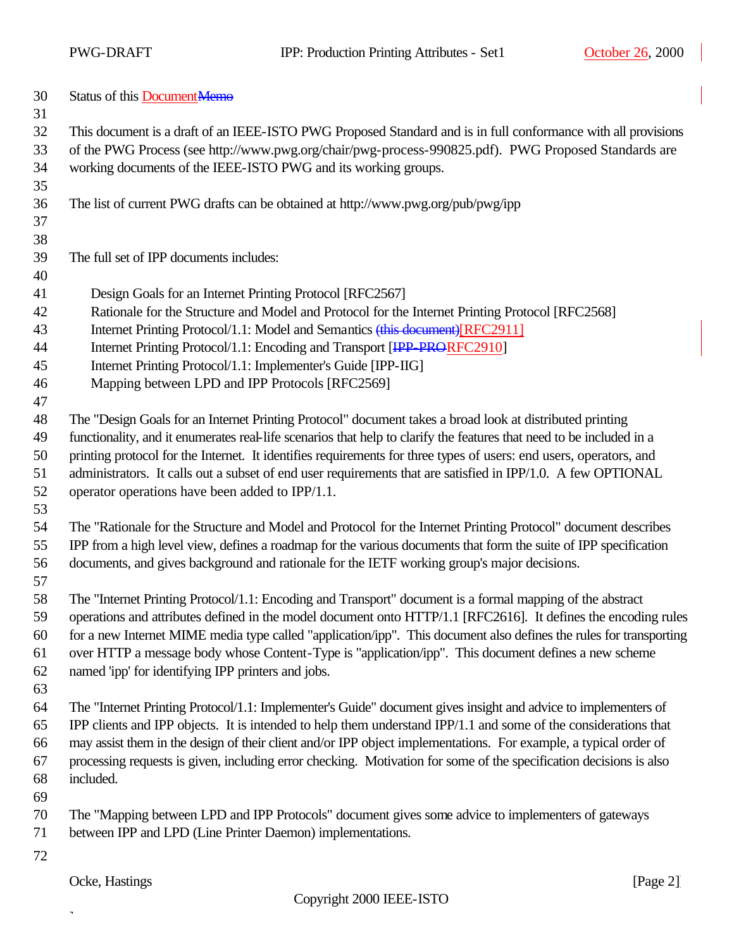| 30 |  | Status of this Document Memo |
|----|--|------------------------------|
|----|--|------------------------------|

- This document is a draft of an IEEE-ISTO PWG Proposed Standard and is in full conformance with all provisions
- of the PWG Process (see http://www.pwg.org/chair/pwg-process-990825.pdf). PWG Proposed Standards are working documents of the IEEE-ISTO PWG and its working groups.
- The list of current PWG drafts can be obtained at http://www.pwg.org/pub/pwg/ipp
- 

The full set of IPP documents includes:

- 
- Design Goals for an Internet Printing Protocol [RFC2567]
- Rationale for the Structure and Model and Protocol for the Internet Printing Protocol [RFC2568]
- 43 Internet Printing Protocol/1.1: Model and Semantics (this document)[RFC2911]
- 44 Internet Printing Protocol/1.1: Encoding and Transport [IPP-PRORFC2910]
- Internet Printing Protocol/1.1: Implementer's Guide [IPP-IIG]
- Mapping between LPD and IPP Protocols [RFC2569]
- The "Design Goals for an Internet Printing Protocol" document takes a broad look at distributed printing
- functionality, and it enumerates real-life scenarios that help to clarify the features that need to be included in a printing protocol for the Internet. It identifies requirements for three types of users: end users, operators, and
- administrators. It calls out a subset of end user requirements that are satisfied in IPP/1.0. A few OPTIONAL operator operations have been added to IPP/1.1.
- 

 The "Rationale for the Structure and Model and Protocol for the Internet Printing Protocol" document describes IPP from a high level view, defines a roadmap for the various documents that form the suite of IPP specification documents, and gives background and rationale for the IETF working group's major decisions.

 The "Internet Printing Protocol/1.1: Encoding and Transport" document is a formal mapping of the abstract operations and attributes defined in the model document onto HTTP/1.1 [RFC2616]. It defines the encoding rules for a new Internet MIME media type called "application/ipp". This document also defines the rules for transporting over HTTP a message body whose Content-Type is "application/ipp". This document defines a new scheme named 'ipp' for identifying IPP printers and jobs.

 The "Internet Printing Protocol/1.1: Implementer's Guide" document gives insight and advice to implementers of IPP clients and IPP objects. It is intended to help them understand IPP/1.1 and some of the considerations that may assist them in the design of their client and/or IPP object implementations. For example, a typical order of processing requests is given, including error checking. Motivation for some of the specification decisions is also included.

- 
- The "Mapping between LPD and IPP Protocols" document gives some advice to implementers of gateways between IPP and LPD (Line Printer Daemon) implementations.
- 

 $\overline{a}$ 

Ocke, Hastings [Page 2] [Page 2]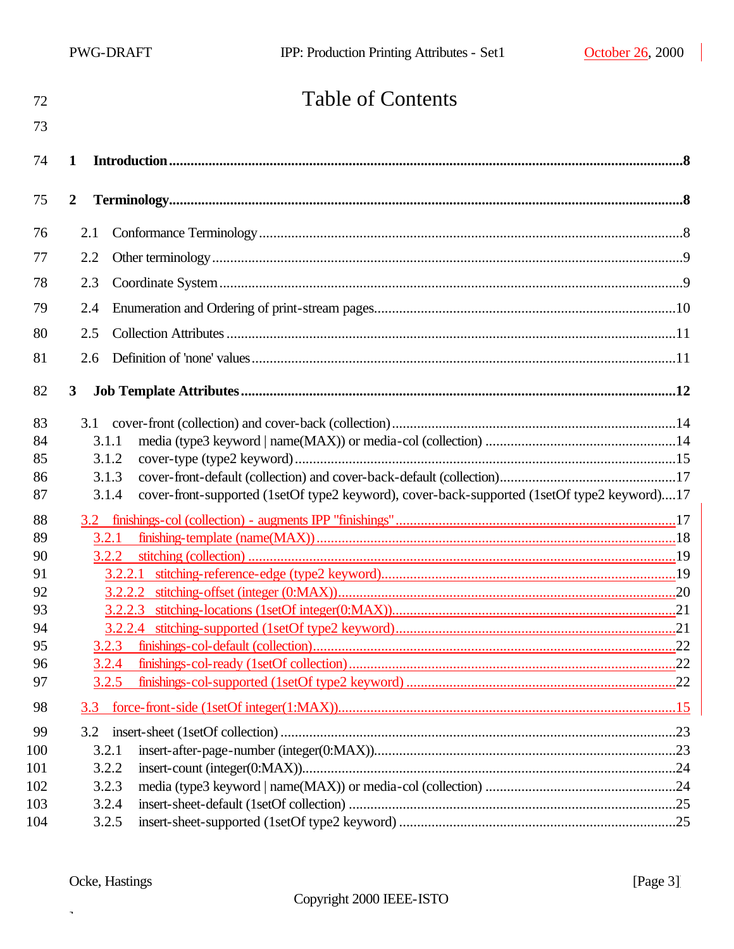| 72       | <b>Table of Contents</b>                                                                             |  |
|----------|------------------------------------------------------------------------------------------------------|--|
| 73       |                                                                                                      |  |
| 74       | 1                                                                                                    |  |
| 75       | $\boldsymbol{2}$                                                                                     |  |
| 76       | 2.1                                                                                                  |  |
| 77       | 2.2                                                                                                  |  |
| 78       | 2.3                                                                                                  |  |
| 79       | 2.4                                                                                                  |  |
| 80       | 2.5                                                                                                  |  |
| 81       | 2.6                                                                                                  |  |
| 82       | $\mathbf{3}$                                                                                         |  |
| 83       |                                                                                                      |  |
| 84       | 3.1.1                                                                                                |  |
| 85       | 3.1.2                                                                                                |  |
| 86       | 3.1.3                                                                                                |  |
| 87       | cover-front-supported (1setOf type2 keyword), cover-back-supported (1setOf type2 keyword)17<br>3.1.4 |  |
| 88       |                                                                                                      |  |
| 89       | 3.2.1                                                                                                |  |
| 90       | 3.2.2                                                                                                |  |
| 91<br>92 | 3.2.2.1                                                                                              |  |
| 93       |                                                                                                      |  |
| 94       |                                                                                                      |  |
| 95       | 3.2.3                                                                                                |  |
| 96       | 3.2.4                                                                                                |  |
| 97       | 3.2.5                                                                                                |  |
| 98       | 3.3                                                                                                  |  |
| 99       |                                                                                                      |  |
| 100      | 3.2.1                                                                                                |  |
| 101      | 3.2.2                                                                                                |  |
| 102      | 3.2.3                                                                                                |  |
| 103      | 3.2.4                                                                                                |  |
| 104      | 3.2.5                                                                                                |  |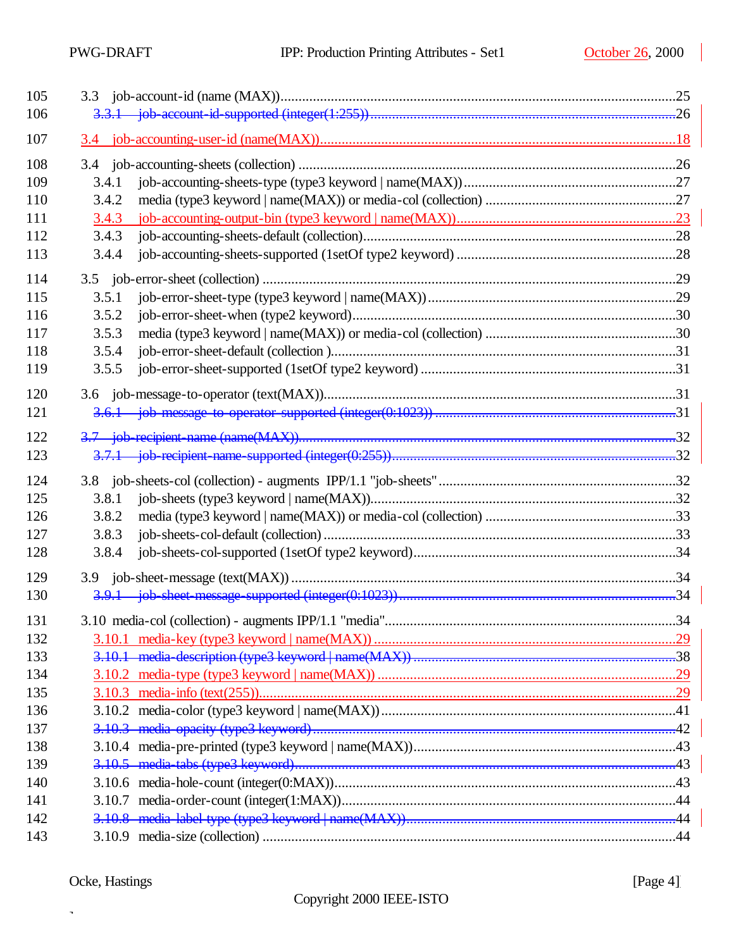$\overline{\phantom{a}}$ 

| 105 |       |     |
|-----|-------|-----|
| 106 |       |     |
| 107 |       |     |
| 108 |       |     |
| 109 | 3.4.1 |     |
| 110 | 3.4.2 |     |
| 111 | 3.4.3 |     |
| 112 | 3.4.3 |     |
| 113 | 3.4.4 |     |
| 114 |       |     |
| 115 | 3.5.1 |     |
| 116 | 3.5.2 |     |
| 117 | 3.5.3 |     |
| 118 | 3.5.4 |     |
| 119 | 3.5.5 |     |
| 120 |       |     |
| 121 |       |     |
| 122 |       |     |
| 123 |       |     |
| 124 |       |     |
| 125 | 3.8.1 |     |
| 126 | 3.8.2 |     |
| 127 | 3.8.3 |     |
| 128 | 3.8.4 |     |
| 129 |       |     |
| 130 |       |     |
| 131 |       | .34 |
| 132 |       |     |
| 133 |       |     |
| 134 |       |     |
| 135 |       |     |
| 136 |       |     |
| 137 |       |     |
| 138 |       |     |
| 139 |       |     |
| 140 |       |     |
| 141 |       |     |
| 142 |       |     |
| 143 |       |     |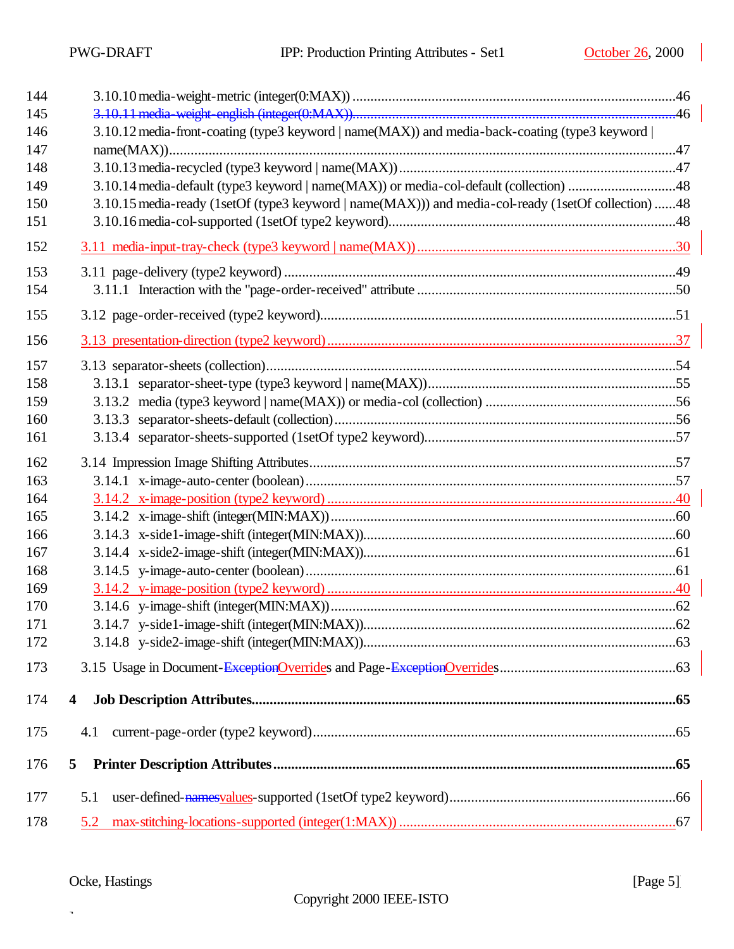| 144 |                                                                                                     |  |
|-----|-----------------------------------------------------------------------------------------------------|--|
| 145 |                                                                                                     |  |
| 146 | 3.10.12 media-front-coating (type3 keyword   name(MAX)) and media-back-coating (type3 keyword       |  |
| 147 |                                                                                                     |  |
| 148 |                                                                                                     |  |
| 149 | 3.10.14 media-default (type3 keyword   name(MAX)) or media-col-default (collection) 48              |  |
| 150 | 3.10.15 media-ready (1setOf (type3 keyword   name(MAX))) and media-col-ready (1setOf collection) 48 |  |
| 151 |                                                                                                     |  |
| 152 |                                                                                                     |  |
| 153 |                                                                                                     |  |
| 154 |                                                                                                     |  |
| 155 |                                                                                                     |  |
| 156 |                                                                                                     |  |
| 157 |                                                                                                     |  |
| 158 |                                                                                                     |  |
| 159 |                                                                                                     |  |
| 160 |                                                                                                     |  |
| 161 |                                                                                                     |  |
| 162 |                                                                                                     |  |
| 163 |                                                                                                     |  |
| 164 |                                                                                                     |  |
| 165 |                                                                                                     |  |
| 166 |                                                                                                     |  |
| 167 |                                                                                                     |  |
| 168 |                                                                                                     |  |
| 169 |                                                                                                     |  |
| 170 |                                                                                                     |  |
| 171 |                                                                                                     |  |
| 172 |                                                                                                     |  |
| 173 |                                                                                                     |  |
| 174 | 4                                                                                                   |  |
| 175 | 4.1                                                                                                 |  |
| 176 | 5                                                                                                   |  |
|     |                                                                                                     |  |
| 177 | 5.1                                                                                                 |  |
| 178 | 5.2                                                                                                 |  |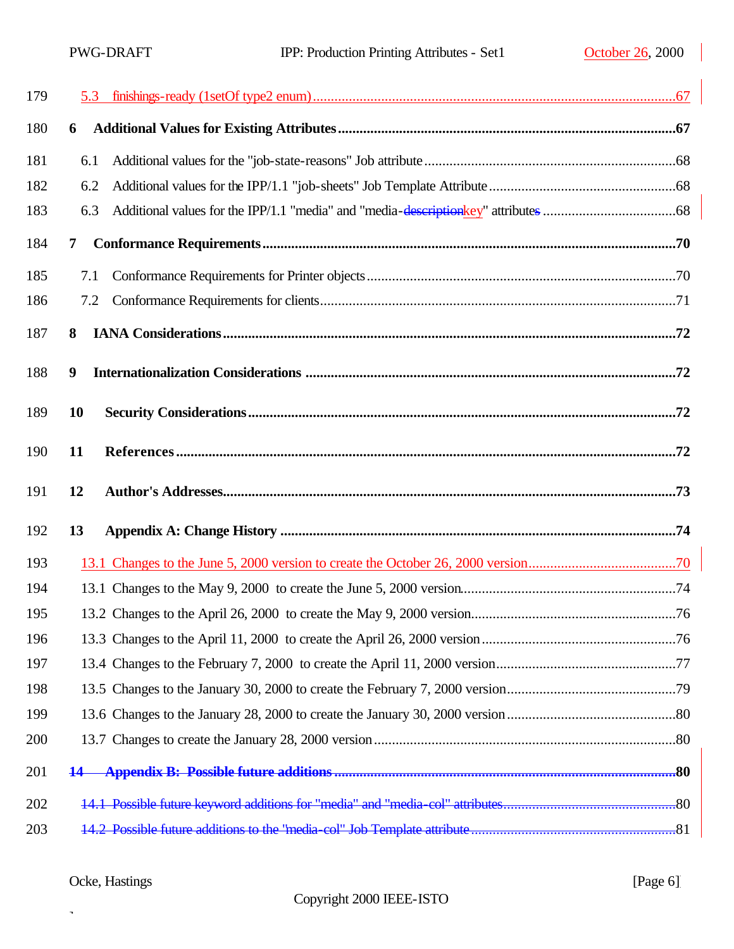| 179 |     |  |
|-----|-----|--|
| 180 | 6   |  |
| 181 | 6.1 |  |
| 182 | 6.2 |  |
| 183 | 6.3 |  |
| 184 | 7   |  |
| 185 | 7.1 |  |
| 186 | 7.2 |  |
| 187 | 8   |  |
| 188 | 9   |  |
| 189 | 10  |  |
| 190 | 11  |  |
|     |     |  |
| 191 | 12  |  |
| 192 | 13  |  |
| 193 |     |  |
| 194 |     |  |
| 195 |     |  |
| 196 |     |  |
| 197 |     |  |
| 198 |     |  |
| 199 |     |  |
| 200 |     |  |
| 201 | 14  |  |
| 202 |     |  |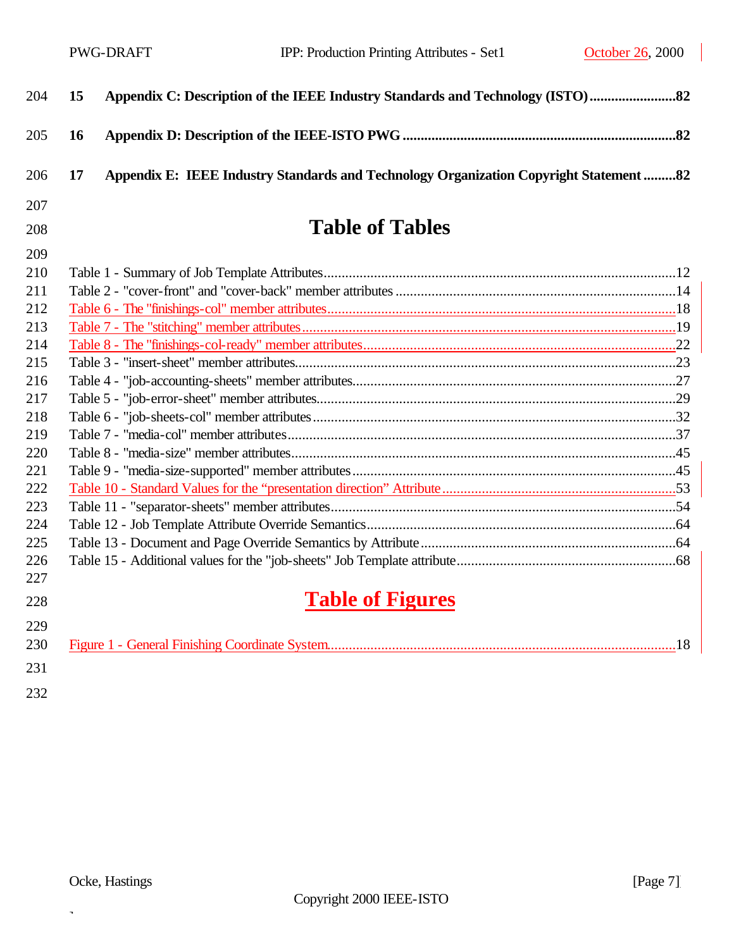$\overline{\phantom{a}}$ 

| 204 | 15 | Appendix C: Description of the IEEE Industry Standards and Technology (ISTO)            |  |
|-----|----|-----------------------------------------------------------------------------------------|--|
| 205 | 16 |                                                                                         |  |
| 206 | 17 | Appendix E: IEEE Industry Standards and Technology Organization Copyright Statement  82 |  |
| 207 |    |                                                                                         |  |
| 208 |    | <b>Table of Tables</b>                                                                  |  |
| 209 |    |                                                                                         |  |
| 210 |    |                                                                                         |  |
| 211 |    |                                                                                         |  |
| 212 |    |                                                                                         |  |
| 213 |    |                                                                                         |  |
| 214 |    |                                                                                         |  |
| 215 |    |                                                                                         |  |
| 216 |    |                                                                                         |  |
| 217 |    |                                                                                         |  |
| 218 |    |                                                                                         |  |
| 219 |    |                                                                                         |  |
| 220 |    |                                                                                         |  |
| 221 |    |                                                                                         |  |
| 222 |    |                                                                                         |  |
| 223 |    |                                                                                         |  |
| 224 |    |                                                                                         |  |
| 225 |    |                                                                                         |  |
| 226 |    |                                                                                         |  |
| 227 |    |                                                                                         |  |
| 228 |    | <b>Table of Figures</b>                                                                 |  |
| 229 |    |                                                                                         |  |
| 230 |    |                                                                                         |  |
| 231 |    |                                                                                         |  |
| 232 |    |                                                                                         |  |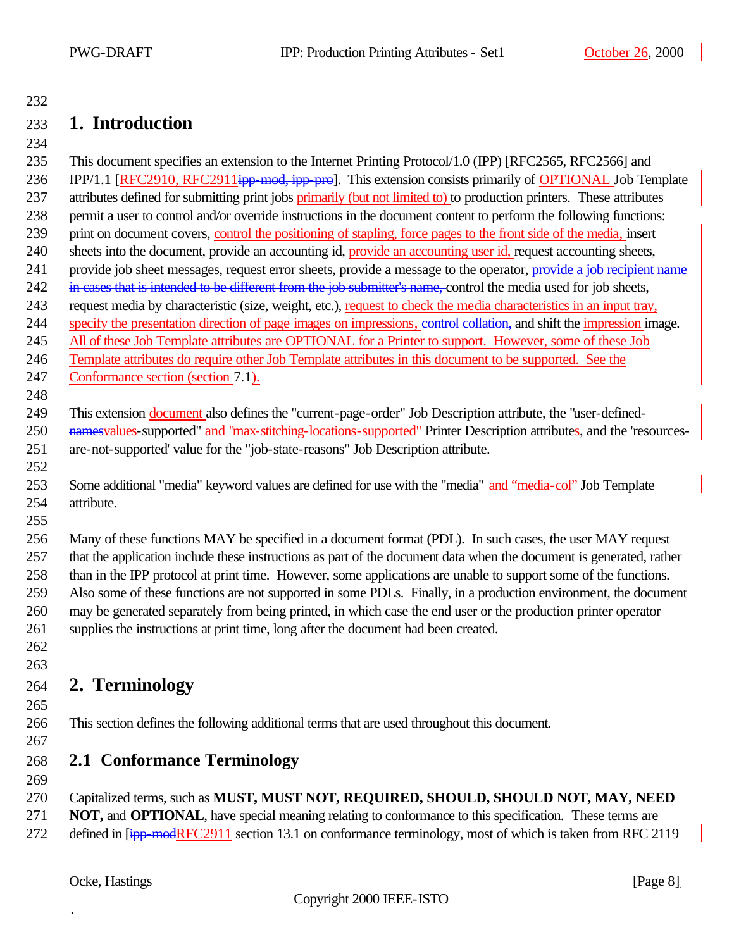## **1. Introduction**

 This document specifies an extension to the Internet Printing Protocol/1.0 (IPP) [RFC2565, RFC2566] and 236 IPP/1.1 [RFC2910, RFC2911<del>ipp-mod, ipp-pro</del>]. This extension consists primarily of OPTIONAL Job Template 237 attributes defined for submitting print jobs primarily (but not limited to) to production printers. These attributes permit a user to control and/or override instructions in the document content to perform the following functions: print on document covers, control the positioning of stapling, force pages to the front side of the media, insert 240 sheets into the document, provide an accounting id, provide an accounting user id, request accounting sheets, 241 provide job sheet messages, request error sheets, provide a message to the operator, provide a job recipient name 242 in cases that is intended to be different from the job submitter's name, control the media used for job sheets, request media by characteristic (size, weight, etc.), request to check the media characteristics in an input tray, specify the presentation direction of page images on impressions, control collation, and shift the impression image. All of these Job Template attributes are OPTIONAL for a Printer to support. However, some of these Job Template attributes do require other Job Template attributes in this document to be supported. See the Conformance section (section 7.1). This extension document also defines the "current-page-order" Job Description attribute, the "user-defined-250 namesvalues-supported" and "max-stitching-locations-supported" Printer Description attributes, and the 'resources- are-not-supported' value for the "job-state-reasons" Job Description attribute. Some additional "media" keyword values are defined for use with the "media" and "media-col" Job Template attribute. Many of these functions MAY be specified in a document format (PDL). In such cases, the user MAY request that the application include these instructions as part of the document data when the document is generated, rather than in the IPP protocol at print time. However, some applications are unable to support some of the functions. Also some of these functions are not supported in some PDLs. Finally, in a production environment, the document may be generated separately from being printed, in which case the end user or the production printer operator supplies the instructions at print time, long after the document had been created. **2. Terminology** This section defines the following additional terms that are used throughout this document. **2.1 Conformance Terminology** 

Capitalized terms, such as **MUST, MUST NOT, REQUIRED, SHOULD, SHOULD NOT, MAY, NEED** 

**NOT, and OPTIONAL**, have special meaning relating to conformance to this specification. These terms are

272 defined in [ipp-modRFC2911 section 13.1 on conformance terminology, most of which is taken from RFC 2119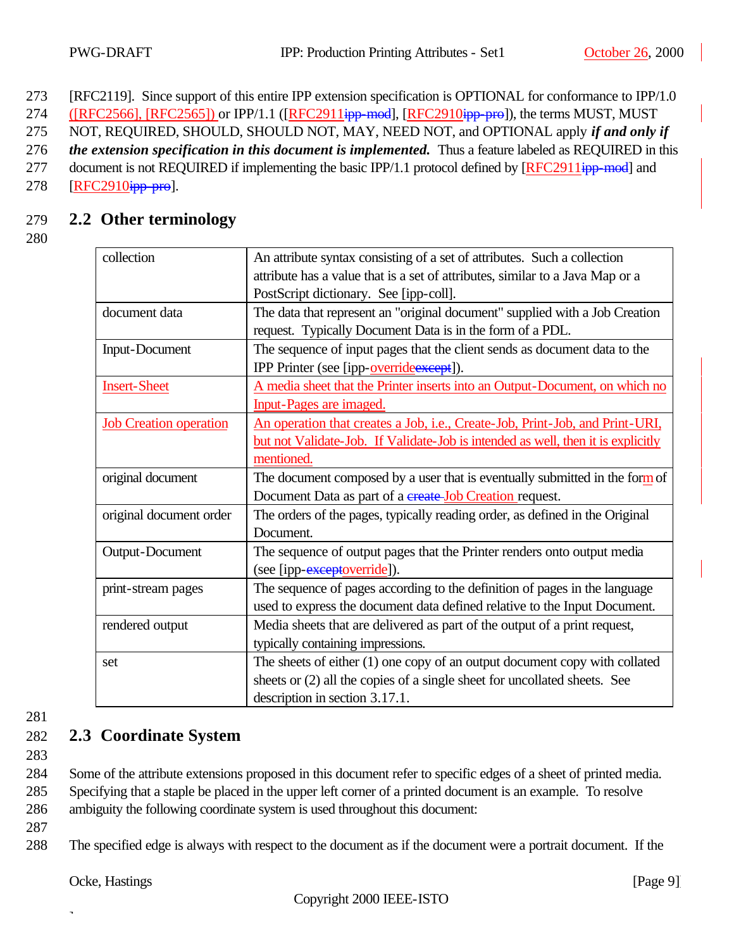273 [RFC2119]. Since support of this entire IPP extension specification is OPTIONAL for conformance to IPP/1.0

274 ([RFC2566], [RFC2565]) or IPP/1.1 ([RFC2911<del>ipp-mod</del>], [RFC2910ipp-pro]), the terms MUST, MUST

275 NOT, REQUIRED, SHOULD, SHOULD NOT, MAY, NEED NOT, and OPTIONAL apply *if and only if* 

276 *the extension specification in this document is implemented.* Thus a feature labeled as REQUIRED in this

277 document is not REQUIRED if implementing the basic IPP/1.1 protocol defined by [RFC2911<del>ipp-mod</del>] and 278 [RFC2910<del>ipp-pro</del>].

## 279 **2.2 Other terminology**

280

| collection                    | An attribute syntax consisting of a set of attributes. Such a collection         |  |
|-------------------------------|----------------------------------------------------------------------------------|--|
|                               | attribute has a value that is a set of attributes, similar to a Java Map or a    |  |
|                               | PostScript dictionary. See [ipp-coll].                                           |  |
| document data                 | The data that represent an "original document" supplied with a Job Creation      |  |
|                               | request. Typically Document Data is in the form of a PDL.                        |  |
| <b>Input-Document</b>         | The sequence of input pages that the client sends as document data to the        |  |
|                               | IPP Printer (see [ipp-override except]).                                         |  |
| <b>Insert-Sheet</b>           | A media sheet that the Printer inserts into an Output-Document, on which no      |  |
|                               | <b>Input-Pages are imaged.</b>                                                   |  |
| <b>Job Creation operation</b> | An operation that creates a Job, i.e., Create-Job, Print-Job, and Print-URI,     |  |
|                               | but not Validate-Job. If Validate-Job is intended as well, then it is explicitly |  |
|                               | mentioned.                                                                       |  |
| original document             | The document composed by a user that is eventually submitted in the form of      |  |
|                               | Document Data as part of a create Job Creation request.                          |  |
| original document order       | The orders of the pages, typically reading order, as defined in the Original     |  |
|                               | Document.                                                                        |  |
| Output-Document               | The sequence of output pages that the Printer renders onto output media          |  |
|                               | (see [ipp- <del>exceptoverride</del> ]).                                         |  |
| print-stream pages            | The sequence of pages according to the definition of pages in the language       |  |
|                               | used to express the document data defined relative to the Input Document.        |  |
| rendered output               | Media sheets that are delivered as part of the output of a print request,        |  |
|                               | typically containing impressions.                                                |  |
| set                           | The sheets of either $(1)$ one copy of an output document copy with collated     |  |
|                               | sheets or (2) all the copies of a single sheet for uncollated sheets. See        |  |
|                               | description in section 3.17.1.                                                   |  |

281

## 282 **2.3 Coordinate System**

283

284 Some of the attribute extensions proposed in this document refer to specific edges of a sheet of printed media. 285 Specifying that a staple be placed in the upper left corner of a printed document is an example. To resolve 286 ambiguity the following coordinate system is used throughout this document:

287

288 The specified edge is always with respect to the document as if the document were a portrait document. If the

Ocke, Hastings [Page 9]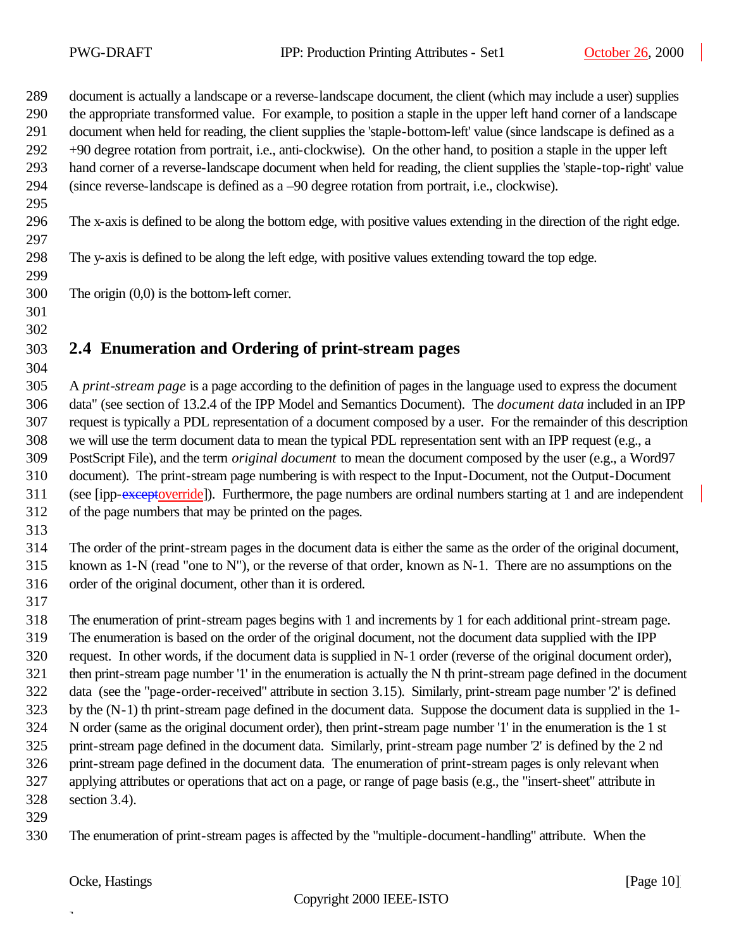document is actually a landscape or a reverse-landscape document, the client (which may include a user) supplies the appropriate transformed value. For example, to position a staple in the upper left hand corner of a landscape document when held for reading, the client supplies the 'staple-bottom-left' value (since landscape is defined as a +90 degree rotation from portrait, i.e., anti-clockwise). On the other hand, to position a staple in the upper left hand corner of a reverse-landscape document when held for reading, the client supplies the 'staple-top-right' value (since reverse-landscape is defined as a –90 degree rotation from portrait, i.e., clockwise). The x-axis is defined to be along the bottom edge, with positive values extending in the direction of the right edge. The y-axis is defined to be along the left edge, with positive values extending toward the top edge. The origin (0,0) is the bottom-left corner. 

# **2.4 Enumeration and Ordering of print-stream pages**

 A *print-stream page* is a page according to the definition of pages in the language used to express the document data" (see section of 13.2.4 of the IPP Model and Semantics Document). The *document data* included in an IPP request is typically a PDL representation of a document composed by a user. For the remainder of this description we will use the term document data to mean the typical PDL representation sent with an IPP request (e.g., a PostScript File), and the term *original document* to mean the document composed by the user (e.g., a Word97 document). The print-stream page numbering is with respect to the Input-Document, not the Output-Document (see [ipp-exceptoverride]). Furthermore, the page numbers are ordinal numbers starting at 1 and are independent of the page numbers that may be printed on the pages.

 The order of the print-stream pages in the document data is either the same as the order of the original document, known as 1-N (read "one to N"), or the reverse of that order, known as N-1. There are no assumptions on the order of the original document, other than it is ordered.

 The enumeration of print-stream pages begins with 1 and increments by 1 for each additional print-stream page. The enumeration is based on the order of the original document, not the document data supplied with the IPP request. In other words, if the document data is supplied in N-1 order (reverse of the original document order), then print-stream page number '1' in the enumeration is actually the N th print-stream page defined in the document data (see the "page-order-received" attribute in section 3.15). Similarly, print-stream page number '2' is defined by the (N-1) th print-stream page defined in the document data. Suppose the document data is supplied in the 1- N order (same as the original document order), then print-stream page number '1' in the enumeration is the 1 st

 print-stream page defined in the document data. Similarly, print-stream page number '2' is defined by the 2 nd print-stream page defined in the document data. The enumeration of print-stream pages is only relevant when applying attributes or operations that act on a page, or range of page basis (e.g., the "insert-sheet" attribute in

section 3.4).

 $\overline{a}$ 

The enumeration of print-stream pages is affected by the "multiple-document-handling" attribute. When the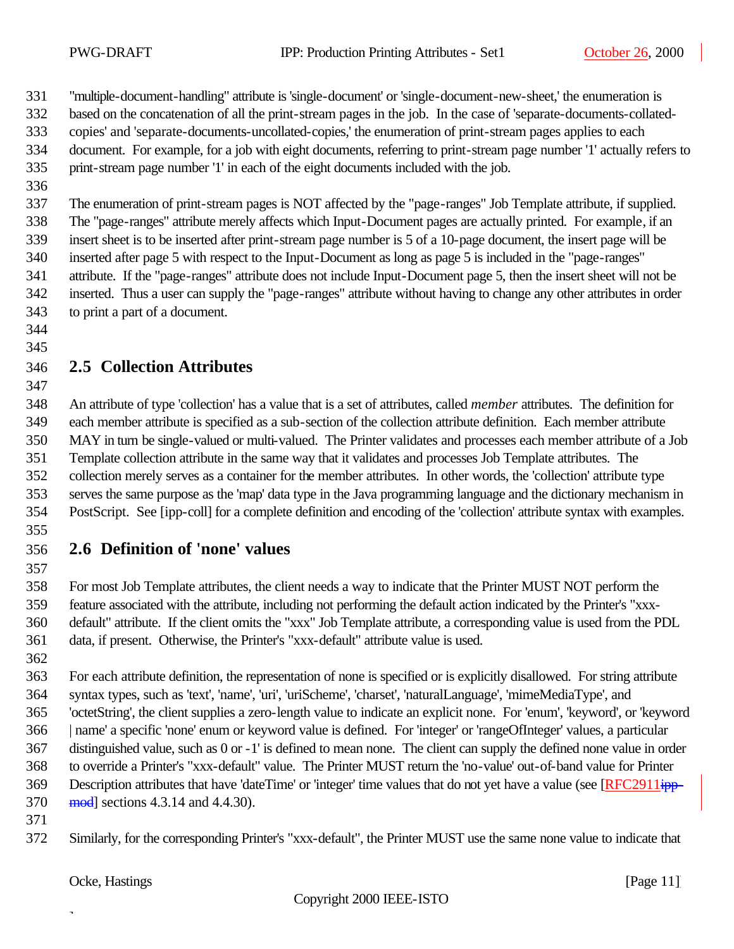"multiple-document-handling" attribute is 'single-document' or 'single-document-new-sheet,' the enumeration is

based on the concatenation of all the print-stream pages in the job. In the case of 'separate-documents-collated-

- copies' and 'separate-documents-uncollated-copies,' the enumeration of print-stream pages applies to each
- document. For example, for a job with eight documents, referring to print-stream page number '1' actually refers to print-stream page number '1' in each of the eight documents included with the job.
- 

 The enumeration of print-stream pages is NOT affected by the "page-ranges" Job Template attribute, if supplied. The "page-ranges" attribute merely affects which Input-Document pages are actually printed. For example, if an insert sheet is to be inserted after print-stream page number is 5 of a 10-page document, the insert page will be inserted after page 5 with respect to the Input-Document as long as page 5 is included in the "page-ranges" attribute. If the "page-ranges" attribute does not include Input-Document page 5, then the insert sheet will not be inserted. Thus a user can supply the "page-ranges" attribute without having to change any other attributes in order to print a part of a document.

 

## **2.5 Collection Attributes**

 An attribute of type 'collection' has a value that is a set of attributes, called *member* attributes. The definition for each member attribute is specified as a sub-section of the collection attribute definition. Each member attribute MAY in turn be single-valued or multi-valued. The Printer validates and processes each member attribute of a Job Template collection attribute in the same way that it validates and processes Job Template attributes. The collection merely serves as a container for the member attributes. In other words, the 'collection' attribute type serves the same purpose as the 'map' data type in the Java programming language and the dictionary mechanism in PostScript. See [ipp-coll] for a complete definition and encoding of the 'collection' attribute syntax with examples.

## **2.6 Definition of 'none' values**

 For most Job Template attributes, the client needs a way to indicate that the Printer MUST NOT perform the feature associated with the attribute, including not performing the default action indicated by the Printer's "xxx- default" attribute. If the client omits the "xxx" Job Template attribute, a corresponding value is used from the PDL data, if present. Otherwise, the Printer's "xxx-default" attribute value is used.

 For each attribute definition, the representation of none is specified or is explicitly disallowed. For string attribute syntax types, such as 'text', 'name', 'uri', 'uriScheme', 'charset', 'naturalLanguage', 'mimeMediaType', and 'octetString', the client supplies a zero-length value to indicate an explicit none. For 'enum', 'keyword', or 'keyword | name' a specific 'none' enum or keyword value is defined. For 'integer' or 'rangeOfInteger' values, a particular distinguished value, such as 0 or -1' is defined to mean none. The client can supply the defined none value in order to override a Printer's "xxx-default" value. The Printer MUST return the 'no-value' out-of-band value for Printer 369 Description attributes that have 'dateTime' or 'integer' time values that do not yet have a value (see [RFC2911ipp-mod] sections 4.3.14 and 4.4.30).

Similarly, for the corresponding Printer's "xxx-default", the Printer MUST use the same none value to indicate that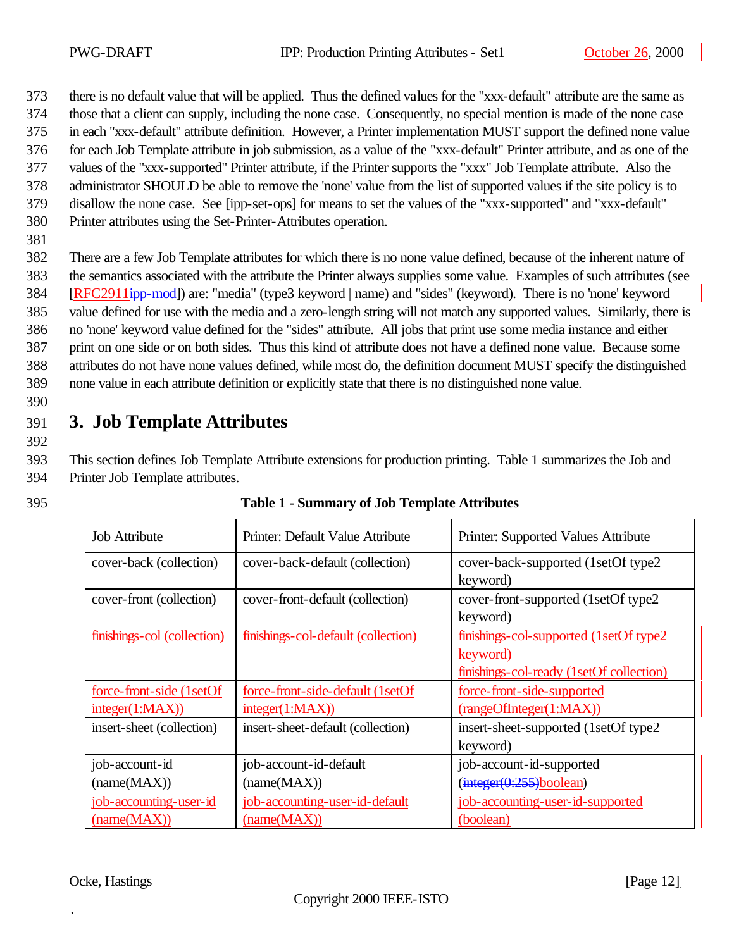373 there is no default value that will be applied. Thus the defined values for the "xxx-default" attribute are the same as

374 those that a client can supply, including the none case. Consequently, no special mention is made of the none case

375 in each "xxx-default" attribute definition. However, a Printer implementation MUST support the defined none value

376 for each Job Template attribute in job submission, as a value of the "xxx-default" Printer attribute, and as one of the

377 values of the "xxx-supported" Printer attribute, if the Printer supports the "xxx" Job Template attribute. Also the 378 administrator SHOULD be able to remove the 'none' value from the list of supported values if the site policy is to

- 379 disallow the none case. See [ipp-set-ops] for means to set the values of the "xxx-supported" and "xxx-default"
- 380 Printer attributes using the Set-Printer-Attributes operation.
- 381

 There are a few Job Template attributes for which there is no none value defined, because of the inherent nature of the semantics associated with the attribute the Printer always supplies some value. Examples of such attributes (see [RFC2911ipp-mod]) are: "media" (type3 keyword | name) and "sides" (keyword). There is no 'none' keyword value defined for use with the media and a zero-length string will not match any supported values. Similarly, there is no 'none' keyword value defined for the "sides" attribute. All jobs that print use some media instance and either print on one side or on both sides. Thus this kind of attribute does not have a defined none value. Because some attributes do not have none values defined, while most do, the definition document MUST specify the distinguished none value in each attribute definition or explicitly state that there is no distinguished none value.

390

392

## 391 **3. Job Template Attributes**

393 This section defines Job Template Attribute extensions for production printing. Table 1 summarizes the Job and 394 Printer Job Template attributes.

| 395 | <b>Table 1 - Summary of Job Template Attributes</b> |
|-----|-----------------------------------------------------|
|     |                                                     |

| <b>Job Attribute</b>        | Printer: Default Value Attribute    | Printer: Supported Values Attribute      |
|-----------------------------|-------------------------------------|------------------------------------------|
| cover-back (collection)     | cover-back-default (collection)     | cover-back-supported (1setOf type2)      |
|                             |                                     | keyword)                                 |
| cover-front (collection)    | cover-front-default (collection)    | cover-front-supported (1setOf type2      |
|                             |                                     | keyword)                                 |
| finishings-col (collection) | finishings-col-default (collection) | finishings-col-supported (1setOf type2)  |
|                             |                                     | keyword)                                 |
|                             |                                     | finishings-col-ready (1setOf collection) |
| force-front-side (1setOf)   | force-front-side-default (1setOf    | force-front-side-supported               |
| integer(1:MAX))             | integer(1:MAX))                     | (rangeOfInteger(1:MAX))                  |
| insert-sheet (collection)   | insert-sheet-default (collection)   | insert-sheet-supported (1setOf type2)    |
|                             |                                     | keyword)                                 |
| job-account-id              | job-account-id-default              | job-account-id-supported                 |
| (name(MAX))                 | (name(MAX))                         | (integer(0:255)boolean)                  |
| job-accounting-user-id      | job-accounting-user-id-default      | job-accounting-user-id-supported         |
| (name(MAX))                 | (name(MAX))                         | (boolean)                                |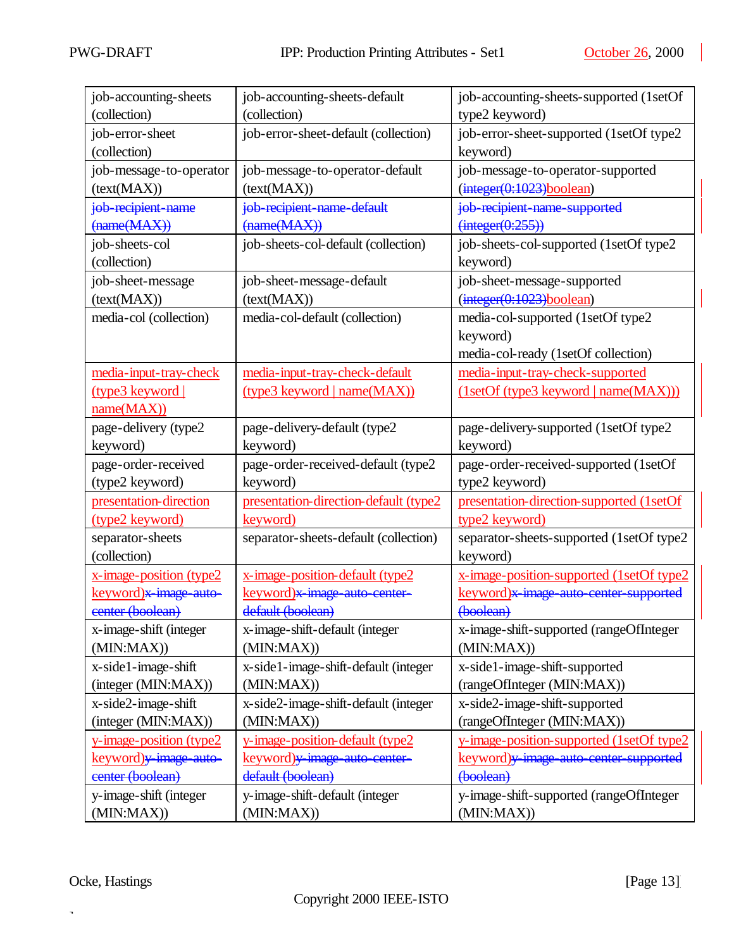$\overline{\phantom{a}}$ 

| job-accounting-sheets              | job-accounting-sheets-default         | job-accounting-sheets-supported (1setOf  |
|------------------------------------|---------------------------------------|------------------------------------------|
| (collection)                       | (collection)                          | type2 keyword)                           |
| job-error-sheet                    | job-error-sheet-default (collection)  | job-error-sheet-supported (1setOf type2  |
| (collection)                       |                                       | keyword)                                 |
| job-message-to-operator            | job-message-to-operator-default       | job-message-to-operator-supported        |
| (text(MAX))                        | (text(MAX))                           | (integer(0:1023)boolean)                 |
| job-recipient-name                 | job-recipient-name-default            | job recipient name supported             |
| $(\text{name}(MAX))$               | $(\text{name}(MAX))$                  | $(integer(0:255))$                       |
| job-sheets-col                     | job-sheets-col-default (collection)   | job-sheets-col-supported (1setOf type2   |
| (collection)                       |                                       | keyword)                                 |
| job-sheet-message                  | job-sheet-message-default             | job-sheet-message-supported              |
| (text(MAX))                        | (text(MAX))                           | (integer(0:1023)boolean)                 |
| media-col (collection)             | media-col-default (collection)        | media-col-supported (1setOf type2        |
|                                    |                                       | keyword)                                 |
|                                    |                                       | media-col-ready (1setOf collection)      |
| media-input-tray-check             | media-input-tray-check-default        | media-input-tray-check-supported         |
| (type3 keyword                     | (type3 keyword   name(MAX))           | (1setOf(type3 keyword   name(MAX)))      |
| name(MAX))                         |                                       |                                          |
| page-delivery (type2               | page-delivery-default (type2          | page-delivery-supported (1setOf type2    |
| keyword)                           | keyword)                              | keyword)                                 |
| page-order-received                | page-order-received-default (type2    | page-order-received-supported (1setOf    |
| (type2 keyword)                    | keyword)                              | type2 keyword)                           |
| presentation-direction             | presentation-direction-default (type2 | presentation-direction-supported (1setOf |
| (type2 keyword)                    | keyword)                              | type2 keyword)                           |
| separator-sheets                   | separator-sheets-default (collection) | separator-sheets-supported (1setOf type2 |
| (collection)                       |                                       | keyword)                                 |
| x-image-position (type2            | x-image-position-default (type2       | x-image-position-supported (1setOf type2 |
| keyword)x-image-auto-              | keyword)x image auto center-          | keyword)x image auto center supported    |
| center (boolean)                   | default (boolean)                     | (boolean)                                |
| x-image-shift (integer             | x-image-shift-default (integer        | x-image-shift-supported (rangeOfInteger  |
| (MIN:MAX)                          | (MIN:MAX)                             | (MIN:MAX)                                |
| x-side1-image-shift                | x-side1-image-shift-default (integer  | x-side1-image-shift-supported            |
| (integer (MIN:MAX))                | (MIN:MAX)                             | (rangeOfInteger (MIN:MAX))               |
| x-side2-image-shift                | x-side2-image-shift-default (integer  | x-side2-image-shift-supported            |
| (integer (MIN:MAX))                | (MIN:MAX)                             | (rangeOfInteger (MIN:MAX))               |
| y-image-position (type2            | y-image-position-default (type2       | y-image-position-supported (1setOf type2 |
| keyword) <del>y image auto</del> - | keyword) y image auto center-         | keyword) y image auto center supported   |
| center (boolean)                   | default (boolean)                     | (boolean)                                |
| y-image-shift (integer             | y-image-shift-default (integer        | y-image-shift-supported (rangeOfInteger  |
| (MIN:MAX))                         | (MIN:MAX))                            | (MIN:MAX)                                |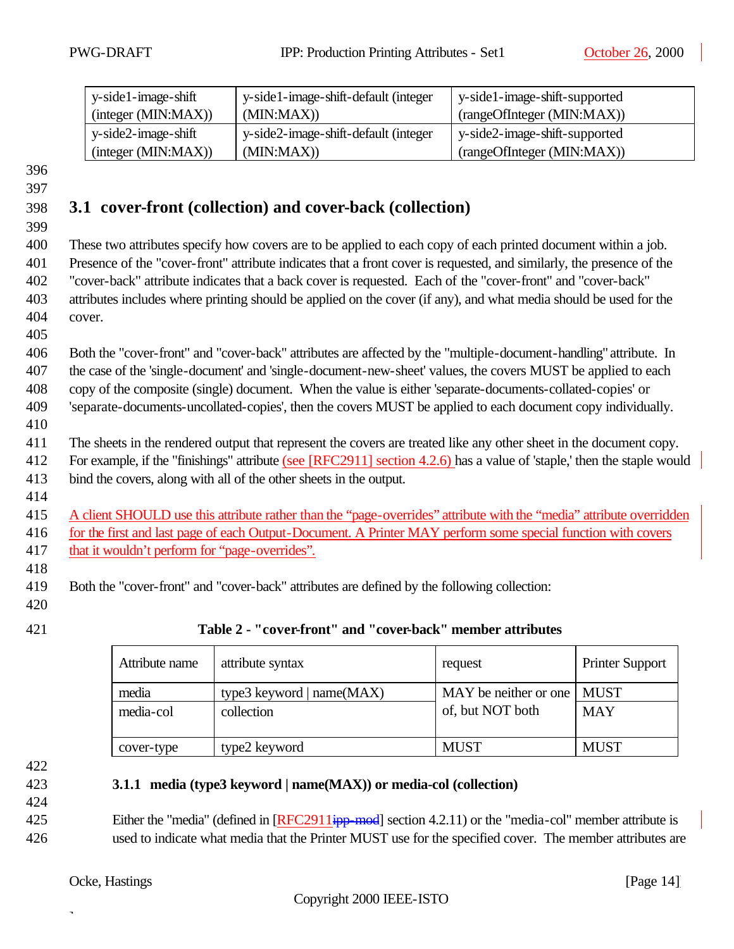| y-side1-image-shift    | y-side1-image-shift-default (integer | y-side1-image-shift-supported  |
|------------------------|--------------------------------------|--------------------------------|
| (integer (MIN:MAX))    | (MIN:MAX)                            | (rangeOfInteger (MIN:MAX))     |
| $y$ -side2-image-shift | y-side2-image-shift-default (integer | ly-side2-image-shift-supported |
| (integer (MIN: MAX))   | (MIN:MAX)                            | (rangeOfInteger (MIN:MAX))     |

## 398 **3.1 cover-front (collection) and cover-back (collection)**

399

405

410

414

 These two attributes specify how covers are to be applied to each copy of each printed document within a job. Presence of the "cover-front" attribute indicates that a front cover is requested, and similarly, the presence of the "cover-back" attribute indicates that a back cover is requested. Each of the "cover-front" and "cover-back" attributes includes where printing should be applied on the cover (if any), and what media should be used for the 404 cover.

 Both the "cover-front" and "cover-back" attributes are affected by the "multiple-document-handling" attribute. In the case of the 'single-document' and 'single-document-new-sheet' values, the covers MUST be applied to each copy of the composite (single) document. When the value is either 'separate-documents-collated-copies' or 'separate-documents-uncollated-copies', then the covers MUST be applied to each document copy individually.

411 The sheets in the rendered output that represent the covers are treated like any other sheet in the document copy. 412 For example, if the "finishings" attribute (see [RFC2911] section 4.2.6) has a value of 'staple,' then the staple would

413 bind the covers, along with all of the other sheets in the output.

415 A client SHOULD use this attribute rather than the "page-overrides" attribute with the "media" attribute overridden 416 for the first and last page of each Output-Document. A Printer MAY perform some special function with covers 417 that it wouldn't perform for "page-overrides".

419 Both the "cover-front" and "cover-back" attributes are defined by the following collection:

420

418

## 421 **Table 2 - "cover-front" and "cover-back" member attributes**

| Attribute name     | attribute syntax                          | request                                          | <b>Printer Support</b> |
|--------------------|-------------------------------------------|--------------------------------------------------|------------------------|
| media<br>media-col | type3 keyword   $name(MAX)$<br>collection | MAY be neither or one   MUST<br>of, but NOT both | <b>MAY</b>             |
| cover-type         | type2 keyword                             | <b>MUST</b>                                      | <b>MUST</b>            |

422

424

## 423 **3.1.1 media (type3 keyword | name(MAX)) or media-col (collection)**

425 Either the "media" (defined in [RFC2911ipp-mod] section 4.2.11) or the "media-col" member attribute is 426 used to indicate what media that the Printer MUST use for the specified cover. The member attributes are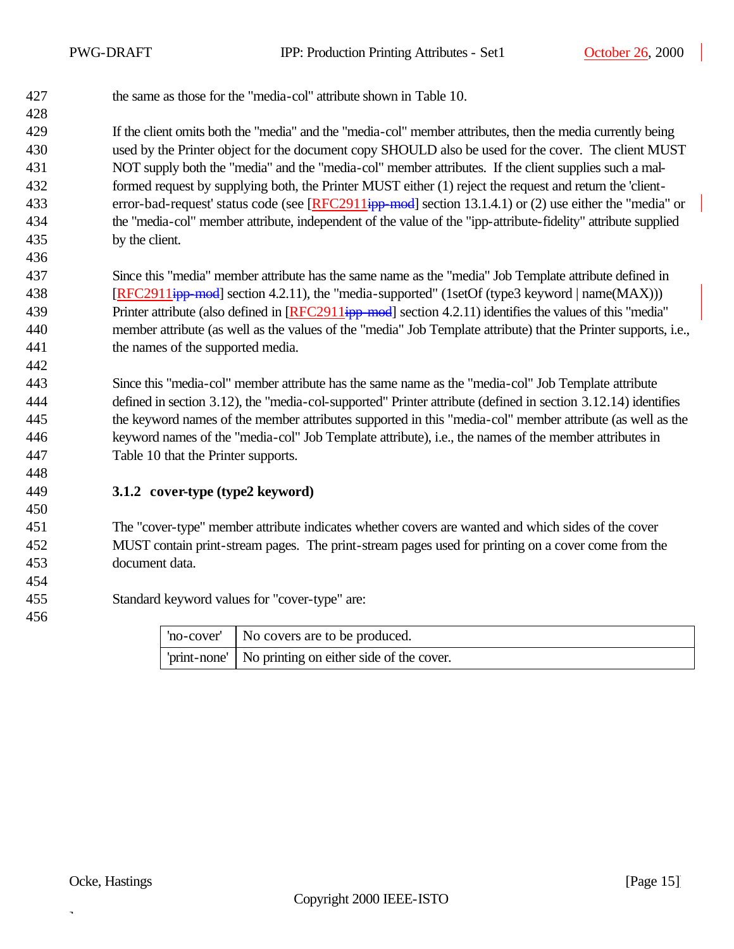the same as those for the "media-col" attribute shown in Table 10.

 If the client omits both the "media" and the "media-col" member attributes, then the media currently being used by the Printer object for the document copy SHOULD also be used for the cover. The client MUST NOT supply both the "media" and the "media-col" member attributes. If the client supplies such a mal- formed request by supplying both, the Printer MUST either (1) reject the request and return the 'client-433 error-bad-request' status code (see [RFC2911ipp-mod] section 13.1.4.1) or (2) use either the "media" or the "media-col" member attribute, independent of the value of the "ipp-attribute-fidelity" attribute supplied by the client.

 Since this "media" member attribute has the same name as the "media" Job Template attribute defined in **[RFC2911ipp-mod]** section 4.2.11), the "media-supported" (1setOf (type3 keyword | name(MAX))) 439 Printer attribute (also defined in [RFC2911<del>ipp-mod</del>] section 4.2.11) identifies the values of this "media" member attribute (as well as the values of the "media" Job Template attribute) that the Printer supports, i.e., the names of the supported media.

 Since this "media-col" member attribute has the same name as the "media-col" Job Template attribute defined in section 3.12), the "media-col-supported" Printer attribute (defined in section 3.12.14) identifies the keyword names of the member attributes supported in this "media-col" member attribute (as well as the keyword names of the "media-col" Job Template attribute), i.e., the names of the member attributes in Table 10 that the Printer supports.

**3.1.2 cover-type (type2 keyword)**

 The "cover-type" member attribute indicates whether covers are wanted and which sides of the cover MUST contain print-stream pages. The print-stream pages used for printing on a cover come from the document data.

Standard keyword values for "cover-type" are:

| 'no-cover'   No covers are to be produced.              |
|---------------------------------------------------------|
| 'print-none'   No printing on either side of the cover. |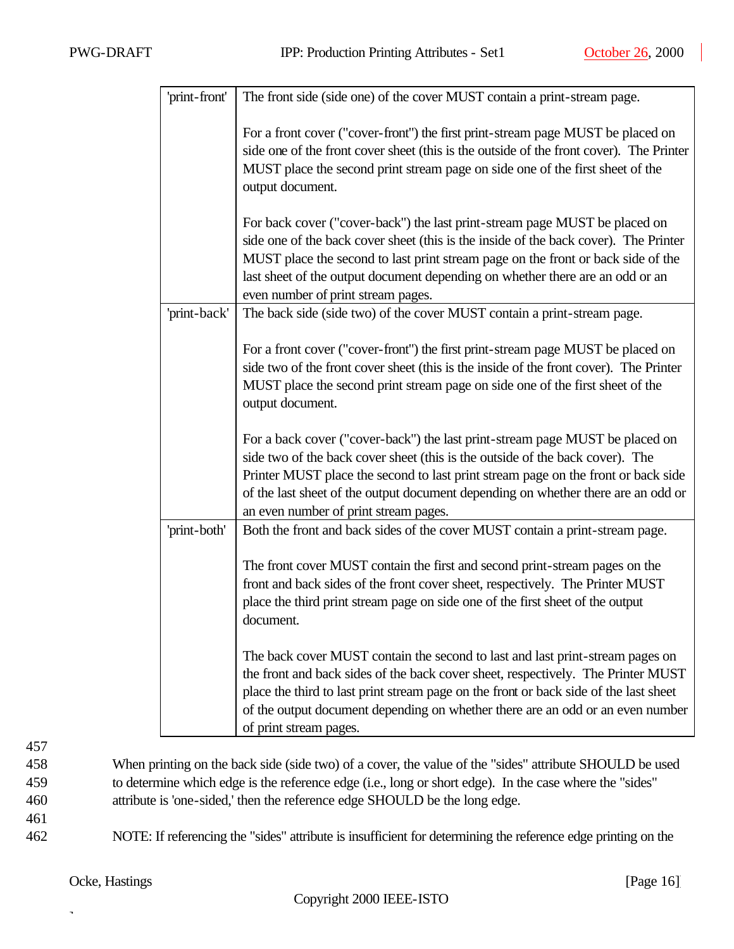| 'print-front' | The front side (side one) of the cover MUST contain a print-stream page.                                                                                                                                                                                                                                                                                                         |
|---------------|----------------------------------------------------------------------------------------------------------------------------------------------------------------------------------------------------------------------------------------------------------------------------------------------------------------------------------------------------------------------------------|
|               | For a front cover ("cover-front") the first print-stream page MUST be placed on<br>side one of the front cover sheet (this is the outside of the front cover). The Printer<br>MUST place the second print stream page on side one of the first sheet of the<br>output document.                                                                                                  |
|               | For back cover ("cover-back") the last print-stream page MUST be placed on<br>side one of the back cover sheet (this is the inside of the back cover). The Printer<br>MUST place the second to last print stream page on the front or back side of the<br>last sheet of the output document depending on whether there are an odd or an<br>even number of print stream pages.    |
| 'print-back'  | The back side (side two) of the cover MUST contain a print-stream page.                                                                                                                                                                                                                                                                                                          |
|               | For a front cover ("cover-front") the first print-stream page MUST be placed on<br>side two of the front cover sheet (this is the inside of the front cover). The Printer<br>MUST place the second print stream page on side one of the first sheet of the<br>output document.                                                                                                   |
|               | For a back cover ("cover-back") the last print-stream page MUST be placed on<br>side two of the back cover sheet (this is the outside of the back cover). The<br>Printer MUST place the second to last print stream page on the front or back side<br>of the last sheet of the output document depending on whether there are an odd or<br>an even number of print stream pages. |
| 'print-both'  | Both the front and back sides of the cover MUST contain a print-stream page.                                                                                                                                                                                                                                                                                                     |
|               | The front cover MUST contain the first and second print-stream pages on the<br>front and back sides of the front cover sheet, respectively. The Printer MUST<br>place the third print stream page on side one of the first sheet of the output<br>document.                                                                                                                      |
|               | The back cover MUST contain the second to last and last print-stream pages on<br>the front and back sides of the back cover sheet, respectively. The Printer MUST<br>place the third to last print stream page on the front or back side of the last sheet<br>of the output document depending on whether there are an odd or an even number<br>of print stream pages.           |

458 When printing on the back side (side two) of a cover, the value of the "sides" attribute SHOULD be used 459 to determine which edge is the reference edge (i.e., long or short edge). In the case where the "sides" 460 attribute is 'one-sided,' then the reference edge SHOULD be the long edge.

461

462 NOTE: If referencing the "sides" attribute is insufficient for determining the reference edge printing on the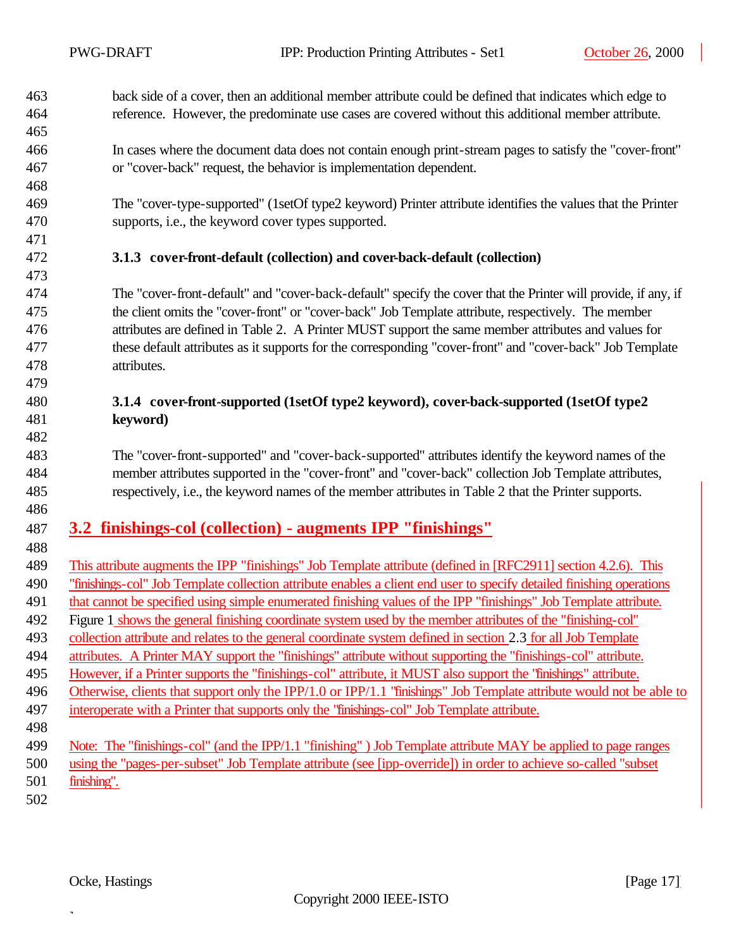- back side of a cover, then an additional member attribute could be defined that indicates which edge to reference. However, the predominate use cases are covered without this additional member attribute.
- In cases where the document data does not contain enough print-stream pages to satisfy the "cover-front" or "cover-back" request, the behavior is implementation dependent.
- The "cover-type-supported" (1setOf type2 keyword) Printer attribute identifies the values that the Printer supports, i.e., the keyword cover types supported.
- 

- **3.1.3 cover-front-default (collection) and cover-back-default (collection)**
- The "cover-front-default" and "cover-back-default" specify the cover that the Printer will provide, if any, if the client omits the "cover-front" or "cover-back" Job Template attribute, respectively. The member attributes are defined in Table 2. A Printer MUST support the same member attributes and values for these default attributes as it supports for the corresponding "cover-front" and "cover-back" Job Template attributes.

#### **3.1.4 cover-front-supported (1setOf type2 keyword), cover-back-supported (1setOf type2 keyword)**

 The "cover-front-supported" and "cover-back-supported" attributes identify the keyword names of the member attributes supported in the "cover-front" and "cover-back" collection Job Template attributes, respectively, i.e., the keyword names of the member attributes in Table 2 that the Printer supports.

## **3.2 finishings-col (collection) - augments IPP "finishings"**

- This attribute augments the IPP "finishings" Job Template attribute (defined in [RFC2911] section 4.2.6). This "finishings-col" Job Template collection attribute enables a client end user to specify detailed finishing operations that cannot be specified using simple enumerated finishing values of the IPP "finishings" Job Template attribute. Figure 1 shows the general finishing coordinate system used by the member attributes of the "finishing-col" collection attribute and relates to the general coordinate system defined in section 2.3 for all Job Template attributes. A Printer MAY support the "finishings" attribute without supporting the "finishings-col" attribute. However, if a Printer supports the "finishings-col" attribute, it MUST also support the "finishings" attribute. Otherwise, clients that support only the IPP/1.0 or IPP/1.1 "finishings" Job Template attribute would not be able to interoperate with a Printer that supports only the "finishings-col" Job Template attribute. Note: The "finishings-col" (and the IPP/1.1 "finishing" ) Job Template attribute MAY be applied to page ranges using the "pages-per-subset" Job Template attribute (see [ipp-override]) in order to achieve so-called "subset finishing".
-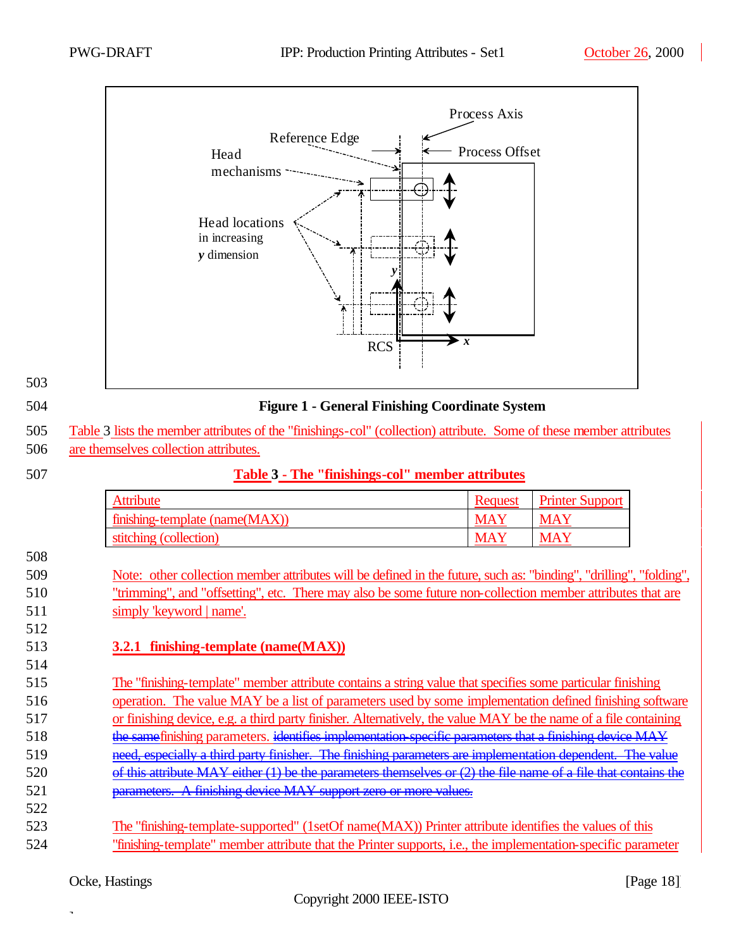

| <b>SALE</b><br>٦<br>۰.<br>I<br>×<br>v<br>×<br>۰. |
|--------------------------------------------------|
|--------------------------------------------------|

#### 504 **Figure 1 - General Finishing Coordinate System**

508

#### 507 **Table 3 - The "finishings-col" member attributes**

| <b>Attribute</b>               | Request    | <b>Printer Support</b> |
|--------------------------------|------------|------------------------|
| finishing-template (name(MAX)) | <b>MAY</b> | <b>MAY</b>             |
| stitching (collection)         | <b>MAY</b> | <b>MAY</b>             |

- 509 Note: other collection member attributes will be defined in the future, such as: "binding", "drilling", "folding", 510 "trimming", and "offsetting", etc. There may also be some future non-collection member attributes that are 511 simply 'keyword | name'.
- 512 514

## 513 **3.2.1 finishing-template (name(MAX))**

 The "finishing-template" member attribute contains a string value that specifies some particular finishing operation. The value MAY be a list of parameters used by some implementation defined finishing software or finishing device, e.g. a third party finisher. Alternatively, the value MAY be the name of a file containing 518 the same finishing parameters, identifies implementation-specific parameters that a finishing device MAY need, especially a third party finisher. The finishing parameters are implementation dependent. The value of this attribute MAY either (1) be the parameters themselves or (2) the file name of a file that contains the parameters. A finishing device MAY support zero or more values. 522

523 The "finishing-template-supported" (1setOf name(MAX)) Printer attribute identifies the values of this 524 "finishing-template" member attribute that the Printer supports, i.e., the implementation-specific parameter

<sup>505</sup> Table 3 lists the member attributes of the "finishings-col" (collection) attribute. Some of these member attributes 506 are themselves collection attributes.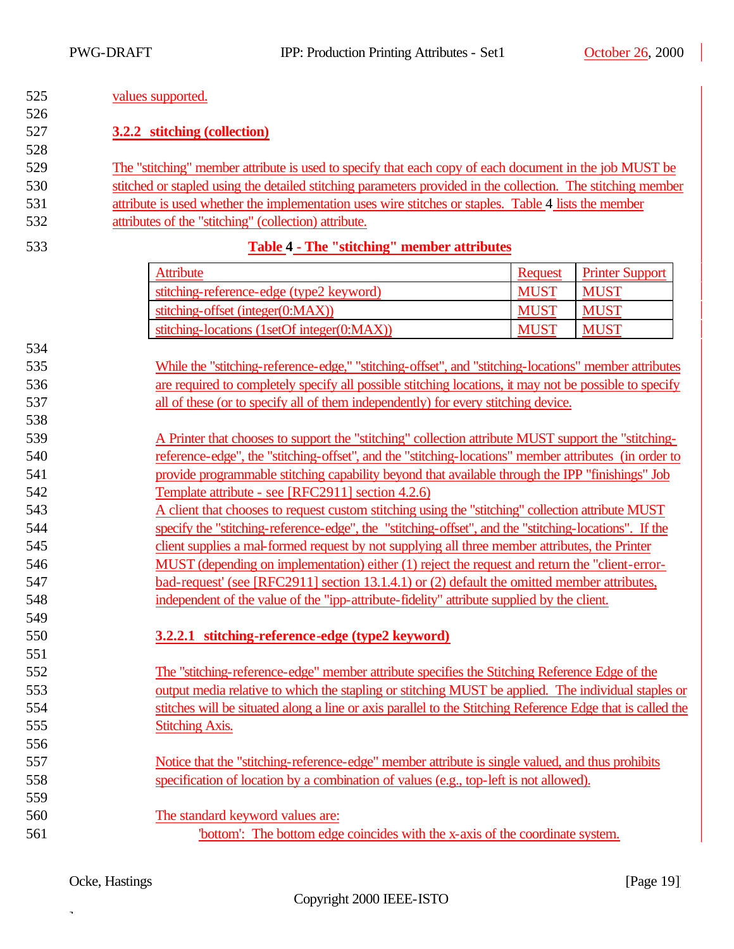| 525             | values supported.                                                                                                                                                                         |                                                                                                       |                        |  |
|-----------------|-------------------------------------------------------------------------------------------------------------------------------------------------------------------------------------------|-------------------------------------------------------------------------------------------------------|------------------------|--|
| 526             |                                                                                                                                                                                           |                                                                                                       |                        |  |
| 527             | 3.2.2 stitching (collection)                                                                                                                                                              |                                                                                                       |                        |  |
| 528             |                                                                                                                                                                                           |                                                                                                       |                        |  |
| 529             | The "stitching" member attribute is used to specify that each copy of each document in the job MUST be                                                                                    |                                                                                                       |                        |  |
| 530             | stitched or stapled using the detailed stitching parameters provided in the collection. The stitching member                                                                              |                                                                                                       |                        |  |
| 531             | attribute is used whether the implementation uses wire stitches or staples. Table 4 lists the member                                                                                      |                                                                                                       |                        |  |
| 532             | attributes of the "stitching" (collection) attribute.                                                                                                                                     |                                                                                                       |                        |  |
| 533             | Table 4 - The "stitching" member attributes                                                                                                                                               |                                                                                                       |                        |  |
|                 | <b>Attribute</b>                                                                                                                                                                          | <b>Request</b>                                                                                        | <b>Printer Support</b> |  |
|                 | stitching-reference-edge (type2 keyword)                                                                                                                                                  | <b>MUST</b>                                                                                           | <b>MUST</b>            |  |
|                 | stitching-offset (integer(0:MAX))                                                                                                                                                         | <b>MUST</b>                                                                                           | <b>MUST</b>            |  |
|                 | stitching-locations (1setOf integer(0:MAX))                                                                                                                                               | <b>MUST</b>                                                                                           | <b>MUST</b>            |  |
| 534             |                                                                                                                                                                                           |                                                                                                       |                        |  |
| 535             | While the "stitching-reference-edge," "stitching-offset", and "stitching-locations" member attributes                                                                                     |                                                                                                       |                        |  |
| 536             | are required to completely specify all possible stitching locations, it may not be possible to specify                                                                                    |                                                                                                       |                        |  |
| 537             | all of these (or to specify all of them independently) for every stitching device.                                                                                                        |                                                                                                       |                        |  |
| 538             |                                                                                                                                                                                           |                                                                                                       |                        |  |
| 539             | A Printer that chooses to support the "stitching" collection attribute MUST support the "stitching-                                                                                       |                                                                                                       |                        |  |
| 540             |                                                                                                                                                                                           | reference-edge", the "stitching-offset", and the "stitching-locations" member attributes (in order to |                        |  |
| 541             | provide programmable stitching capability beyond that available through the IPP "finishings" Job                                                                                          |                                                                                                       |                        |  |
| 542             | Template attribute - see [RFC2911] section 4.2.6)                                                                                                                                         |                                                                                                       |                        |  |
| 543             | A client that chooses to request custom stitching using the "stitching" collection attribute MUST                                                                                         |                                                                                                       |                        |  |
| 544             | specify the "stitching-reference-edge", the "stitching-offset", and the "stitching-locations". If the                                                                                     |                                                                                                       |                        |  |
| 545             | client supplies a mal-formed request by not supplying all three member attributes, the Printer                                                                                            |                                                                                                       |                        |  |
| 546             | MUST (depending on implementation) either (1) reject the request and return the "client-error-                                                                                            |                                                                                                       |                        |  |
| 547             | bad-request' (see [RFC2911] section 13.1.4.1) or (2) default the omitted member attributes,                                                                                               |                                                                                                       |                        |  |
| 548             | independent of the value of the "ipp-attribute-fidelity" attribute supplied by the client.                                                                                                |                                                                                                       |                        |  |
| 549             |                                                                                                                                                                                           |                                                                                                       |                        |  |
| 550             | 3.2.2.1 stitching-reference-edge (type2 keyword)                                                                                                                                          |                                                                                                       |                        |  |
| 551             |                                                                                                                                                                                           |                                                                                                       |                        |  |
| 552             | The "stitching-reference-edge" member attribute specifies the Stitching Reference Edge of the                                                                                             |                                                                                                       |                        |  |
| 553             | output media relative to which the stapling or stitching MUST be applied. The individual staples or                                                                                       |                                                                                                       |                        |  |
| 554             | stitches will be situated along a line or axis parallel to the Stitching Reference Edge that is called the                                                                                |                                                                                                       |                        |  |
| 555             | <b>Stitching Axis.</b>                                                                                                                                                                    |                                                                                                       |                        |  |
| 556             |                                                                                                                                                                                           |                                                                                                       |                        |  |
| 557<br>558      | Notice that the "stitching-reference-edge" member attribute is single valued, and thus prohibits<br>specification of location by a combination of values (e.g., top-left is not allowed). |                                                                                                       |                        |  |
| 559             |                                                                                                                                                                                           |                                                                                                       |                        |  |
| 560             | The standard keyword values are:                                                                                                                                                          |                                                                                                       |                        |  |
| $\sim$ $\sim$ 1 |                                                                                                                                                                                           |                                                                                                       |                        |  |

561 'bottom': The bottom edge coincides with the x-axis of the coordinate system.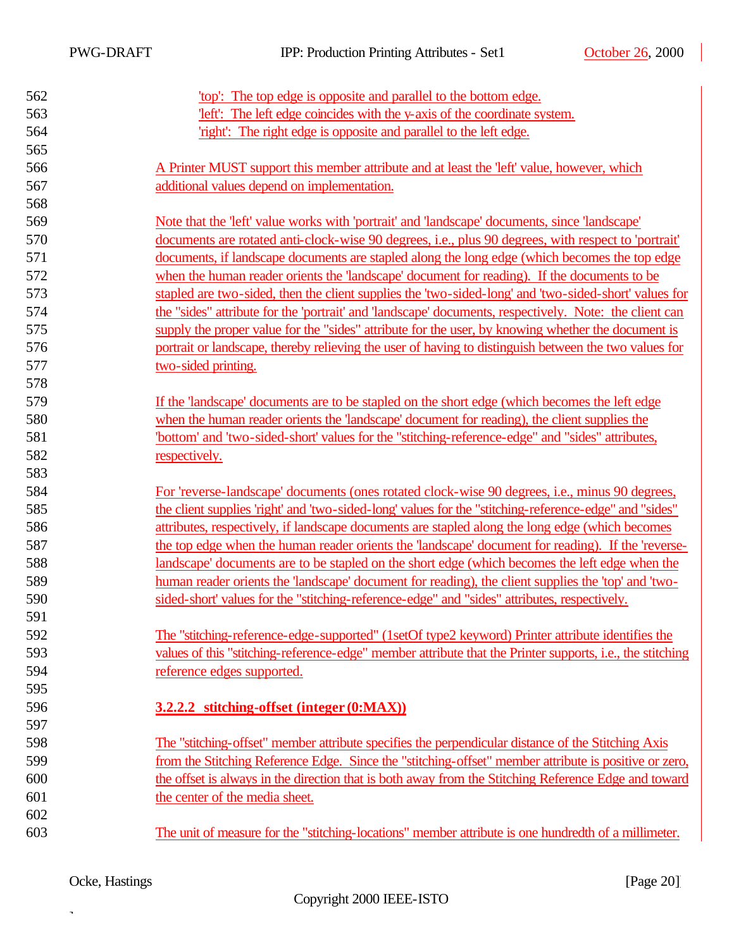$\overline{\phantom{a}}$ 

| 562 | 'top': The top edge is opposite and parallel to the bottom edge.                                          |
|-----|-----------------------------------------------------------------------------------------------------------|
| 563 | "left": The left edge coincides with the y-axis of the coordinate system.                                 |
| 564 | 'right': The right edge is opposite and parallel to the left edge.                                        |
| 565 |                                                                                                           |
| 566 | A Printer MUST support this member attribute and at least the 'left' value, however, which                |
| 567 | additional values depend on implementation.                                                               |
| 568 |                                                                                                           |
| 569 | Note that the 'left' value works with 'portrait' and 'landscape' documents, since 'landscape'             |
| 570 | documents are rotated anti-clock-wise 90 degrees, i.e., plus 90 degrees, with respect to 'portrait'       |
| 571 | documents, if landscape documents are stapled along the long edge (which becomes the top edge             |
| 572 | when the human reader orients the 'landscape' document for reading). If the documents to be               |
| 573 | stapled are two-sided, then the client supplies the 'two-sided-long' and 'two-sided-short' values for     |
| 574 | the "sides" attribute for the 'portrait' and 'landscape' documents, respectively. Note: the client can    |
| 575 | supply the proper value for the "sides" attribute for the user, by knowing whether the document is        |
| 576 | portrait or landscape, thereby relieving the user of having to distinguish between the two values for     |
| 577 | two-sided printing.                                                                                       |
| 578 |                                                                                                           |
| 579 | If the 'landscape' documents are to be stapled on the short edge (which becomes the left edge             |
| 580 | when the human reader orients the 'landscape' document for reading), the client supplies the              |
| 581 | "bottom' and 'two-sided-short' values for the "stitching-reference-edge" and "sides" attributes,          |
| 582 | respectively.                                                                                             |
| 583 |                                                                                                           |
| 584 | For 'reverse-landscape' documents (ones rotated clock-wise 90 degrees, <i>i.e.</i> , minus 90 degrees,    |
| 585 | the client supplies 'right' and 'two-sided-long' values for the "stitching-reference-edge" and "sides"    |
| 586 | attributes, respectively, if landscape documents are stapled along the long edge (which becomes           |
| 587 | the top edge when the human reader orients the 'landscape' document for reading). If the 'reverse-        |
| 588 | landscape' documents are to be stapled on the short edge (which becomes the left edge when the            |
| 589 | human reader orients the landscape' document for reading), the client supplies the 'top' and 'two-        |
| 590 | sided-short' values for the "stitching-reference-edge" and "sides" attributes, respectively.              |
| 591 |                                                                                                           |
| 592 | The "stitching-reference-edge-supported" (1setOf type2 keyword) Printer attribute identifies the          |
| 593 | values of this "stitching-reference-edge" member attribute that the Printer supports, i.e., the stitching |
| 594 | reference edges supported.                                                                                |
| 595 |                                                                                                           |
| 596 | 3.2.2.2 stitching-offset (integer (0:MAX))                                                                |
| 597 |                                                                                                           |
| 598 | The "stitching-offset" member attribute specifies the perpendicular distance of the Stitching Axis        |
| 599 | from the Stitching Reference Edge. Since the "stitching-offset" member attribute is positive or zero,     |
| 600 | the offset is always in the direction that is both away from the Stitching Reference Edge and toward      |
| 601 | the center of the media sheet.                                                                            |
| 602 |                                                                                                           |
| 603 | The unit of measure for the "stitching-locations" member attribute is one hundredth of a millimeter.      |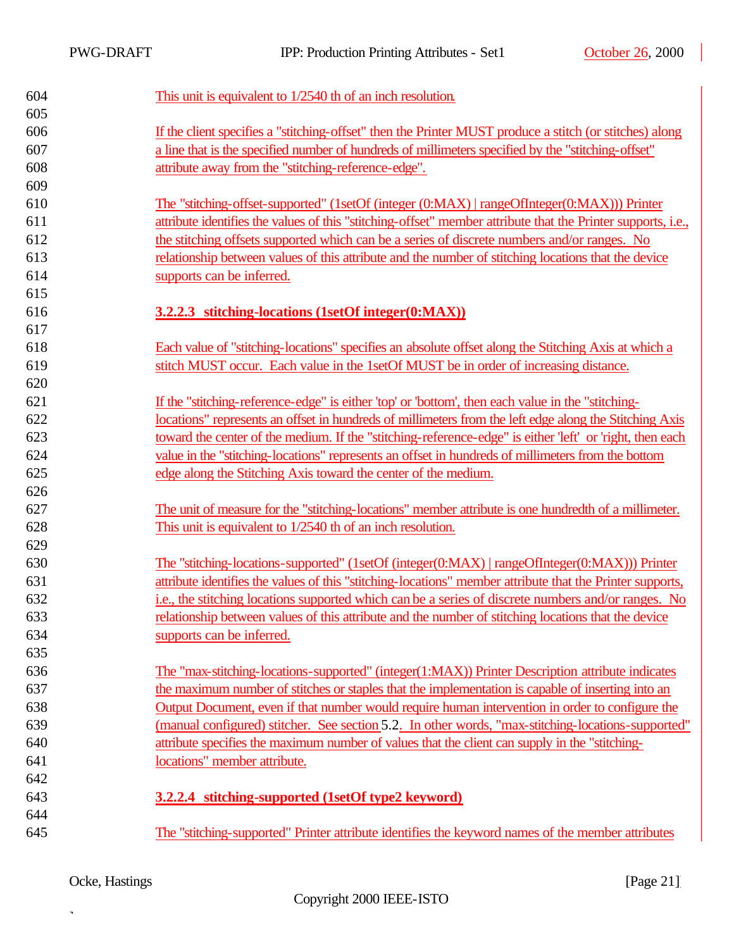$\overline{\phantom{a}}$ 

| 604 | This unit is equivalent to $1/2540$ th of an inch resolution.                                                |
|-----|--------------------------------------------------------------------------------------------------------------|
| 605 |                                                                                                              |
| 606 | If the client specifies a "stitching-offset" then the Printer MUST produce a stitch (or stitches) along      |
| 607 | a line that is the specified number of hundreds of millimeters specified by the "stitching-offset"           |
| 608 | attribute away from the "stitching-reference-edge".                                                          |
| 609 |                                                                                                              |
| 610 | The "stitching-offset-supported" (1setOf (integer (0:MAX)   rangeOfInteger(0:MAX))) Printer                  |
| 611 | attribute identifies the values of this "stitching-offset" member attribute that the Printer supports, i.e., |
| 612 | the stitching offsets supported which can be a series of discrete numbers and/or ranges. No                  |
| 613 | relationship between values of this attribute and the number of stitching locations that the device          |
| 614 | supports can be inferred.                                                                                    |
| 615 |                                                                                                              |
| 616 | 3.2.2.3 stitching-locations (1setOf integer(0:MAX))                                                          |
| 617 |                                                                                                              |
| 618 | Each value of "stitching-locations" specifies an absolute offset along the Stitching Axis at which a         |
| 619 | stitch MUST occur. Each value in the 1setOf MUST be in order of increasing distance.                         |
| 620 |                                                                                                              |
| 621 | If the "stitching-reference-edge" is either 'top' or 'bottom', then each value in the "stitching-            |
| 622 | locations" represents an offset in hundreds of millimeters from the left edge along the Stitching Axis       |
| 623 | toward the center of the medium. If the "stitching-reference-edge" is either 'left' or 'right, then each     |
| 624 | value in the "stitching-locations" represents an offset in hundreds of millimeters from the bottom           |
| 625 | edge along the Stitching Axis toward the center of the medium.                                               |
| 626 |                                                                                                              |
| 627 | The unit of measure for the "stitching-locations" member attribute is one hundredth of a millimeter.         |
| 628 | This unit is equivalent to 1/2540 th of an inch resolution.                                                  |
| 629 |                                                                                                              |
| 630 | The "stitching-locations-supported" (1setOf (integer(0:MAX)   rangeOfInteger(0:MAX))) Printer                |
| 631 | attribute identifies the values of this "stitching-locations" member attribute that the Printer supports,    |
| 632 | i.e., the stitching locations supported which can be a series of discrete numbers and/or ranges. No          |
| 633 | relationship between values of this attribute and the number of stitching locations that the device          |
| 634 | supports can be inferred.                                                                                    |
| 635 |                                                                                                              |
| 636 | The "max-stitching-locations-supported" (integer(1:MAX)) Printer Description attribute indicates             |
| 637 | the maximum number of stitches or staples that the implementation is capable of inserting into an            |
| 638 | Output Document, even if that number would require human intervention in order to configure the              |
| 639 | (manual configured) stitcher. See section 5.2. In other words, "max-stitching-locations-supported"           |
| 640 | attribute specifies the maximum number of values that the client can supply in the "stitching-               |
| 641 | locations" member attribute.                                                                                 |
| 642 |                                                                                                              |
| 643 | 3.2.2.4 stitching-supported (1setOf type2 keyword)                                                           |
| 644 |                                                                                                              |
| 645 | The "stitching-supported" Printer attribute identifies the keyword names of the member attributes            |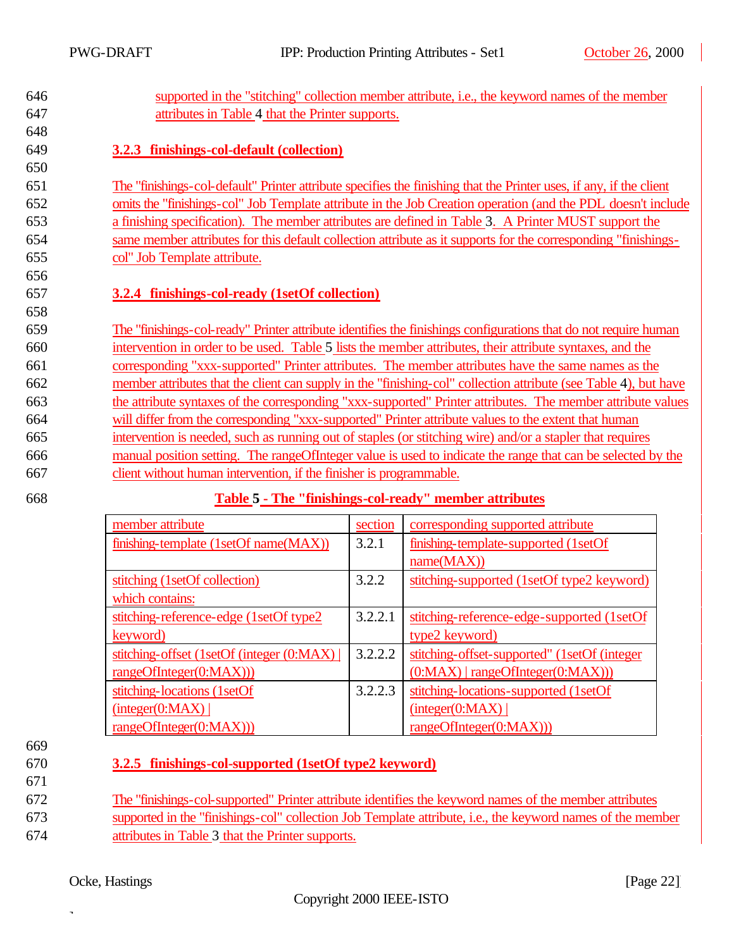650

656

658

646 supported in the "stitching" collection member attribute, i.e., the keyword names of the member 647 attributes in Table 4 that the Printer supports.

## 649 **3.2.3 finishings-col-default (collection)**

 The "finishings-col-default" Printer attribute specifies the finishing that the Printer uses, if any, if the client omits the "finishings-col" Job Template attribute in the Job Creation operation (and the PDL doesn't include a finishing specification). The member attributes are defined in Table 3. A Printer MUST support the same member attributes for this default collection attribute as it supports for the corresponding "finishings-col" Job Template attribute.

#### 657 **3.2.4 finishings-col-ready (1setOf collection)**

 The "finishings-col-ready" Printer attribute identifies the finishings configurations that do not require human intervention in order to be used. Table 5 lists the member attributes, their attribute syntaxes, and the corresponding "xxx-supported" Printer attributes. The member attributes have the same names as the member attributes that the client can supply in the "finishing-col" collection attribute (see Table 4), but have the attribute syntaxes of the corresponding "xxx-supported" Printer attributes. The member attribute values will differ from the corresponding "xxx-supported" Printer attribute values to the extent that human intervention is needed, such as running out of staples (or stitching wire) and/or a stapler that requires manual position setting. The rangeOfInteger value is used to indicate the range that can be selected by the client without human intervention, if the finisher is programmable.

#### 668 **Table 5 - The "finishings-col-ready" member attributes**

| member attribute                          | section | corresponding supported attribute             |
|-------------------------------------------|---------|-----------------------------------------------|
| finishing-template (1setOf name(MAX))     | 3.2.1   | finishing-template-supported (1setOf)         |
|                                           |         | name(MAX))                                    |
| stitching (1setOf collection)             | 3.2.2   | stitching-supported (1setOf type2 keyword)    |
| which contains:                           |         |                                               |
| stitching-reference-edge (1setOf type2)   | 3.2.2.1 | stitching-reference-edge-supported (1setOf    |
| keyword)                                  |         | type2 keyword)                                |
| stitching-offset (1setOf (integer (0:MAX) | 3.2.2.2 | stitching-offset-supported" (1setOf (integer) |
| rangeOfInteger(0:MAX))                    |         | $(0:MAX)$   rangeOfInteger $(0:MAX))$         |
| stitching-locations (1setOf               | 3.2.2.3 | stitching-locations-supported (1setOf         |
| interger(0:MAX)                           |         | interger(0:MAX)                               |
| rangeOfInteger(0:MAX))                    |         | rangeOfInteger(0:MAX))                        |

- 669
- 671

#### 670 **3.2.5 finishings-col-supported (1setOf type2 keyword)**

672 The "finishings-col-supported" Printer attribute identifies the keyword names of the member attributes 673 supported in the "finishings-col" collection Job Template attribute, i.e., the keyword names of the member 674 attributes in Table 3 that the Printer supports.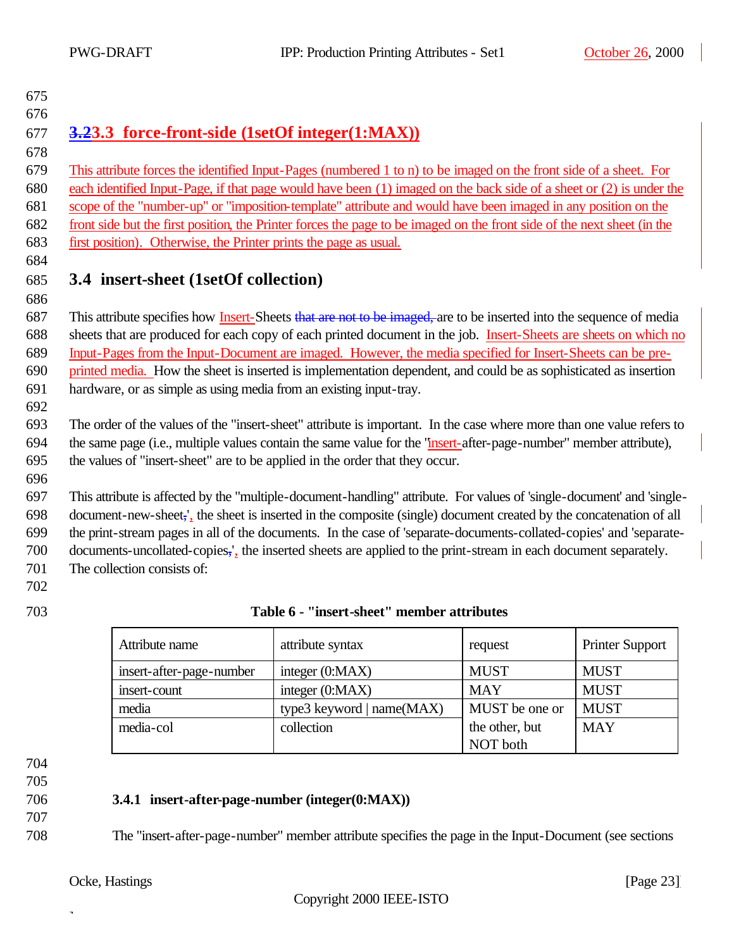## 

## **3.23.3 force-front-side (1setOf integer(1:MAX))**

 This attribute forces the identified Input-Pages (numbered 1 to n) to be imaged on the front side of a sheet. For each identified Input-Page, if that page would have been (1) imaged on the back side of a sheet or (2) is under the scope of the "number-up" or "imposition-template" attribute and would have been imaged in any position on the front side but the first position, the Printer forces the page to be imaged on the front side of the next sheet (in the first position). Otherwise, the Printer prints the page as usual.

## **3.4 insert-sheet (1setOf collection)**

687 This attribute specifies how Insert-Sheets that are not to be imaged, are to be inserted into the sequence of media sheets that are produced for each copy of each printed document in the job. Insert-Sheets are sheets on which no Input-Pages from the Input-Document are imaged. However, the media specified for Insert-Sheets can be pre- printed media. How the sheet is inserted is implementation dependent, and could be as sophisticated as insertion hardware, or as simple as using media from an existing input-tray.

 The order of the values of the "insert-sheet" attribute is important. In the case where more than one value refers to the same page (i.e., multiple values contain the same value for the "insert-after-page-number" member attribute), the values of "insert-sheet" are to be applied in the order that they occur.

 This attribute is affected by the "multiple-document-handling" attribute. For values of 'single-document' and 'single- document-new-sheet,', the sheet is inserted in the composite (single) document created by the concatenation of all the print-stream pages in all of the documents. In the case of 'separate-documents-collated-copies' and 'separate- documents-uncollated-copies,', the inserted sheets are applied to the print-stream in each document separately. The collection consists of:

## **Table 6 - "insert-sheet" member attributes**

| Attribute name           | attribute syntax          | request        | <b>Printer Support</b> |
|--------------------------|---------------------------|----------------|------------------------|
| insert-after-page-number | integer $(0:MAX)$         | <b>MUST</b>    | <b>MUST</b>            |
| insert-count             | integer $(0:MAX)$         | <b>MAY</b>     | <b>MUST</b>            |
| media                    | type3 keyword   name(MAX) | MUST be one or | <b>MUST</b>            |
| media-col                | collection                | the other, but | <b>MAY</b>             |
|                          |                           | NOT both       |                        |

## 

## **3.4.1 insert-after-page-number (integer(0:MAX))**

The "insert-after-page-number" member attribute specifies the page in the Input-Document (see sections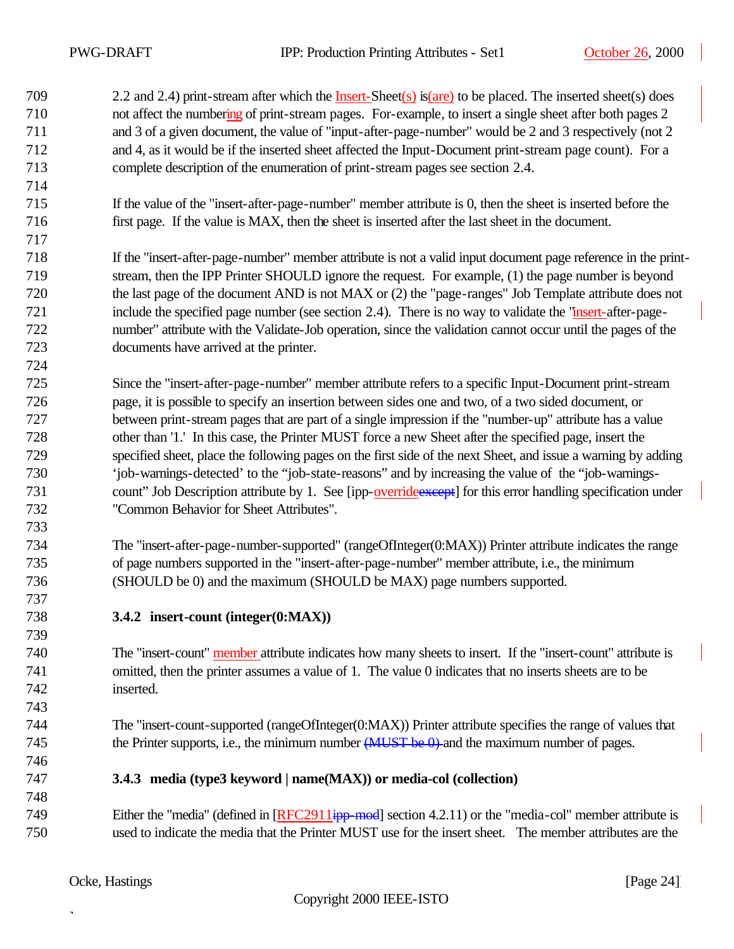709 2.2 and 2.4) print-stream after which the Insert-Sheet(s) is(are) to be placed. The inserted sheet(s) does not affect the numbering of print-stream pages. For-example, to insert a single sheet after both pages 2 and 3 of a given document, the value of "input-after-page-number" would be 2 and 3 respectively (not 2 and 4, as it would be if the inserted sheet affected the Input-Document print-stream page count). For a complete description of the enumeration of print-stream pages see section 2.4.

- If the value of the "insert-after-page-number" member attribute is 0, then the sheet is inserted before the first page. If the value is MAX, then the sheet is inserted after the last sheet in the document.
- If the "insert-after-page-number" member attribute is not a valid input document page reference in the print- stream, then the IPP Printer SHOULD ignore the request. For example, (1) the page number is beyond the last page of the document AND is not MAX or (2) the "page-ranges" Job Template attribute does not include the specified page number (see section 2.4). There is no way to validate the "insert-after-page- number" attribute with the Validate-Job operation, since the validation cannot occur until the pages of the documents have arrived at the printer.
- Since the "insert-after-page-number" member attribute refers to a specific Input-Document print-stream page, it is possible to specify an insertion between sides one and two, of a two sided document, or between print-stream pages that are part of a single impression if the "number-up" attribute has a value other than '1.' In this case, the Printer MUST force a new Sheet after the specified page, insert the specified sheet, place the following pages on the first side of the next Sheet, and issue a warning by adding 'job-warnings-detected' to the "job-state-reasons" and by increasing the value of the "job-warnings-731 count" Job Description attribute by 1. See [ipp-override except] for this error handling specification under "Common Behavior for Sheet Attributes".
- The "insert-after-page-number-supported" (rangeOfInteger(0:MAX)) Printer attribute indicates the range of page numbers supported in the "insert-after-page-number" member attribute, i.e., the minimum (SHOULD be 0) and the maximum (SHOULD be MAX) page numbers supported.
- **3.4.2 insert-count (integer(0:MAX))**

 The "insert-count" member attribute indicates how many sheets to insert. If the "insert-count" attribute is omitted, then the printer assumes a value of 1. The value 0 indicates that no inserts sheets are to be inserted.

 The "insert-count-supported (rangeOfInteger(0:MAX)) Printer attribute specifies the range of values that 745 the Printer supports, i.e., the minimum number (MUST be 0) and the maximum number of pages.

- **3.4.3 media (type3 keyword | name(MAX)) or media-col (collection)**
- 749 Either the "media" (defined in [RFC2911ipp-mod] section 4.2.11) or the "media-col" member attribute is used to indicate the media that the Printer MUST use for the insert sheet. The member attributes are the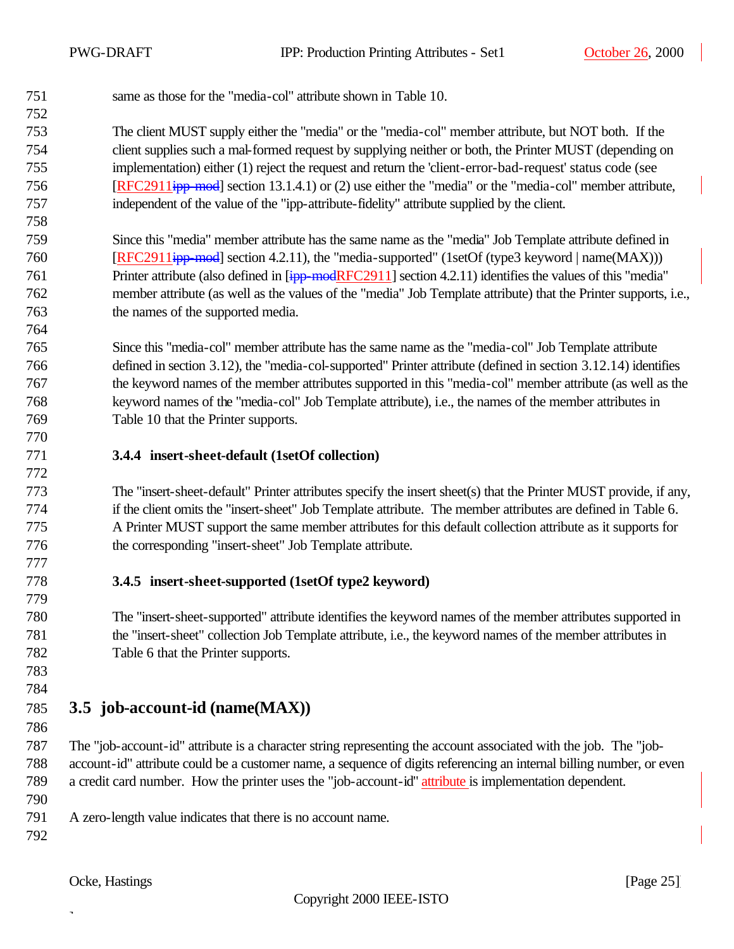same as those for the "media-col" attribute shown in Table 10.

 The client MUST supply either the "media" or the "media-col" member attribute, but NOT both. If the client supplies such a mal-formed request by supplying neither or both, the Printer MUST (depending on implementation) either (1) reject the request and return the 'client-error-bad-request' status code (see [RFC2911ipp-mod] section 13.1.4.1) or (2) use either the "media" or the "media-col" member attribute, independent of the value of the "ipp-attribute-fidelity" attribute supplied by the client.

 Since this "media" member attribute has the same name as the "media" Job Template attribute defined in **[RFC2911<del>ipp-mod</del>**] section 4.2.11), the "media-supported" (1setOf (type3 keyword | name(MAX))) 761 Printer attribute (also defined in [ipp-modRFC2911] section 4.2.11) identifies the values of this "media" member attribute (as well as the values of the "media" Job Template attribute) that the Printer supports, i.e., the names of the supported media.

 Since this "media-col" member attribute has the same name as the "media-col" Job Template attribute defined in section 3.12), the "media-col-supported" Printer attribute (defined in section 3.12.14) identifies the keyword names of the member attributes supported in this "media-col" member attribute (as well as the keyword names of the "media-col" Job Template attribute), i.e., the names of the member attributes in Table 10 that the Printer supports.

## **3.4.4 insert-sheet-default (1setOf collection)**

 The "insert-sheet-default" Printer attributes specify the insert sheet(s) that the Printer MUST provide, if any, if the client omits the "insert-sheet" Job Template attribute. The member attributes are defined in Table 6. A Printer MUST support the same member attributes for this default collection attribute as it supports for the corresponding "insert-sheet" Job Template attribute.

## **3.4.5 insert-sheet-supported (1setOf type2 keyword)**

 The "insert-sheet-supported" attribute identifies the keyword names of the member attributes supported in the "insert-sheet" collection Job Template attribute, i.e., the keyword names of the member attributes in Table 6 that the Printer supports.

 

## **3.5 job-account-id (name(MAX))**

 The "job-account-id" attribute is a character string representing the account associated with the job. The "job- account-id" attribute could be a customer name, a sequence of digits referencing an internal billing number, or even a credit card number. How the printer uses the "job-account-id" attribute is implementation dependent.

A zero-length value indicates that there is no account name.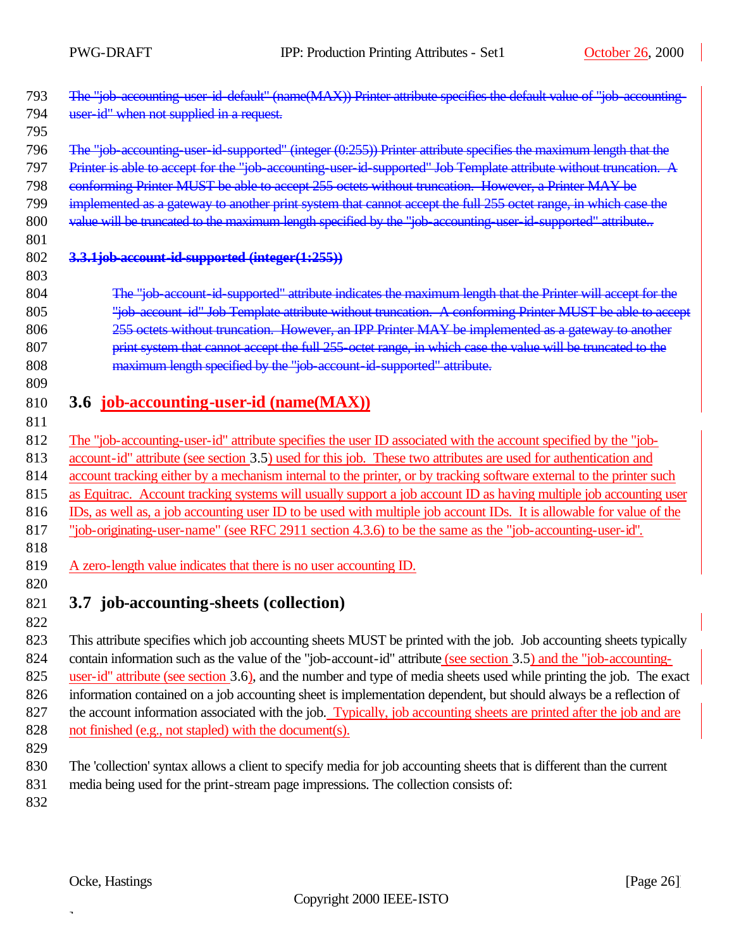| 793 | The "job-accounting user id-default" (name(MAX)) Printer attribute specifies the default value of "job-accounting-   |
|-----|----------------------------------------------------------------------------------------------------------------------|
| 794 | user id" when not supplied in a request.                                                                             |
| 795 |                                                                                                                      |
| 796 | The "job-accounting-user-id-supported" (integer (0:255)) Printer attribute specifies the maximum length that the     |
| 797 | Printer is able to accept for the "job-accounting-user-id-supported" Job Template attribute without truncation. A    |
| 798 | conforming Printer MUST be able to accept 255 octets without truncation. However, a Printer MAY be                   |
| 799 | implemented as a gateway to another print system that cannot accept the full 255 octet range, in which case the      |
| 800 | value will be truncated to the maximum length specified by the "job-accounting-user-id-supported" attribute          |
| 801 |                                                                                                                      |
| 802 | 3.3.1job-account-id-supported (integer(1:255))                                                                       |
| 803 |                                                                                                                      |
| 804 | The "job-account-id-supported" attribute indicates the maximum length that the Printer will accept for the           |
| 805 | "job-account-id" Job Template attribute without truncation. A conforming Printer MUST be able to accept              |
| 806 | 255 octets without truncation. However, an IPP Printer MAY be implemented as a gateway to another                    |
| 807 | print system that cannot accept the full 255 octet range, in which case the value will be truncated to the           |
| 808 | maximum length specified by the "job-account-id-supported" attribute.                                                |
| 809 |                                                                                                                      |
| 810 | 3.6 job-accounting-user-id (name(MAX))                                                                               |
| 811 |                                                                                                                      |
| 812 | The "job-accounting-user-id" attribute specifies the user ID associated with the account specified by the "job-      |
| 813 | account-id" attribute (see section 3.5) used for this job. These two attributes are used for authentication and      |
| 814 | account tracking either by a mechanism internal to the printer, or by tracking software external to the printer such |
| 815 | as Equitrac. Account tracking systems will usually support a job account ID as having multiple job accounting user   |
| 816 | IDs, as well as, a job accounting user ID to be used with multiple job account IDs. It is allowable for value of the |
| 817 | "job-originating-user-name" (see RFC 2911 section 4.3.6) to be the same as the "job-accounting-user-id".             |
| 818 |                                                                                                                      |
| 819 | A zero-length value indicates that there is no user accounting ID.                                                   |
| 820 |                                                                                                                      |
| 821 | 3.7 job-accounting-sheets (collection)                                                                               |
| 822 |                                                                                                                      |

 This attribute specifies which job accounting sheets MUST be printed with the job. Job accounting sheets typically 824 contain information such as the value of the "job-account-id" attribute (see section 3.5) and the "job-accounting- user-id" attribute (see section 3.6), and the number and type of media sheets used while printing the job. The exact information contained on a job accounting sheet is implementation dependent, but should always be a reflection of 827 the account information associated with the job. Typically, job accounting sheets are printed after the job and are not finished (e.g., not stapled) with the document(s).

- 829
- 830 The 'collection' syntax allows a client to specify media for job accounting sheets that is different than the current
- 831 media being used for the print-stream page impressions. The collection consists of:

832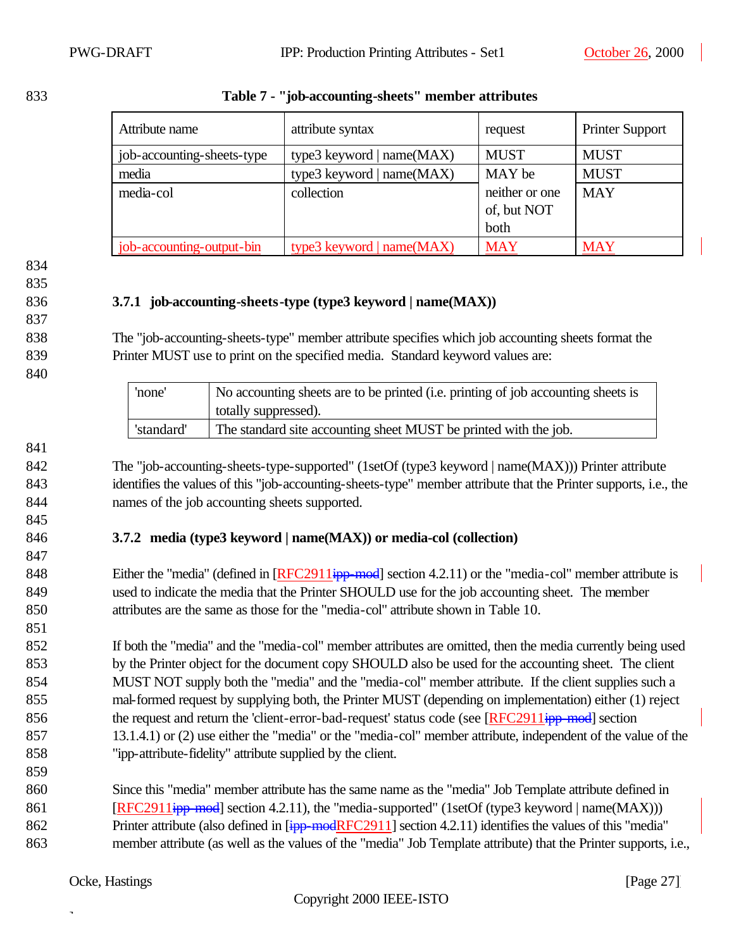| Attribute name             | attribute syntax            | request        | <b>Printer Support</b> |
|----------------------------|-----------------------------|----------------|------------------------|
| job-accounting-sheets-type | type3 keyword   $name(MAX)$ | <b>MUST</b>    | <b>MUST</b>            |
| media                      | type3 keyword   name(MAX)   | MAY be         | <b>MUST</b>            |
| media-col                  | collection                  | neither or one | <b>MAY</b>             |
|                            |                             | of, but NOT    |                        |
|                            |                             | both           |                        |
| job-accounting-output-bin  | type3 keyword   name(MAX)   | <b>MAY</b>     | <b>MAY</b>             |

#### 833 **Table 7 - "job-accounting-sheets" member attributes**

- 834
- 835

837

840

#### 836 **3.7.1 job-accounting-sheets-type (type3 keyword | name(MAX))**

838 The "job-accounting-sheets-type" member attribute specifies which job accounting sheets format the 839 Printer MUST use to print on the specified media. Standard keyword values are:

| 'none'     | No accounting sheets are to be printed (i.e. printing of job accounting sheets is<br>totally suppressed). |
|------------|-----------------------------------------------------------------------------------------------------------|
| 'standard' | The standard site accounting sheet MUST be printed with the job.                                          |

841

845

847

851

859

842 The "job-accounting-sheets-type-supported" (1setOf (type3 keyword | name(MAX))) Printer attribute 843 identifies the values of this "job-accounting-sheets-type" member attribute that the Printer supports, i.e., the 844 names of the job accounting sheets supported.

## 846 **3.7.2 media (type3 keyword | name(MAX)) or media-col (collection)**

848 Either the "media" (defined in [RFC2911ipp-mod] section 4.2.11) or the "media-col" member attribute is 849 used to indicate the media that the Printer SHOULD use for the job accounting sheet. The member 850 attributes are the same as those for the "media-col" attribute shown in Table 10.

 If both the "media" and the "media-col" member attributes are omitted, then the media currently being used by the Printer object for the document copy SHOULD also be used for the accounting sheet. The client MUST NOT supply both the "media" and the "media-col" member attribute. If the client supplies such a mal-formed request by supplying both, the Printer MUST (depending on implementation) either (1) reject 856 the request and return the 'client-error-bad-request' status code (see [RFC2911<del>ipp-mod</del>] section 13.1.4.1) or (2) use either the "media" or the "media-col" member attribute, independent of the value of the "ipp-attribute-fidelity" attribute supplied by the client.

860 Since this "media" member attribute has the same name as the "media" Job Template attribute defined in 861 [RFC2911<del>ipp-mod</del>] section 4.2.11), the "media-supported" (1setOf (type3 keyword | name(MAX))) 862 Printer attribute (also defined in [ipp-modRFC2911] section 4.2.11) identifies the values of this "media" 863 member attribute (as well as the values of the "media" Job Template attribute) that the Printer supports, i.e.,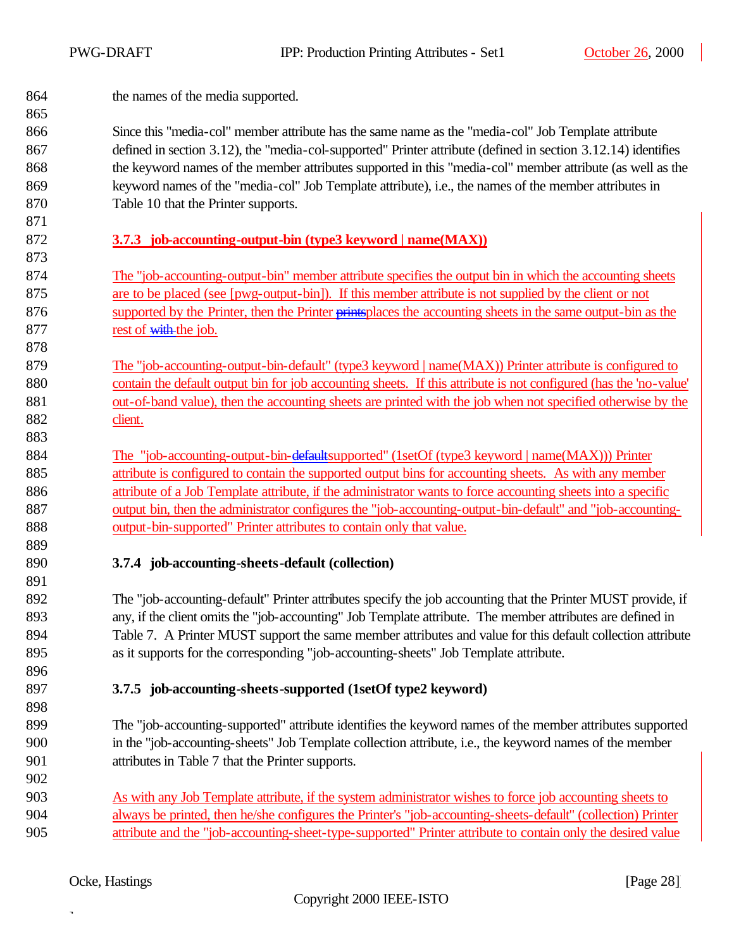864 the names of the media supported.

 Since this "media-col" member attribute has the same name as the "media-col" Job Template attribute defined in section 3.12), the "media-col-supported" Printer attribute (defined in section 3.12.14) identifies the keyword names of the member attributes supported in this "media-col" member attribute (as well as the keyword names of the "media-col" Job Template attribute), i.e., the names of the member attributes in Table 10 that the Printer supports.

## **3.7.3 job-accounting-output-bin (type3 keyword | name(MAX))**

- The "job-accounting-output-bin" member attribute specifies the output bin in which the accounting sheets are to be placed (see [pwg-output-bin]). If this member attribute is not supplied by the client or not supported by the Printer, then the Printer printsplaces the accounting sheets in the same output-bin as the 877 rest of with the job.
- The "job-accounting-output-bin-default" (type3 keyword | name(MAX)) Printer attribute is configured to contain the default output bin for job accounting sheets. If this attribute is not configured (has the 'no-value' out-of-band value), then the accounting sheets are printed with the job when not specified otherwise by the client.
- 884 The "job-accounting-output-bin-defaultsupported" (1setOf (type3 keyword | name(MAX))) Printer attribute is configured to contain the supported output bins for accounting sheets. As with any member attribute of a Job Template attribute, if the administrator wants to force accounting sheets into a specific output bin, then the administrator configures the "job-accounting-output-bin-default" and "job-accounting-output-bin-supported" Printer attributes to contain only that value.
- 

## **3.7.4 job-accounting-sheets-default (collection)**

 The "job-accounting-default" Printer attributes specify the job accounting that the Printer MUST provide, if any, if the client omits the "job-accounting" Job Template attribute. The member attributes are defined in Table 7. A Printer MUST support the same member attributes and value for this default collection attribute as it supports for the corresponding "job-accounting-sheets" Job Template attribute.

## **3.7.5 job-accounting-sheets-supported (1setOf type2 keyword)**

- The "job-accounting-supported" attribute identifies the keyword names of the member attributes supported in the "job-accounting-sheets" Job Template collection attribute, i.e., the keyword names of the member attributes in Table 7 that the Printer supports.
- As with any Job Template attribute, if the system administrator wishes to force job accounting sheets to always be printed, then he/she configures the Printer's "job-accounting-sheets-default" (collection) Printer attribute and the "job-accounting-sheet-type-supported" Printer attribute to contain only the desired value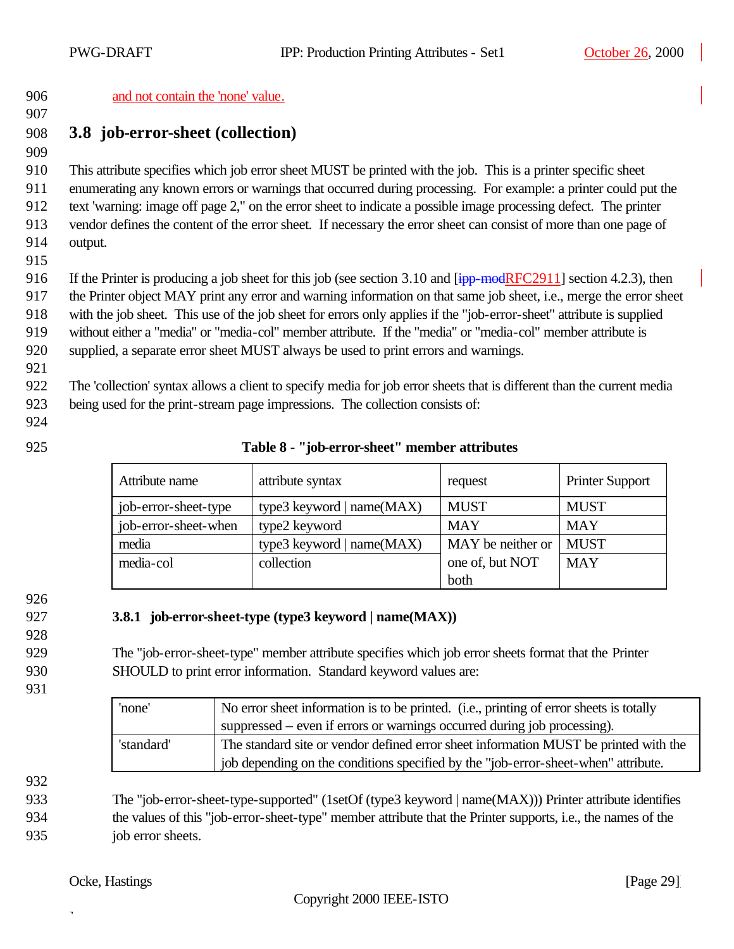and not contain the 'none' value.

## **3.8 job-error-sheet (collection)**

This attribute specifies which job error sheet MUST be printed with the job. This is a printer specific sheet

enumerating any known errors or warnings that occurred during processing. For example: a printer could put the

 text 'warning: image off page 2," on the error sheet to indicate a possible image processing defect. The printer vendor defines the content of the error sheet. If necessary the error sheet can consist of more than one page of

- output.
- 

916 If the Printer is producing a job sheet for this job (see section 3.10 and  $\overline{[ipp\text{-}modRFC2911]}$  section 4.2.3), then

the Printer object MAY print any error and warning information on that same job sheet, i.e., merge the error sheet

with the job sheet. This use of the job sheet for errors only applies if the "job-error-sheet" attribute is supplied

without either a "media" or "media-col" member attribute. If the "media" or "media-col" member attribute is

supplied, a separate error sheet MUST always be used to print errors and warnings.

The 'collection' syntax allows a client to specify media for job error sheets that is different than the current media

being used for the print-stream page impressions. The collection consists of:

## **Table 8 - "job-error-sheet" member attributes**

| Attribute name       | attribute syntax          | request           | <b>Printer Support</b> |
|----------------------|---------------------------|-------------------|------------------------|
| job-error-sheet-type | type3 keyword   name(MAX) | <b>MUST</b>       | <b>MUST</b>            |
| job-error-sheet-when | type2 keyword             | <b>MAY</b>        | <b>MAY</b>             |
| media                | type3 keyword   name(MAX) | MAY be neither or | <b>MUST</b>            |
| media-col            | collection                | one of, but NOT   | <b>MAY</b>             |
|                      |                           | both              |                        |

## **3.8.1 job-error-sheet-type (type3 keyword | name(MAX))**

 The "job-error-sheet-type" member attribute specifies which job error sheets format that the Printer SHOULD to print error information. Standard keyword values are:

| 'none'     | No error sheet information is to be printed. (i.e., printing of error sheets is totally<br>suppressed – even if errors or warnings occurred during job processing).        |  |
|------------|----------------------------------------------------------------------------------------------------------------------------------------------------------------------------|--|
| 'standard' | The standard site or vendor defined error sheet information MUST be printed with the<br>job depending on the conditions specified by the "job-error-sheet-when" attribute. |  |

 The "job-error-sheet-type-supported" (1setOf (type3 keyword | name(MAX))) Printer attribute identifies the values of this "job-error-sheet-type" member attribute that the Printer supports, i.e., the names of the job error sheets.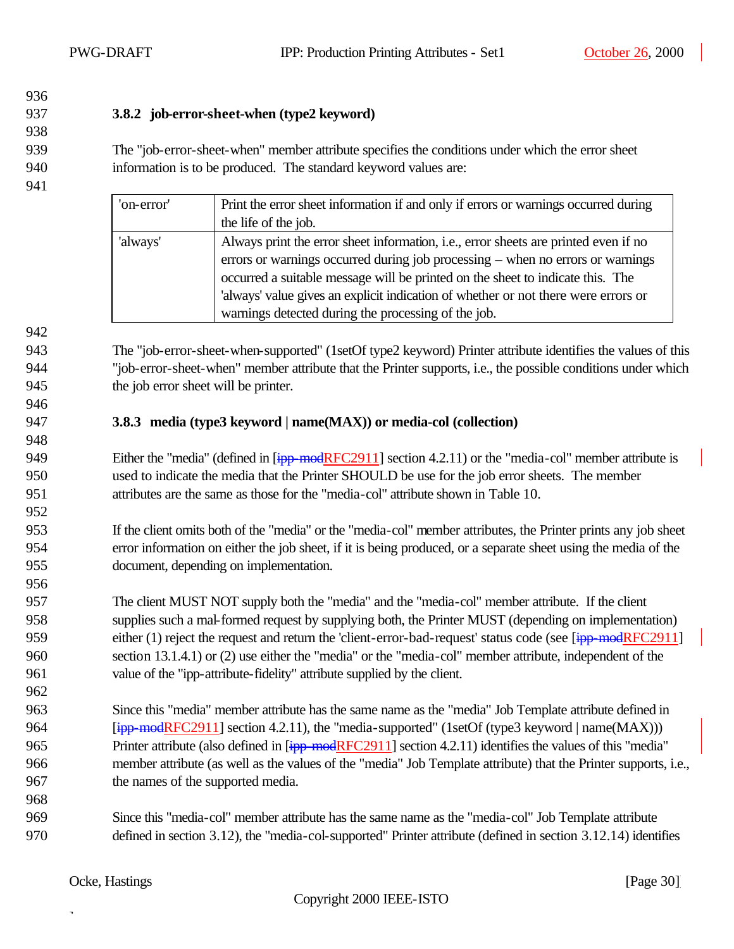## 

**3.8.2 job-error-sheet-when (type2 keyword)**

 The "job-error-sheet-when" member attribute specifies the conditions under which the error sheet information is to be produced. The standard keyword values are:

| 'on-error' | Print the error sheet information if and only if errors or warnings occurred during |  |
|------------|-------------------------------------------------------------------------------------|--|
|            | the life of the job.                                                                |  |
| 'always'   | Always print the error sheet information, i.e., error sheets are printed even if no |  |
|            | errors or warnings occurred during job processing – when no errors or warnings      |  |
|            | occurred a suitable message will be printed on the sheet to indicate this. The      |  |
|            | 'always' value gives an explicit indication of whether or not there were errors or  |  |
|            | warnings detected during the processing of the job.                                 |  |

 The "job-error-sheet-when-supported" (1setOf type2 keyword) Printer attribute identifies the values of this "job-error-sheet-when" member attribute that the Printer supports, i.e., the possible conditions under which the job error sheet will be printer.

## **3.8.3 media (type3 keyword | name(MAX)) or media-col (collection)**

949 Either the "media" (defined in [ipp-modRFC2911] section 4.2.11) or the "media-col" member attribute is used to indicate the media that the Printer SHOULD be use for the job error sheets. The member attributes are the same as those for the "media-col" attribute shown in Table 10.

 If the client omits both of the "media" or the "media-col" member attributes, the Printer prints any job sheet error information on either the job sheet, if it is being produced, or a separate sheet using the media of the document, depending on implementation.

- The client MUST NOT supply both the "media" and the "media-col" member attribute. If the client supplies such a mal-formed request by supplying both, the Printer MUST (depending on implementation) 959 either (1) reject the request and return the 'client-error-bad-request' status code (see [ipp-modRFC2911] section 13.1.4.1) or (2) use either the "media" or the "media-col" member attribute, independent of the value of the "ipp-attribute-fidelity" attribute supplied by the client.
- Since this "media" member attribute has the same name as the "media" Job Template attribute defined in **[ipp-modRFC2911]** section 4.2.11), the "media-supported" (1setOf (type3 keyword | name(MAX))) 965 Printer attribute (also defined in [ipp-modRFC2911] section 4.2.11) identifies the values of this "media" member attribute (as well as the values of the "media" Job Template attribute) that the Printer supports, i.e., the names of the supported media.
- Since this "media-col" member attribute has the same name as the "media-col" Job Template attribute defined in section 3.12), the "media-col-supported" Printer attribute (defined in section 3.12.14) identifies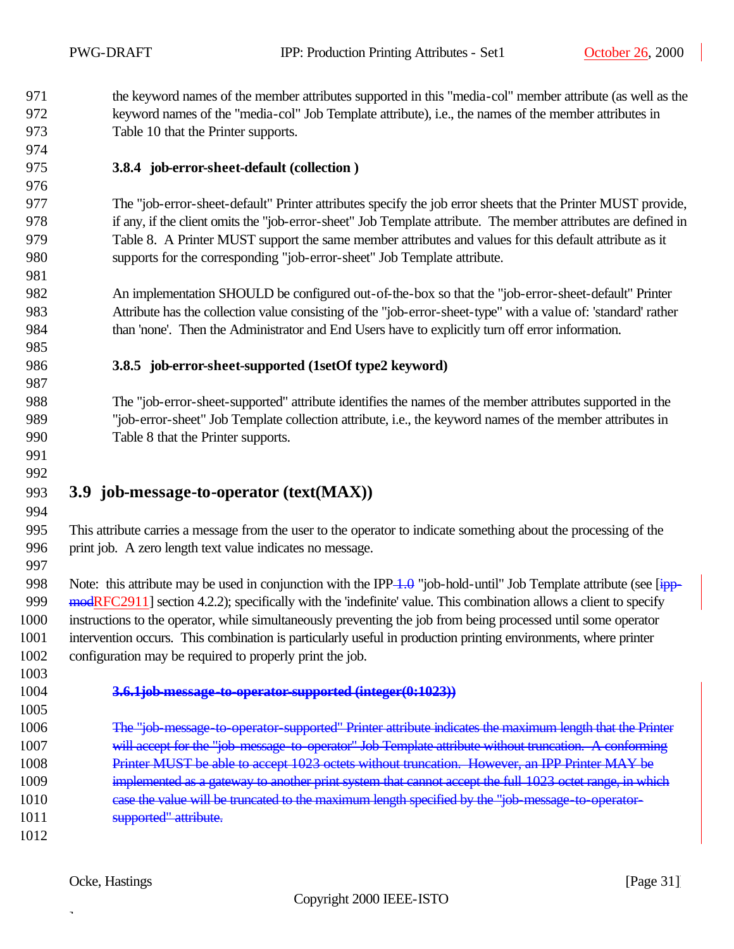the keyword names of the member attributes supported in this "media-col" member attribute (as well as the keyword names of the "media-col" Job Template attribute), i.e., the names of the member attributes in Table 10 that the Printer supports.

## **3.8.4 job-error-sheet-default (collection )**

 The "job-error-sheet-default" Printer attributes specify the job error sheets that the Printer MUST provide, if any, if the client omits the "job-error-sheet" Job Template attribute. The member attributes are defined in Table 8. A Printer MUST support the same member attributes and values for this default attribute as it supports for the corresponding "job-error-sheet" Job Template attribute.

 An implementation SHOULD be configured out-of-the-box so that the "job-error-sheet-default" Printer Attribute has the collection value consisting of the "job-error-sheet-type" with a value of: 'standard' rather than 'none'. Then the Administrator and End Users have to explicitly turn off error information.

#### **3.8.5 job-error-sheet-supported (1setOf type2 keyword)**

 The "job-error-sheet-supported" attribute identifies the names of the member attributes supported in the "job-error-sheet" Job Template collection attribute, i.e., the keyword names of the member attributes in Table 8 that the Printer supports.

 

## **3.9 job-message-to-operator (text(MAX))**

 This attribute carries a message from the user to the operator to indicate something about the processing of the print job. A zero length text value indicates no message.

998 Note: this attribute may be used in conjunction with the IPP  $\overline{1,0}$  "job-hold-until" Job Template attribute (see [ipp-999 modRFC2911] section 4.2.2); specifically with the 'indefinite' value. This combination allows a client to specify instructions to the operator, while simultaneously preventing the job from being processed until some operator intervention occurs. This combination is particularly useful in production printing environments, where printer configuration may be required to properly print the job.

#### **3.6.1job-message-to-operator-supported (integer(0:1023))**

- 1006 The "job-message-to-operator-supported" Printer attribute indicates the maximum length that the Printer 1007 will accept for the "job-message-to-operator" Job Template attribute without truncation. A conforming Printer MUST be able to accept 1023 octets without truncation. However, an IPP Printer MAY be 1009 implemented as a gateway to another print system that cannot accept the full 1023 octet range, in which 1010 case the value will be truncated to the maximum length specified by the "job-message-to-operator-supported" attribute.
-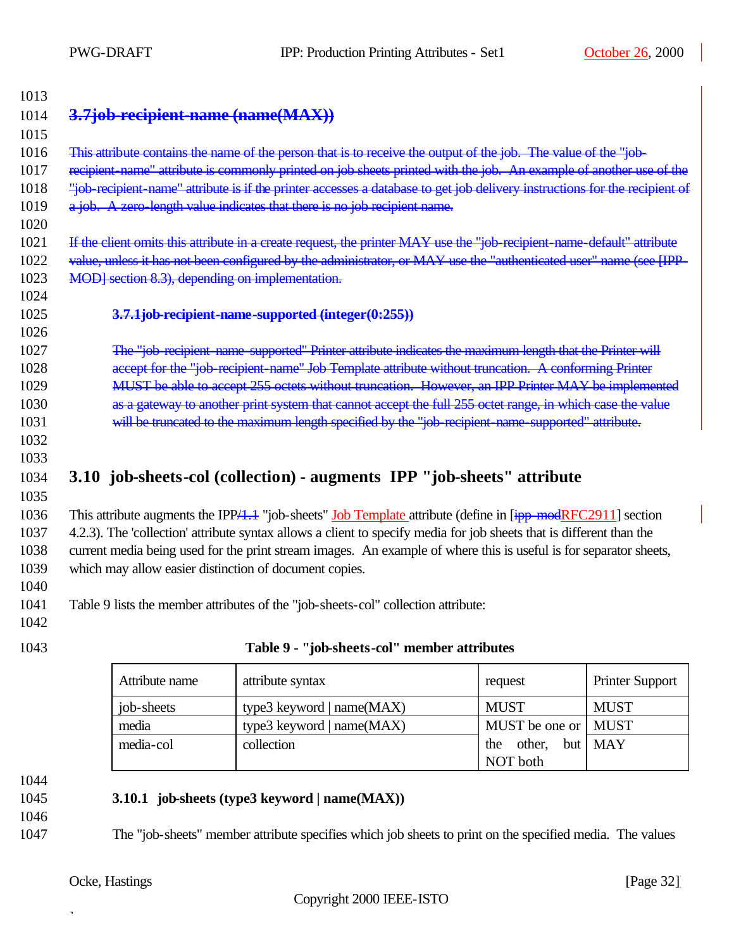| 1013 |                                                                                                                            |
|------|----------------------------------------------------------------------------------------------------------------------------|
| 1014 | 3.7job-recipient-name (name (MAX))                                                                                         |
| 1015 |                                                                                                                            |
| 1016 | This attribute contains the name of the person that is to receive the output of the job. The value of the "job-            |
| 1017 | recipient name" attribute is commonly printed on job sheets printed with the job. An example of another use of the         |
| 1018 | "job-recipient-name" attribute is if the printer accesses a database to get job delivery instructions for the recipient of |
| 1019 | a job. A zero-length value indicates that there is no job recipient name.                                                  |
| 1020 |                                                                                                                            |
| 1021 | If the client omits this attribute in a create request, the printer MAY use the "job-recipient-name-default" attribute     |
| 1022 | value, unless it has not been configured by the administrator, or MAY use the "authenticated user" name (see [IPP-         |
| 1023 | MOD] section 8.3), depending on implementation.                                                                            |
| 1024 |                                                                                                                            |
| 1025 | 3.7.1job-recipient-name-supported (integer(0:255))                                                                         |
| 1026 |                                                                                                                            |
| 1027 | The "job-recipient-name-supported" Printer attribute indicates the maximum length that the Printer will                    |
| 1028 | accept for the "job-recipient-name" Job-Template attribute without truncation. A conforming Printer                        |
| 1029 | MUST be able to accept 255 octets without truncation. However, an IPP Printer MAY be implemented                           |
| 1030 | as a gateway to another print system that cannot accept the full 255 octet range, in which case the value                  |
| 1031 | will be truncated to the maximum length specified by the "job-recipient-name-supported" attribute.                         |
| 1032 |                                                                                                                            |
| 1033 |                                                                                                                            |
| 1034 | 3.10 job-sheets-col (collection) - augments IPP "job-sheets" attribute                                                     |
| 1035 |                                                                                                                            |
| 1036 | This attribute augments the IPP $/4.4$ "job-sheets" Job Template attribute (define in $[ipp \mod RFC2911]$ section         |
| 1037 | 4.2.3). The 'collection' attribute syntax allows a client to specify media for job sheets that is different than the       |
| 1038 | current media being used for the print stream images. An example of where this is useful is for separator sheets,          |
| 1039 | which may allow easier distinction of document copies.                                                                     |
| 1040 |                                                                                                                            |
| 1041 | Table 9 lists the member attributes of the "job-sheets-col" collection attribute:                                          |

- 1042
- 

## 1043 **Table 9 - "job-sheets-col" member attributes**

| Attribute name | attribute syntax<br>request |                       | <b>Printer Support</b> |
|----------------|-----------------------------|-----------------------|------------------------|
| job-sheets     | type3 keyword   $name(MAX)$ | <b>MUST</b>           | <b>MUST</b>            |
| media          | type3 keyword   $name(MAX)$ | MUST be one or   MUST |                        |
| media-col      | collection                  | other, but MAY<br>the |                        |
|                |                             | NOT both              |                        |

1044

## 1045 **3.10.1 job-sheets (type3 keyword | name(MAX))**

1046

1047 The "job-sheets" member attribute specifies which job sheets to print on the specified media. The values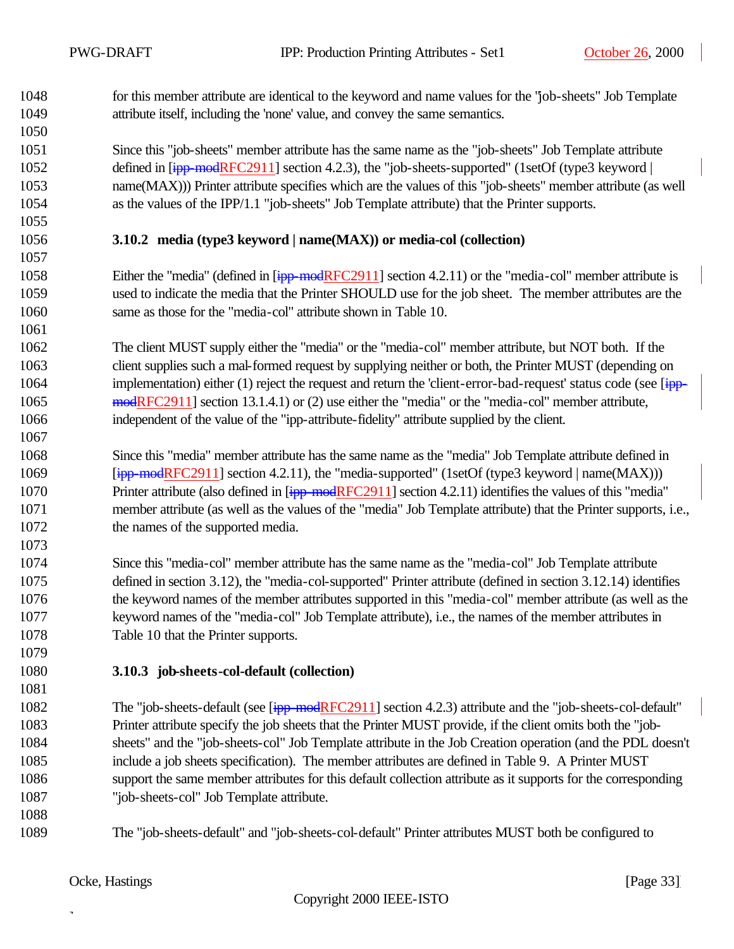for this member attribute are identical to the keyword and name values for the "job-sheets" Job Template attribute itself, including the 'none' value, and convey the same semantics.

 Since this "job-sheets" member attribute has the same name as the "job-sheets" Job Template attribute 1052 defined in  $\overline{I}$ ipp-modRFC2911] section 4.2.3), the "job-sheets-supported" (1setOf (type3 keyword | name(MAX))) Printer attribute specifies which are the values of this "job-sheets" member attribute (as well as the values of the IPP/1.1 "job-sheets" Job Template attribute) that the Printer supports.

## **3.10.2 media (type3 keyword | name(MAX)) or media-col (collection)**

1058 Either the "media" (defined in [ipp-modRFC2911] section 4.2.11) or the "media-col" member attribute is used to indicate the media that the Printer SHOULD use for the job sheet. The member attributes are the same as those for the "media-col" attribute shown in Table 10.

 The client MUST supply either the "media" or the "media-col" member attribute, but NOT both. If the client supplies such a mal-formed request by supplying neither or both, the Printer MUST (depending on 1064 implementation) either (1) reject the request and return the 'client-error-bad-request' status code (see [ipp- modRFC2911] section 13.1.4.1) or (2) use either the "media" or the "media-col" member attribute, independent of the value of the "ipp-attribute-fidelity" attribute supplied by the client.

- Since this "media" member attribute has the same name as the "media" Job Template attribute defined in 1069 [ipp-modRFC2911] section 4.2.11), the "media-supported" (1setOf (type3 keyword | name(MAX))) 1070 Printer attribute (also defined in [ipp-modRFC2911] section 4.2.11) identifies the values of this "media" member attribute (as well as the values of the "media" Job Template attribute) that the Printer supports, i.e., the names of the supported media.
- Since this "media-col" member attribute has the same name as the "media-col" Job Template attribute defined in section 3.12), the "media-col-supported" Printer attribute (defined in section 3.12.14) identifies the keyword names of the member attributes supported in this "media-col" member attribute (as well as the keyword names of the "media-col" Job Template attribute), i.e., the names of the member attributes in Table 10 that the Printer supports.
- **3.10.3 job-sheets-col-default (collection)**
- The "job-sheets-default (see [ipp-modRFC2911] section 4.2.3) attribute and the "job-sheets-col-default" Printer attribute specify the job sheets that the Printer MUST provide, if the client omits both the "job- sheets" and the "job-sheets-col" Job Template attribute in the Job Creation operation (and the PDL doesn't include a job sheets specification). The member attributes are defined in Table 9. A Printer MUST support the same member attributes for this default collection attribute as it supports for the corresponding "job-sheets-col" Job Template attribute.
- 
- The "job-sheets-default" and "job-sheets-col-default" Printer attributes MUST both be configured to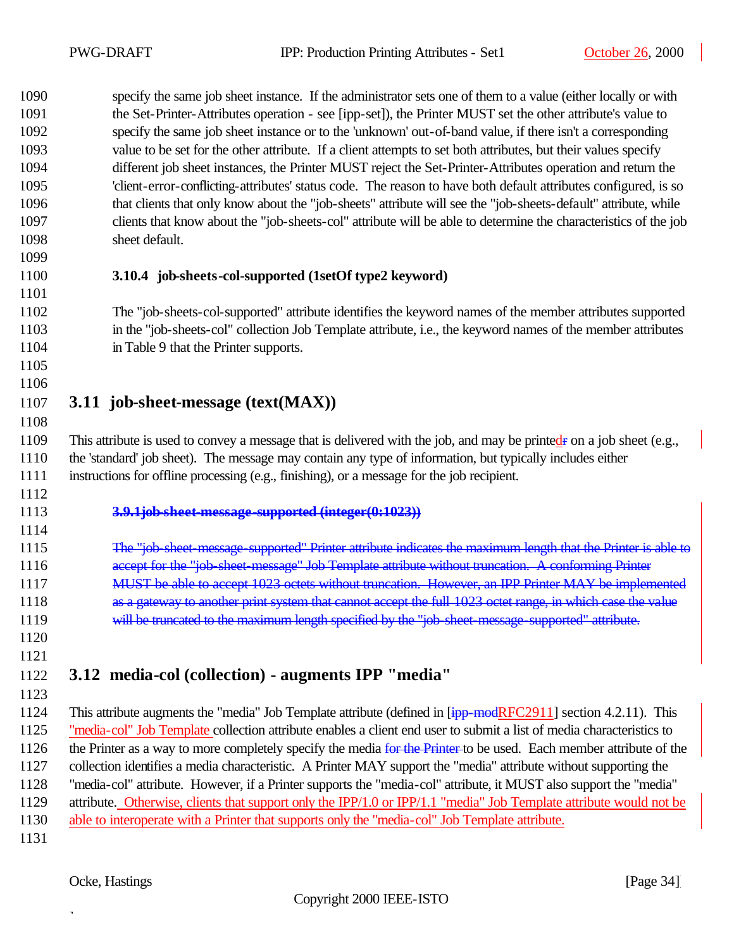specify the same job sheet instance. If the administrator sets one of them to a value (either locally or with the Set-Printer-Attributes operation - see [ipp-set]), the Printer MUST set the other attribute's value to specify the same job sheet instance or to the 'unknown' out-of-band value, if there isn't a corresponding value to be set for the other attribute. If a client attempts to set both attributes, but their values specify different job sheet instances, the Printer MUST reject the Set-Printer-Attributes operation and return the 'client-error-conflicting-attributes' status code. The reason to have both default attributes configured, is so that clients that only know about the "job-sheets" attribute will see the "job-sheets-default" attribute, while clients that know about the "job-sheets-col" attribute will be able to determine the characteristics of the job sheet default. **3.10.4 job-sheets-col-supported (1setOf type2 keyword)** 

 The "job-sheets-col-supported" attribute identifies the keyword names of the member attributes supported in the "job-sheets-col" collection Job Template attribute, i.e., the keyword names of the member attributes in Table 9 that the Printer supports.

 

## **3.11 job-sheet-message (text(MAX))**

1109 This attribute is used to convey a message that is delivered with the job, and may be printedr on a job sheet (e.g., the 'standard' job sheet). The message may contain any type of information, but typically includes either instructions for offline processing (e.g., finishing), or a message for the job recipient.

- 
- 

#### **3.9.1job-sheet-message-supported (integer(0:1023))**

- 1115 The "job-sheet-message-supported" Printer attribute indicates the maximum length that the Printer is able to 1116 accept for the "job-sheet-message" Job Template attribute without truncation. A conforming Printer MUST be able to accept 1023 octets without truncation. However, an IPP Printer MAY be implemented
- 1118 as a gateway to another print system that cannot accept the full 1023 octet range, in which case the value
- 1119 will be truncated to the maximum length specified by the "job-sheet-message-supported" attribute.
- 

## **3.12 media-col (collection) - augments IPP "media"**

1124 This attribute augments the "media" Job Template attribute (defined in  $\overline{[ipp\text{-}modRFC2911]}$  section 4.2.11). This "media-col" Job Template collection attribute enables a client end user to submit a list of media characteristics to 1126 the Printer as a way to more completely specify the media for the Printer to be used. Each member attribute of the collection identifies a media characteristic. A Printer MAY support the "media" attribute without supporting the "media-col" attribute. However, if a Printer supports the "media-col" attribute, it MUST also support the "media" attribute. Otherwise, clients that support only the IPP/1.0 or IPP/1.1 "media" Job Template attribute would not be able to interoperate with a Printer that supports only the "media-col" Job Template attribute.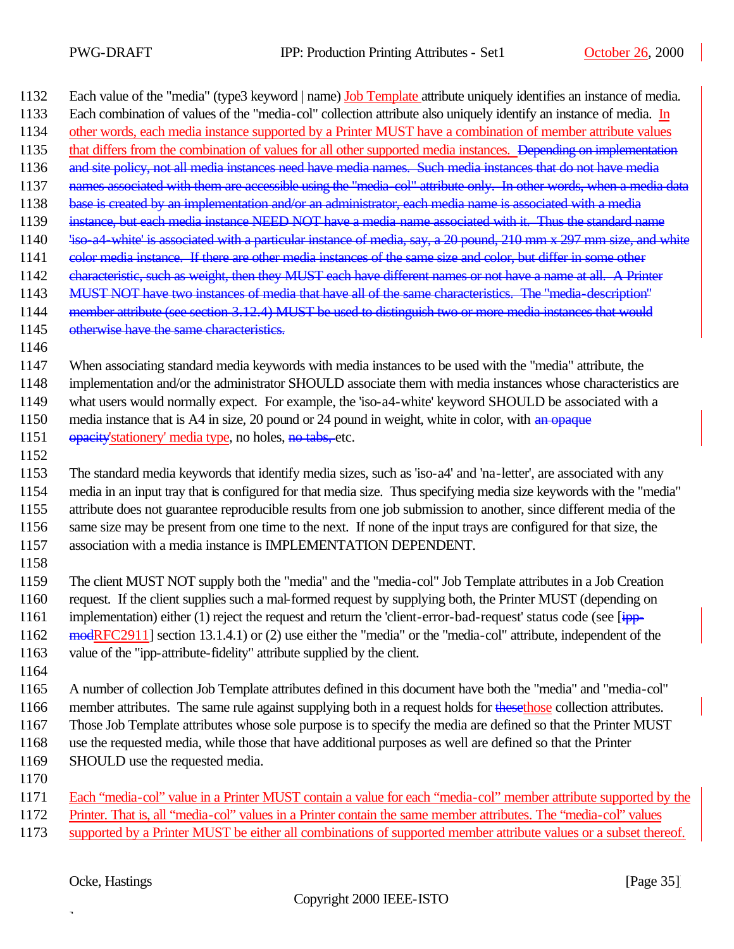| 1132 | Each value of the "media" (type3 keyword   name) <b>Job Template</b> attribute uniquely identifies an instance of media.    |
|------|-----------------------------------------------------------------------------------------------------------------------------|
| 1133 | Each combination of values of the "media-col" collection attribute also uniquely identify an instance of media. In          |
| 1134 | other words, each media instance supported by a Printer MUST have a combination of member attribute values                  |
| 1135 | that differs from the combination of values for all other supported media instances. Depending on implementation            |
| 1136 | and site policy, not all media instances need have media names. Such media instances that do not have media                 |
| 1137 | names associated with them are accessible using the "media-col" attribute only. In other words, when a media data           |
| 1138 | base is created by an implementation and/or an administrator, each media name is associated with a media                    |
| 1139 | instance, but each media instance NEED NOT have a media name associated with it. Thus the standard name                     |
| 1140 | 'iso-a4-white' is associated with a particular instance of media, say, a 20 pound, 210 mm x 297 mm size, and white          |
| 1141 | color media instance. If there are other media instances of the same size and color, but differ in some other               |
| 1142 | characteristic, such as weight, then they MUST each have different names or not have a name at all. A Printer               |
| 1143 | MUST NOT have two instances of media that have all of the same characteristics. The "media-description"                     |
| 1144 | member attribute (see section 3.12.4) MUST be used to distinguish two or more media instances that would                    |
| 1145 | otherwise have the same characteristics.                                                                                    |
| 1146 |                                                                                                                             |
| 1147 | When associating standard media keywords with media instances to be used with the "media" attribute, the                    |
| 1148 | implementation and/or the administrator SHOULD associate them with media instances whose characteristics are                |
| 1149 | what users would normally expect. For example, the 'iso-a4-white' keyword SHOULD be associated with a                       |
| 1150 | media instance that is A4 in size, 20 pound or 24 pound in weight, white in color, with an opaque                           |
| 1151 | opacity'stationery' media type, no holes, no tabs, etc.                                                                     |
| 1152 |                                                                                                                             |
| 1153 | The standard media keywords that identify media sizes, such as 'iso-a4' and 'na-letter', are associated with any            |
| 1154 | media in an input tray that is configured for that media size. Thus specifying media size keywords with the "media"         |
| 1155 | attribute does not guarantee reproducible results from one job submission to another, since different media of the          |
| 1156 | same size may be present from one time to the next. If none of the input trays are configured for that size, the            |
| 1157 | association with a media instance is IMPLEMENTATION DEPENDENT.                                                              |
| 1158 |                                                                                                                             |
| 1159 | The client MUST NOT supply both the "media" and the "media-col" Job Template attributes in a Job Creation                   |
| 1160 | request. If the client supplies such a mal-formed request by supplying both, the Printer MUST (depending on                 |
| 1161 | implementation) either (1) reject the request and return the 'client-error-bad-request' status code (see $\overline{[ipp]}$ |
| 1162 | modRFC2911] section 13.1.4.1) or (2) use either the "media" or the "media-col" attribute, independent of the                |
| 1163 | value of the "ipp-attribute-fidelity" attribute supplied by the client.                                                     |
| 1164 |                                                                                                                             |
| 1165 | A number of collection Job Template attributes defined in this document have both the "media" and "media-col"               |
| 1166 | member attributes. The same rule against supplying both in a request holds for these those collection attributes.           |
| 1167 | Those Job Template attributes whose sole purpose is to specify the media are defined so that the Printer MUST               |
| 1168 | use the requested media, while those that have additional purposes as well are defined so that the Printer                  |
| 1169 | SHOULD use the requested media.                                                                                             |
| 1170 |                                                                                                                             |
| 1171 | Each "media-col" value in a Printer MUST contain a value for each "media-col" member attribute supported by the             |
| 1172 | Printer. That is, all "media-col" values in a Printer contain the same member attributes. The "media-col" values            |
| 1173 | supported by a Printer MUST be either all combinations of supported member attribute values or a subset thereof.            |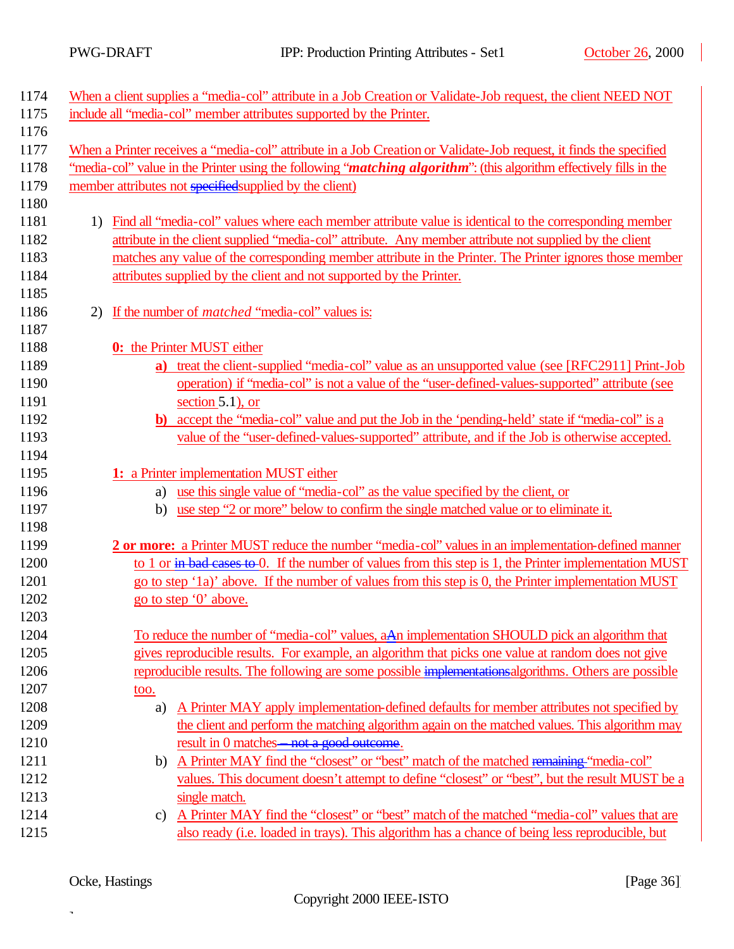$\overline{\phantom{a}}$ 

| 1174 |                                                         | When a client supplies a "media-col" attribute in a Job Creation or Validate-Job request, the client NEED NOT                |
|------|---------------------------------------------------------|------------------------------------------------------------------------------------------------------------------------------|
| 1175 |                                                         | include all "media-col" member attributes supported by the Printer.                                                          |
| 1176 |                                                         |                                                                                                                              |
| 1177 |                                                         | When a Printer receives a "media-col" attribute in a Job Creation or Validate-Job request, it finds the specified            |
| 1178 |                                                         | "media-col" value in the Printer using the following " <i>matching algorithm</i> ": (this algorithm effectively fills in the |
| 1179 | member attributes not specified supplied by the client) |                                                                                                                              |
| 1180 |                                                         |                                                                                                                              |
| 1181 | 1)                                                      | Find all "media-col" values where each member attribute value is identical to the corresponding member                       |
| 1182 |                                                         | attribute in the client supplied "media-col" attribute. Any member attribute not supplied by the client                      |
| 1183 |                                                         | matches any value of the corresponding member attribute in the Printer. The Printer ignores those member                     |
| 1184 |                                                         | attributes supplied by the client and not supported by the Printer.                                                          |
| 1185 |                                                         |                                                                                                                              |
| 1186 | 2)                                                      | If the number of <i>matched</i> "media-col" values is:                                                                       |
| 1187 |                                                         |                                                                                                                              |
| 1188 | 0: the Printer MUST either                              |                                                                                                                              |
| 1189 | a)                                                      | treat the client-supplied "media-col" value as an unsupported value (see [RFC2911] Print-Job                                 |
| 1190 |                                                         | operation) if "media-col" is not a value of the "user-defined-values-supported" attribute (see                               |
| 1191 | section $5.1$ ), or                                     |                                                                                                                              |
| 1192 |                                                         | b) accept the "media-col" value and put the Job in the 'pending-held' state if "media-col" is a                              |
| 1193 |                                                         | value of the "user-defined-values-supported" attribute, and if the Job is otherwise accepted.                                |
| 1194 |                                                         |                                                                                                                              |
| 1195 | 1: a Printer implementation MUST either                 |                                                                                                                              |
| 1196 | a)                                                      | use this single value of "media-col" as the value specified by the client, or                                                |
| 1197 | b)                                                      | use step "2 or more" below to confirm the single matched value or to eliminate it.                                           |
| 1198 |                                                         |                                                                                                                              |
| 1199 |                                                         | 2 or more: a Printer MUST reduce the number "media-col" values in an implementation-defined manner                           |
| 1200 |                                                         | to 1 or in bad cases to 0. If the number of values from this step is 1, the Printer implementation MUST                      |
| 1201 |                                                         | go to step '1a)' above. If the number of values from this step is 0, the Printer implementation MUST                         |
| 1202 | go to step '0' above.                                   |                                                                                                                              |
| 1203 |                                                         |                                                                                                                              |
| 1204 |                                                         | To reduce the number of "media-col" values, a An implementation SHOULD pick an algorithm that                                |
| 1205 |                                                         | gives reproducible results. For example, an algorithm that picks one value at random does not give                           |
| 1206 |                                                         | reproducible results. The following are some possible implementations algorithms. Others are possible                        |
| 1207 | too.                                                    |                                                                                                                              |
| 1208 | a)                                                      | A Printer MAY apply implementation-defined defaults for member attributes not specified by                                   |
| 1209 |                                                         | the client and perform the matching algorithm again on the matched values. This algorithm may                                |
| 1210 |                                                         | result in 0 matches—not a good outcome.                                                                                      |
| 1211 | b)                                                      | A Printer MAY find the "closest" or "best" match of the matched remaining "media-col"                                        |
| 1212 |                                                         | values. This document doesn't attempt to define "closest" or "best", but the result MUST be a                                |
| 1213 | single match.                                           |                                                                                                                              |
| 1214 | C)                                                      | A Printer MAY find the "closest" or "best" match of the matched "media-col" values that are                                  |
| 1215 |                                                         | also ready (i.e. loaded in trays). This algorithm has a chance of being less reproducible, but                               |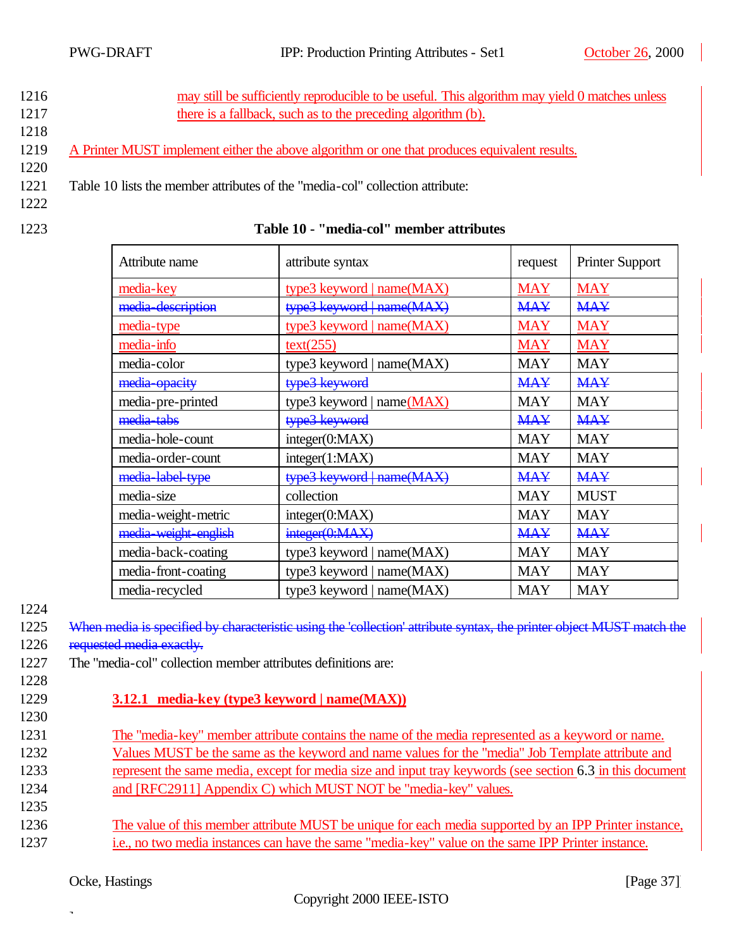- 1216 may still be sufficiently reproducible to be useful. This algorithm may yield 0 matches unless
- 1217 there is a fallback, such as to the preceding algorithm (b). 1218
- 1219 A Printer MUST implement either the above algorithm or one that produces equivalent results.
- 1220
- 1221 Table 10 lists the member attributes of the "media-col" collection attribute:
- 1222
- 

### 1223 **Table 10 - "media-col" member attributes**

| Attribute name       | attribute syntax             | request    | <b>Printer Support</b> |
|----------------------|------------------------------|------------|------------------------|
| media-key            | type3 keyword   $name(MAX)$  | <b>MAY</b> | <b>MAY</b>             |
| media-description    | type3 keyword   name(MAX)    | <b>MAY</b> | <b>MAY</b>             |
| media-type           | type3 keyword   name(MAX)    | <b>MAY</b> | <b>MAY</b>             |
| media-info           | text(255)                    | <b>MAY</b> | <b>MAY</b>             |
| media-color          | type3 keyword   $name(MAX)$  | <b>MAY</b> | <b>MAY</b>             |
| media-opacity        | type3 keyword                | <b>MAY</b> | <b>MAY</b>             |
| media-pre-printed    | type3 keyword   name $(MAX)$ | MAY        | <b>MAY</b>             |
| media-tabs           | type3 keyword                | <b>MAY</b> | <b>MAY</b>             |
| media-hole-count     | integer(0:MAX)               | <b>MAY</b> | <b>MAY</b>             |
| media-order-count    | integer(1:MAX)               | <b>MAY</b> | MAY                    |
| media-label-type     | type3 keyword   name(MAX)    | <b>MAY</b> | <b>MAY</b>             |
| media-size           | collection                   | <b>MAY</b> | <b>MUST</b>            |
| media-weight-metric  | integer(0:MAX)               | <b>MAY</b> | MAY                    |
| media weight english | integer(0:MAX)               | <b>MAY</b> | <b>MAY</b>             |
| media-back-coating   | type3 keyword   name $(MAX)$ | MAY        | MAY                    |
| media-front-coating  | type3 keyword   name $(MAX)$ | <b>MAY</b> | MAY                    |
| media-recycled       | type3 keyword   name $(MAX)$ | <b>MAY</b> | <b>MAY</b>             |

1224

1225 When media is specified by characteristic using the 'collection' attribute syntax, the printer object MUST match the 1226 requested media exactly.

- 1227 The "media-col" collection member attributes definitions are:
- 1228
- 1229 **3.12.1 media-key (type3 keyword | name(MAX))**
- 1230

1235

- 1231 The "media-key" member attribute contains the name of the media represented as a keyword or name. 1232 Values MUST be the same as the keyword and name values for the "media" Job Template attribute and
- 1233 represent the same media, except for media size and input tray keywords (see section 6.3 in this document
- 1234 and [RFC2911] Appendix C) which MUST NOT be "media-key" values.
- 1236 The value of this member attribute MUST be unique for each media supported by an IPP Printer instance, 1237 i.e., no two media instances can have the same "media-key" value on the same IPP Printer instance.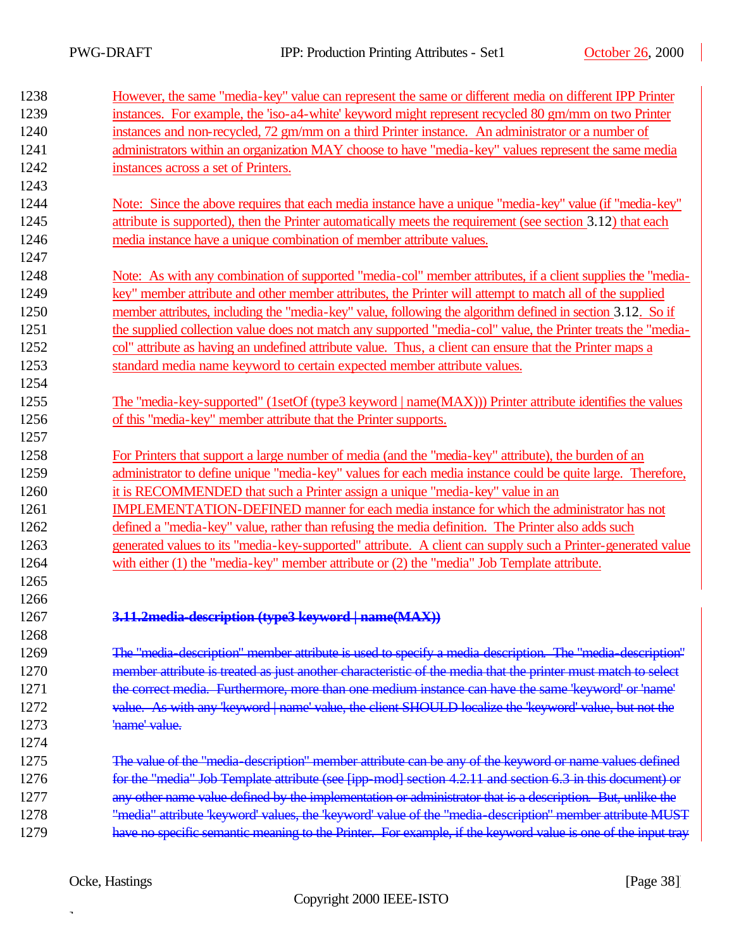$\overline{\phantom{a}}$ 

| 1238 | However, the same "media-key" value can represent the same or different media on different IPP Printer        |
|------|---------------------------------------------------------------------------------------------------------------|
| 1239 | instances. For example, the 'iso-a4-white' keyword might represent recycled 80 gm/mm on two Printer           |
| 1240 | instances and non-recycled, 72 gm/mm on a third Printer instance. An administrator or a number of             |
| 1241 | administrators within an organization MAY choose to have "media-key" values represent the same media          |
| 1242 | instances across a set of Printers.                                                                           |
| 1243 |                                                                                                               |
| 1244 | Note: Since the above requires that each media instance have a unique "media-key" value (if "media-key"       |
| 1245 | attribute is supported), then the Printer automatically meets the requirement (see section 3.12) that each    |
| 1246 | media instance have a unique combination of member attribute values.                                          |
| 1247 |                                                                                                               |
| 1248 | Note: As with any combination of supported "media-col" member attributes, if a client supplies the "media-    |
| 1249 | key" member attribute and other member attributes, the Printer will attempt to match all of the supplied      |
| 1250 | member attributes, including the "media-key" value, following the algorithm defined in section 3.12. So if    |
| 1251 | the supplied collection value does not match any supported "media-col" value, the Printer treats the "media-  |
| 1252 | col" attribute as having an undefined attribute value. Thus, a client can ensure that the Printer maps a      |
| 1253 | standard media name keyword to certain expected member attribute values.                                      |
| 1254 |                                                                                                               |
| 1255 | The "media-key-supported" (1setOf (type3 keyword   name(MAX))) Printer attribute identifies the values        |
| 1256 | of this "media-key" member attribute that the Printer supports.                                               |
| 1257 |                                                                                                               |
| 1258 | For Printers that support a large number of media (and the "media-key" attribute), the burden of an           |
| 1259 | administrator to define unique "media-key" values for each media instance could be quite large. Therefore,    |
| 1260 | it is RECOMMENDED that such a Printer assign a unique "media-key" value in an                                 |
| 1261 | IMPLEMENTATION-DEFINED manner for each media instance for which the administrator has not                     |
| 1262 | defined a "media-key" value, rather than refusing the media definition. The Printer also adds such            |
| 1263 | generated values to its "media-key-supported" attribute. A client can supply such a Printer-generated value   |
| 1264 | with either $(1)$ the "media-key" member attribute or $(2)$ the "media" Job Template attribute.               |
| 1265 |                                                                                                               |
| 1266 |                                                                                                               |
| 1267 | 3.11.2 media-description (type3 keyword   name(MAX))                                                          |
| 1268 |                                                                                                               |
| 1269 | The "media-description" member attribute is used to specify a media-description. The "media-description"      |
| 1270 | member attribute is treated as just another characteristic of the media that the printer must match to select |
| 1271 | the correct media. Furthermore, more than one medium instance can have the same 'keyword' or 'name'           |
| 1272 | value. As with any 'keyword   name' value, the client SHOULD localize the 'keyword' value, but not the        |
| 1273 | 'name' value.                                                                                                 |
| 1274 |                                                                                                               |
| 1275 | The value of the "media-description" member attribute can be any of the keyword or name values defined        |
| 1276 | for the "media" Job Template attribute (see [ipp-mod] section 4.2.11 and section 6.3 in this document) or     |
| 1277 | any other name value defined by the implementation or administrator that is a description. But, unlike the    |
| 1278 | "media" attribute 'keyword' values, the 'keyword' value of the "media-description" member attribute MUST      |
| 1279 | have no specific semantic meaning to the Printer. For example, if the keyword value is one of the input tray  |
|      |                                                                                                               |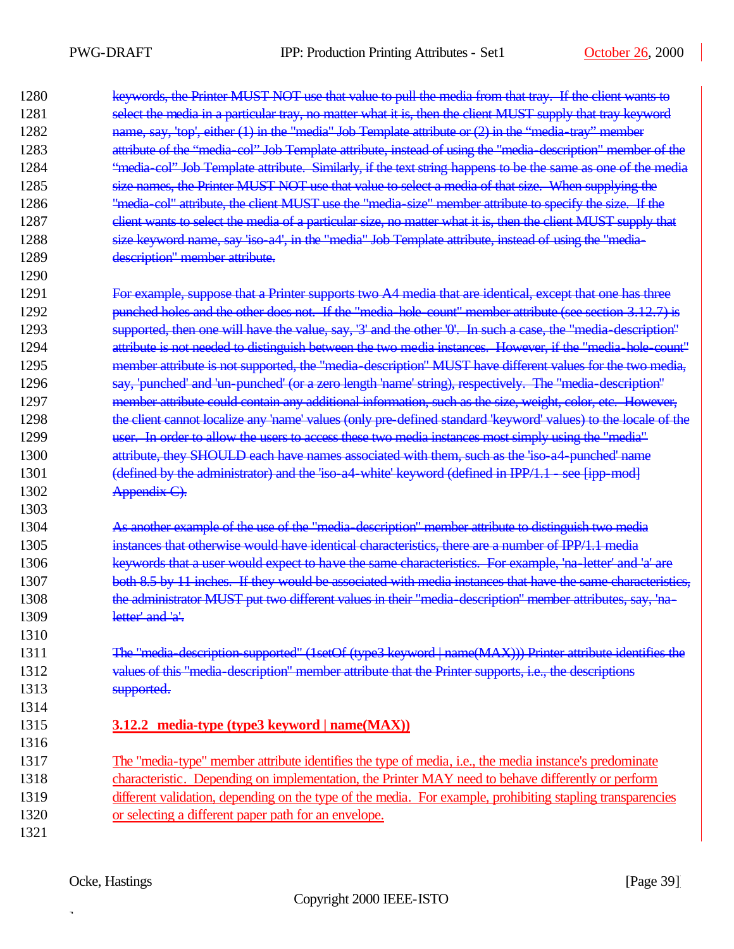$\overline{\phantom{a}}$ 

| 1280 | keywords, the Printer MUST NOT use that value to pull the media from that tray. If the client wants to         |
|------|----------------------------------------------------------------------------------------------------------------|
| 1281 | select the media in a particular tray, no matter what it is, then the client MUST supply that tray keyword     |
| 1282 | name, say, 'top', either $(1)$ in the "media" Job Template attribute or $(2)$ in the "media-tray" member       |
| 1283 | attribute of the "media-col" Job Template attribute, instead of using the "media-description" member of the    |
| 1284 | "media-col" Job Template attribute. Similarly, if the text string happens to be the same as one of the media   |
| 1285 | size names, the Printer MUST NOT use that value to select a media of that size. When supplying the             |
| 1286 | "media col" attribute, the client MUST use the "media size" member attribute to specify the size. If the       |
| 1287 | client wants to select the media of a particular size, no matter what it is, then the client MUST supply that  |
| 1288 | size keyword name, say 'iso a4', in the "media" Job Template attribute, instead of using the "media-           |
| 1289 | description" member attribute.                                                                                 |
| 1290 |                                                                                                                |
| 1291 | For example, suppose that a Printer supports two A4 media that are identical, except that one has three        |
| 1292 | punched holes and the other does not. If the "media hole count" member attribute (see section 3.12.7) is       |
| 1293 | supported, then one will have the value, say, '3' and the other '0'. In such a case, the "media-description"   |
| 1294 | attribute is not needed to distinguish between the two media instances. However, if the "media-hole-count"     |
| 1295 | member attribute is not supported, the "media-description" MUST have different values for the two media,       |
| 1296 | say, 'punched' and 'un-punched' (or a zero length 'name' string), respectively. The "media-description"        |
| 1297 | member attribute could contain any additional information, such as the size, weight, color, etc. However,      |
| 1298 | the client cannot localize any 'name' values (only pre-defined standard 'keyword' values) to the locale of the |
| 1299 | user. In order to allow the users to access these two media instances most simply using the "media"            |
| 1300 | attribute, they SHOULD each have names associated with them, such as the 'iso a4-punched' name                 |
| 1301 | (defined by the administrator) and the 'iso a4 white' keyword (defined in IPP/1.1 - see [ipp-mod]              |
| 1302 | Appendix C).                                                                                                   |
| 1303 |                                                                                                                |
| 1304 | As another example of the use of the "media-description" member attribute to distinguish two media             |
| 1305 | instances that otherwise would have identical characteristics, there are a number of IPP/1.1 media             |
| 1306 | keywords that a user would expect to have the same characteristics. For example, 'na letter' and 'a' are       |
| 1307 | both 8.5 by 11 inches. If they would be associated with media instances that have the same characteristics,    |
| 1308 | the administrator MUST put two different values in their "media description" member attributes, say, 'na-      |
| 1309 | letter' and 'a'.                                                                                               |
| 1310 |                                                                                                                |
| 1311 | The "media-description-supported" (1setOf (type3 keyword   name(MAX))) Printer attribute identifies the        |
| 1312 | values of this "media-description" member attribute that the Printer supports, i.e., the descriptions          |
| 1313 | supported.                                                                                                     |
| 1314 |                                                                                                                |
| 1315 | 3.12.2 media-type (type3 keyword   name(MAX))                                                                  |
| 1316 |                                                                                                                |
| 1317 | The "media-type" member attribute identifies the type of media, i.e., the media instance's predominate         |
| 1318 | characteristic. Depending on implementation, the Printer MAY need to behave differently or perform             |
| 1319 | different validation, depending on the type of the media. For example, prohibiting stapling transparencies     |
| 1320 | or selecting a different paper path for an envelope.                                                           |
| 1321 |                                                                                                                |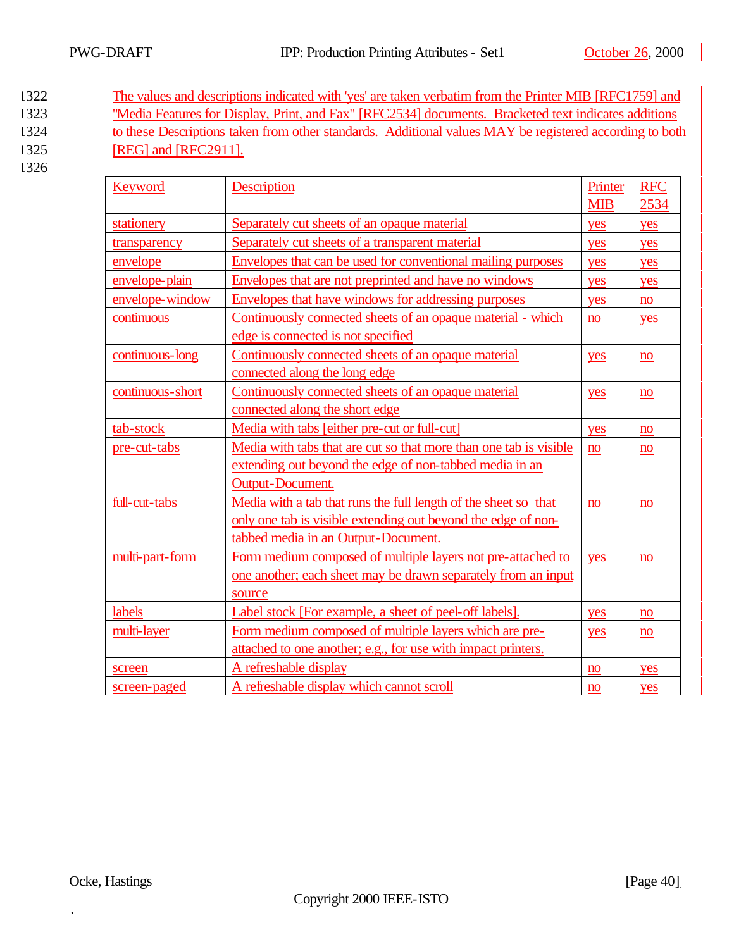- 1322 The values and descriptions indicated with 'yes' are taken verbatim from the Printer MIB [RFC1759] and 1323 "Media Features for Display, Print, and Fax" [RFC2534] documents. Bracketed text indicates additions 1324 to these Descriptions taken from other standards. Additional values MAY be registered according to both 1325 [REG] and [RFC2911].
- 1326

| Keyword                                                                          | Description                                                       | Printer        | <b>RFC</b>             |
|----------------------------------------------------------------------------------|-------------------------------------------------------------------|----------------|------------------------|
|                                                                                  |                                                                   | <b>MIB</b>     | 2534                   |
| stationery                                                                       | Separately cut sheets of an opaque material                       | yes            | yes                    |
| transparency                                                                     | Separately cut sheets of a transparent material                   | yes            | yes                    |
| envelope                                                                         | Envelopes that can be used for conventional mailing purposes      | yes            | yes                    |
| envelope-plain                                                                   | Envelopes that are not preprinted and have no windows             | yes            | yes                    |
| envelope-window                                                                  | Envelopes that have windows for addressing purposes               | yes            | no                     |
| continuous                                                                       | Continuously connected sheets of an opaque material - which       | n <sub>o</sub> | yes                    |
|                                                                                  | edge is connected is not specified                                |                |                        |
| continuous-long                                                                  | Continuously connected sheets of an opaque material               | yes            | no                     |
|                                                                                  | connected along the long edge                                     |                |                        |
| continuous-short                                                                 | Continuously connected sheets of an opaque material               | yes            | no                     |
|                                                                                  | connected along the short edge                                    |                |                        |
| tab-stock                                                                        | Media with tabs [either pre-cut or full-cut]                      | yes            | no                     |
| pre-cut-tabs                                                                     | Media with tabs that are cut so that more than one tab is visible | n <sub>o</sub> | no                     |
|                                                                                  | extending out beyond the edge of non-tabbed media in an           |                |                        |
|                                                                                  | Output-Document.                                                  |                |                        |
| Media with a tab that runs the full length of the sheet so that<br>full-cut-tabs |                                                                   | no             | no                     |
| only one tab is visible extending out beyond the edge of non-                    |                                                                   |                |                        |
|                                                                                  | tabbed media in an Output-Document.                               |                |                        |
| multi-part-form                                                                  | Form medium composed of multiple layers not pre-attached to       | yes            | no                     |
|                                                                                  | one another; each sheet may be drawn separately from an input     |                |                        |
|                                                                                  | source                                                            |                |                        |
| labels                                                                           | Label stock [For example, a sheet of peel-off labels].            | yes            | no                     |
| multi-layer                                                                      | Form medium composed of multiple layers which are pre-            | yes            | $\mathbf{n}\mathbf{o}$ |
|                                                                                  | attached to one another; e.g., for use with impact printers.      |                |                        |
| screen                                                                           | A refreshable display                                             | no             | yes                    |
| screen-paged                                                                     | A refreshable display which cannot scroll                         | no             | yes                    |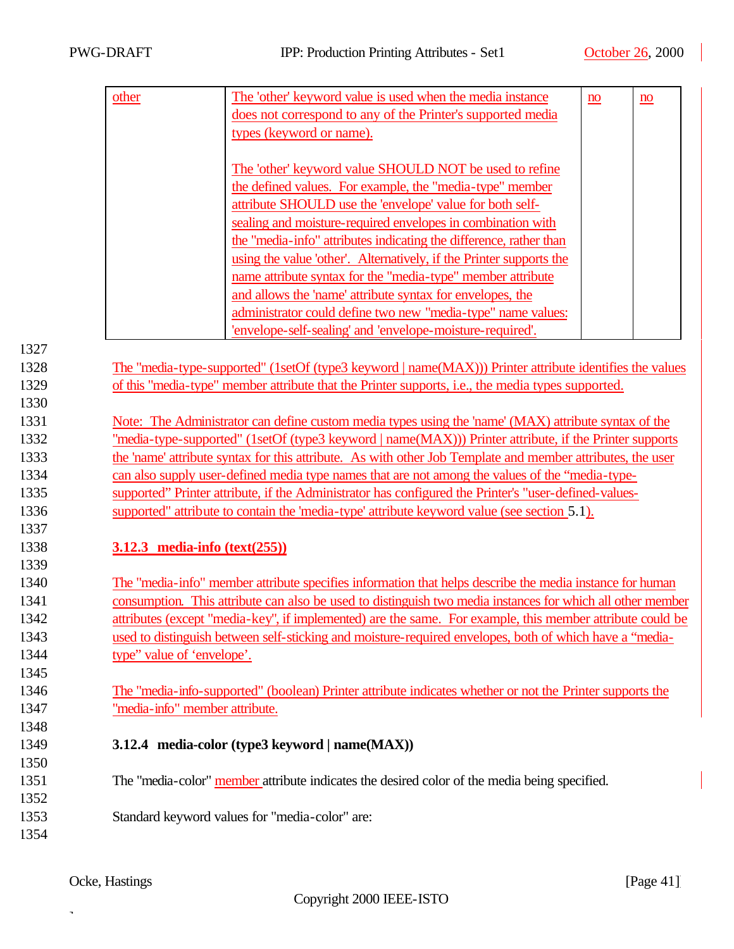**3.12.3 media-info (text(255))** 

|      | other                                                                                                      | The 'other' keyword value is used when the media instance                                                | no | no |  |  |
|------|------------------------------------------------------------------------------------------------------------|----------------------------------------------------------------------------------------------------------|----|----|--|--|
|      |                                                                                                            | does not correspond to any of the Printer's supported media                                              |    |    |  |  |
|      |                                                                                                            | types (keyword or name).                                                                                 |    |    |  |  |
|      |                                                                                                            |                                                                                                          |    |    |  |  |
|      |                                                                                                            | The 'other' keyword value SHOULD NOT be used to refine                                                   |    |    |  |  |
|      |                                                                                                            | the defined values. For example, the "media-type" member                                                 |    |    |  |  |
|      |                                                                                                            | attribute SHOULD use the 'envelope' value for both self-                                                 |    |    |  |  |
|      |                                                                                                            | sealing and moisture-required envelopes in combination with                                              |    |    |  |  |
|      |                                                                                                            | the "media-info" attributes indicating the difference, rather than                                       |    |    |  |  |
|      |                                                                                                            | using the value 'other'. Alternatively, if the Printer supports the                                      |    |    |  |  |
|      |                                                                                                            | name attribute syntax for the "media-type" member attribute                                              |    |    |  |  |
|      |                                                                                                            | and allows the 'name' attribute syntax for envelopes, the                                                |    |    |  |  |
|      |                                                                                                            | administrator could define two new "media-type" name values:                                             |    |    |  |  |
|      |                                                                                                            | 'envelope-self-sealing' and 'envelope-moisture-required'.                                                |    |    |  |  |
| 1327 |                                                                                                            |                                                                                                          |    |    |  |  |
| 1328 |                                                                                                            | The "media-type-supported" (1setOf (type3 keyword   name(MAX))) Printer attribute identifies the values  |    |    |  |  |
| 1329 |                                                                                                            | of this "media-type" member attribute that the Printer supports, i.e., the media types supported.        |    |    |  |  |
| 1330 |                                                                                                            |                                                                                                          |    |    |  |  |
| 1331 |                                                                                                            | Note: The Administrator can define custom media types using the 'name' (MAX) attribute syntax of the     |    |    |  |  |
| 1332 |                                                                                                            | "media-type-supported" (1setOf (type3 keyword   name(MAX))) Printer attribute, if the Printer supports   |    |    |  |  |
| 1333 | the 'name' attribute syntax for this attribute. As with other Job Template and member attributes, the user |                                                                                                          |    |    |  |  |
| 1334 | can also supply user-defined media type names that are not among the values of the "media-type-            |                                                                                                          |    |    |  |  |
| 1335 | supported" Printer attribute, if the Administrator has configured the Printer's "user-defined-values-      |                                                                                                          |    |    |  |  |
| 1336 |                                                                                                            | supported" attribute to contain the 'media-type' attribute keyword value (see section 5.1).              |    |    |  |  |
| 1337 |                                                                                                            |                                                                                                          |    |    |  |  |
| 1338 | 3.12.3 media-info $(text(255))$                                                                            |                                                                                                          |    |    |  |  |
| 1339 |                                                                                                            |                                                                                                          |    |    |  |  |
| 1340 |                                                                                                            | The "media-info" member attribute specifies information that helps describe the media instance for human |    |    |  |  |
| 1341 | consumption. This attribute can also be used to distinguish two media instances for which all other member |                                                                                                          |    |    |  |  |
| 1342 | attributes (except "media-key", if implemented) are the same. For example, this member attribute could be  |                                                                                                          |    |    |  |  |
| 1343 | used to distinguish between self-sticking and moisture-required envelopes, both of which have a "media-    |                                                                                                          |    |    |  |  |
| 1344 | type" value of 'envelope'.                                                                                 |                                                                                                          |    |    |  |  |
| 1345 |                                                                                                            |                                                                                                          |    |    |  |  |
| 1346 |                                                                                                            | The "media-info-supported" (boolean) Printer attribute indicates whether or not the Printer supports the |    |    |  |  |
| 1347 | "media-info" member attribute.                                                                             |                                                                                                          |    |    |  |  |
| 1348 |                                                                                                            |                                                                                                          |    |    |  |  |
| 1349 |                                                                                                            | 3.12.4 media-color (type3 keyword   name(MAX))                                                           |    |    |  |  |
| 1350 |                                                                                                            |                                                                                                          |    |    |  |  |
| 1351 |                                                                                                            | The "media-color" member attribute indicates the desired color of the media being specified.             |    |    |  |  |
| 1352 |                                                                                                            |                                                                                                          |    |    |  |  |
| 1353 |                                                                                                            | Standard keyword values for "media-color" are:                                                           |    |    |  |  |
| 1354 |                                                                                                            |                                                                                                          |    |    |  |  |
|      |                                                                                                            |                                                                                                          |    |    |  |  |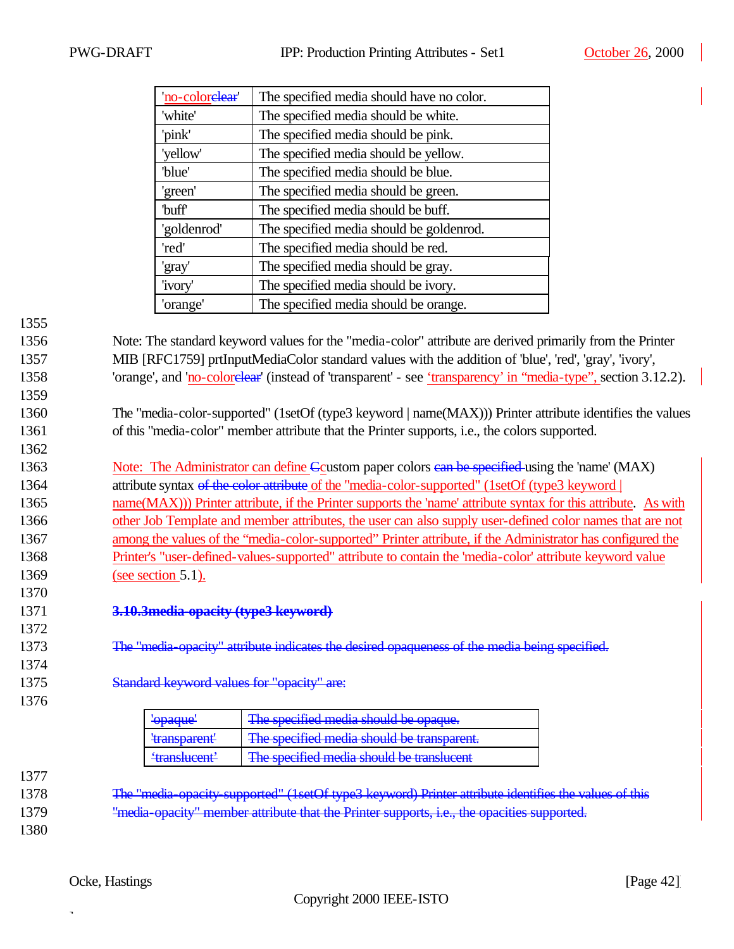| 'no-colorelear'   | The specified media should have no color. |
|-------------------|-------------------------------------------|
| 'white'           | The specified media should be white.      |
| 'pink'            | The specified media should be pink.       |
| 'yellow'          | The specified media should be yellow.     |
| 'blue'            | The specified media should be blue.       |
| 'green'           | The specified media should be green.      |
| buff <sup>'</sup> | The specified media should be buff.       |
| 'goldenrod'       | The specified media should be goldenrod.  |
| 'red'             | The specified media should be red.        |
| 'gray'            | The specified media should be gray.       |
| 'ivory'           | The specified media should be ivory.      |
| 'orange'          | The specified media should be orange.     |

1359

1362

1356 Note: The standard keyword values for the "media-color" attribute are derived primarily from the Printer 1357 MIB [RFC1759] prtInputMediaColor standard values with the addition of 'blue', 'red', 'gray', 'ivory', 1358 'orange', and 'no-colorelear' (instead of 'transparent' - see 'transparency' in "media-type", section 3.12.2).

1360 The "media-color-supported" (1setOf (type3 keyword | name(MAX))) Printer attribute identifies the values 1361 of this "media-color" member attribute that the Printer supports, i.e., the colors supported.

1363 Note: The Administrator can define Coustom paper colors can be specified using the 'name' (MAX) 1364 attribute syntax of the color attribute of the "media-color-supported" (1setOf (type3 keyword | 1365 name(MAX))) Printer attribute, if the Printer supports the 'name' attribute syntax for this attribute. As with 1366 other Job Template and member attributes, the user can also supply user-defined color names that are not 1367 among the values of the "media-color-supported" Printer attribute, if the Administrator has configured the 1368 Printer's "user-defined-values-supported" attribute to contain the 'media-color' attribute keyword value 1369 (see section 5.1).

- 1371 **3.10.3media-opacity (type3 keyword)**
- 1373 The "media-opacity" attribute indicates the desired opaqueness of the media being specified.
- 1375 Standard keyword values for "opacity" are:
- 1376

1370

1372

1374

| ' <del>opaque'</del>                    | The specified media should be opaque.      |
|-----------------------------------------|--------------------------------------------|
| <del>'transparent'</del>                | The specified media should be transparent. |
| 'tranglucent'<br><del>uanolas ont</del> | The specified media should be translucent  |

1377

1378 The "media-opacity-supported" (1setOf type3 keyword) Printer attribute identifies the values of this 1379 "media-opacity" member attribute that the Printer supports, i.e., the opacities supported.

1380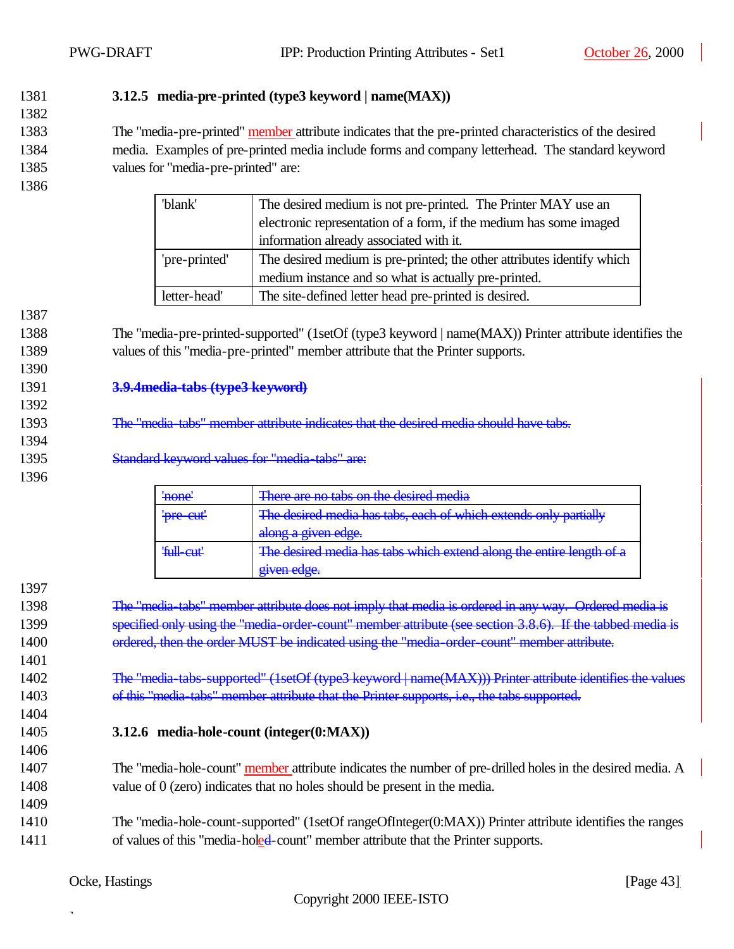### 1381 **3.12.5 media-pre-printed (type3 keyword | name(MAX))**

1383 The "media-pre-printed" member attribute indicates that the pre-printed characteristics of the desired 1384 media. Examples of pre-printed media include forms and company letterhead. The standard keyword 1385 values for "media-pre-printed" are:

1386

1387

1390

1392

1394

1396

1397

1401

1382

| 'blank'       | The desired medium is not pre-printed. The Printer MAY use an          |  |  |  |  |
|---------------|------------------------------------------------------------------------|--|--|--|--|
|               | electronic representation of a form, if the medium has some imaged     |  |  |  |  |
|               | information already associated with it.                                |  |  |  |  |
| 'pre-printed' | The desired medium is pre-printed; the other attributes identify which |  |  |  |  |
|               | medium instance and so what is actually pre-printed.                   |  |  |  |  |
| letter-head'  | The site-defined letter head pre-printed is desired.                   |  |  |  |  |

1388 The "media-pre-printed-supported" (1setOf (type3 keyword | name(MAX)) Printer attribute identifies the 1389 values of this "media-pre-printed" member attribute that the Printer supports.

- 1391 **3.9.4media-tabs (type3 keyword)**
- 1393 The "media-tabs" member attribute indicates that the desired media should have tabs.
- 1395 Standard keyword values for "media-tabs" are:
	- 'none' There are no tabs on the desired media 'pre-cut' The desired media has tabs, each of which extends only partially along a given edge. 'full-cut' The desired media has tabs which extend along the entire length of a given edge.
- 1398 The "media-tabs" member attribute does not imply that media is ordered in any way. Ordered media is 1399 specified only using the "media-order-count" member attribute (see section 3.8.6). If the tabbed media is 1400 ordered, then the order MUST be indicated using the "media-order-count" member attribute.
- 1402 The "media-tabs-supported" (1setOf (type3 keyword | name(MAX))) Printer attribute identifies the values 1403 of this "media-tabs" member attribute that the Printer supports, i.e., the tabs supported.
- 1404

1406

1409

1405 **3.12.6 media-hole-count (integer(0:MAX))**

- 1407 The "media-hole-count" member attribute indicates the number of pre-drilled holes in the desired media. A 1408 value of 0 (zero) indicates that no holes should be present in the media.
- 1410 The "media-hole-count-supported" (1setOf rangeOfInteger(0:MAX)) Printer attribute identifies the ranges 1411 of values of this "media-holed-count" member attribute that the Printer supports.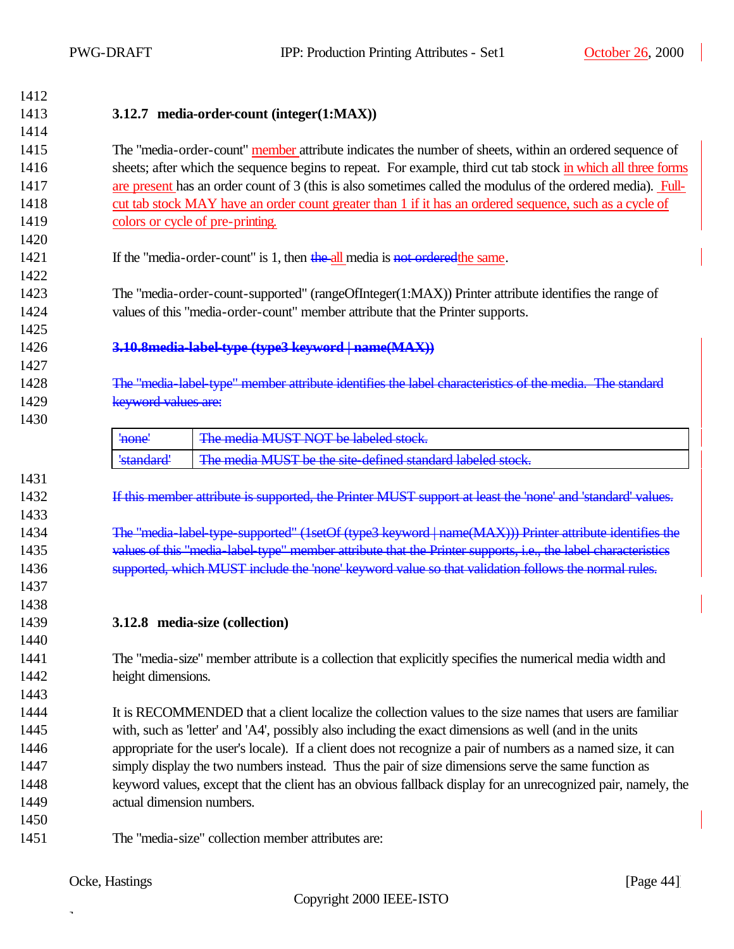| 1412 |                                                                                                              |                                                                                                               |  |  |  |  |
|------|--------------------------------------------------------------------------------------------------------------|---------------------------------------------------------------------------------------------------------------|--|--|--|--|
| 1413 | 3.12.7 media-order-count (integer(1:MAX))                                                                    |                                                                                                               |  |  |  |  |
| 1414 |                                                                                                              |                                                                                                               |  |  |  |  |
| 1415 |                                                                                                              | The "media-order-count" member attribute indicates the number of sheets, within an ordered sequence of        |  |  |  |  |
| 1416 |                                                                                                              | sheets; after which the sequence begins to repeat. For example, third cut tab stock in which all three forms  |  |  |  |  |
| 1417 |                                                                                                              | are present has an order count of 3 (this is also sometimes called the modulus of the ordered media). Full-   |  |  |  |  |
| 1418 |                                                                                                              | cut tab stock MAY have an order count greater than 1 if it has an ordered sequence, such as a cycle of        |  |  |  |  |
| 1419 |                                                                                                              | colors or cycle of pre-printing.                                                                              |  |  |  |  |
| 1420 |                                                                                                              |                                                                                                               |  |  |  |  |
| 1421 |                                                                                                              | If the "media-order-count" is 1, then the all media is not ordered the same.                                  |  |  |  |  |
| 1422 |                                                                                                              |                                                                                                               |  |  |  |  |
| 1423 |                                                                                                              | The "media-order-count-supported" (rangeOfInteger(1:MAX)) Printer attribute identifies the range of           |  |  |  |  |
| 1424 |                                                                                                              | values of this "media-order-count" member attribute that the Printer supports.                                |  |  |  |  |
| 1425 |                                                                                                              |                                                                                                               |  |  |  |  |
| 1426 |                                                                                                              | 3.10.8 media-label-type (type3 keyword   name(MAX))                                                           |  |  |  |  |
| 1427 |                                                                                                              |                                                                                                               |  |  |  |  |
| 1428 |                                                                                                              | The "media-label type" member attribute identifies the label characteristics of the media. The standard       |  |  |  |  |
| 1429 | keyword values are:                                                                                          |                                                                                                               |  |  |  |  |
| 1430 |                                                                                                              |                                                                                                               |  |  |  |  |
|      | 'none'                                                                                                       | The media MUST NOT be labeled stock.                                                                          |  |  |  |  |
|      | 'standard'                                                                                                   | The media MUST be the site-defined standard labeled stock.                                                    |  |  |  |  |
| 1431 |                                                                                                              |                                                                                                               |  |  |  |  |
| 1432 |                                                                                                              | If this member attribute is supported, the Printer MUST support at least the 'none' and 'standard' values.    |  |  |  |  |
| 1433 |                                                                                                              |                                                                                                               |  |  |  |  |
| 1434 |                                                                                                              | The "media-label-type-supported" (1setOf (type3 keyword   name(MAX))) Printer attribute identifies the        |  |  |  |  |
| 1435 |                                                                                                              | values of this "media-label-type" member attribute that the Printer supports, i.e., the label characteristics |  |  |  |  |
| 1436 |                                                                                                              | supported, which MUST include the 'none' keyword value so that validation follows the normal rules.           |  |  |  |  |
| 1437 |                                                                                                              |                                                                                                               |  |  |  |  |
| 1438 |                                                                                                              |                                                                                                               |  |  |  |  |
| 1439 | 3.12.8 media-size (collection)                                                                               |                                                                                                               |  |  |  |  |
| 1440 |                                                                                                              |                                                                                                               |  |  |  |  |
| 1441 | The "media-size" member attribute is a collection that explicitly specifies the numerical media width and    |                                                                                                               |  |  |  |  |
| 1442 | height dimensions.                                                                                           |                                                                                                               |  |  |  |  |
| 1443 |                                                                                                              |                                                                                                               |  |  |  |  |
| 1444 | It is RECOMMENDED that a client localize the collection values to the size names that users are familiar     |                                                                                                               |  |  |  |  |
| 1445 | with, such as 'letter' and 'A4', possibly also including the exact dimensions as well (and in the units      |                                                                                                               |  |  |  |  |
| 1446 |                                                                                                              | appropriate for the user's locale). If a client does not recognize a pair of numbers as a named size, it can  |  |  |  |  |
| 1447 |                                                                                                              | simply display the two numbers instead. Thus the pair of size dimensions serve the same function as           |  |  |  |  |
| 1448 | keyword values, except that the client has an obvious fallback display for an unrecognized pair, namely, the |                                                                                                               |  |  |  |  |
| 1449 | actual dimension numbers.                                                                                    |                                                                                                               |  |  |  |  |
| 1450 |                                                                                                              |                                                                                                               |  |  |  |  |
| 1451 |                                                                                                              | The "media-size" collection member attributes are:                                                            |  |  |  |  |
|      |                                                                                                              |                                                                                                               |  |  |  |  |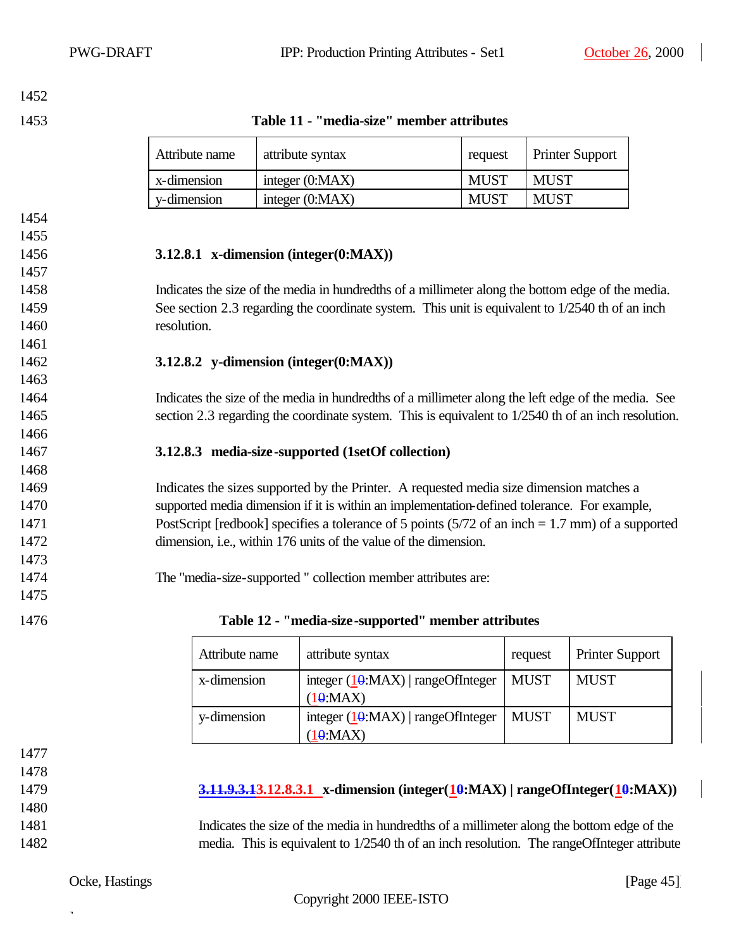**Table 11 - "media-size" member attributes**

| Attribute name | attribute syntax  |             | <b>Printer Support</b> |  |
|----------------|-------------------|-------------|------------------------|--|
| x-dimension    | integer $(0:MAX)$ | MUST        | <b>MUST</b>            |  |
| y-dimension    | integer $(0:MAX)$ | <b>MUST</b> | <b>MUST</b>            |  |

### **3.12.8.1 x-dimension (integer(0:MAX))**

 Indicates the size of the media in hundredths of a millimeter along the bottom edge of the media. 1459 See section 2.3 regarding the coordinate system. This unit is equivalent to 1/2540 th of an inch resolution.

### **3.12.8.2 y-dimension (integer(0:MAX))**

 Indicates the size of the media in hundredths of a millimeter along the left edge of the media. See section 2.3 regarding the coordinate system. This is equivalent to 1/2540 th of an inch resolution.

### **3.12.8.3 media-size-supported (1setOf collection)**

 Indicates the sizes supported by the Printer. A requested media size dimension matches a supported media dimension if it is within an implementation-defined tolerance. For example, PostScript [redbook] specifies a tolerance of 5 points (5/72 of an inch = 1.7 mm) of a supported dimension, i.e., within 176 units of the value of the dimension.

The "media-size-supported " collection member attributes are:

| 1476 | Table 12 - "media-size-supported" member attributes |  |  |  |
|------|-----------------------------------------------------|--|--|--|
|      |                                                     |  |  |  |

| Attribute name | attribute syntax                                       | request | <b>Printer Support</b> |
|----------------|--------------------------------------------------------|---------|------------------------|
| x-dimension    | integer $(10 \text{MAX})$   rangeOfInteger<br>(10:MAX) | MUST    | <b>MUST</b>            |
| y-dimension    | integer $(10:MAX)$   rangeOfInteger<br>(10:MAX)        | MUST    | <b>MUST</b>            |

 

| 1479 |  | $\frac{3.11.9.3.13.12.8.3.1}{3.11.9.3.12.8.3.1}$ x-dimension (integer( $\frac{10}{10}$ :MAX)   rangeOfInteger( $\frac{10}{10}$ :MAX)) |  |  |
|------|--|---------------------------------------------------------------------------------------------------------------------------------------|--|--|
|------|--|---------------------------------------------------------------------------------------------------------------------------------------|--|--|

 Indicates the size of the media in hundredths of a millimeter along the bottom edge of the media. This is equivalent to 1/2540 th of an inch resolution. The rangeOfInteger attribute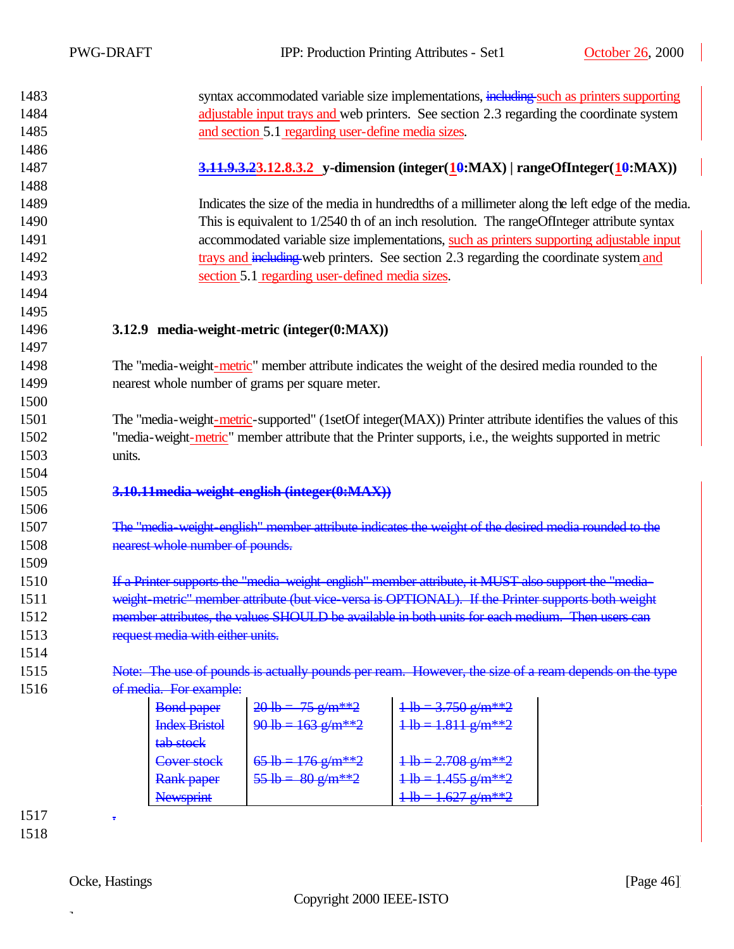| 1483 |                                                                                          |                                                 | syntax accommodated variable size implementations, including such as printers supporting                  |  |  |  |
|------|------------------------------------------------------------------------------------------|-------------------------------------------------|-----------------------------------------------------------------------------------------------------------|--|--|--|
| 1484 | adjustable input trays and web printers. See section 2.3 regarding the coordinate system |                                                 |                                                                                                           |  |  |  |
| 1485 | and section 5.1 regarding user-define media sizes.                                       |                                                 |                                                                                                           |  |  |  |
| 1486 |                                                                                          |                                                 |                                                                                                           |  |  |  |
| 1487 |                                                                                          |                                                 |                                                                                                           |  |  |  |
| 1488 |                                                                                          |                                                 |                                                                                                           |  |  |  |
| 1489 |                                                                                          |                                                 | Indicates the size of the media in hundredths of a millimeter along the left edge of the media.           |  |  |  |
| 1490 |                                                                                          |                                                 | This is equivalent to 1/2540 th of an inch resolution. The rangeOfInteger attribute syntax                |  |  |  |
| 1491 |                                                                                          |                                                 | accommodated variable size implementations, such as printers supporting adjustable input                  |  |  |  |
| 1492 |                                                                                          |                                                 | trays and including web printers. See section 2.3 regarding the coordinate system and                     |  |  |  |
| 1493 |                                                                                          | section 5.1 regarding user-defined media sizes. |                                                                                                           |  |  |  |
| 1494 |                                                                                          |                                                 |                                                                                                           |  |  |  |
| 1495 |                                                                                          |                                                 |                                                                                                           |  |  |  |
| 1496 |                                                                                          | 3.12.9 media-weight-metric (integer(0:MAX))     |                                                                                                           |  |  |  |
| 1497 |                                                                                          |                                                 |                                                                                                           |  |  |  |
| 1498 |                                                                                          |                                                 | The "media-weight-metric" member attribute indicates the weight of the desired media rounded to the       |  |  |  |
| 1499 |                                                                                          | nearest whole number of grams per square meter. |                                                                                                           |  |  |  |
| 1500 |                                                                                          |                                                 |                                                                                                           |  |  |  |
| 1501 |                                                                                          |                                                 | The "media-weight-metric-supported" (1setOf integer(MAX)) Printer attribute identifies the values of this |  |  |  |
| 1502 |                                                                                          |                                                 | "media-weight-metric" member attribute that the Printer supports, i.e., the weights supported in metric   |  |  |  |
| 1503 | units.                                                                                   |                                                 |                                                                                                           |  |  |  |
| 1504 |                                                                                          |                                                 |                                                                                                           |  |  |  |
| 1505 |                                                                                          | 3.10.11 media-weight-english (integer(0:MAX))   |                                                                                                           |  |  |  |
| 1506 |                                                                                          |                                                 |                                                                                                           |  |  |  |
| 1507 |                                                                                          |                                                 | The "media-weight-english" member attribute indicates the weight of the desired media rounded to the      |  |  |  |
| 1508 | nearest whole number of pounds.                                                          |                                                 |                                                                                                           |  |  |  |
| 1509 |                                                                                          |                                                 |                                                                                                           |  |  |  |
| 1510 |                                                                                          |                                                 | If a Printer supports the "media-weight-english" member attribute, it MUST also support the "media-       |  |  |  |
| 1511 |                                                                                          |                                                 | weight metric" member attribute (but vice versa is OPTIONAL). If the Printer supports both weight         |  |  |  |
| 1512 |                                                                                          |                                                 | member attributes, the values SHOULD be available in both units for each medium. Then users can           |  |  |  |
| 1513 | request media with either units.                                                         |                                                 |                                                                                                           |  |  |  |
| 1514 |                                                                                          |                                                 |                                                                                                           |  |  |  |
| 1515 |                                                                                          |                                                 | Note: The use of pounds is actually pounds per ream. However, the size of a ream depends on the type      |  |  |  |
| 1516 | of media. For example:                                                                   |                                                 |                                                                                                           |  |  |  |
|      | <b>Bond paper</b>                                                                        | $20$ lb = 75 g/m**2                             | $1 \text{ lb} = 3.750 \text{ g/m}^{**}2$                                                                  |  |  |  |
|      | <b>Index Bristol</b>                                                                     | $90 \text{ lb} = 163 \text{ g/m}^{**}2$         | $1 \text{ lb} = 1.811 \text{ g/m}^{**}2$                                                                  |  |  |  |
|      | tab stock                                                                                |                                                 |                                                                                                           |  |  |  |
|      | Cover stock                                                                              | $65 lb = 176 g/m**2$                            | $1 \text{ lb} = 2.708 \text{ g/m}^{**}2$                                                                  |  |  |  |
|      | Rank paper                                                                               | $55 lb = 80 g/m**2$                             | $1 \text{ lb} = 1.455 \text{ g/m}^{**}2$                                                                  |  |  |  |
|      | <b>Newsprint</b>                                                                         |                                                 | $1 \text{ lb} = 1.627 \text{ g/m}^{**}2$                                                                  |  |  |  |
| 1517 |                                                                                          |                                                 |                                                                                                           |  |  |  |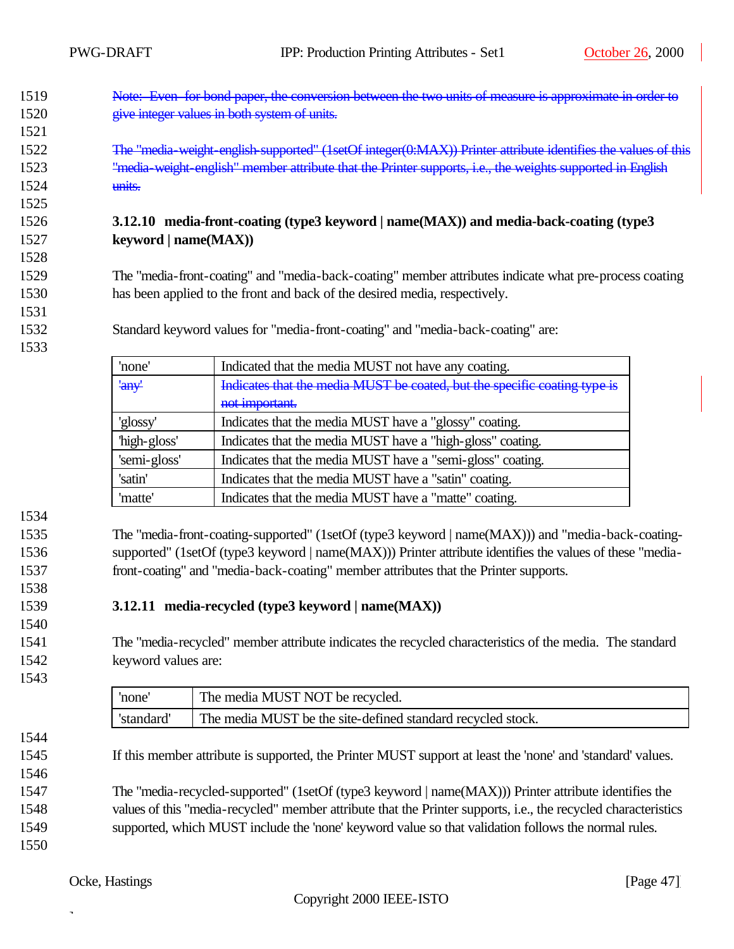- 1519 Note: Even for bond paper, the conversion between the two units of measure is approximate in order to 1520 give integer values in both system of units.
- The "media-weight-english-supported" (1setOf integer(0:MAX)) Printer attribute identifies the values of this 1523 The The Weight-english" member attribute that the Printer supports, i.e., the weights supported in English units.

### **3.12.10 media-front-coating (type3 keyword | name(MAX)) and media-back-coating (type3 keyword | name(MAX))**

 The "media-front-coating" and "media-back-coating" member attributes indicate what pre-process coating has been applied to the front and back of the desired media, respectively.

Standard keyword values for "media-front-coating" and "media-back-coating" are:

| 'none'       | Indicated that the media MUST not have any coating.                       |  |  |
|--------------|---------------------------------------------------------------------------|--|--|
| 'any'        | Indicates that the media MUST be coated, but the specific coating type is |  |  |
|              | not important.                                                            |  |  |
| 'glossy'     | Indicates that the media MUST have a "glossy" coating.                    |  |  |
| 'high-gloss' | Indicates that the media MUST have a "high-gloss" coating.                |  |  |
| 'semi-gloss' | Indicates that the media MUST have a "semi-gloss" coating.                |  |  |
| 'satin'      | Indicates that the media MUST have a "satin" coating.                     |  |  |
| 'matte'      | Indicates that the media MUST have a "matte" coating.                     |  |  |

 The "media-front-coating-supported" (1setOf (type3 keyword | name(MAX))) and "media-back-coating- supported" (1setOf (type3 keyword | name(MAX))) Printer attribute identifies the values of these "media-front-coating" and "media-back-coating" member attributes that the Printer supports.

### **3.12.11 media-recycled (type3 keyword | name(MAX))**

 The "media-recycled" member attribute indicates the recycled characteristics of the media. The standard keyword values are:

| 'none      | The media MUST NOT be recycled.                             |
|------------|-------------------------------------------------------------|
| 'standard' | The media MUST be the site-defined standard recycled stock. |

If this member attribute is supported, the Printer MUST support at least the 'none' and 'standard' values.

- The "media-recycled-supported" (1setOf (type3 keyword | name(MAX))) Printer attribute identifies the values of this "media-recycled" member attribute that the Printer supports, i.e., the recycled characteristics supported, which MUST include the 'none' keyword value so that validation follows the normal rules.
-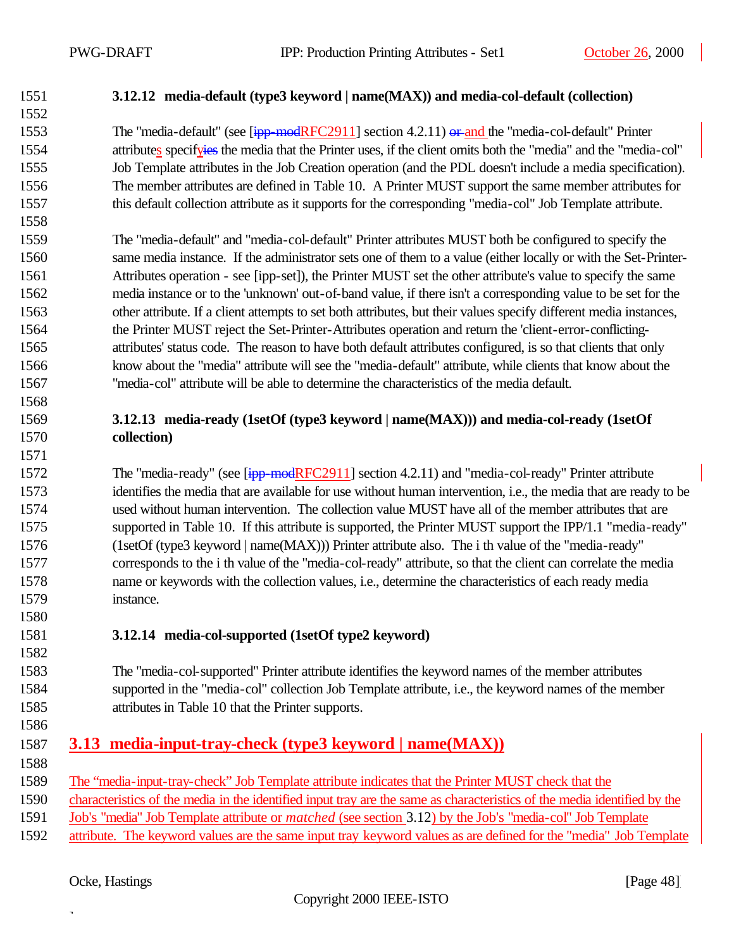### **3.12.12 media-default (type3 keyword | name(MAX)) and media-col-default (collection)** 1553 The "media-default" (see [ipp-modRFC2911] section 4.2.11) or and the "media-col-default" Printer 1554 attributes specifyies the media that the Printer uses, if the client omits both the "media" and the "media-col" Job Template attributes in the Job Creation operation (and the PDL doesn't include a media specification). The member attributes are defined in Table 10. A Printer MUST support the same member attributes for this default collection attribute as it supports for the corresponding "media-col" Job Template attribute. The "media-default" and "media-col-default" Printer attributes MUST both be configured to specify the same media instance. If the administrator sets one of them to a value (either locally or with the Set-Printer- Attributes operation - see [ipp-set]), the Printer MUST set the other attribute's value to specify the same media instance or to the 'unknown' out-of-band value, if there isn't a corresponding value to be set for the other attribute. If a client attempts to set both attributes, but their values specify different media instances, the Printer MUST reject the Set-Printer-Attributes operation and return the 'client-error-conflicting- attributes' status code. The reason to have both default attributes configured, is so that clients that only know about the "media" attribute will see the "media-default" attribute, while clients that know about the "media-col" attribute will be able to determine the characteristics of the media default. **3.12.13 media-ready (1setOf (type3 keyword | name(MAX))) and media-col-ready (1setOf collection)** 1572 The "media-ready" (see [ipp-modRFC2911] section 4.2.11) and "media-col-ready" Printer attribute identifies the media that are available for use without human intervention, i.e., the media that are ready to be used without human intervention. The collection value MUST have all of the member attributes that are supported in Table 10. If this attribute is supported, the Printer MUST support the IPP/1.1 "media-ready" (1setOf (type3 keyword | name(MAX))) Printer attribute also. The i th value of the "media-ready" corresponds to the i th value of the "media-col-ready" attribute, so that the client can correlate the media name or keywords with the collection values, i.e., determine the characteristics of each ready media instance. **3.12.14 media-col-supported (1setOf type2 keyword)** The "media-col-supported" Printer attribute identifies the keyword names of the member attributes supported in the "media-col" collection Job Template attribute, i.e., the keyword names of the member attributes in Table 10 that the Printer supports. **3.13 media-input-tray-check (type3 keyword | name(MAX))** The "media-input-tray-check" Job Template attribute indicates that the Printer MUST check that the characteristics of the media in the identified input tray are the same as characteristics of the media identified by the Job's "media" Job Template attribute or *matched* (see section 3.12) by the Job's "media-col" Job Template attribute. The keyword values are the same input tray keyword values as are defined for the "media" Job Template

### Ocke, Hastings [Page 48]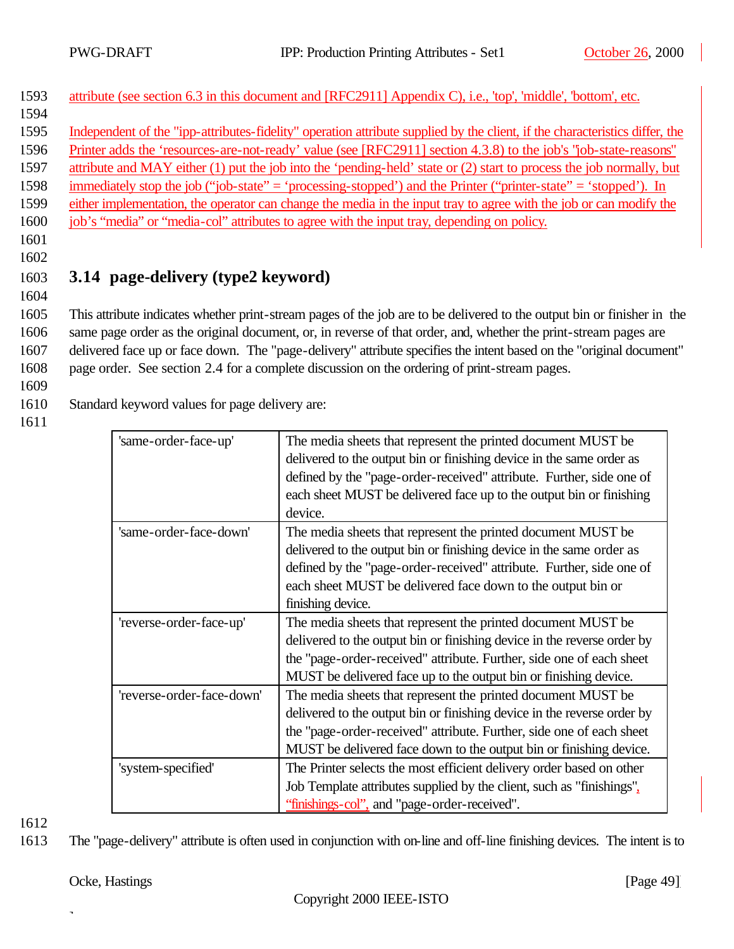| 1593 | attribute (see section 6.3 in this document and [RFC2911] Appendix C), i.e., 'top', 'middle', 'bottom', etc.                |
|------|-----------------------------------------------------------------------------------------------------------------------------|
| 1594 |                                                                                                                             |
| 1595 | Independent of the "ipp-attributes-fidelity" operation attribute supplied by the client, if the characteristics differ, the |
| 1596 | Printer adds the 'resources-are-not-ready' value (see [RFC2911] section 4.3.8) to the job's "job-state-reasons"             |
| 1597 | attribute and MAY either (1) put the job into the 'pending-held' state or (2) start to process the job normally, but        |
| 1598 | immediately stop the job ("job-state" = 'processing-stopped') and the Printer ("printer-state" = 'stopped'). In             |
| 1599 | either implementation, the operator can change the media in the input tray to agree with the job or can modify the          |
| 1600 | job's "media" or "media-col" attributes to agree with the input tray, depending on policy.                                  |
| 1601 |                                                                                                                             |
| 1602 |                                                                                                                             |

1603 **3.14 page-delivery (type2 keyword)** 

 This attribute indicates whether print-stream pages of the job are to be delivered to the output bin or finisher in the same page order as the original document, or, in reverse of that order, and, whether the print-stream pages are delivered face up or face down. The "page-delivery" attribute specifies the intent based on the "original document" page order. See section 2.4 for a complete discussion on the ordering of print-stream pages.

1609

1604

1610 Standard keyword values for page delivery are:

1611

| 'same-order-face-up'      | The media sheets that represent the printed document MUST be            |
|---------------------------|-------------------------------------------------------------------------|
|                           | delivered to the output bin or finishing device in the same order as    |
|                           | defined by the "page-order-received" attribute. Further, side one of    |
|                           | each sheet MUST be delivered face up to the output bin or finishing     |
|                           | device.                                                                 |
| 'same-order-face-down'    | The media sheets that represent the printed document MUST be            |
|                           | delivered to the output bin or finishing device in the same order as    |
|                           | defined by the "page-order-received" attribute. Further, side one of    |
|                           | each sheet MUST be delivered face down to the output bin or             |
|                           | finishing device.                                                       |
| 'reverse-order-face-up'   | The media sheets that represent the printed document MUST be            |
|                           | delivered to the output bin or finishing device in the reverse order by |
|                           | the "page-order-received" attribute. Further, side one of each sheet    |
|                           | MUST be delivered face up to the output bin or finishing device.        |
| 'reverse-order-face-down' | The media sheets that represent the printed document MUST be            |
|                           | delivered to the output bin or finishing device in the reverse order by |
|                           | the "page-order-received" attribute. Further, side one of each sheet    |
|                           | MUST be delivered face down to the output bin or finishing device.      |
| 'system-specified'        | The Printer selects the most efficient delivery order based on other    |
|                           | Job Template attributes supplied by the client, such as "finishings",   |
|                           | "finishings-col", and "page-order-received".                            |
|                           |                                                                         |

1612

1613 The "page-delivery" attribute is often used in conjunction with on-line and off-line finishing devices. The intent is to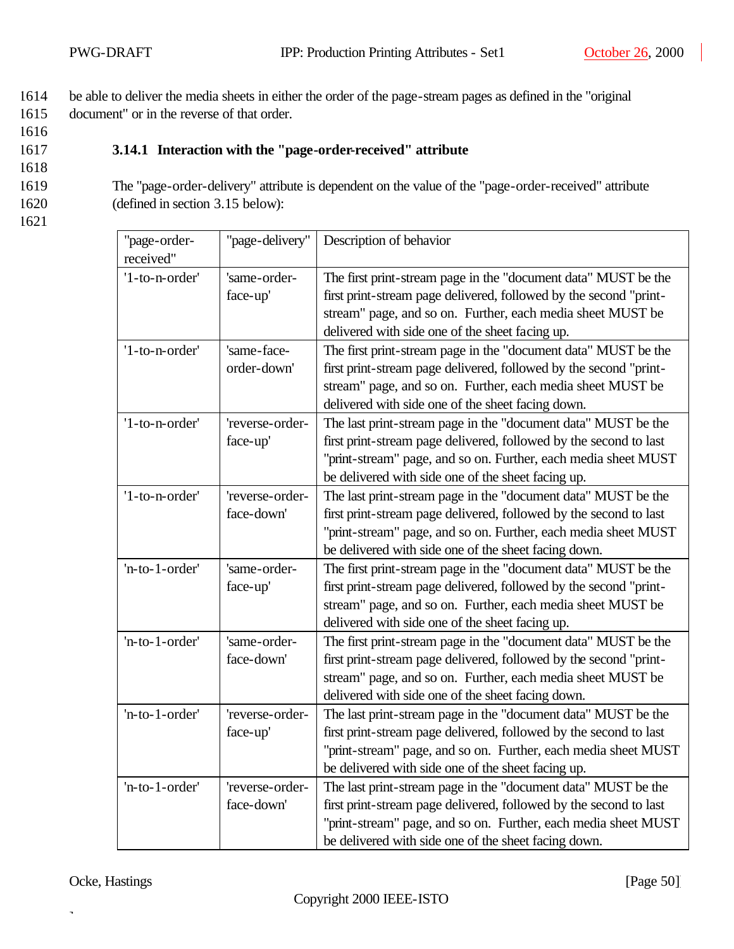1614 be able to deliver the media sheets in either the order of the page-stream pages as defined in the "original 1615 document" or in the reverse of that order.

1616

### 1617 **3.14.1 Interaction with the "page-order-received" attribute**

1618

1619 The "page-order-delivery" attribute is dependent on the value of the "page-order-received" attribute 1620 (defined in section 3.15 below):

1621

| "page-order-<br>received" | "page-delivery"               | Description of behavior                                                                                                                                                                                                                                      |
|---------------------------|-------------------------------|--------------------------------------------------------------------------------------------------------------------------------------------------------------------------------------------------------------------------------------------------------------|
| '1-to-n-order'            | 'same-order-<br>face-up'      | The first print-stream page in the "document data" MUST be the<br>first print-stream page delivered, followed by the second "print-<br>stream" page, and so on. Further, each media sheet MUST be<br>delivered with side one of the sheet facing up.         |
| '1-to-n-order'            | 'same-face-<br>order-down'    | The first print-stream page in the "document data" MUST be the<br>first print-stream page delivered, followed by the second "print-<br>stream" page, and so on. Further, each media sheet MUST be<br>delivered with side one of the sheet facing down.       |
| '1-to-n-order'            | 'reverse-order-<br>face-up'   | The last print-stream page in the "document data" MUST be the<br>first print-stream page delivered, followed by the second to last<br>"print-stream" page, and so on. Further, each media sheet MUST<br>be delivered with side one of the sheet facing up.   |
| '1-to-n-order'            | 'reverse-order-<br>face-down' | The last print-stream page in the "document data" MUST be the<br>first print-stream page delivered, followed by the second to last<br>"print-stream" page, and so on. Further, each media sheet MUST<br>be delivered with side one of the sheet facing down. |
| 'n-to-1-order'            | 'same-order-<br>face-up'      | The first print-stream page in the "document data" MUST be the<br>first print-stream page delivered, followed by the second "print-<br>stream" page, and so on. Further, each media sheet MUST be<br>delivered with side one of the sheet facing up.         |
| 'n-to-1-order'            | 'same-order-<br>face-down'    | The first print-stream page in the "document data" MUST be the<br>first print-stream page delivered, followed by the second "print-<br>stream" page, and so on. Further, each media sheet MUST be<br>delivered with side one of the sheet facing down.       |
| 'n-to-1-order'            | 'reverse-order-<br>face-up'   | The last print-stream page in the "document data" MUST be the<br>first print-stream page delivered, followed by the second to last<br>"print-stream" page, and so on. Further, each media sheet MUST<br>be delivered with side one of the sheet facing up.   |
| 'n-to-1-order'            | 'reverse-order-<br>face-down' | The last print-stream page in the "document data" MUST be the<br>first print-stream page delivered, followed by the second to last<br>"print-stream" page, and so on. Further, each media sheet MUST<br>be delivered with side one of the sheet facing down. |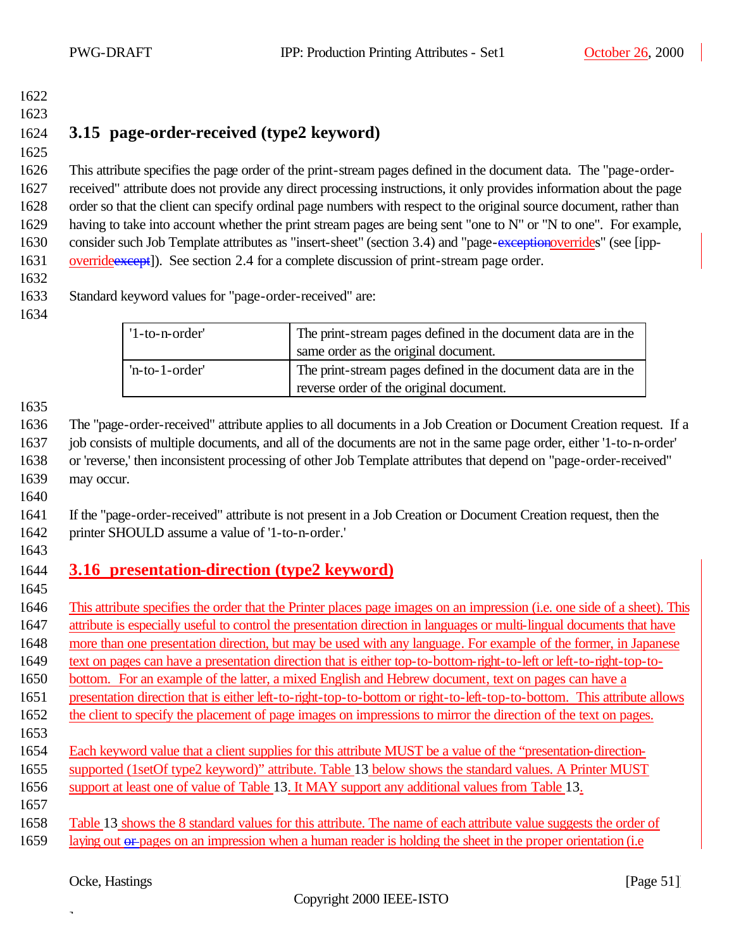- 
- 

### **3.15 page-order-received (type2 keyword)**

 This attribute specifies the page order of the print-stream pages defined in the document data. The "page-order- received" attribute does not provide any direct processing instructions, it only provides information about the page order so that the client can specify ordinal page numbers with respect to the original source document, rather than 1629 having to take into account whether the print stream pages are being sent "one to N" or "N to one". For example, consider such Job Template attributes as "insert-sheet" (section 3.4) and "page-exceptionoverrides" (see [ipp-1631 override except]). See section 2.4 for a complete discussion of print-stream page order.

### Standard keyword values for "page-order-received" are:

| $'1$ -to-n-order' | The print-stream pages defined in the document data are in the<br>same order as the original document.    |
|-------------------|-----------------------------------------------------------------------------------------------------------|
| $'n-to-1-order'$  | The print-stream pages defined in the document data are in the<br>reverse order of the original document. |

 The "page-order-received" attribute applies to all documents in a Job Creation or Document Creation request. If a job consists of multiple documents, and all of the documents are not in the same page order, either '1-to-n-order' or 'reverse,' then inconsistent processing of other Job Template attributes that depend on "page-order-received" may occur.

 If the "page-order-received" attribute is not present in a Job Creation or Document Creation request, then the printer SHOULD assume a value of '1-to-n-order.'

## **3.16 presentation-direction (type2 keyword)**

 This attribute specifies the order that the Printer places page images on an impression (i.e. one side of a sheet). This attribute is especially useful to control the presentation direction in languages or multi-lingual documents that have

more than one presentation direction, but may be used with any language. For example of the former, in Japanese

text on pages can have a presentation direction that is either top-to-bottom-right-to-left or left-to-right-top-to-

bottom. For an example of the latter, a mixed English and Hebrew document, text on pages can have a

presentation direction that is either left-to-right-top-to-bottom or right-to-left-top-to-bottom. This attribute allows

1652 the client to specify the placement of page images on impressions to mirror the direction of the text on pages.

- 
- Each keyword value that a client supplies for this attribute MUST be a value of the "presentation-direction-
- supported (1setOf type2 keyword)" attribute. Table 13 below shows the standard values. A Printer MUST
- support at least one of value of Table 13. It MAY support any additional values from Table 13.
- Table 13 shows the 8 standard values for this attribute. The name of each attribute value suggests the order of
- 1659 laying out or pages on an impression when a human reader is holding the sheet in the proper orientation (i.e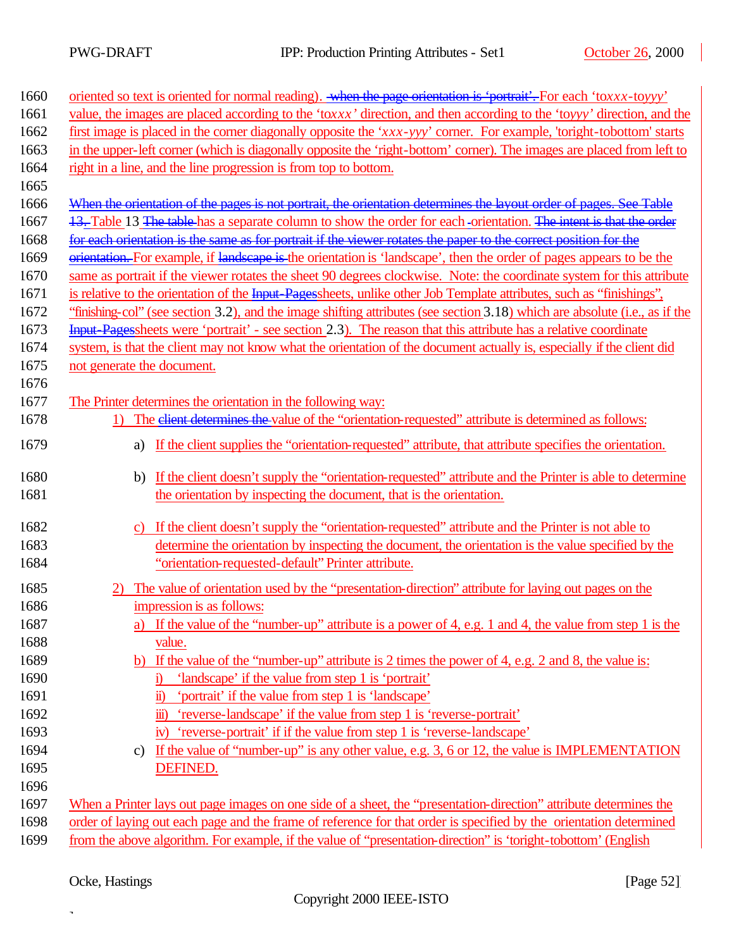| 1660 | oriented so text is oriented for normal reading). When the page orientation is "portrait". For each 'toxxx-toyyy'           |
|------|-----------------------------------------------------------------------------------------------------------------------------|
| 1661 | value, the images are placed according to the 'toxxx' direction, and then according to the 'toyyy' direction, and the       |
| 1662 | first image is placed in the corner diagonally opposite the 'xxx-yyy' corner. For example, 'toright-tobottom' starts        |
| 1663 | in the upper-left corner (which is diagonally opposite the 'right-bottom' corner). The images are placed from left to       |
| 1664 | right in a line, and the line progression is from top to bottom.                                                            |
| 1665 |                                                                                                                             |
| 1666 | When the orientation of the pages is not portrait, the orientation determines the layout order of pages. See Table          |
| 1667 | 13. Table 13 The table has a separate column to show the order for each -orientation. The intent is that the order          |
| 1668 | for each orientation is the same as for portrait if the viewer rotates the paper to the correct position for the            |
| 1669 | orientation. For example, if landscape is the orientation is 'landscape', then the order of pages appears to be the         |
| 1670 | same as portrait if the viewer rotates the sheet 90 degrees clockwise. Note: the coordinate system for this attribute       |
| 1671 | is relative to the orientation of the Input Pages heets, unlike other Job Template attributes, such as "finishings",        |
| 1672 | "finishing-col" (see section 3.2), and the image shifting attributes (see section 3.18) which are absolute (i.e., as if the |
| 1673 | Input Pages heets were 'portrait' - see section 2.3). The reason that this attribute has a relative coordinate              |
| 1674 | system, is that the client may not know what the orientation of the document actually is, especially if the client did      |
| 1675 | not generate the document.                                                                                                  |
| 1676 |                                                                                                                             |
| 1677 | The Printer determines the orientation in the following way:                                                                |
| 1678 | The <del>client determines the v</del> alue of the "orientation-requested" attribute is determined as follows:<br>1)        |
| 1679 | If the client supplies the "orientation-requested" attribute, that attribute specifies the orientation.<br>a)               |
| 1680 | If the client doesn't supply the "orientation-requested" attribute and the Printer is able to determine<br>b)               |
| 1681 | the orientation by inspecting the document, that is the orientation.                                                        |
|      |                                                                                                                             |
| 1682 | If the client doesn't supply the "orientation-requested" attribute and the Printer is not able to                           |
| 1683 | determine the orientation by inspecting the document, the orientation is the value specified by the                         |
| 1684 | "orientation-requested-default" Printer attribute.                                                                          |
| 1685 | The value of orientation used by the "presentation-direction" attribute for laying out pages on the                         |
| 1686 | impression is as follows:                                                                                                   |
| 1687 | a) If the value of the "number-up" attribute is a power of 4, e.g. 1 and 4, the value from step 1 is the                    |
| 1688 | value.                                                                                                                      |
| 1689 | If the value of the "number-up" attribute is 2 times the power of 4, e.g. 2 and 8, the value is:                            |
| 1690 | 'landscape' if the value from step 1 is 'portrait'<br>i)                                                                    |
| 1691 | 'portrait' if the value from step 1 is 'landscape'<br>$\ddot{\mathbf{n}}$                                                   |
| 1692 | 'reverse-landscape' if the value from step 1 is 'reverse-portrait'<br>$\ddot{\mathbf{m}}$                                   |
| 1693 | iv) 'reverse-portrait' if if the value from step 1 is 'reverse-landscape'                                                   |
| 1694 | If the value of "number-up" is any other value, e.g. 3, 6 or 12, the value is IMPLEMENTATION<br>c)                          |
| 1695 | DEFINED.                                                                                                                    |
| 1696 |                                                                                                                             |
| 1697 | When a Printer lays out page images on one side of a sheet, the "presentation-direction" attribute determines the           |
| 1698 | order of laying out each page and the frame of reference for that order is specified by the orientation determined          |
| 1699 | from the above algorithm. For example, if the value of "presentation-direction" is 'toright-tobottom' (English              |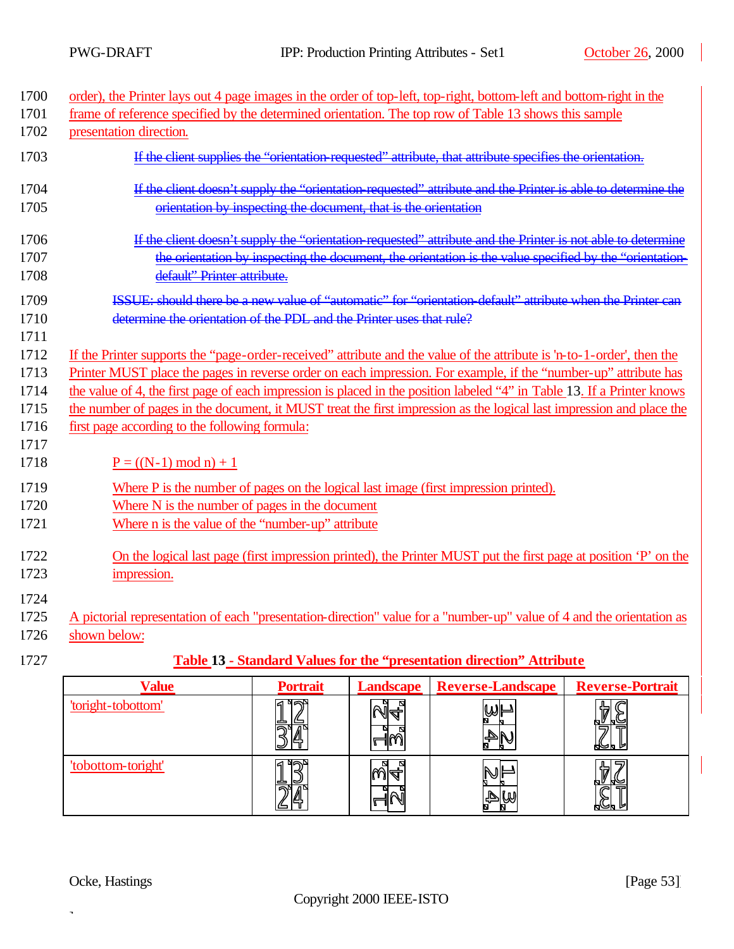| 1700 | order), the Printer lays out 4 page images in the order of top-left, top-right, bottom-left and bottom-right in the     |                 |                  |                                                                                                             |                         |  |
|------|-------------------------------------------------------------------------------------------------------------------------|-----------------|------------------|-------------------------------------------------------------------------------------------------------------|-------------------------|--|
| 1701 | frame of reference specified by the determined orientation. The top row of Table 13 shows this sample                   |                 |                  |                                                                                                             |                         |  |
| 1702 | presentation direction.                                                                                                 |                 |                  |                                                                                                             |                         |  |
| 1703 | If the client supplies the "orientation requested" attribute, that attribute specifies the orientation.                 |                 |                  |                                                                                                             |                         |  |
| 1704 |                                                                                                                         |                 |                  | If the client doesn't supply the "orientation requested" attribute and the Printer is able to determine the |                         |  |
| 1705 | orientation by inspecting the document, that is the orientation                                                         |                 |                  |                                                                                                             |                         |  |
|      |                                                                                                                         |                 |                  |                                                                                                             |                         |  |
| 1706 |                                                                                                                         |                 |                  | If the client doesn't supply the "orientation requested" attribute and the Printer is not able to determine |                         |  |
| 1707 |                                                                                                                         |                 |                  | the orientation by inspecting the document, the orientation is the value specified by the "orientation      |                         |  |
| 1708 | default" Printer attribute.                                                                                             |                 |                  |                                                                                                             |                         |  |
| 1709 | ISSUE: should there be a new value of "automatic" for "orientation default" attribute when the Printer can              |                 |                  |                                                                                                             |                         |  |
| 1710 | determine the orientation of the PDL, and the Printer uses that rule?                                                   |                 |                  |                                                                                                             |                         |  |
| 1711 |                                                                                                                         |                 |                  |                                                                                                             |                         |  |
| 1712 | If the Printer supports the "page-order-received" attribute and the value of the attribute is 'n-to-1-order', then the  |                 |                  |                                                                                                             |                         |  |
| 1713 | Printer MUST place the pages in reverse order on each impression. For example, if the "number-up" attribute has         |                 |                  |                                                                                                             |                         |  |
| 1714 | the value of 4, the first page of each impression is placed in the position labeled "4" in Table 13. If a Printer knows |                 |                  |                                                                                                             |                         |  |
| 1715 | the number of pages in the document, it MUST treat the first impression as the logical last impression and place the    |                 |                  |                                                                                                             |                         |  |
| 1716 | first page according to the following formula:                                                                          |                 |                  |                                                                                                             |                         |  |
| 1717 |                                                                                                                         |                 |                  |                                                                                                             |                         |  |
| 1718 | $P = ((N-1) \mod n) + 1$                                                                                                |                 |                  |                                                                                                             |                         |  |
| 1719 | Where P is the number of pages on the logical last image (first impression printed).                                    |                 |                  |                                                                                                             |                         |  |
| 1720 | Where N is the number of pages in the document                                                                          |                 |                  |                                                                                                             |                         |  |
| 1721 | Where n is the value of the "number-up" attribute                                                                       |                 |                  |                                                                                                             |                         |  |
|      |                                                                                                                         |                 |                  |                                                                                                             |                         |  |
| 1722 | On the logical last page (first impression printed), the Printer MUST put the first page at position 'P' on the         |                 |                  |                                                                                                             |                         |  |
| 1723 | impression.                                                                                                             |                 |                  |                                                                                                             |                         |  |
| 1724 |                                                                                                                         |                 |                  |                                                                                                             |                         |  |
| 1725 | A pictorial representation of each "presentation-direction" value for a "number-up" value of 4 and the orientation as   |                 |                  |                                                                                                             |                         |  |
| 1726 | shown below:                                                                                                            |                 |                  |                                                                                                             |                         |  |
| 1727 |                                                                                                                         |                 |                  | Table 13 - Standard Values for the "presentation direction" Attribute                                       |                         |  |
|      |                                                                                                                         |                 |                  |                                                                                                             |                         |  |
|      | <b>Value</b>                                                                                                            | <b>Portrait</b> | <b>Landscape</b> | <b>Reverse-Landscape</b>                                                                                    | <b>Reverse-Portrait</b> |  |

| value              | <b>POPUTAIL</b>    | Landscape          | <b>Reverse-Landscape</b> | <b>Reverse-Portrait</b>          |
|--------------------|--------------------|--------------------|--------------------------|----------------------------------|
| 'toright-tobottom' | घन्न¤              | ¶≚⊾<br>။≪<br>י וור | ⊯⊌                       | 뇌녀<br>ש⊳<br>5<br>₩⋫⋒             |
| 'tobottom-toright' | ⊾ ⊿ם<br>ี คษ<br>е. | lЩ                 | めば                       | ና≒<br>'∕ ש<br>∾<br>d<br>⊁<br>トレア |

Ocke, Hastings [Page 53]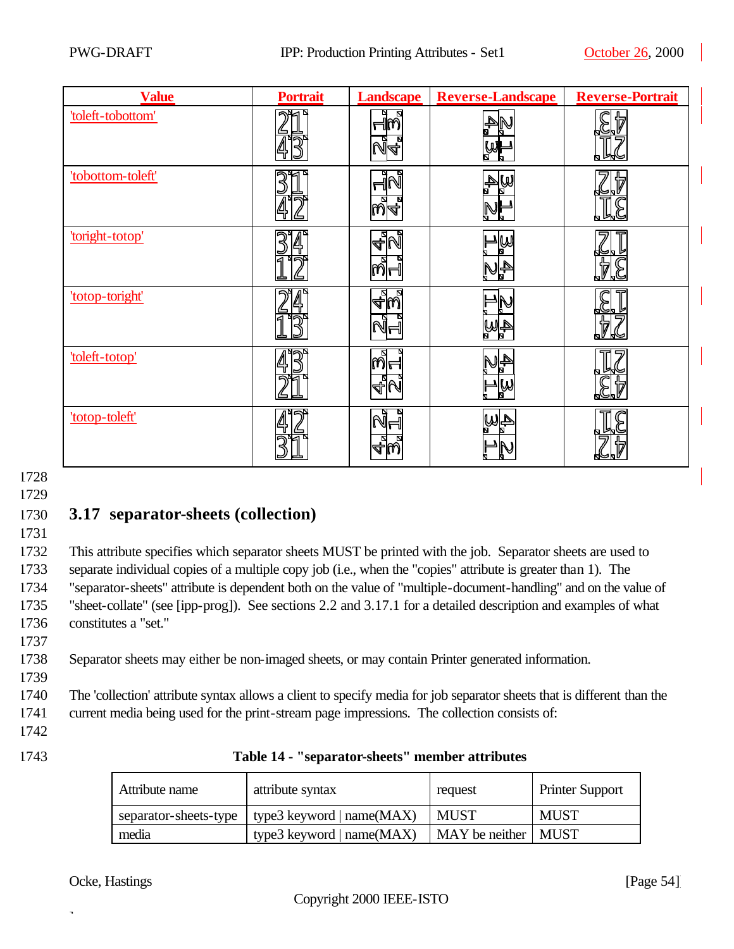| <b>Value</b>      | <b>Portrait</b> | <b>Landscape</b> | <b>Reverse-Landscape</b> | <b>Reverse-Portrait</b> |
|-------------------|-----------------|------------------|--------------------------|-------------------------|
| 'toleft-tobottom' |                 | ା<br>ଜନ          | ₩                        |                         |
| 'tobottom-toleft' |                 | Ñ<br>১।4         | A<br>⋓                   |                         |
| 'toright-totop'   |                 | 4N<br>തി⊣        | Ų                        | ⇔দ<br>₩<br>⊌∝           |
| 'totop-toright'   |                 | <u>ାଧ୍ୟ</u>      | 4W                       |                         |
| 'toleft-totop'    |                 |                  | 小步<br>$\mathbb{Q}$       |                         |
| 'totop-toleft'    |                 |                  | <u>4W</u>                |                         |

# 1730 **3.17 separator-sheets (collection)**

1731

 This attribute specifies which separator sheets MUST be printed with the job. Separator sheets are used to separate individual copies of a multiple copy job (i.e., when the "copies" attribute is greater than 1). The "separator-sheets" attribute is dependent both on the value of "multiple-document-handling" and on the value of "sheet-collate" (see [ipp-prog]). See sections 2.2 and 3.17.1 for a detailed description and examples of what constitutes a "set." 1737

1738 Separator sheets may either be non-imaged sheets, or may contain Printer generated information.

1740 The 'collection' attribute syntax allows a client to specify media for job separator sheets that is different than the 1741 current media being used for the print-stream page impressions. The collection consists of:

1742

1739

| 1743 | Table 14 - "separator-sheets" member attributes |  |
|------|-------------------------------------------------|--|
|------|-------------------------------------------------|--|

| Attribute name        | attribute syntax            | request               | <b>Printer Support</b> |
|-----------------------|-----------------------------|-----------------------|------------------------|
| separator-sheets-type | type3 keyword $ name(MAX) $ | <b>MUST</b>           | <b>MUST</b>            |
| media                 | type3 keyword   name(MAX)   | MAY be neither   MUST |                        |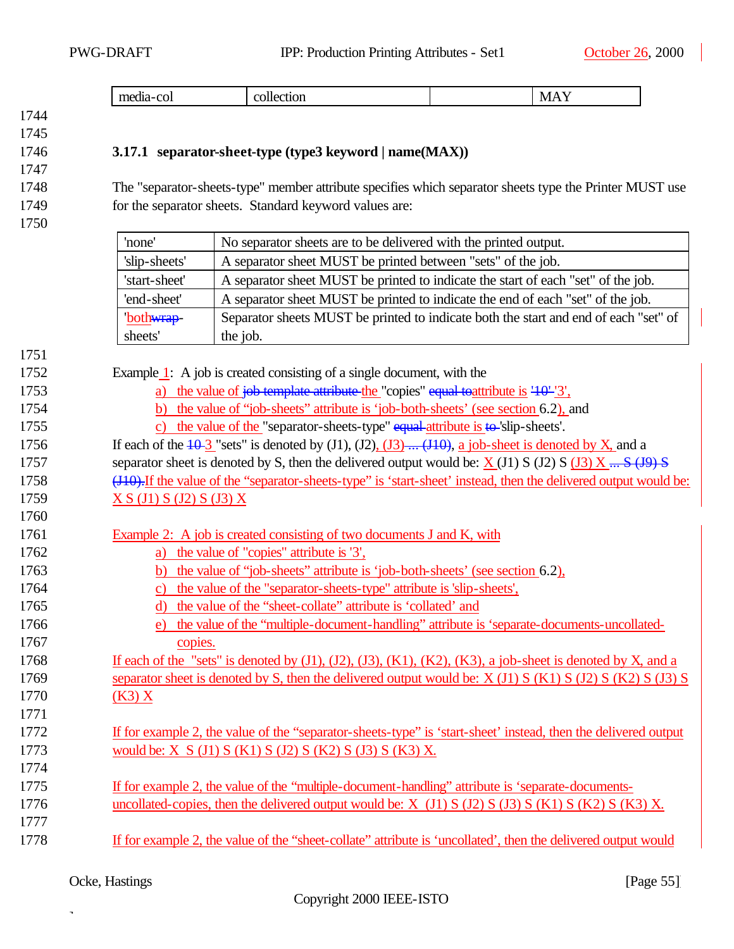### **3.17.1 separator-sheet-type (type3 keyword | name(MAX))**

 The "separator-sheets-type" member attribute specifies which separator sheets type the Printer MUST use for the separator sheets. Standard keyword values are:

| 1750 |                                                                                                  |                                                                                                                  |  |
|------|--------------------------------------------------------------------------------------------------|------------------------------------------------------------------------------------------------------------------|--|
|      | 'none'                                                                                           | No separator sheets are to be delivered with the printed output.                                                 |  |
|      | A separator sheet MUST be printed between "sets" of the job.<br>'slip-sheets'                    |                                                                                                                  |  |
|      | 'start-sheet'                                                                                    | A separator sheet MUST be printed to indicate the start of each "set" of the job.                                |  |
|      | 'end-sheet'                                                                                      | A separator sheet MUST be printed to indicate the end of each "set" of the job.                                  |  |
|      | 'both <del>wrap</del> -                                                                          | Separator sheets MUST be printed to indicate both the start and end of each "set" of                             |  |
|      | sheets'                                                                                          | the job.                                                                                                         |  |
| 1751 |                                                                                                  |                                                                                                                  |  |
| 1752 |                                                                                                  | Example 1: A job is created consisting of a single document, with the                                            |  |
| 1753 |                                                                                                  | a) the value of $\frac{1}{10}$ to template attribute the "copies" equal to attribute is $\frac{10}{3}$ ,         |  |
| 1754 | b) the value of "job-sheets" attribute is 'job-both-sheets' (see section 6.2), and               |                                                                                                                  |  |
| 1755 | c) the value of the "separator-sheets-type" $equal$ -attribute is $\uparrow \phi$ -slip-sheets'. |                                                                                                                  |  |
| 1756 |                                                                                                  | If each of the $\overline{10-3}$ "sets" is denoted by (J1), (J2), (J3) (J10), a job-sheet is denoted by X, and a |  |
| 1757 |                                                                                                  | separator sheet is denoted by S, then the delivered output would be: $X(11) S(12) S(13) X \dots S(19) S$         |  |

1758 (J10). If the value of the "separator-sheets-type" is 'start-sheet' instead, then the delivered output would be: **X S** (J1) **S** (J2) **S** (J3) **X** 

- Example 2: A job is created consisting of two documents J and K, with
- a) the value of "copies" attribute is '3',
- b) the value of "job-sheets" attribute is 'job-both-sheets' (see section 6.2),
- c) the value of the "separator-sheets-type" attribute is 'slip-sheets',
- d) the value of the "sheet-collate" attribute is 'collated' and
- e) the value of the "multiple-document-handling" attribute is 'separate-documents-uncollated-copies.
- 1768 If each of the "sets" is denoted by  $(J1)$ ,  $(J2)$ ,  $(J3)$ ,  $(K1)$ ,  $(K2)$ ,  $(K3)$ , a job-sheet is denoted by X, and a 1769 separator sheet is denoted by S, then the delivered output would be: X (J1) S (K1) S (J2) S (K2) S (J3) S (K3) X
- If for example 2, the value of the "separator-sheets-type" is 'start-sheet' instead, then the delivered output 1773 would be: X S (J1) S (K1) S (J2) S (K2) S (J3) S (K3) X.
- If for example 2, the value of the "multiple-document-handling" attribute is 'separate-documents-1776 uncollated-copies, then the delivered output would be:  $X$  (J1)  $S$  (J2)  $S$  (J3)  $S$  (K1)  $S$  (K2)  $S$  (K3)  $X$ .
- If for example 2, the value of the "sheet-collate" attribute is 'uncollated', then the delivered output would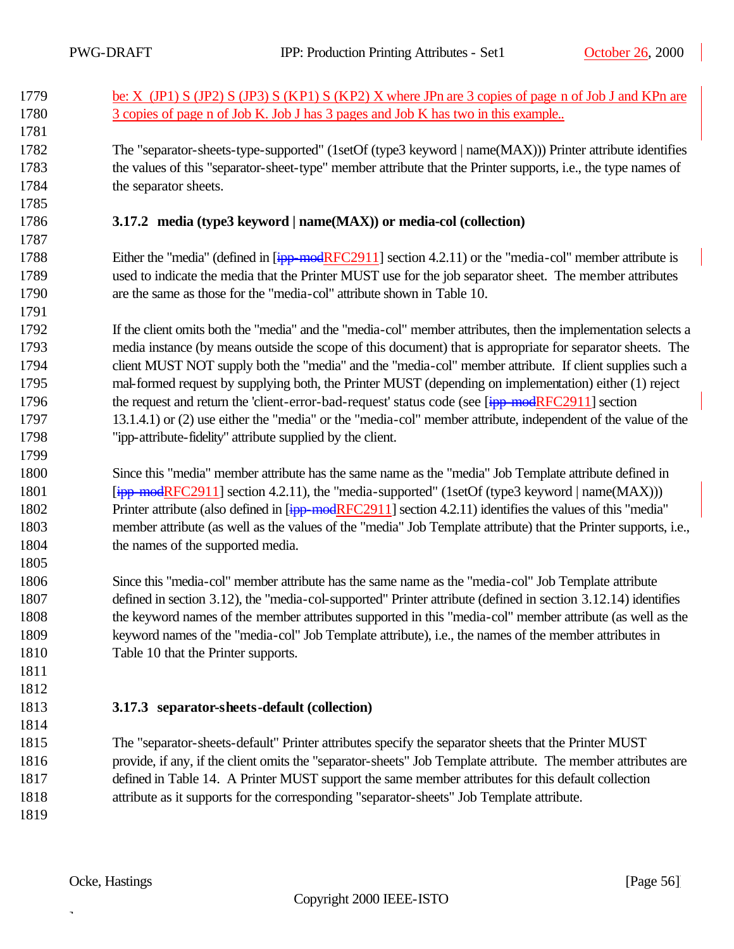| 1779 | be: X (JP1) S (JP2) S (JP3) S (KP1) S (KP2) X where JPn are 3 copies of page n of Job J and KPn are             |
|------|-----------------------------------------------------------------------------------------------------------------|
| 1780 | 3 copies of page n of Job K. Job J has 3 pages and Job K has two in this example                                |
| 1781 |                                                                                                                 |
| 1782 | The "separator-sheets-type-supported" (1setOf (type3 keyword   name(MAX))) Printer attribute identifies         |
| 1783 | the values of this "separator-sheet-type" member attribute that the Printer supports, i.e., the type names of   |
| 1784 | the separator sheets.                                                                                           |
| 1785 |                                                                                                                 |
| 1786 | 3.17.2 media (type3 keyword   name(MAX)) or media-col (collection)                                              |
| 1787 |                                                                                                                 |
| 1788 | Either the "media" (defined in $[ipp \mod RFC2911]$ section 4.2.11) or the "media-col" member attribute is      |
| 1789 | used to indicate the media that the Printer MUST use for the job separator sheet. The member attributes         |
| 1790 | are the same as those for the "media-col" attribute shown in Table 10.                                          |
| 1791 |                                                                                                                 |
| 1792 | If the client omits both the "media" and the "media-col" member attributes, then the implementation selects a   |
| 1793 | media instance (by means outside the scope of this document) that is appropriate for separator sheets. The      |
| 1794 | client MUST NOT supply both the "media" and the "media-col" member attribute. If client supplies such a         |
| 1795 | mal-formed request by supplying both, the Printer MUST (depending on implementation) either (1) reject          |
| 1796 | the request and return the 'client-error-bad-request' status code (see [ipp-modRFC2911] section                 |
| 1797 | 13.1.4.1) or (2) use either the "media" or the "media-col" member attribute, independent of the value of the    |
| 1798 | "ipp-attribute-fidelity" attribute supplied by the client.                                                      |
| 1799 |                                                                                                                 |
| 1800 | Since this "media" member attribute has the same name as the "media" Job Template attribute defined in          |
| 1801 | $[ipp \mod RFC2911]$ section 4.2.11), the "media-supported" (1setOf (type3 keyword   name(MAX)))                |
| 1802 | Printer attribute (also defined in [ipp-modRFC2911] section 4.2.11) identifies the values of this "media"       |
| 1803 | member attribute (as well as the values of the "media" Job Template attribute) that the Printer supports, i.e., |
| 1804 | the names of the supported media.                                                                               |
| 1805 |                                                                                                                 |
| 1806 | Since this "media-col" member attribute has the same name as the "media-col" Job Template attribute             |
| 1807 | defined in section 3.12), the "media-col-supported" Printer attribute (defined in section 3.12.14) identifies   |
| 1808 | the keyword names of the member attributes supported in this "media-col" member attribute (as well as the       |
| 1809 | keyword names of the "media-col" Job Template attribute), i.e., the names of the member attributes in           |
| 1810 | Table 10 that the Printer supports.                                                                             |
| 1811 |                                                                                                                 |
| 1812 |                                                                                                                 |
| 1813 | 3.17.3 separator-sheets-default (collection)                                                                    |
| 1814 |                                                                                                                 |

 The "separator-sheets-default" Printer attributes specify the separator sheets that the Printer MUST provide, if any, if the client omits the "separator-sheets" Job Template attribute. The member attributes are defined in Table 14. A Printer MUST support the same member attributes for this default collection attribute as it supports for the corresponding "separator-sheets" Job Template attribute. 

Ocke, Hastings [Page 56]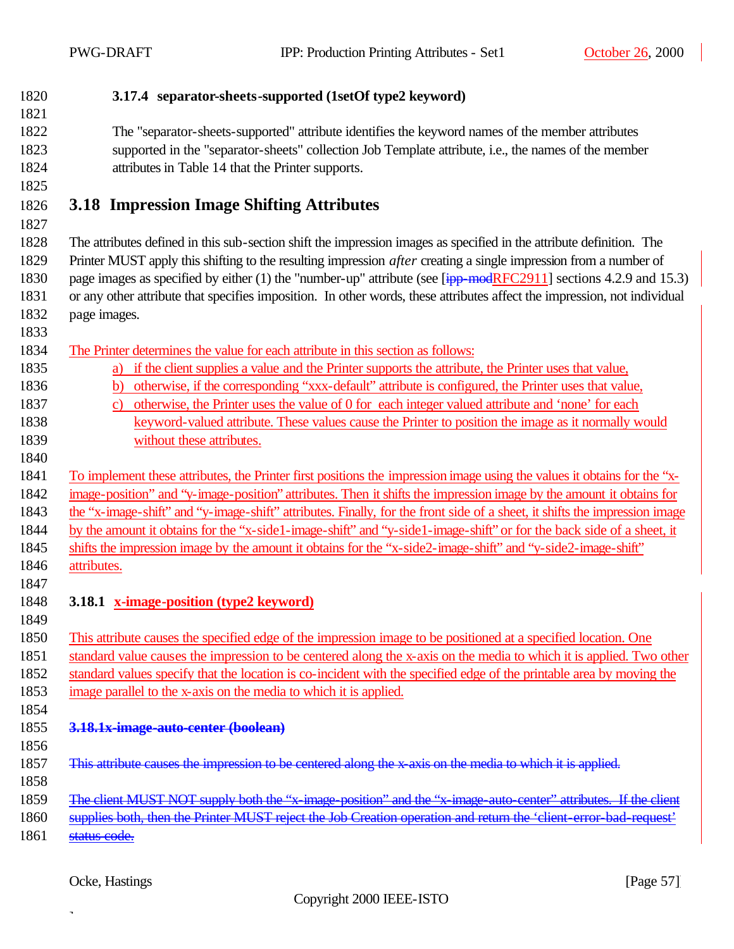**3.17.4 separator-sheets-supported (1setOf type2 keyword)**

 The "separator-sheets-supported" attribute identifies the keyword names of the member attributes supported in the "separator-sheets" collection Job Template attribute, i.e., the names of the member attributes in Table 14 that the Printer supports.

# **3.18 Impression Image Shifting Attributes**

 The attributes defined in this sub-section shift the impression images as specified in the attribute definition. The Printer MUST apply this shifting to the resulting impression *after* creating a single impression from a number of 1830 page images as specified by either (1) the "number-up" attribute (see [ipp-modRFC2911] sections 4.2.9 and 15.3) or any other attribute that specifies imposition. In other words, these attributes affect the impression, not individual page images.

The Printer determines the value for each attribute in this section as follows:

- a) if the client supplies a value and the Printer supports the attribute, the Printer uses that value,
- b) otherwise, if the corresponding "xxx-default" attribute is configured, the Printer uses that value,
- c) otherwise, the Printer uses the value of 0 for each integer valued attribute and 'none' for each keyword-valued attribute. These values cause the Printer to position the image as it normally would
- without these attributes.
- 

 To implement these attributes, the Printer first positions the impression image using the values it obtains for the "x- image-position" and "y-image-position" attributes. Then it shifts the impression image by the amount it obtains for the "x-image-shift" and "y-image-shift" attributes. Finally, for the front side of a sheet, it shifts the impression image

by the amount it obtains for the "x-side1-image-shift" and "y-side1-image-shift" or for the back side of a sheet, it

shifts the impression image by the amount it obtains for the "x-side2-image-shift" and "y-side2-image-shift"

- attributes.
- 

### **3.18.1 x-image-position (type2 keyword)**

 This attribute causes the specified edge of the impression image to be positioned at a specified location. One standard value causes the impression to be centered along the x-axis on the media to which it is applied. Two other

standard values specify that the location is co-incident with the specified edge of the printable area by moving the

- image parallel to the x-axis on the media to which it is applied.
- 

**3.18.1x-image-auto-center (boolean)** 

1857 This attribute causes the impression to be centered along the x-axis on the media to which it is applied.

 The client MUST NOT supply both the "x-image-position" and the "x-image-auto-center" attributes. If the client

supplies both, then the Printer MUST reject the Job Creation operation and return the 'client-error-bad-request'

1861 status code.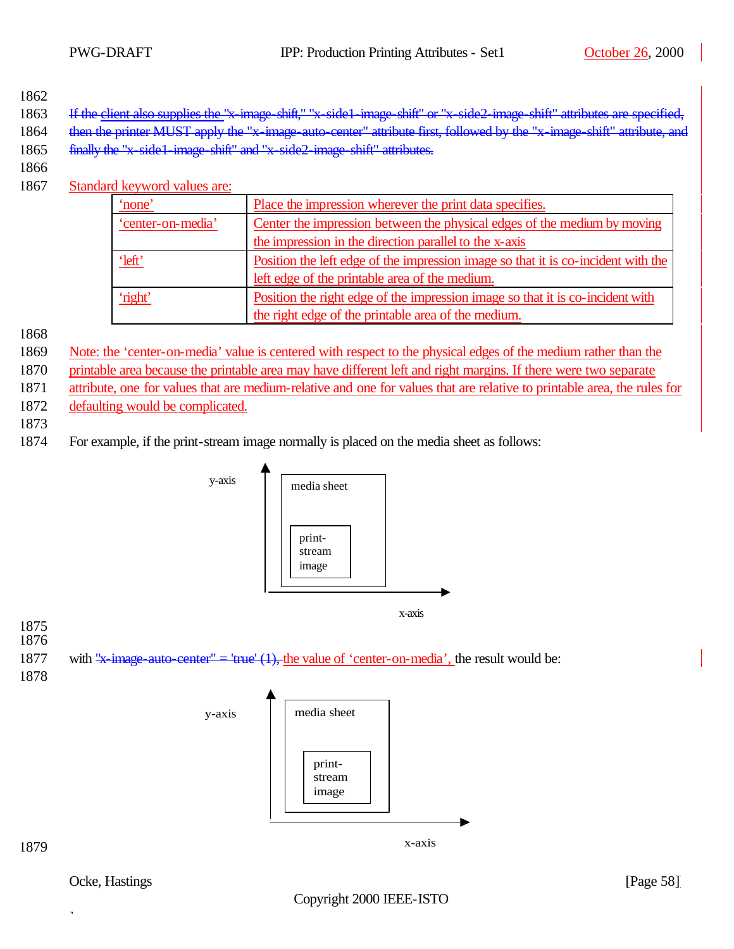- 1863 If the client also supplies the "x-image-shift," "x-side1-image-shift" or "x-side2-image-shift" attributes are
- 1864 then the printer MUST apply the "x-image-auto-center" attribute first, followed by the "x-image-shift" attribute, and
- 1865 finally the "x-side1-image-shift" and "x-side2-image-shift" attributes.
- 1866
- 1867 Standard keyword values are:

| none              | Place the impression wherever the print data specifies.                           |
|-------------------|-----------------------------------------------------------------------------------|
| 'center-on-media' | Center the impression between the physical edges of the medium by moving          |
|                   | the impression in the direction parallel to the x-axis                            |
| <u>'left'</u>     | Position the left edge of the impression image so that it is co-incident with the |
|                   | left edge of the printable area of the medium.                                    |
| 'right'           | Position the right edge of the impression image so that it is co-incident with    |
|                   | the right edge of the printable area of the medium.                               |

1868

- 1869 Note: the 'center-on-media' value is centered with respect to the physical edges of the medium rather than the
- 1870 printable area because the printable area may have different left and right margins. If there were two separate
- 1871 attribute, one for values that are medium-relative and one for values that are relative to printable area, the rules for
- 1872 defaulting would be complicated.
- 1873
- 1874 For example, if the print-stream image normally is placed on the media sheet as follows:



Ocke, Hastings [Page 58]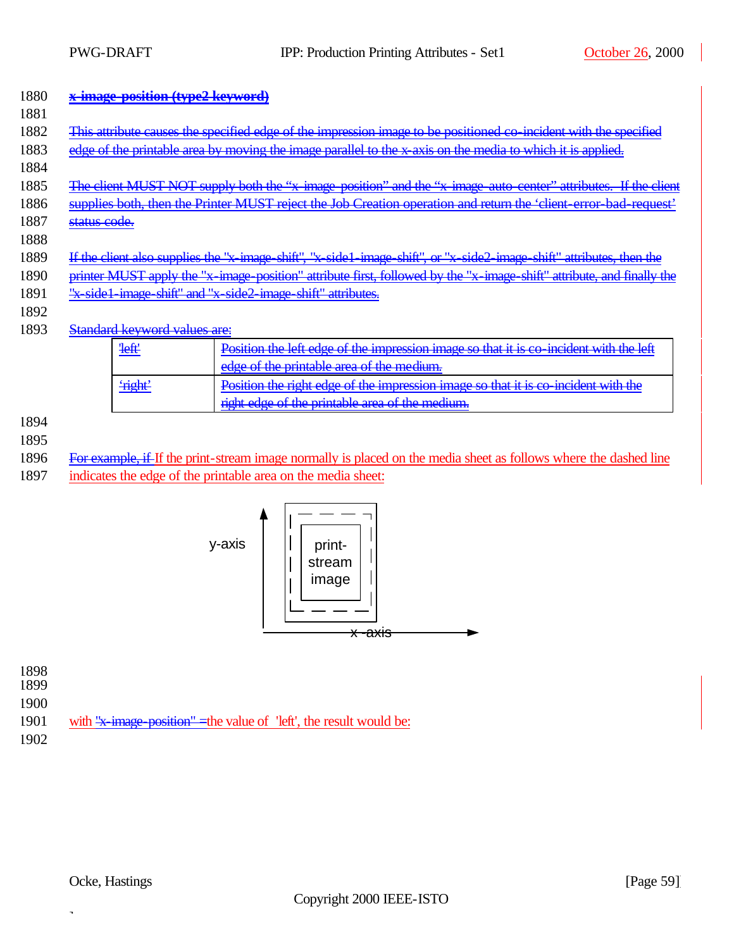#### 1880 **x-image-position (type2 keyword)**   $1001$

| 1001             |                                                                                                                       |                                     |                                                                                                                       |
|------------------|-----------------------------------------------------------------------------------------------------------------------|-------------------------------------|-----------------------------------------------------------------------------------------------------------------------|
| 1882             |                                                                                                                       |                                     | This attribute causes the specified edge of the impression image to be positioned co incident with the specified      |
| 1883             |                                                                                                                       |                                     | edge of the printable area by moving the image parallel to the x axis on the media to which it is applied.            |
| 1884             |                                                                                                                       |                                     |                                                                                                                       |
| 1885             |                                                                                                                       |                                     | The client MUST NOT supply both the "x-image-position" and the "x-image-auto-center" attributes. If the client        |
| 1886             |                                                                                                                       |                                     | supplies both, then the Printer MUST reject the Job Creation operation and return the 'client-error-bad-request'      |
| 1887             | <del>status code.</del>                                                                                               |                                     |                                                                                                                       |
|                  |                                                                                                                       |                                     |                                                                                                                       |
| 1888             |                                                                                                                       |                                     |                                                                                                                       |
| 1889             |                                                                                                                       |                                     | If the client also supplies the "x image shift", "x side1 image shift", or "x side2 image shift" attributes, then the |
| 1890             | printer MUST apply the "x-image-position" attribute first, followed by the "x-image-shift" attribute, and finally the |                                     |                                                                                                                       |
| 1891             | "x-side1-image-shift" and "x-side2-image-shift" attributes.                                                           |                                     |                                                                                                                       |
| 1892             |                                                                                                                       |                                     |                                                                                                                       |
| 1893             |                                                                                                                       | <b>Standard keyword values are:</b> |                                                                                                                       |
|                  |                                                                                                                       |                                     |                                                                                                                       |
|                  |                                                                                                                       | <b>left</b>                         | Position the left edge of the impression image so that it is co incident with the left                                |
|                  |                                                                                                                       |                                     | edge of the printable area of the medium.                                                                             |
|                  |                                                                                                                       | <b>Fight</b>                        | Position the right edge of the impression image so that it is co-incident with the                                    |
|                  |                                                                                                                       |                                     | right edge of the printable area of the medium.                                                                       |
| 100 <sub>A</sub> |                                                                                                                       |                                     |                                                                                                                       |

1894 1895

1896 For example, if If the print-stream image normally is placed on the media sheet as follows where the dashed line

1897 indicates the edge of the printable area on the media sheet:



1898 1899 1900 1901 with "x-image-position" = the value of 'left', the result would be: 1902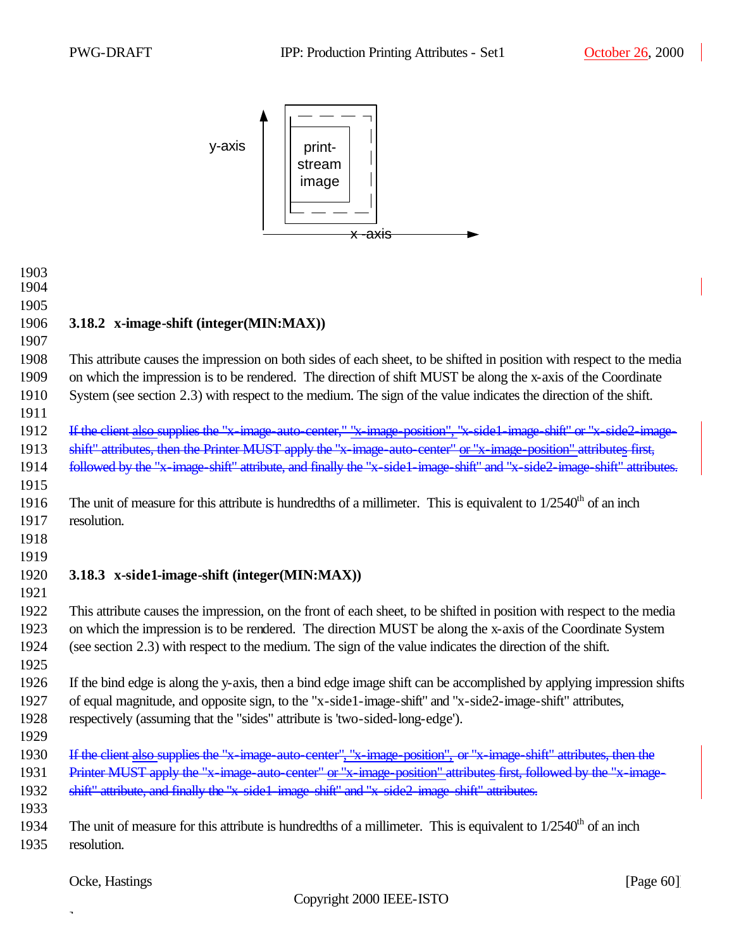

| 1903<br>1904 |                                                                                                                        |
|--------------|------------------------------------------------------------------------------------------------------------------------|
|              |                                                                                                                        |
| 1905         |                                                                                                                        |
| 1906         | 3.18.2 x-image-shift (integer(MIN:MAX))                                                                                |
| 1907         |                                                                                                                        |
| 1908         | This attribute causes the impression on both sides of each sheet, to be shifted in position with respect to the media  |
| 1909         | on which the impression is to be rendered. The direction of shift MUST be along the x-axis of the Coordinate           |
| 1910         | System (see section 2.3) with respect to the medium. The sign of the value indicates the direction of the shift.       |
| 1911         |                                                                                                                        |
| 1912         | If the client also supplies the "x-image-auto-center," "x-image-position", "x-side1-image-shift" or "x-side2-image-    |
| 1913         | shift" attributes, then the Printer MUST apply the "x-image-auto-center" or "x-image-position" attributes first,       |
| 1914         | followed by the "x-image-shift" attribute, and finally the "x-side1-image-shift" and "x-side2-image-shift" attributes. |
| 1915         |                                                                                                                        |
| 1916         | The unit of measure for this attribute is hundredths of a millimeter. This is equivalent to $1/2540th$ of an inch      |
| 1917         | resolution.                                                                                                            |
| 1918         |                                                                                                                        |
| 1919         |                                                                                                                        |
| 1920         | 3.18.3 x-side1-image-shift (integer(MIN:MAX))                                                                          |
| 1921         |                                                                                                                        |
| 1922         | This attribute causes the impression, on the front of each sheet, to be shifted in position with respect to the media  |
| 1923         | on which the impression is to be rendered. The direction MUST be along the x-axis of the Coordinate System             |
| 1924         | (see section 2.3) with respect to the medium. The sign of the value indicates the direction of the shift.              |
| 1925         |                                                                                                                        |
| 1926         | If the bind edge is along the y-axis, then a bind edge image shift can be accomplished by applying impression shifts   |
| 1927         | of equal magnitude, and opposite sign, to the "x-side1-image-shift" and "x-side2-image-shift" attributes,              |
| 1928         | respectively (assuming that the "sides" attribute is 'two-sided-long-edge').                                           |
| 1929         |                                                                                                                        |
| 1930         | If the client also supplies the "x-image-auto-center", "x-image-position", or "x-image-shift" attributes, then the     |
| 1931         | Printer MUST apply the "x-image-auto-center" or "x-image-position" attributes first, followed by the "x-image-         |
| 1932         | shift" attribute, and finally the "x-side1-image-shift" and "x-side2-image-shift" attributes.                          |
| 1933         |                                                                                                                        |
| 1934         |                                                                                                                        |
|              | The unit of measure for this attribute is hundredths of a millimeter. This is equivalent to $1/2540th$ of an inch      |
| 1935         | resolution.                                                                                                            |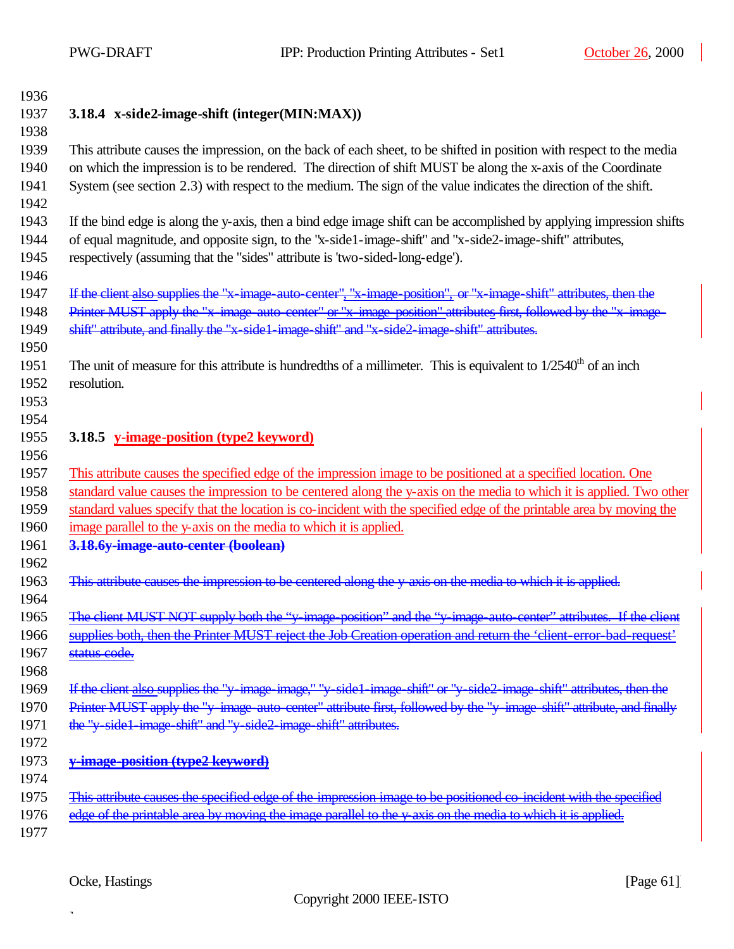| ŧ | 13<br>9<br>n |
|---|--------------|
|   | ↷<br>L       |

### **3.18.4 x-side2-image-shift (integer(MIN:MAX))**

 This attribute causes the impression, on the back of each sheet, to be shifted in position with respect to the media on which the impression is to be rendered. The direction of shift MUST be along the x-axis of the Coordinate System (see section 2.3) with respect to the medium. The sign of the value indicates the direction of the shift. 

 If the bind edge is along the y-axis, then a bind edge image shift can be accomplished by applying impression shifts of equal magnitude, and opposite sign, to the "x-side1-image-shift" and "x-side2-image-shift" attributes, respectively (assuming that the "sides" attribute is 'two-sided-long-edge').

If the client also supplies the "x-image-auto-center", "x-image-position", or "x-image-shift" attributes, then the

1948 Printer MUST apply the "x-image-auto-center" or "x-image-position" attributes first, followed by the "x-image-shift" attribute, and finally the "x-side1-image-shift" and "x-side2-image-shift" attributes.

- 1951 The unit of measure for this attribute is hundredths of a millimeter. This is equivalent to  $1/2540<sup>th</sup>$  of an inch resolution.
- 

### **3.18.5 y-image-position (type2 keyword)**

This attribute causes the specified edge of the impression image to be positioned at a specified location. One

standard value causes the impression to be centered along the y-axis on the media to which it is applied. Two other

standard values specify that the location is co-incident with the specified edge of the printable area by moving the

- image parallel to the y-axis on the media to which it is applied.
- **3.18.6y-image-auto-center (boolean)**
- 1963 This attribute causes the impression to be centered along the y-axis on the media to which it is applied.

 The client MUST NOT supply both the "y-image-position" and the "y-image-auto-center" attributes. If the client supplies both, then the Printer MUST reject the Job Creation operation and return the 'client-error-bad-request' 1967 status code.

 1969 If the client also supplies the "y-image-image," "y-side1-image-shift" or "y-side2-image-shift" attributes, then the 1970 Printer MUST apply the "y-image-auto-center" attribute first, followed by the "y-image-shift" attribute, and finally

- 1971 the "y-side1-image-shift" and "y-side2-image-shift" attributes.
- 
- **y-image-position (type2 keyword)**
- 

 This attribute causes the specified edge of the impression image to be positioned co-incident with the specified 1976 edge of the printable area by moving the image parallel to the y-axis on the media to which it is applied.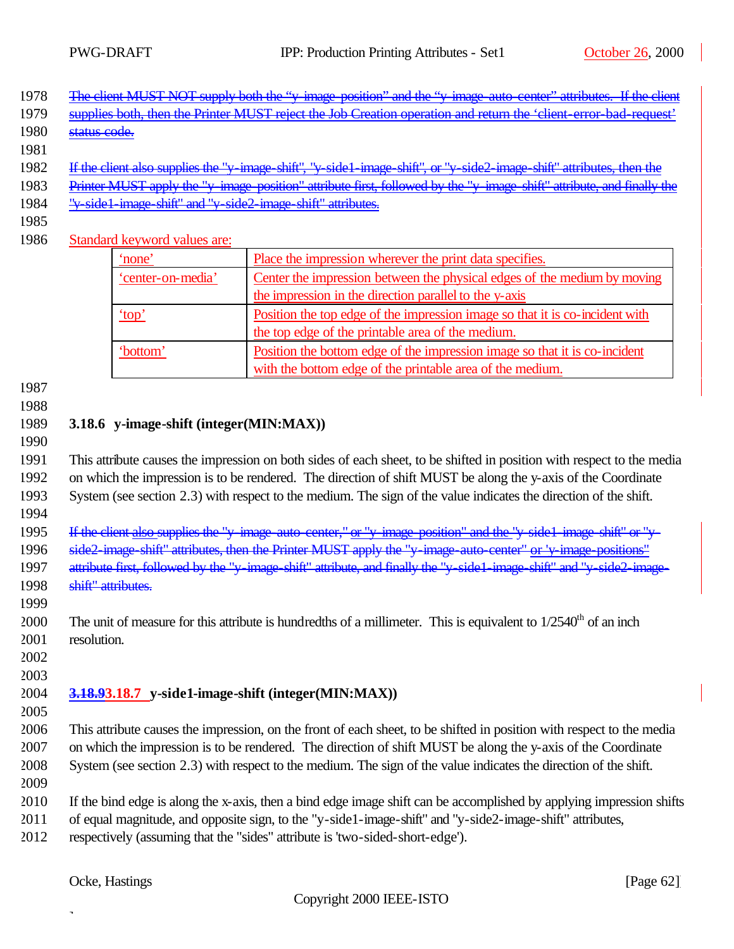| 1978 The client MUST NOT supply both the "y image position" and the "y image auto center" attributes. If the client<br><u>THE CHEIR MICDT INCT SUPPLY COULUIE V THREE POSITOR AND THE V THREE AUD CENER AUDIOUCS. IF THE CHEIR</u> |  |  |  |
|------------------------------------------------------------------------------------------------------------------------------------------------------------------------------------------------------------------------------------|--|--|--|
|                                                                                                                                                                                                                                    |  |  |  |

- 1979 supplies both, then the Printer MUST reject the Job Creation operation and return the 'client-error-bad-1980 status code.
- 
- If the client also supplies the "y-image-shift", "y-side1-image-shift", or "y-side2-image-shift" attributes, then the
- Printer MUST apply the "y-image-position" attribute first, followed by the "y-image-shift" attribute, and finally the
- "y-side1-image-shift" and "y-side2-image-shift" attributes.
- 
- Standard keyword values are:

| 'none'            | Place the impression wherever the print data specifies.                      |  |
|-------------------|------------------------------------------------------------------------------|--|
| 'center-on-media' | Center the impression between the physical edges of the medium by moving     |  |
|                   | the impression in the direction parallel to the y-axis                       |  |
| 'top'             | Position the top edge of the impression image so that it is co-incident with |  |
|                   | the top edge of the printable area of the medium.                            |  |
| 'bottom'          | Position the bottom edge of the impression image so that it is co-incident   |  |
|                   | with the bottom edge of the printable area of the medium.                    |  |

### **3.18.6 y-image-shift (integer(MIN:MAX))**

 This attribute causes the impression on both sides of each sheet, to be shifted in position with respect to the media on which the impression is to be rendered. The direction of shift MUST be along the y-axis of the Coordinate System (see section 2.3) with respect to the medium. The sign of the value indicates the direction of the shift.

1995 If the client also supplies the "y-image-auto-center," or "y-image-position" and the "y-side1-image-shift" or "y-1996 side2-image-shift" attributes, then the Printer MUST apply the "y-image-auto-center" or 'y-image-positions" attribute first, followed by the "y-image-shift" attribute, and finally the "y-side1-image-shift" and "y-side2-image-shift" attributes.

2000 The unit of measure for this attribute is hundredths of a millimeter. This is equivalent to  $1/2540<sup>th</sup>$  of an inch resolution.

 

### **3.18.93.18.7 y-side1-image-shift (integer(MIN:MAX))**

 This attribute causes the impression, on the front of each sheet, to be shifted in position with respect to the media on which the impression is to be rendered. The direction of shift MUST be along the y-axis of the Coordinate System (see section 2.3) with respect to the medium. The sign of the value indicates the direction of the shift.

- 
- If the bind edge is along the x-axis, then a bind edge image shift can be accomplished by applying impression shifts
- of equal magnitude, and opposite sign, to the "y-side1-image-shift" and "y-side2-image-shift" attributes,
- respectively (assuming that the "sides" attribute is 'two-sided-short-edge').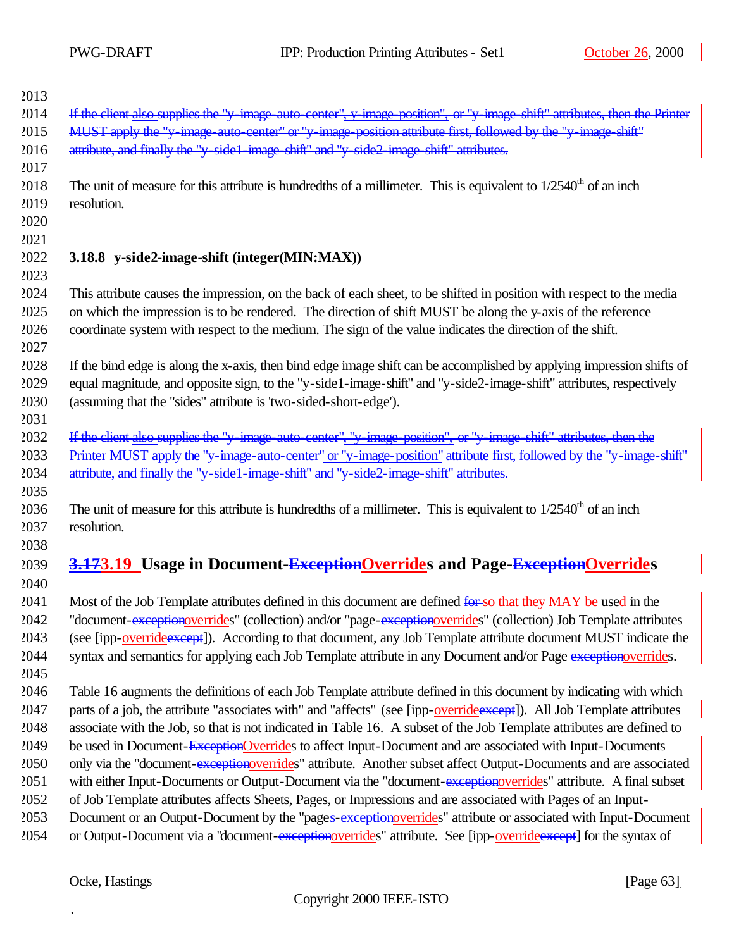| If the client also supplies the "y-image-auto-center", y-image-position", or "y-image-shift" attributes, then the Printer<br>2014<br>MUST apply the "y-image-auto-center" or "y-image-position attribute first, followed by the "y-image-shift"<br>2015<br>attribute, and finally the "y side1 image shift" and "y side2 image shift" attributes.<br>2016<br>2017<br>2018<br>The unit of measure for this attribute is hundredths of a millimeter. This is equivalent to $1/2540th$ of an inch<br>2019<br>resolution.<br>2020<br>2021<br>2022<br>3.18.8 y-side2-image-shift (integer(MIN:MAX))<br>2023<br>2024<br>This attribute causes the impression, on the back of each sheet, to be shifted in position with respect to the media<br>2025<br>on which the impression is to be rendered. The direction of shift MUST be along the y-axis of the reference<br>2026<br>coordinate system with respect to the medium. The sign of the value indicates the direction of the shift.<br>2027<br>2028<br>If the bind edge is along the x-axis, then bind edge image shift can be accomplished by applying impression shifts of<br>equal magnitude, and opposite sign, to the "y-side1-image-shift" and "y-side2-image-shift" attributes, respectively<br>2029<br>2030<br>(assuming that the "sides" attribute is 'two-sided-short-edge').<br>2031<br>If the client also supplies the "y-image-auto-center", "y-image-position", or "y-image-shift" attributes, then the<br>2032<br>Printer MUST apply the "y-image-auto-center" or "y-image-position" attribute first, followed by the "y-image-shift"<br>2033<br>attribute, and finally the "y-side1-image-shift" and "y-side2-image-shift" attributes.<br>2034<br>2035<br>The unit of measure for this attribute is hundredths of a millimeter. This is equivalent to $1/2540th$ of an inch<br>2036<br>2037<br>resolution.<br>2038<br>3.173.19 Usage in Document-ExceptionOverrides and Page-ExceptionOverrides<br>2039<br>2040<br>2041<br>Most of the Job Template attributes defined in this document are defined for so that they MAY be used in the<br>2042<br>"document-exceptionoverrides" (collection) and/or "page-exceptionoverrides" (collection) Job Template attributes<br>(see [ipp-overrideexcept]). According to that document, any Job Template attribute document MUST indicate the<br>2043<br>2044<br>syntax and semantics for applying each Job Template attribute in any Document and/or Page exception overrides.<br>2045<br>2046<br>Table 16 augments the definitions of each Job Template attribute defined in this document by indicating with which<br>2047<br>parts of a job, the attribute "associates with" and "affects" (see [ipp-override except]). All Job Template attributes<br>2048<br>associate with the Job, so that is not indicated in Table 16. A subset of the Job Template attributes are defined to<br>2049<br>be used in Document-ExceptionOverrides to affect Input-Document and are associated with Input-Documents<br>only via the "document-exceptionoverrides" attribute. Another subset affect Output-Documents and are associated<br>2050<br>2051<br>with either Input-Documents or Output-Document via the "document-exceptionoverrides" attribute. A final subset<br>of Job Template attributes affects Sheets, Pages, or Impressions and are associated with Pages of an Input-<br>2052<br>2053<br>Document or an Output-Document by the "pages-exceptionoverrides" attribute or associated with Input-Document<br>2054<br>or Output-Document via a "document-exceptionoverrides" attribute. See [ipp-override except] for the syntax of | 2013 |  |
|-----------------------------------------------------------------------------------------------------------------------------------------------------------------------------------------------------------------------------------------------------------------------------------------------------------------------------------------------------------------------------------------------------------------------------------------------------------------------------------------------------------------------------------------------------------------------------------------------------------------------------------------------------------------------------------------------------------------------------------------------------------------------------------------------------------------------------------------------------------------------------------------------------------------------------------------------------------------------------------------------------------------------------------------------------------------------------------------------------------------------------------------------------------------------------------------------------------------------------------------------------------------------------------------------------------------------------------------------------------------------------------------------------------------------------------------------------------------------------------------------------------------------------------------------------------------------------------------------------------------------------------------------------------------------------------------------------------------------------------------------------------------------------------------------------------------------------------------------------------------------------------------------------------------------------------------------------------------------------------------------------------------------------------------------------------------------------------------------------------------------------------------------------------------------------------------------------------------------------------------------------------------------------------------------------------------------------------------------------------------------------------------------------------------------------------------------------------------------------------------------------------------------------------------------------------------------------------------------------------------------------------------------------------------------------------------------------------------------------------------------------------------------------------------------------------------------------------------------------------------------------------------------------------------------------------------------------------------------------------------------------------------------------------------------------------------------------------------------------------------------------------------------------------------------------------------------------------------------------------------------------------------------------------------------------------------------------------------------------------------------------------------------------------------------------------------------------------------------------------------------------------------------------------------------------------------------------------------------------------------------------------------------|------|--|
|                                                                                                                                                                                                                                                                                                                                                                                                                                                                                                                                                                                                                                                                                                                                                                                                                                                                                                                                                                                                                                                                                                                                                                                                                                                                                                                                                                                                                                                                                                                                                                                                                                                                                                                                                                                                                                                                                                                                                                                                                                                                                                                                                                                                                                                                                                                                                                                                                                                                                                                                                                                                                                                                                                                                                                                                                                                                                                                                                                                                                                                                                                                                                                                                                                                                                                                                                                                                                                                                                                                                                                                                                                               |      |  |
|                                                                                                                                                                                                                                                                                                                                                                                                                                                                                                                                                                                                                                                                                                                                                                                                                                                                                                                                                                                                                                                                                                                                                                                                                                                                                                                                                                                                                                                                                                                                                                                                                                                                                                                                                                                                                                                                                                                                                                                                                                                                                                                                                                                                                                                                                                                                                                                                                                                                                                                                                                                                                                                                                                                                                                                                                                                                                                                                                                                                                                                                                                                                                                                                                                                                                                                                                                                                                                                                                                                                                                                                                                               |      |  |
|                                                                                                                                                                                                                                                                                                                                                                                                                                                                                                                                                                                                                                                                                                                                                                                                                                                                                                                                                                                                                                                                                                                                                                                                                                                                                                                                                                                                                                                                                                                                                                                                                                                                                                                                                                                                                                                                                                                                                                                                                                                                                                                                                                                                                                                                                                                                                                                                                                                                                                                                                                                                                                                                                                                                                                                                                                                                                                                                                                                                                                                                                                                                                                                                                                                                                                                                                                                                                                                                                                                                                                                                                                               |      |  |
|                                                                                                                                                                                                                                                                                                                                                                                                                                                                                                                                                                                                                                                                                                                                                                                                                                                                                                                                                                                                                                                                                                                                                                                                                                                                                                                                                                                                                                                                                                                                                                                                                                                                                                                                                                                                                                                                                                                                                                                                                                                                                                                                                                                                                                                                                                                                                                                                                                                                                                                                                                                                                                                                                                                                                                                                                                                                                                                                                                                                                                                                                                                                                                                                                                                                                                                                                                                                                                                                                                                                                                                                                                               |      |  |
|                                                                                                                                                                                                                                                                                                                                                                                                                                                                                                                                                                                                                                                                                                                                                                                                                                                                                                                                                                                                                                                                                                                                                                                                                                                                                                                                                                                                                                                                                                                                                                                                                                                                                                                                                                                                                                                                                                                                                                                                                                                                                                                                                                                                                                                                                                                                                                                                                                                                                                                                                                                                                                                                                                                                                                                                                                                                                                                                                                                                                                                                                                                                                                                                                                                                                                                                                                                                                                                                                                                                                                                                                                               |      |  |
|                                                                                                                                                                                                                                                                                                                                                                                                                                                                                                                                                                                                                                                                                                                                                                                                                                                                                                                                                                                                                                                                                                                                                                                                                                                                                                                                                                                                                                                                                                                                                                                                                                                                                                                                                                                                                                                                                                                                                                                                                                                                                                                                                                                                                                                                                                                                                                                                                                                                                                                                                                                                                                                                                                                                                                                                                                                                                                                                                                                                                                                                                                                                                                                                                                                                                                                                                                                                                                                                                                                                                                                                                                               |      |  |
|                                                                                                                                                                                                                                                                                                                                                                                                                                                                                                                                                                                                                                                                                                                                                                                                                                                                                                                                                                                                                                                                                                                                                                                                                                                                                                                                                                                                                                                                                                                                                                                                                                                                                                                                                                                                                                                                                                                                                                                                                                                                                                                                                                                                                                                                                                                                                                                                                                                                                                                                                                                                                                                                                                                                                                                                                                                                                                                                                                                                                                                                                                                                                                                                                                                                                                                                                                                                                                                                                                                                                                                                                                               |      |  |
|                                                                                                                                                                                                                                                                                                                                                                                                                                                                                                                                                                                                                                                                                                                                                                                                                                                                                                                                                                                                                                                                                                                                                                                                                                                                                                                                                                                                                                                                                                                                                                                                                                                                                                                                                                                                                                                                                                                                                                                                                                                                                                                                                                                                                                                                                                                                                                                                                                                                                                                                                                                                                                                                                                                                                                                                                                                                                                                                                                                                                                                                                                                                                                                                                                                                                                                                                                                                                                                                                                                                                                                                                                               |      |  |
|                                                                                                                                                                                                                                                                                                                                                                                                                                                                                                                                                                                                                                                                                                                                                                                                                                                                                                                                                                                                                                                                                                                                                                                                                                                                                                                                                                                                                                                                                                                                                                                                                                                                                                                                                                                                                                                                                                                                                                                                                                                                                                                                                                                                                                                                                                                                                                                                                                                                                                                                                                                                                                                                                                                                                                                                                                                                                                                                                                                                                                                                                                                                                                                                                                                                                                                                                                                                                                                                                                                                                                                                                                               |      |  |
|                                                                                                                                                                                                                                                                                                                                                                                                                                                                                                                                                                                                                                                                                                                                                                                                                                                                                                                                                                                                                                                                                                                                                                                                                                                                                                                                                                                                                                                                                                                                                                                                                                                                                                                                                                                                                                                                                                                                                                                                                                                                                                                                                                                                                                                                                                                                                                                                                                                                                                                                                                                                                                                                                                                                                                                                                                                                                                                                                                                                                                                                                                                                                                                                                                                                                                                                                                                                                                                                                                                                                                                                                                               |      |  |
|                                                                                                                                                                                                                                                                                                                                                                                                                                                                                                                                                                                                                                                                                                                                                                                                                                                                                                                                                                                                                                                                                                                                                                                                                                                                                                                                                                                                                                                                                                                                                                                                                                                                                                                                                                                                                                                                                                                                                                                                                                                                                                                                                                                                                                                                                                                                                                                                                                                                                                                                                                                                                                                                                                                                                                                                                                                                                                                                                                                                                                                                                                                                                                                                                                                                                                                                                                                                                                                                                                                                                                                                                                               |      |  |
|                                                                                                                                                                                                                                                                                                                                                                                                                                                                                                                                                                                                                                                                                                                                                                                                                                                                                                                                                                                                                                                                                                                                                                                                                                                                                                                                                                                                                                                                                                                                                                                                                                                                                                                                                                                                                                                                                                                                                                                                                                                                                                                                                                                                                                                                                                                                                                                                                                                                                                                                                                                                                                                                                                                                                                                                                                                                                                                                                                                                                                                                                                                                                                                                                                                                                                                                                                                                                                                                                                                                                                                                                                               |      |  |
|                                                                                                                                                                                                                                                                                                                                                                                                                                                                                                                                                                                                                                                                                                                                                                                                                                                                                                                                                                                                                                                                                                                                                                                                                                                                                                                                                                                                                                                                                                                                                                                                                                                                                                                                                                                                                                                                                                                                                                                                                                                                                                                                                                                                                                                                                                                                                                                                                                                                                                                                                                                                                                                                                                                                                                                                                                                                                                                                                                                                                                                                                                                                                                                                                                                                                                                                                                                                                                                                                                                                                                                                                                               |      |  |
|                                                                                                                                                                                                                                                                                                                                                                                                                                                                                                                                                                                                                                                                                                                                                                                                                                                                                                                                                                                                                                                                                                                                                                                                                                                                                                                                                                                                                                                                                                                                                                                                                                                                                                                                                                                                                                                                                                                                                                                                                                                                                                                                                                                                                                                                                                                                                                                                                                                                                                                                                                                                                                                                                                                                                                                                                                                                                                                                                                                                                                                                                                                                                                                                                                                                                                                                                                                                                                                                                                                                                                                                                                               |      |  |
|                                                                                                                                                                                                                                                                                                                                                                                                                                                                                                                                                                                                                                                                                                                                                                                                                                                                                                                                                                                                                                                                                                                                                                                                                                                                                                                                                                                                                                                                                                                                                                                                                                                                                                                                                                                                                                                                                                                                                                                                                                                                                                                                                                                                                                                                                                                                                                                                                                                                                                                                                                                                                                                                                                                                                                                                                                                                                                                                                                                                                                                                                                                                                                                                                                                                                                                                                                                                                                                                                                                                                                                                                                               |      |  |
|                                                                                                                                                                                                                                                                                                                                                                                                                                                                                                                                                                                                                                                                                                                                                                                                                                                                                                                                                                                                                                                                                                                                                                                                                                                                                                                                                                                                                                                                                                                                                                                                                                                                                                                                                                                                                                                                                                                                                                                                                                                                                                                                                                                                                                                                                                                                                                                                                                                                                                                                                                                                                                                                                                                                                                                                                                                                                                                                                                                                                                                                                                                                                                                                                                                                                                                                                                                                                                                                                                                                                                                                                                               |      |  |
|                                                                                                                                                                                                                                                                                                                                                                                                                                                                                                                                                                                                                                                                                                                                                                                                                                                                                                                                                                                                                                                                                                                                                                                                                                                                                                                                                                                                                                                                                                                                                                                                                                                                                                                                                                                                                                                                                                                                                                                                                                                                                                                                                                                                                                                                                                                                                                                                                                                                                                                                                                                                                                                                                                                                                                                                                                                                                                                                                                                                                                                                                                                                                                                                                                                                                                                                                                                                                                                                                                                                                                                                                                               |      |  |
|                                                                                                                                                                                                                                                                                                                                                                                                                                                                                                                                                                                                                                                                                                                                                                                                                                                                                                                                                                                                                                                                                                                                                                                                                                                                                                                                                                                                                                                                                                                                                                                                                                                                                                                                                                                                                                                                                                                                                                                                                                                                                                                                                                                                                                                                                                                                                                                                                                                                                                                                                                                                                                                                                                                                                                                                                                                                                                                                                                                                                                                                                                                                                                                                                                                                                                                                                                                                                                                                                                                                                                                                                                               |      |  |
|                                                                                                                                                                                                                                                                                                                                                                                                                                                                                                                                                                                                                                                                                                                                                                                                                                                                                                                                                                                                                                                                                                                                                                                                                                                                                                                                                                                                                                                                                                                                                                                                                                                                                                                                                                                                                                                                                                                                                                                                                                                                                                                                                                                                                                                                                                                                                                                                                                                                                                                                                                                                                                                                                                                                                                                                                                                                                                                                                                                                                                                                                                                                                                                                                                                                                                                                                                                                                                                                                                                                                                                                                                               |      |  |
|                                                                                                                                                                                                                                                                                                                                                                                                                                                                                                                                                                                                                                                                                                                                                                                                                                                                                                                                                                                                                                                                                                                                                                                                                                                                                                                                                                                                                                                                                                                                                                                                                                                                                                                                                                                                                                                                                                                                                                                                                                                                                                                                                                                                                                                                                                                                                                                                                                                                                                                                                                                                                                                                                                                                                                                                                                                                                                                                                                                                                                                                                                                                                                                                                                                                                                                                                                                                                                                                                                                                                                                                                                               |      |  |
|                                                                                                                                                                                                                                                                                                                                                                                                                                                                                                                                                                                                                                                                                                                                                                                                                                                                                                                                                                                                                                                                                                                                                                                                                                                                                                                                                                                                                                                                                                                                                                                                                                                                                                                                                                                                                                                                                                                                                                                                                                                                                                                                                                                                                                                                                                                                                                                                                                                                                                                                                                                                                                                                                                                                                                                                                                                                                                                                                                                                                                                                                                                                                                                                                                                                                                                                                                                                                                                                                                                                                                                                                                               |      |  |
|                                                                                                                                                                                                                                                                                                                                                                                                                                                                                                                                                                                                                                                                                                                                                                                                                                                                                                                                                                                                                                                                                                                                                                                                                                                                                                                                                                                                                                                                                                                                                                                                                                                                                                                                                                                                                                                                                                                                                                                                                                                                                                                                                                                                                                                                                                                                                                                                                                                                                                                                                                                                                                                                                                                                                                                                                                                                                                                                                                                                                                                                                                                                                                                                                                                                                                                                                                                                                                                                                                                                                                                                                                               |      |  |
|                                                                                                                                                                                                                                                                                                                                                                                                                                                                                                                                                                                                                                                                                                                                                                                                                                                                                                                                                                                                                                                                                                                                                                                                                                                                                                                                                                                                                                                                                                                                                                                                                                                                                                                                                                                                                                                                                                                                                                                                                                                                                                                                                                                                                                                                                                                                                                                                                                                                                                                                                                                                                                                                                                                                                                                                                                                                                                                                                                                                                                                                                                                                                                                                                                                                                                                                                                                                                                                                                                                                                                                                                                               |      |  |
|                                                                                                                                                                                                                                                                                                                                                                                                                                                                                                                                                                                                                                                                                                                                                                                                                                                                                                                                                                                                                                                                                                                                                                                                                                                                                                                                                                                                                                                                                                                                                                                                                                                                                                                                                                                                                                                                                                                                                                                                                                                                                                                                                                                                                                                                                                                                                                                                                                                                                                                                                                                                                                                                                                                                                                                                                                                                                                                                                                                                                                                                                                                                                                                                                                                                                                                                                                                                                                                                                                                                                                                                                                               |      |  |
|                                                                                                                                                                                                                                                                                                                                                                                                                                                                                                                                                                                                                                                                                                                                                                                                                                                                                                                                                                                                                                                                                                                                                                                                                                                                                                                                                                                                                                                                                                                                                                                                                                                                                                                                                                                                                                                                                                                                                                                                                                                                                                                                                                                                                                                                                                                                                                                                                                                                                                                                                                                                                                                                                                                                                                                                                                                                                                                                                                                                                                                                                                                                                                                                                                                                                                                                                                                                                                                                                                                                                                                                                                               |      |  |
|                                                                                                                                                                                                                                                                                                                                                                                                                                                                                                                                                                                                                                                                                                                                                                                                                                                                                                                                                                                                                                                                                                                                                                                                                                                                                                                                                                                                                                                                                                                                                                                                                                                                                                                                                                                                                                                                                                                                                                                                                                                                                                                                                                                                                                                                                                                                                                                                                                                                                                                                                                                                                                                                                                                                                                                                                                                                                                                                                                                                                                                                                                                                                                                                                                                                                                                                                                                                                                                                                                                                                                                                                                               |      |  |
|                                                                                                                                                                                                                                                                                                                                                                                                                                                                                                                                                                                                                                                                                                                                                                                                                                                                                                                                                                                                                                                                                                                                                                                                                                                                                                                                                                                                                                                                                                                                                                                                                                                                                                                                                                                                                                                                                                                                                                                                                                                                                                                                                                                                                                                                                                                                                                                                                                                                                                                                                                                                                                                                                                                                                                                                                                                                                                                                                                                                                                                                                                                                                                                                                                                                                                                                                                                                                                                                                                                                                                                                                                               |      |  |
|                                                                                                                                                                                                                                                                                                                                                                                                                                                                                                                                                                                                                                                                                                                                                                                                                                                                                                                                                                                                                                                                                                                                                                                                                                                                                                                                                                                                                                                                                                                                                                                                                                                                                                                                                                                                                                                                                                                                                                                                                                                                                                                                                                                                                                                                                                                                                                                                                                                                                                                                                                                                                                                                                                                                                                                                                                                                                                                                                                                                                                                                                                                                                                                                                                                                                                                                                                                                                                                                                                                                                                                                                                               |      |  |
|                                                                                                                                                                                                                                                                                                                                                                                                                                                                                                                                                                                                                                                                                                                                                                                                                                                                                                                                                                                                                                                                                                                                                                                                                                                                                                                                                                                                                                                                                                                                                                                                                                                                                                                                                                                                                                                                                                                                                                                                                                                                                                                                                                                                                                                                                                                                                                                                                                                                                                                                                                                                                                                                                                                                                                                                                                                                                                                                                                                                                                                                                                                                                                                                                                                                                                                                                                                                                                                                                                                                                                                                                                               |      |  |
|                                                                                                                                                                                                                                                                                                                                                                                                                                                                                                                                                                                                                                                                                                                                                                                                                                                                                                                                                                                                                                                                                                                                                                                                                                                                                                                                                                                                                                                                                                                                                                                                                                                                                                                                                                                                                                                                                                                                                                                                                                                                                                                                                                                                                                                                                                                                                                                                                                                                                                                                                                                                                                                                                                                                                                                                                                                                                                                                                                                                                                                                                                                                                                                                                                                                                                                                                                                                                                                                                                                                                                                                                                               |      |  |
|                                                                                                                                                                                                                                                                                                                                                                                                                                                                                                                                                                                                                                                                                                                                                                                                                                                                                                                                                                                                                                                                                                                                                                                                                                                                                                                                                                                                                                                                                                                                                                                                                                                                                                                                                                                                                                                                                                                                                                                                                                                                                                                                                                                                                                                                                                                                                                                                                                                                                                                                                                                                                                                                                                                                                                                                                                                                                                                                                                                                                                                                                                                                                                                                                                                                                                                                                                                                                                                                                                                                                                                                                                               |      |  |
|                                                                                                                                                                                                                                                                                                                                                                                                                                                                                                                                                                                                                                                                                                                                                                                                                                                                                                                                                                                                                                                                                                                                                                                                                                                                                                                                                                                                                                                                                                                                                                                                                                                                                                                                                                                                                                                                                                                                                                                                                                                                                                                                                                                                                                                                                                                                                                                                                                                                                                                                                                                                                                                                                                                                                                                                                                                                                                                                                                                                                                                                                                                                                                                                                                                                                                                                                                                                                                                                                                                                                                                                                                               |      |  |
|                                                                                                                                                                                                                                                                                                                                                                                                                                                                                                                                                                                                                                                                                                                                                                                                                                                                                                                                                                                                                                                                                                                                                                                                                                                                                                                                                                                                                                                                                                                                                                                                                                                                                                                                                                                                                                                                                                                                                                                                                                                                                                                                                                                                                                                                                                                                                                                                                                                                                                                                                                                                                                                                                                                                                                                                                                                                                                                                                                                                                                                                                                                                                                                                                                                                                                                                                                                                                                                                                                                                                                                                                                               |      |  |
|                                                                                                                                                                                                                                                                                                                                                                                                                                                                                                                                                                                                                                                                                                                                                                                                                                                                                                                                                                                                                                                                                                                                                                                                                                                                                                                                                                                                                                                                                                                                                                                                                                                                                                                                                                                                                                                                                                                                                                                                                                                                                                                                                                                                                                                                                                                                                                                                                                                                                                                                                                                                                                                                                                                                                                                                                                                                                                                                                                                                                                                                                                                                                                                                                                                                                                                                                                                                                                                                                                                                                                                                                                               |      |  |
|                                                                                                                                                                                                                                                                                                                                                                                                                                                                                                                                                                                                                                                                                                                                                                                                                                                                                                                                                                                                                                                                                                                                                                                                                                                                                                                                                                                                                                                                                                                                                                                                                                                                                                                                                                                                                                                                                                                                                                                                                                                                                                                                                                                                                                                                                                                                                                                                                                                                                                                                                                                                                                                                                                                                                                                                                                                                                                                                                                                                                                                                                                                                                                                                                                                                                                                                                                                                                                                                                                                                                                                                                                               |      |  |
|                                                                                                                                                                                                                                                                                                                                                                                                                                                                                                                                                                                                                                                                                                                                                                                                                                                                                                                                                                                                                                                                                                                                                                                                                                                                                                                                                                                                                                                                                                                                                                                                                                                                                                                                                                                                                                                                                                                                                                                                                                                                                                                                                                                                                                                                                                                                                                                                                                                                                                                                                                                                                                                                                                                                                                                                                                                                                                                                                                                                                                                                                                                                                                                                                                                                                                                                                                                                                                                                                                                                                                                                                                               |      |  |
|                                                                                                                                                                                                                                                                                                                                                                                                                                                                                                                                                                                                                                                                                                                                                                                                                                                                                                                                                                                                                                                                                                                                                                                                                                                                                                                                                                                                                                                                                                                                                                                                                                                                                                                                                                                                                                                                                                                                                                                                                                                                                                                                                                                                                                                                                                                                                                                                                                                                                                                                                                                                                                                                                                                                                                                                                                                                                                                                                                                                                                                                                                                                                                                                                                                                                                                                                                                                                                                                                                                                                                                                                                               |      |  |
|                                                                                                                                                                                                                                                                                                                                                                                                                                                                                                                                                                                                                                                                                                                                                                                                                                                                                                                                                                                                                                                                                                                                                                                                                                                                                                                                                                                                                                                                                                                                                                                                                                                                                                                                                                                                                                                                                                                                                                                                                                                                                                                                                                                                                                                                                                                                                                                                                                                                                                                                                                                                                                                                                                                                                                                                                                                                                                                                                                                                                                                                                                                                                                                                                                                                                                                                                                                                                                                                                                                                                                                                                                               |      |  |
|                                                                                                                                                                                                                                                                                                                                                                                                                                                                                                                                                                                                                                                                                                                                                                                                                                                                                                                                                                                                                                                                                                                                                                                                                                                                                                                                                                                                                                                                                                                                                                                                                                                                                                                                                                                                                                                                                                                                                                                                                                                                                                                                                                                                                                                                                                                                                                                                                                                                                                                                                                                                                                                                                                                                                                                                                                                                                                                                                                                                                                                                                                                                                                                                                                                                                                                                                                                                                                                                                                                                                                                                                                               |      |  |
|                                                                                                                                                                                                                                                                                                                                                                                                                                                                                                                                                                                                                                                                                                                                                                                                                                                                                                                                                                                                                                                                                                                                                                                                                                                                                                                                                                                                                                                                                                                                                                                                                                                                                                                                                                                                                                                                                                                                                                                                                                                                                                                                                                                                                                                                                                                                                                                                                                                                                                                                                                                                                                                                                                                                                                                                                                                                                                                                                                                                                                                                                                                                                                                                                                                                                                                                                                                                                                                                                                                                                                                                                                               |      |  |
|                                                                                                                                                                                                                                                                                                                                                                                                                                                                                                                                                                                                                                                                                                                                                                                                                                                                                                                                                                                                                                                                                                                                                                                                                                                                                                                                                                                                                                                                                                                                                                                                                                                                                                                                                                                                                                                                                                                                                                                                                                                                                                                                                                                                                                                                                                                                                                                                                                                                                                                                                                                                                                                                                                                                                                                                                                                                                                                                                                                                                                                                                                                                                                                                                                                                                                                                                                                                                                                                                                                                                                                                                                               |      |  |
|                                                                                                                                                                                                                                                                                                                                                                                                                                                                                                                                                                                                                                                                                                                                                                                                                                                                                                                                                                                                                                                                                                                                                                                                                                                                                                                                                                                                                                                                                                                                                                                                                                                                                                                                                                                                                                                                                                                                                                                                                                                                                                                                                                                                                                                                                                                                                                                                                                                                                                                                                                                                                                                                                                                                                                                                                                                                                                                                                                                                                                                                                                                                                                                                                                                                                                                                                                                                                                                                                                                                                                                                                                               |      |  |
|                                                                                                                                                                                                                                                                                                                                                                                                                                                                                                                                                                                                                                                                                                                                                                                                                                                                                                                                                                                                                                                                                                                                                                                                                                                                                                                                                                                                                                                                                                                                                                                                                                                                                                                                                                                                                                                                                                                                                                                                                                                                                                                                                                                                                                                                                                                                                                                                                                                                                                                                                                                                                                                                                                                                                                                                                                                                                                                                                                                                                                                                                                                                                                                                                                                                                                                                                                                                                                                                                                                                                                                                                                               |      |  |
| Ocke, Hastings<br>[Page $63$ ]                                                                                                                                                                                                                                                                                                                                                                                                                                                                                                                                                                                                                                                                                                                                                                                                                                                                                                                                                                                                                                                                                                                                                                                                                                                                                                                                                                                                                                                                                                                                                                                                                                                                                                                                                                                                                                                                                                                                                                                                                                                                                                                                                                                                                                                                                                                                                                                                                                                                                                                                                                                                                                                                                                                                                                                                                                                                                                                                                                                                                                                                                                                                                                                                                                                                                                                                                                                                                                                                                                                                                                                                                |      |  |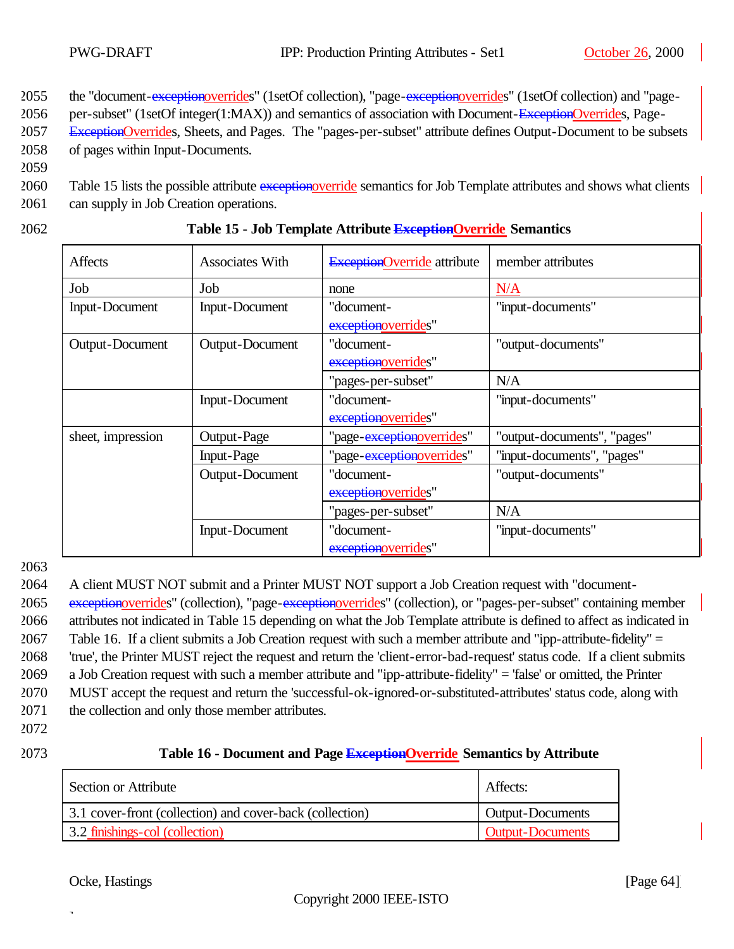2055 the "document-exceptionoverrides" (1setOf collection), "page-exceptionoverrides" (1setOf collection) and "page-

2056 per-subset" (1setOf integer(1:MAX)) and semantics of association with Document-ExceptionOverrides, Page-

2057 ExceptionOverrides, Sheets, and Pages. The "pages-per-subset" attribute defines Output-Document to be subsets 2058 of pages within Input-Documents.

2059

2060 Table 15 lists the possible attribute exceptionoverride semantics for Job Template attributes and shows what clients

- 2061 can supply in Job Creation operations.
- 

#### 2062 **Table 15 - Job Template Attribute ExceptionOverride Semantics**

| <b>Affects</b>        | <b>Associates With</b> | <b>ExceptionOverride</b> attribute | member attributes           |
|-----------------------|------------------------|------------------------------------|-----------------------------|
| Job                   | Job                    | none                               | N/A                         |
| <b>Input-Document</b> | <b>Input-Document</b>  | "document-                         | "input-documents"           |
|                       |                        | exceptionoverrides"                |                             |
| Output-Document       | Output-Document        | "document-                         | "output-documents"          |
|                       |                        | exceptionoverrides"                |                             |
|                       |                        | "pages-per-subset"                 | N/A                         |
|                       | <b>Input-Document</b>  | "document-                         | "input-documents"           |
|                       |                        | exceptionoverrides"                |                             |
| sheet, impression     | Output-Page            | "page-exceptionoverrides"          | "output-documents", "pages" |
|                       | Input-Page             | "page-exceptionoverrides"          | "input-documents", "pages"  |
|                       | Output-Document        | "document-                         | "output-documents"          |
|                       |                        | exceptionoverrides"                |                             |
|                       |                        | "pages-per-subset"                 | N/A                         |
|                       | <b>Input-Document</b>  | "document-                         | "input-documents"           |
|                       |                        | exceptionoverrides"                |                             |

2063

 A client MUST NOT submit and a Printer MUST NOT support a Job Creation request with "document-2065 exceptionoverrides" (collection), "page-exceptionoverrides" (collection), or "pages-per-subset" containing member attributes not indicated in Table 15 depending on what the Job Template attribute is defined to affect as indicated in Table 16. If a client submits a Job Creation request with such a member attribute and "ipp-attribute-fidelity" = 'true', the Printer MUST reject the request and return the 'client-error-bad-request' status code. If a client submits a Job Creation request with such a member attribute and "ipp-attribute-fidelity" = 'false' or omitted, the Printer MUST accept the request and return the 'successful-ok-ignored-or-substituted-attributes' status code, along with the collection and only those member attributes.

- 2072
- 

#### 2073 **Table 16 - Document and Page ExceptionOverride Semantics by Attribute**

| Section or Attribute                                     | Affects:                |
|----------------------------------------------------------|-------------------------|
| 3.1 cover-front (collection) and cover-back (collection) | <b>Output-Documents</b> |
| 3.2 finishings-col (collection)                          | <b>Output-Documents</b> |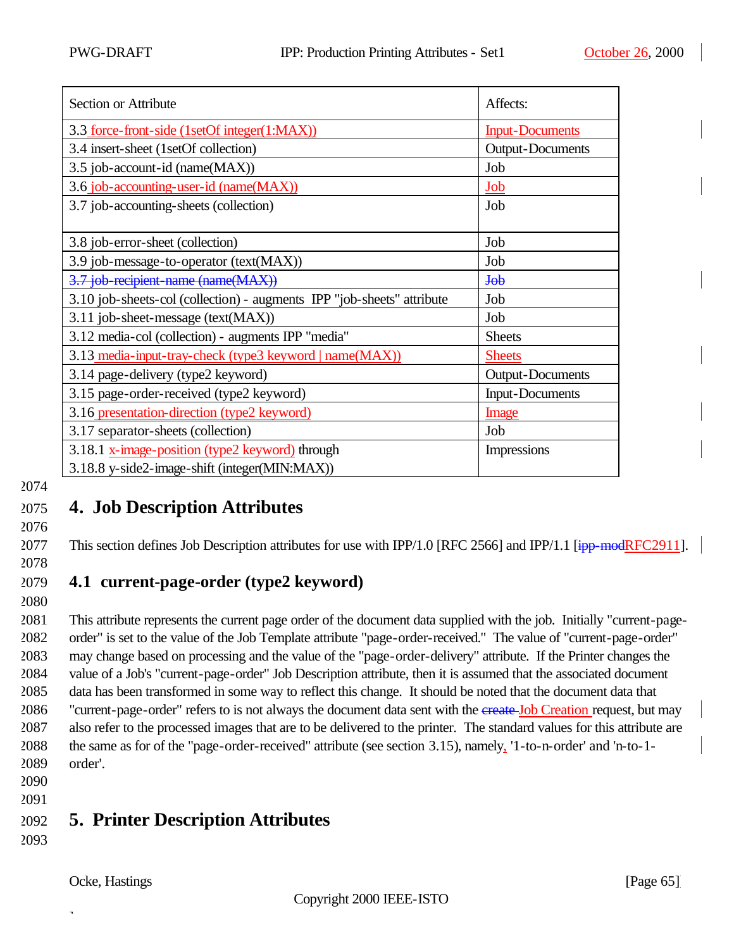| Section or Attribute                                                   | Affects:                |
|------------------------------------------------------------------------|-------------------------|
| 3.3 force-front-side (1setOf integer(1:MAX))                           | <b>Input-Documents</b>  |
| 3.4 insert-sheet (1setOf collection)                                   | <b>Output-Documents</b> |
| 3.5 job-account-id (name(MAX))                                         | Job                     |
| 3.6 job-accounting-user-id (name(MAX))                                 | Job                     |
| 3.7 job-accounting-sheets (collection)                                 | Job                     |
|                                                                        |                         |
| 3.8 job-error-sheet (collection)                                       | Job                     |
| 3.9 job-message-to-operator (text(MAX))                                | Job                     |
| 3.7 job-recipient-name (name(MAX))                                     | J <sub>0</sub> b        |
| 3.10 job-sheets-col (collection) - augments IPP "job-sheets" attribute | Job                     |
| 3.11 job-sheet-message (text(MAX))                                     | Job                     |
| 3.12 media-col (collection) - augments IPP "media"                     | <b>Sheets</b>           |
| 3.13 media-input-tray-check (type3 keyword   name(MAX))                | <b>Sheets</b>           |
| 3.14 page-delivery (type2 keyword)                                     | <b>Output-Documents</b> |
| 3.15 page-order-received (type2 keyword)                               | <b>Input-Documents</b>  |
| 3.16 presentation-direction (type2 keyword)                            | Image                   |
| 3.17 separator-sheets (collection)                                     | Job                     |
| 3.18.1 x-image-position (type2 keyword) through                        | <b>Impressions</b>      |
| 3.18.8 y-side2-image-shift (integer(MIN:MAX))                          |                         |

# 2075 **4. Job Description Attributes**

2076

2077 This section defines Job Description attributes for use with IPP/1.0 [RFC 2566] and IPP/1.1 [ipp-modRFC2911].

2078

## 2079 **4.1 current-page-order (type2 keyword)**

2080

 This attribute represents the current page order of the document data supplied with the job. Initially "current-page- order" is set to the value of the Job Template attribute "page-order-received." The value of "current-page-order" may change based on processing and the value of the "page-order-delivery" attribute. If the Printer changes the value of a Job's "current-page-order" Job Description attribute, then it is assumed that the associated document data has been transformed in some way to reflect this change. It should be noted that the document data that 2086 "current-page-order" refers to is not always the document data sent with the create-Job Creation request, but may also refer to the processed images that are to be delivered to the printer. The standard values for this attribute are the same as for of the "page-order-received" attribute (see section 3.15), namely, '1-to-n-order' and 'n-to-1- 2089 order'.

2090 2091

# 2092 **5. Printer Description Attributes**

2093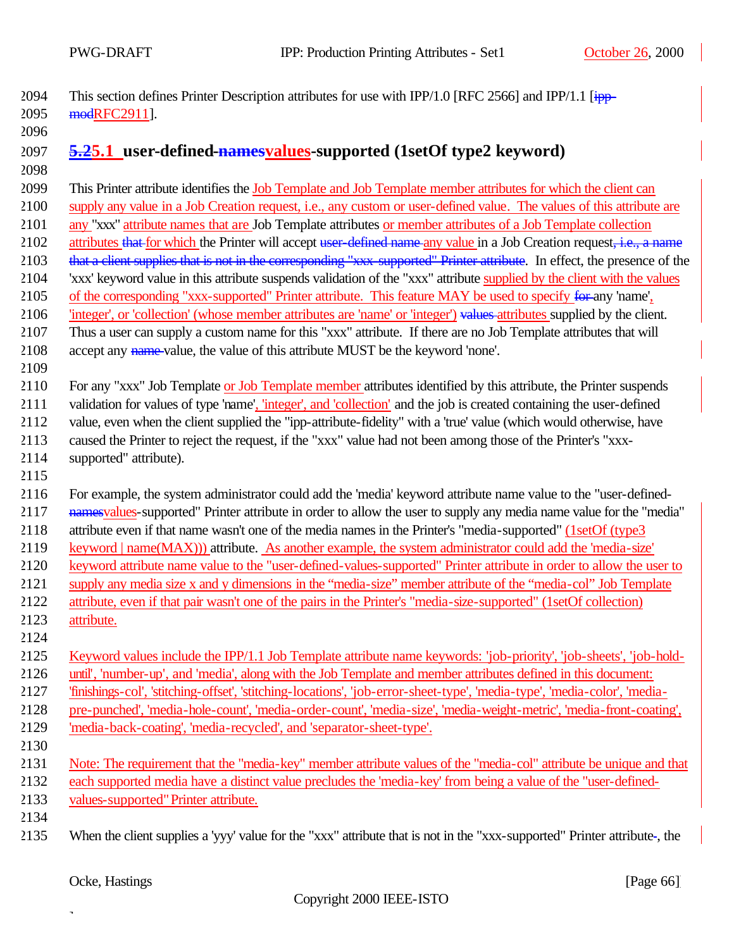2094 This section defines Printer Description attributes for use with IPP/1.0 [RFC 2566] and IPP/1.1  $\overline{1}$ modRFC2911].

# **5.25.1 user-defined-namesvalues-supported (1setOf type2 keyword)**

 This Printer attribute identifies the Job Template and Job Template member attributes for which the client can supply any value in a Job Creation request, i.e., any custom or user-defined value. The values of this attribute are any "xxx" attribute names that are Job Template attributes or member attributes of a Job Template collection 2102 attributes that for which the Printer will accept user-defined name any value in a Job Creation request, i.e., a name 2103 that a client supplies that is not in the corresponding "xxx-supported" Printer attribute. In effect, the presence of the 'xxx' keyword value in this attribute suspends validation of the "xxx" attribute supplied by the client with the values 2105 of the corresponding "xxx-supported" Printer attribute. This feature MAY be used to specify for any 'name', 2106 'integer', or 'collection' (whose member attributes are 'name' or 'integer') values attributes supplied by the client. Thus a user can supply a custom name for this "xxx" attribute. If there are no Job Template attributes that will accept any name value, the value of this attribute MUST be the keyword 'none'. For any "xxx" Job Template or Job Template member attributes identified by this attribute, the Printer suspends validation for values of type 'name', 'integer', and 'collection' and the job is created containing the user-defined value, even when the client supplied the "ipp-attribute-fidelity" with a 'true' value (which would otherwise, have caused the Printer to reject the request, if the "xxx" value had not been among those of the Printer's "xxx- supported" attribute). For example, the system administrator could add the 'media' keyword attribute name value to the "user-defined-2117 namesvalues-supported" Printer attribute in order to allow the user to supply any media name value for the "media" 2118 attribute even if that name wasn't one of the media names in the Printer's "media-supported" (1setOf (type3 keyword | name(MAX))) attribute. As another example, the system administrator could add the 'media-size' keyword attribute name value to the "user-defined-values-supported" Printer attribute in order to allow the user to supply any media size x and y dimensions in the "media-size" member attribute of the "media-col" Job Template attribute, even if that pair wasn't one of the pairs in the Printer's "media-size-supported" (1setOf collection) attribute. Keyword values include the IPP/1.1 Job Template attribute name keywords: 'job-priority', 'job-sheets', 'job-hold- until', 'number-up', and 'media', along with the Job Template and member attributes defined in this document: 'finishings-col', 'stitching-offset', 'stitching-locations', 'job-error-sheet-type', 'media-type', 'media-color', 'media- pre-punched', 'media-hole-count', 'media-order-count', 'media-size', 'media-weight-metric', 'media-front-coating', 'media-back-coating', 'media-recycled', and 'separator-sheet-type'. Note: The requirement that the "media-key" member attribute values of the "media-col" attribute be unique and that each supported media have a distinct value precludes the 'media-key' from being a value of the "user-defined- values-supported" Printer attribute. When the client supplies a 'yyy' value for the "xxx" attribute that is not in the "xxx-supported" Printer attribute , the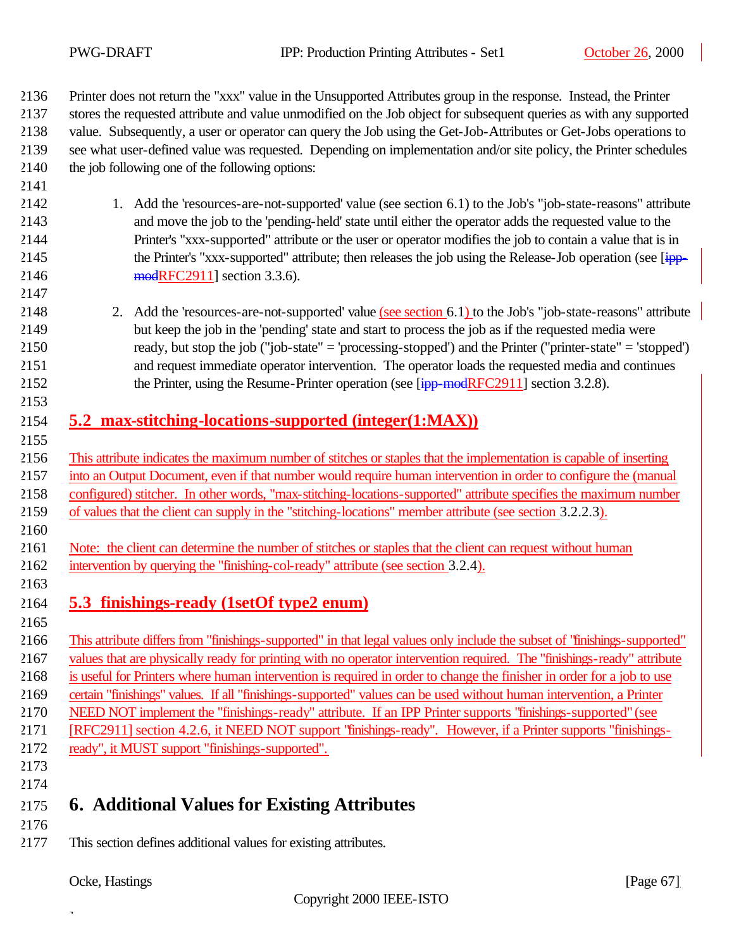Printer does not return the "xxx" value in the Unsupported Attributes group in the response. Instead, the Printer stores the requested attribute and value unmodified on the Job object for subsequent queries as with any supported value. Subsequently, a user or operator can query the Job using the Get-Job-Attributes or Get-Jobs operations to see what user-defined value was requested. Depending on implementation and/or site policy, the Printer schedules

the job following one of the following options:

- 1. Add the 'resources-are-not-supported' value (see section 6.1) to the Job's "job-state-reasons" attribute and move the job to the 'pending-held' state until either the operator adds the requested value to the Printer's "xxx-supported" attribute or the user or operator modifies the job to contain a value that is in 2145 the Printer's "xxx-supported" attribute; then releases the job using the Release-Job operation (see [ipp-2146 modRFC2911] section 3.3.6).
- 2. Add the 'resources-are-not-supported' value (see section 6.1) to the Job's "job-state-reasons" attribute but keep the job in the 'pending' state and start to process the job as if the requested media were ready, but stop the job ("job-state" = 'processing-stopped') and the Printer ("printer-state" = 'stopped') and request immediate operator intervention. The operator loads the requested media and continues 2152 the Printer, using the Resume-Printer operation (see [ipp-modRFC2911] section 3.2.8).
- **5.2 max-stitching-locations-supported (integer(1:MAX))**
- This attribute indicates the maximum number of stitches or staples that the implementation is capable of inserting into an Output Document, even if that number would require human intervention in order to configure the (manual configured) stitcher. In other words, "max-stitching-locations-supported" attribute specifies the maximum number of values that the client can supply in the "stitching-locations" member attribute (see section 3.2.2.3).
- Note: the client can determine the number of stitches or staples that the client can request without human intervention by querying the "finishing-col-ready" attribute (see section 3.2.4).
- 

### **5.3 finishings-ready (1setOf type2 enum)**

 This attribute differs from "finishings-supported" in that legal values only include the subset of "finishings-supported" values that are physically ready for printing with no operator intervention required. The "finishings-ready" attribute is useful for Printers where human intervention is required in order to change the finisher in order for a job to use certain "finishings" values. If all "finishings-supported" values can be used without human intervention, a Printer NEED NOT implement the "finishings-ready" attribute. If an IPP Printer supports "finishings-supported" (see [RFC2911] section 4.2.6, it NEED NOT support "finishings-ready". However, if a Printer supports "finishings-ready", it MUST support "finishings-supported".

 

# **6. Additional Values for Existing Attributes**

- 
- This section defines additional values for existing attributes.

Ocke, Hastings [Page 67]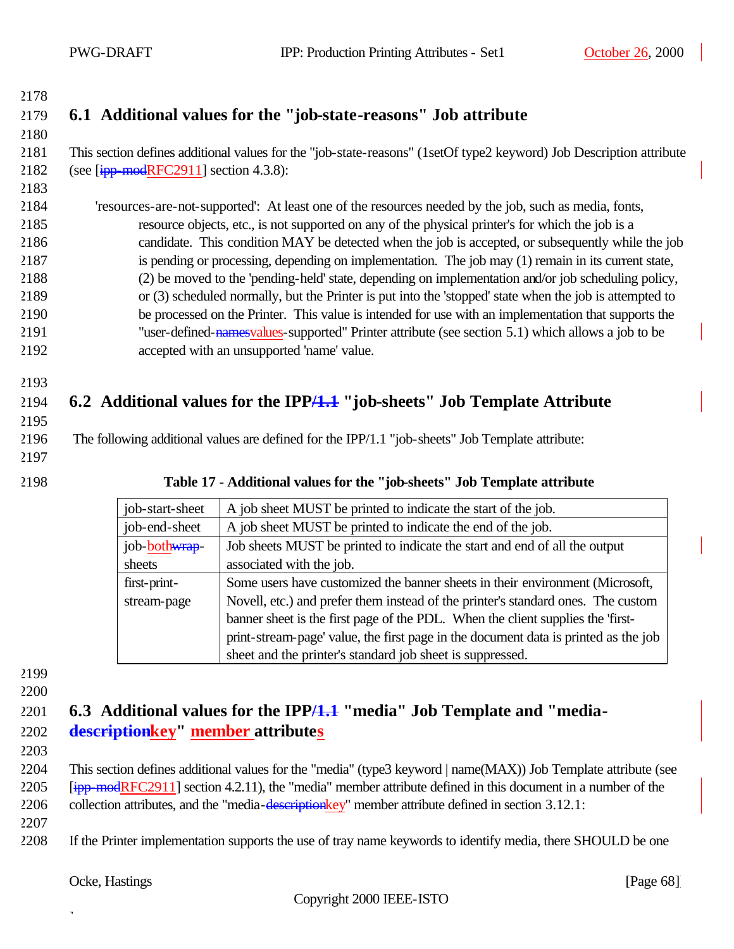# **6.1 Additional values for the "job-state-reasons" Job attribute**

### This section defines additional values for the "job-state-reasons" (1setOf type2 keyword) Job Description attribute 2182 (see  $[ipp$ -modRFC2911] section 4.3.8):

 'resources-are-not-supported': At least one of the resources needed by the job, such as media, fonts, resource objects, etc., is not supported on any of the physical printer's for which the job is a candidate. This condition MAY be detected when the job is accepted, or subsequently while the job is pending or processing, depending on implementation. The job may (1) remain in its current state, (2) be moved to the 'pending-held' state, depending on implementation and/or job scheduling policy, or (3) scheduled normally, but the Printer is put into the 'stopped' state when the job is attempted to be processed on the Printer. This value is intended for use with an implementation that supports the "user-defined-namesvalues-supported" Printer attribute (see section 5.1) which allows a job to be accepted with an unsupported 'name' value.

# **6.2 Additional values for the IPP/1.1 "job-sheets" Job Template Attribute**

2196 The following additional values are defined for the IPP/1.1 "job-sheets" Job Template attribute:

- 
- 

### **Table 17 - Additional values for the "job-sheets" Job Template attribute**

| job-start-sheet | A job sheet MUST be printed to indicate the start of the job.                       |  |
|-----------------|-------------------------------------------------------------------------------------|--|
| job-end-sheet   | A job sheet MUST be printed to indicate the end of the job.                         |  |
| job-bothwrap-   | Job sheets MUST be printed to indicate the start and end of all the output          |  |
| sheets          | associated with the job.                                                            |  |
| first-print-    | Some users have customized the banner sheets in their environment (Microsoft,       |  |
| stream-page     | Novell, etc.) and prefer them instead of the printer's standard ones. The custom    |  |
|                 | banner sheet is the first page of the PDL. When the client supplies the 'first-     |  |
|                 | print-stream-page' value, the first page in the document data is printed as the job |  |
|                 | sheet and the printer's standard job sheet is suppressed.                           |  |

- 
- 

### **6.3 Additional values for the IPP/1.1 "media" Job Template and "media-descriptionkey" member attributes**

 This section defines additional values for the "media" (type3 keyword | name(MAX)) Job Template attribute (see [ipp-modRFC2911] section 4.2.11), the "media" member attribute defined in this document in a number of the collection attributes, and the "media-descriptionkey" member attribute defined in section 3.12.1:

If the Printer implementation supports the use of tray name keywords to identify media, there SHOULD be one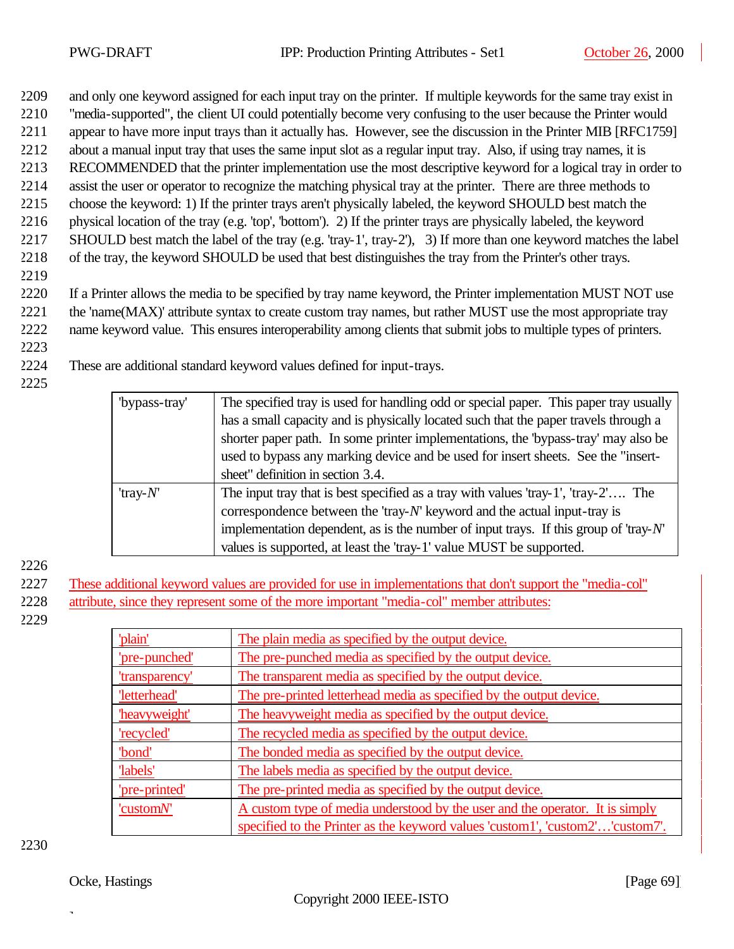2209 and only one keyword assigned for each input tray on the printer. If multiple keywords for the same tray exist in

- 2210 "media-supported", the client UI could potentially become very confusing to the user because the Printer would
- 2211 appear to have more input trays than it actually has. However, see the discussion in the Printer MIB [RFC1759]
- 2212 about a manual input tray that uses the same input slot as a regular input tray. Also, if using tray names, it is
- 2213 RECOMMENDED that the printer implementation use the most descriptive keyword for a logical tray in order to 2214 assist the user or operator to recognize the matching physical tray at the printer. There are three methods to
- 2215 choose the keyword: 1) If the printer trays aren't physically labeled, the keyword SHOULD best match the
- 2216 physical location of the tray (e.g. 'top', 'bottom'). 2) If the printer trays are physically labeled, the keyword
- 2217 SHOULD best match the label of the tray (e.g. 'tray-1', tray-2'), 3) If more than one keyword matches the label 2218 of the tray, the keyword SHOULD be used that best distinguishes the tray from the Printer's other trays.
- 2219
- 2220 If a Printer allows the media to be specified by tray name keyword, the Printer implementation MUST NOT use
- 2221 the 'name(MAX)' attribute syntax to create custom tray names, but rather MUST use the most appropriate tray 2222 name keyword value. This ensures interoperability among clients that submit jobs to multiple types of printers.
- 2223
- 2224 These are additional standard keyword values defined for input-trays.
- 2225

| "bypass-tray" | The specified tray is used for handling odd or special paper. This paper tray usually      |  |  |
|---------------|--------------------------------------------------------------------------------------------|--|--|
|               | has a small capacity and is physically located such that the paper travels through a       |  |  |
|               | shorter paper path. In some printer implementations, the 'bypass-tray' may also be         |  |  |
|               | used to bypass any marking device and be used for insert sheets. See the "insert-          |  |  |
|               | sheet" definition in section 3.4.                                                          |  |  |
| 'tray- $N'$   | The input tray that is best specified as a tray with values 'tray- $1'$ ', 'tray- $2'$ The |  |  |
|               | correspondence between the 'tray- $N'$ keyword and the actual input-tray is                |  |  |
|               | implementation dependent, as is the number of input trays. If this group of 'tray- $N'$ '  |  |  |
|               | values is supported, at least the 'tray-1' value MUST be supported.                        |  |  |

2226

- 2227 These additional keyword values are provided for use in implementations that don't support the "media-col"
- 2228 attribute, since they represent some of the more important "media-col" member attributes:
- 2229

| 'plain'        | The plain media as specified by the output device.                            |  |
|----------------|-------------------------------------------------------------------------------|--|
| 'pre-punched'  | The pre-punched media as specified by the output device.                      |  |
| 'transparency' | The transparent media as specified by the output device.                      |  |
| 'letterhead'   | The pre-printed letterhead media as specified by the output device.           |  |
| 'heavyweight'  | The heavy weight media as specified by the output device.                     |  |
| 'recycled'     | The recycled media as specified by the output device.                         |  |
| 'bond'         | The bonded media as specified by the output device.                           |  |
| 'labels'       | The labels media as specified by the output device.                           |  |
| 'pre-printed'  | The pre-printed media as specified by the output device.                      |  |
| 'customN'      | A custom type of media understood by the user and the operator. It is simply  |  |
|                | specified to the Printer as the keyword values 'custom1', 'custom2''custom7'. |  |

2230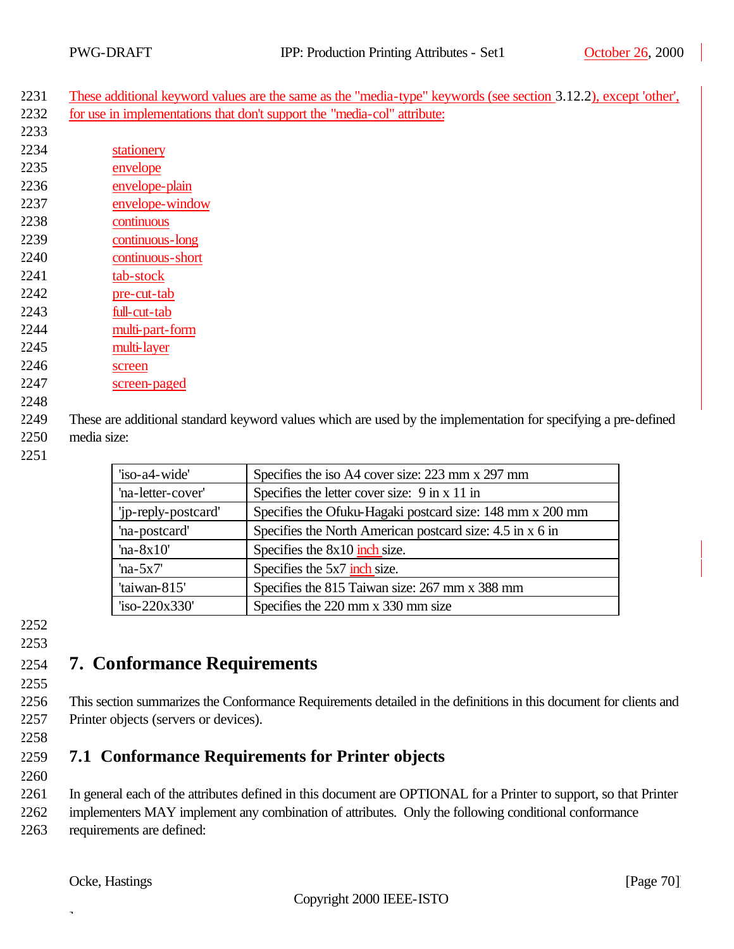These additional keyword values are the same as the "media-type" keywords (see section 3.12.2), except 'other', for use in implementations that don't support the "media-col" attribute:

- stationery
- envelope envelope-plain
- envelope-window
- continuous
- continuous-long
- continuous-short
- tab-stock
- pre-cut-tab
- full-cut-tab
- multi-part-form
- multi-layer
- screen
- screen-paged
- 

 These are additional standard keyword values which are used by the implementation for specifying a pre-defined media size:

| 'iso-a4-wide'       | Specifies the iso A4 cover size: 223 mm x 297 mm          |
|---------------------|-----------------------------------------------------------|
| 'na-letter-cover'   | Specifies the letter cover size: 9 in x 11 in             |
| 'jp-reply-postcard' | Specifies the Ofuku-Hagaki postcard size: 148 mm x 200 mm |
| 'na-postcard'       | Specifies the North American postcard size: 4.5 in x 6 in |
| 'na- $8x10'$        | Specifies the $8x10$ inch size.                           |
| 'na- $5x7'$         | Specifies the 5x7 inch size.                              |
| 'taiwan-815'        | Specifies the 815 Taiwan size: 267 mm x 388 mm            |
| 'iso-220x330'       | Specifies the 220 mm x 330 mm size                        |

### 

# **7. Conformance Requirements**

 This section summarizes the Conformance Requirements detailed in the definitions in this document for clients and Printer objects (servers or devices).

# **7.1 Conformance Requirements for Printer objects**

In general each of the attributes defined in this document are OPTIONAL for a Printer to support, so that Printer

 implementers MAY implement any combination of attributes. Only the following conditional conformance requirements are defined: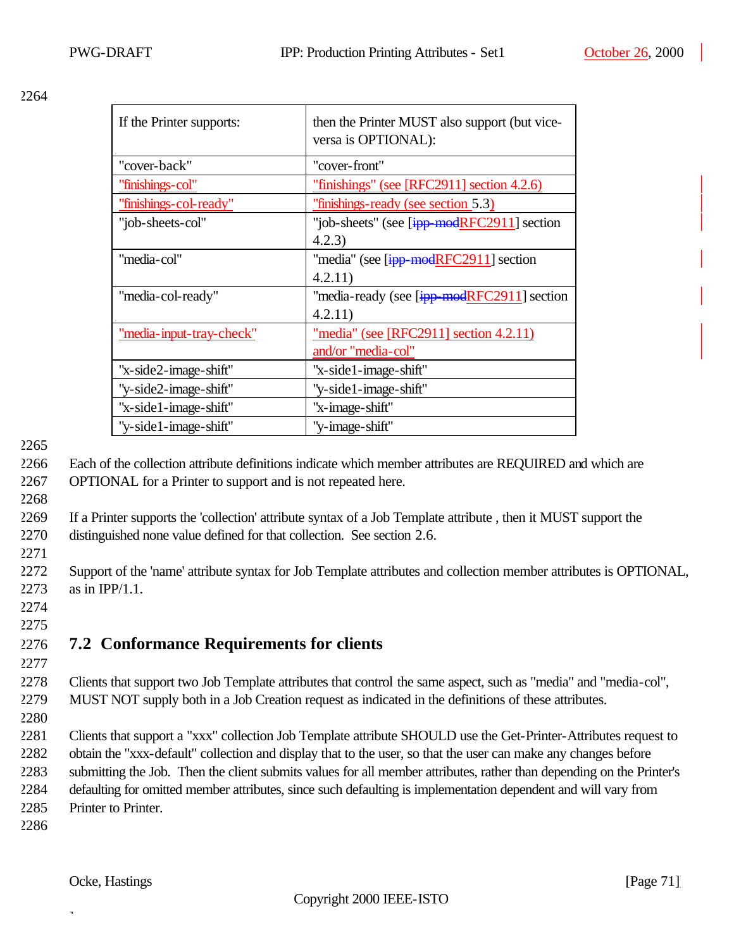| If the Printer supports: | then the Printer MUST also support (but vice-<br>versa is OPTIONAL): |
|--------------------------|----------------------------------------------------------------------|
| "cover-back"             | "cover-front"                                                        |
| "finishings-col"         | "finishings" (see [RFC2911] section $4.2.6$ )                        |
| "finishings-col-ready"   | "finishings-ready (see section 5.3)                                  |
| "job-sheets-col"         | "job-sheets" (see [ipp-modRFC2911] section                           |
|                          | 4.2.3)                                                               |
| "media-col"              | "media" (see [ipp-modRFC2911] section                                |
|                          | 4.2.11)                                                              |
| "media-col-ready"        | "media-ready (see [ipp-modRFC2911] section                           |
|                          | 4.2.11)                                                              |
| "media-input-tray-check" | "media" (see [RFC2911] section 4.2.11)                               |
|                          | and/or "media-col"                                                   |
| "x-side2-image-shift"    | "x-side1-image-shift"                                                |
| "y-side2-image-shift"    | "y-side1-image-shift"                                                |
| "x-side1-image-shift"    | "x-image-shift"                                                      |
| "y-side1-image-shift"    | "y-image-shift"                                                      |

### 2265

2268

2266 Each of the collection attribute definitions indicate which member attributes are REQUIRED and which are 2267 OPTIONAL for a Printer to support and is not repeated here.

2269 If a Printer supports the 'collection' attribute syntax of a Job Template attribute , then it MUST support the 2270 distinguished none value defined for that collection. See section 2.6.

2271

2272 Support of the 'name' attribute syntax for Job Template attributes and collection member attributes is OPTIONAL, 2273 as in IPP/1.1.

2274

### 2275 2276 **7.2 Conformance Requirements for clients**

2278 Clients that support two Job Template attributes that control the same aspect, such as "media" and "media-col", 2279 MUST NOT supply both in a Job Creation request as indicated in the definitions of these attributes.

2280

2277

2281 Clients that support a "xxx" collection Job Template attribute SHOULD use the Get-Printer-Attributes request to obtain the "xxx-default" collection and display that to the user, so that the user can make any changes before submitting the Job. Then the client submits values for all member attributes, rather than depending on the Printer's defaulting for omitted member attributes, since such defaulting is implementation dependent and will vary from Printer to Printer.

2286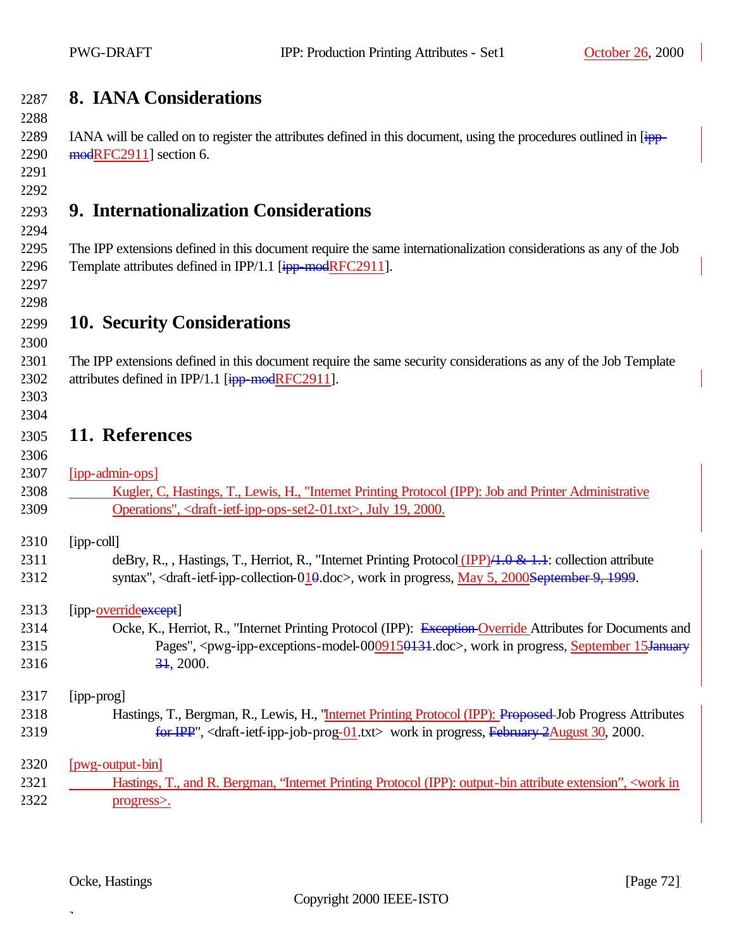|      | I WU-DNAFI                                      | IFF. FLOURCHOIL FILINING ARE DUES - SUIT                                                                                          | OQUUUL 20, 200 |
|------|-------------------------------------------------|-----------------------------------------------------------------------------------------------------------------------------------|----------------|
| 2287 | <b>8. IANA Considerations</b>                   |                                                                                                                                   |                |
| 2288 |                                                 |                                                                                                                                   |                |
| 2289 |                                                 | IANA will be called on to register the attributes defined in this document, using the procedures outlined in [ipp-                |                |
| 2290 | modRFC2911] section 6.                          |                                                                                                                                   |                |
| 2291 |                                                 |                                                                                                                                   |                |
| 2292 |                                                 |                                                                                                                                   |                |
| 2293 | 9. Internationalization Considerations          |                                                                                                                                   |                |
| 2294 |                                                 |                                                                                                                                   |                |
| 2295 |                                                 | The IPP extensions defined in this document require the same internationalization considerations as any of the Job                |                |
| 2296 |                                                 | Template attributes defined in IPP/1.1 [ipp-modRFC2911].                                                                          |                |
| 2297 |                                                 |                                                                                                                                   |                |
| 2298 |                                                 |                                                                                                                                   |                |
| 2299 | <b>10. Security Considerations</b>              |                                                                                                                                   |                |
| 2300 |                                                 |                                                                                                                                   |                |
| 2301 |                                                 | The IPP extensions defined in this document require the same security considerations as any of the Job Template                   |                |
| 2302 | attributes defined in IPP/1.1 [ipp-modRFC2911]. |                                                                                                                                   |                |
| 2303 |                                                 |                                                                                                                                   |                |
| 2304 |                                                 |                                                                                                                                   |                |
| 2305 | 11. References                                  |                                                                                                                                   |                |
| 2306 |                                                 |                                                                                                                                   |                |
| 2307 | [ipp-admin-ops]                                 |                                                                                                                                   |                |
| 2308 |                                                 | Kugler, C, Hastings, T., Lewis, H., "Internet Printing Protocol (IPP): Job and Printer Administrative                             |                |
| 2309 |                                                 | Operations", <draft-ietf-ipp-ops-set2-01.txt>, July 19, 2000.</draft-ietf-ipp-ops-set2-01.txt>                                    |                |
|      |                                                 |                                                                                                                                   |                |
| 2310 | [ipp-coll]                                      |                                                                                                                                   |                |
| 2311 |                                                 | deBry, R., , Hastings, T., Herriot, R., "Internet Printing Protocol (IPP) $/4.0 \& 1.1$ : collection attribute                    |                |
| 2312 |                                                 | syntax", <draft-ietf-ipp-collection-010.doc>, work in progress, May 5, 2000September 9, 1999.</draft-ietf-ipp-collection-010.doc> |                |
| 2313 | [ipp-overrideexcept]                            |                                                                                                                                   |                |
| 2314 |                                                 | Ocke, K., Herriot, R., "Internet Printing Protocol (IPP): Exception-Override Attributes for Documents and                         |                |

# "Internet Printing Protocol (IPP): Exception Override Attributes for Documents and 2315 Pages", <pwg-ipp-exceptions-model-0009150131.doc>, work in progress, September 15January 2316 34, 2000. 2317 [ipp-prog]

### 2318 Hastings, T., Bergman, R., Lewis, H., "Internet Printing Protocol (IPP): Proposed Job Progress Attributes 2319 **for IPP**", <draft-ietf-ipp-job-prog-01.txt> work in progress, February 2August 30, 2000.

### 2320 [pwg-output-bin] 2321 Hastings, T., and R. Bergman, "Internet Printing Protocol (IPP): output-bin attribute extension", <work in 2322 progress>.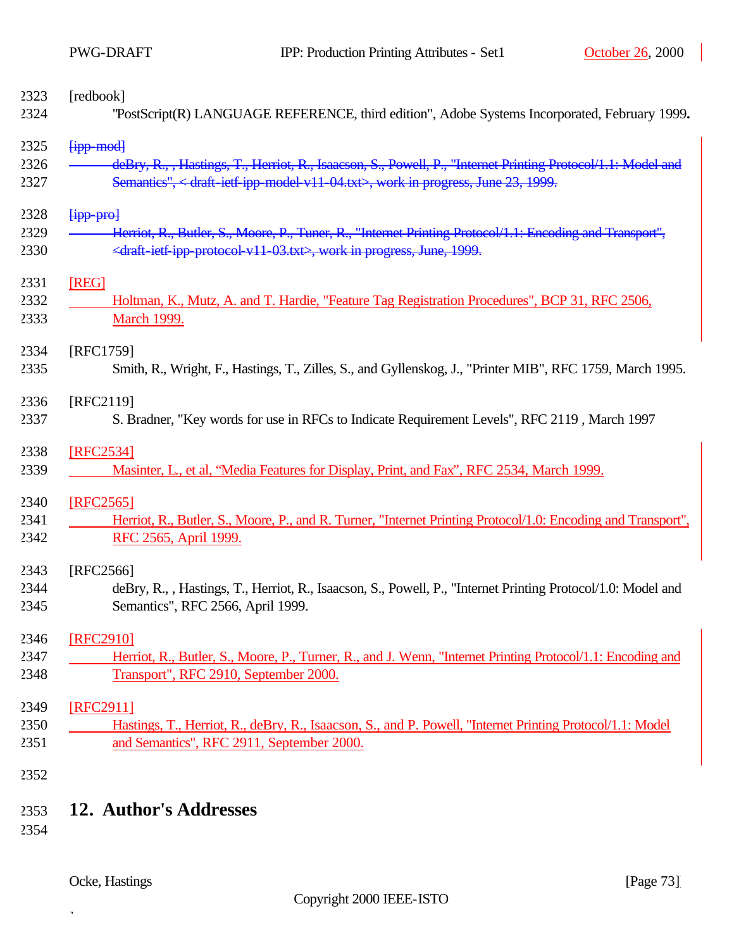| 2323 | [redbook]                                                                                                    |
|------|--------------------------------------------------------------------------------------------------------------|
| 2324 | "PostScript(R) LANGUAGE REFERENCE, third edition", Adobe Systems Incorporated, February 1999.                |
| 2325 | <b>Fipp-modl</b>                                                                                             |
| 2326 | deBry, R., , Hastings, T., Herriot, R., Isaacson, S., Powell, P., "Internet Printing Protocol/1.1: Model and |
| 2327 | Semantics", < draft-ietf-ipp-model-v11-04.txt>, work in progress, June 23, 1999.                             |
| 2328 | [ipp pro]                                                                                                    |
| 2329 | Herriot, R., Butler, S., Moore, P., Tuner, R., "Internet Printing Protocol/1.1: Encoding and Transport",     |
| 2330 | <draft-ietf-ipp-protocol-v11-03.txt>, work in progress, June, 1999.</draft-ietf-ipp-protocol-v11-03.txt>     |
| 2331 | [REG]                                                                                                        |
| 2332 | Holtman, K., Mutz, A. and T. Hardie, "Feature Tag Registration Procedures", BCP 31, RFC 2506,                |
| 2333 | <b>March 1999.</b>                                                                                           |
| 2334 | [RFC1759]                                                                                                    |
| 2335 | Smith, R., Wright, F., Hastings, T., Zilles, S., and Gyllenskog, J., "Printer MIB", RFC 1759, March 1995.    |
| 2336 | [RFC2119]                                                                                                    |
| 2337 | S. Bradner, "Key words for use in RFCs to Indicate Requirement Levels", RFC 2119, March 1997                 |
| 2338 | [RFC2534]                                                                                                    |
| 2339 | Masinter, L., et al, "Media Features for Display, Print, and Fax", RFC 2534, March 1999.                     |
| 2340 | [RFC2565]                                                                                                    |
| 2341 | Herriot, R., Butler, S., Moore, P., and R. Turner, "Internet Printing Protocol/1.0: Encoding and Transport", |
| 2342 | RFC 2565, April 1999.                                                                                        |
| 2343 | [RFC2566]                                                                                                    |
| 2344 | deBry, R., , Hastings, T., Herriot, R., Isaacson, S., Powell, P., "Internet Printing Protocol/1.0: Model and |
| 2345 | Semantics", RFC 2566, April 1999.                                                                            |
| 2346 | [RFC2910]                                                                                                    |
| 2347 | Herriot, R., Butler, S., Moore, P., Turner, R., and J. Wenn, "Internet Printing Protocol/1.1: Encoding and   |
| 2348 | Transport", RFC 2910, September 2000.                                                                        |
| 2349 | [RFC2911]                                                                                                    |
| 2350 | Hastings, T., Herriot, R., deBry, R., Isaacson, S., and P. Powell, "Internet Printing Protocol/1.1: Model    |
| 2351 | and Semantics", RFC 2911, September 2000.                                                                    |
| 2352 |                                                                                                              |
|      |                                                                                                              |

# 2353 **12. Author's Addresses**

2354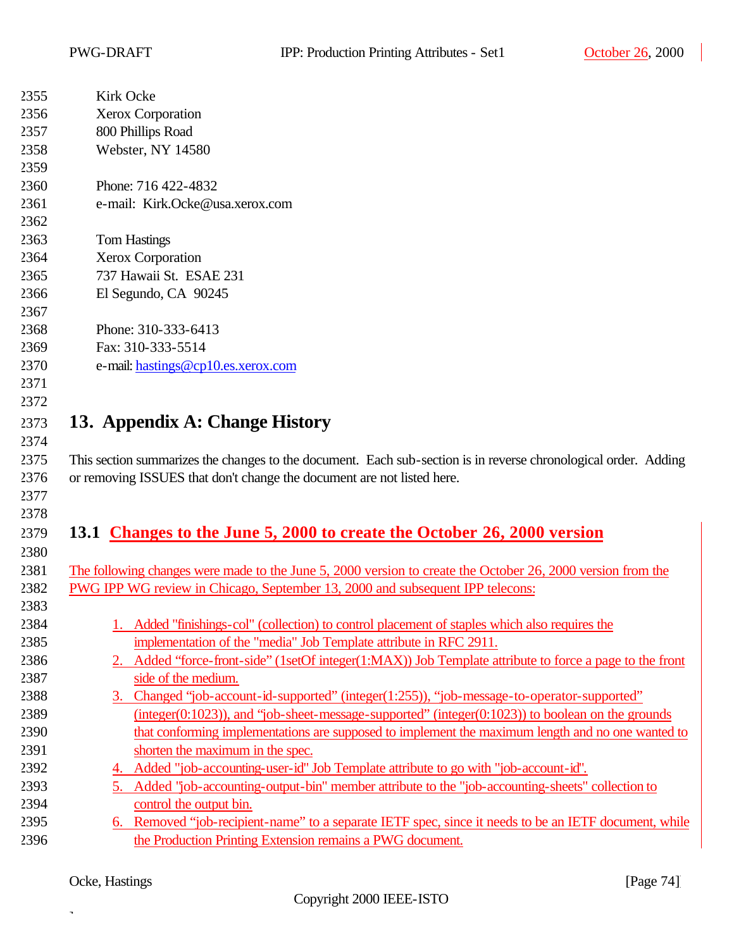| 2355 | Kirk Ocke                                                                                                       |  |  |
|------|-----------------------------------------------------------------------------------------------------------------|--|--|
| 2356 | <b>Xerox Corporation</b>                                                                                        |  |  |
| 2357 | 800 Phillips Road                                                                                               |  |  |
| 2358 | Webster, NY 14580                                                                                               |  |  |
| 2359 |                                                                                                                 |  |  |
| 2360 | Phone: 716 422-4832                                                                                             |  |  |
| 2361 | e-mail: Kirk.Ocke@usa.xerox.com                                                                                 |  |  |
| 2362 |                                                                                                                 |  |  |
| 2363 | <b>Tom Hastings</b>                                                                                             |  |  |
| 2364 | Xerox Corporation                                                                                               |  |  |
| 2365 | 737 Hawaii St. ESAE 231                                                                                         |  |  |
| 2366 | El Segundo, CA 90245                                                                                            |  |  |
| 2367 |                                                                                                                 |  |  |
| 2368 | Phone: 310-333-6413                                                                                             |  |  |
| 2369 | Fax: 310-333-5514                                                                                               |  |  |
| 2370 | e-mail: hastings@cp10.es.xerox.com                                                                              |  |  |
| 2371 |                                                                                                                 |  |  |
| 2372 |                                                                                                                 |  |  |
| 2373 | 13. Appendix A: Change History                                                                                  |  |  |
| 2374 |                                                                                                                 |  |  |
| 2375 | This section summarizes the changes to the document. Each sub-section is in reverse chronological order. Adding |  |  |
| 2376 | or removing ISSUES that don't change the document are not listed here.                                          |  |  |
| 2377 |                                                                                                                 |  |  |
| 2378 |                                                                                                                 |  |  |
| 2379 | 13.1 Changes to the June 5, 2000 to create the October 26, 2000 version                                         |  |  |
| 2380 |                                                                                                                 |  |  |
| 2381 | The following changes were made to the June 5, 2000 version to create the October 26, 2000 version from the     |  |  |
| 2382 | PWG IPP WG review in Chicago, September 13, 2000 and subsequent IPP telecons:                                   |  |  |
| 2383 |                                                                                                                 |  |  |
| 2384 | 1. Added "finishings-col" (collection) to control placement of staples which also requires the                  |  |  |
| 2385 | implementation of the "media" Job Template attribute in RFC 2911.                                               |  |  |
| 2386 | Added "force-front-side" (1setOf integer(1:MAX)) Job Template attribute to force a page to the front            |  |  |
| 2387 | side of the medium.                                                                                             |  |  |
| 2388 | 3. Changed "job-account-id-supported" (integer(1:255)), "job-message-to-operator-supported"                     |  |  |
| 2389 | $(integer(0:1023))$ , and "job-sheet-message-supported" $(integer(0:1023))$ to boolean on the grounds           |  |  |
| 2390 | that conforming implementations are supposed to implement the maximum length and no one wanted to               |  |  |
| 2391 | shorten the maximum in the spec.                                                                                |  |  |
| 2392 |                                                                                                                 |  |  |
|      | 4. Added "job-accounting-user-id" Job Template attribute to go with "job-account-id".                           |  |  |
| 2393 | 5. Added "job-accounting-output-bin" member attribute to the "job-accounting-sheets" collection to              |  |  |
| 2394 | control the output bin.                                                                                         |  |  |
| 2395 | 6. Removed "job-recipient-name" to a separate IETF spec, since it needs to be an IETF document, while           |  |  |
| 2396 | the Production Printing Extension remains a PWG document.                                                       |  |  |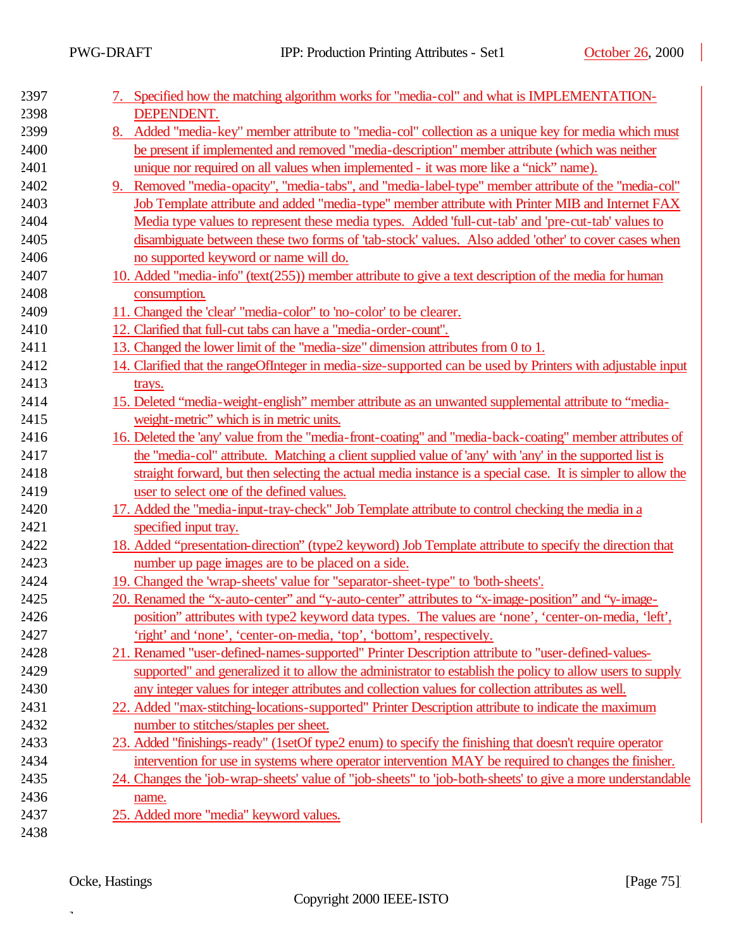$\overline{\phantom{a}}$ 

| 2397 | Specified how the matching algorithm works for "media-col" and what is IMPLEMENTATION-                        |
|------|---------------------------------------------------------------------------------------------------------------|
| 2398 | DEPENDENT.                                                                                                    |
| 2399 | Added "media-key" member attribute to "media-col" collection as a unique key for media which must<br>8.       |
| 2400 | be present if implemented and removed "media-description" member attribute (which was neither                 |
| 2401 | unique nor required on all values when implemented - it was more like a "nick" name).                         |
| 2402 | Removed "media-opacity", "media-tabs", and "media-label-type" member attribute of the "media-col"<br>9.       |
| 2403 | Job Template attribute and added "media-type" member attribute with Printer MIB and Internet FAX              |
| 2404 | Media type values to represent these media types. Added 'full-cut-tab' and 'pre-cut-tab' values to            |
| 2405 | disambiguate between these two forms of 'tab-stock' values. Also added 'other' to cover cases when            |
| 2406 | no supported keyword or name will do.                                                                         |
| 2407 | 10. Added "media-info" (text(255)) member attribute to give a text description of the media for human         |
| 2408 | consumption.                                                                                                  |
| 2409 | 11. Changed the 'clear' "media-color" to 'no-color' to be clearer.                                            |
| 2410 | 12. Clarified that full-cut tabs can have a "media-order-count".                                              |
| 2411 | 13. Changed the lower limit of the "media-size" dimension attributes from 0 to 1.                             |
| 2412 | 14. Clarified that the range Of Integer in media-size-supported can be used by Printers with adjustable input |
| 2413 | trays.                                                                                                        |
| 2414 | 15. Deleted "media-weight-english" member attribute as an unwanted supplemental attribute to "media-          |
| 2415 | weight-metric" which is in metric units.                                                                      |
| 2416 | 16. Deleted the 'any' value from the "media-front-coating" and "media-back-coating" member attributes of      |
| 2417 | the "media-col" attribute. Matching a client supplied value of 'any' with 'any' in the supported list is      |
| 2418 | straight forward, but then selecting the actual media instance is a special case. It is simpler to allow the  |
| 2419 | user to select one of the defined values.                                                                     |
| 2420 | 17. Added the "media-input-tray-check" Job Template attribute to control checking the media in a              |
| 2421 | specified input tray.                                                                                         |
| 2422 | 18. Added "presentation-direction" (type2 keyword) Job Template attribute to specify the direction that       |
| 2423 | number up page images are to be placed on a side.                                                             |
| 2424 | 19. Changed the 'wrap-sheets' value for "separator-sheet-type" to 'both-sheets'.                              |
| 2425 | 20. Renamed the "x-auto-center" and "y-auto-center" attributes to "x-image-position" and "y-image-            |
| 2426 | position" attributes with type2 keyword data types. The values are 'none', 'center-on-media, 'left',          |
| 2427 | 'right' and 'none', 'center-on-media, 'top', 'bottom', respectively.                                          |
| 2428 | 21. Renamed "user-defined-names-supported" Printer Description attribute to "user-defined-values-             |
| 2429 | supported" and generalized it to allow the administrator to establish the policy to allow users to supply     |
| 2430 | any integer values for integer attributes and collection values for collection attributes as well.            |
| 2431 | 22. Added "max-stitching-locations-supported" Printer Description attribute to indicate the maximum           |
| 2432 | number to stitches/staples per sheet.                                                                         |
| 2433 | 23. Added "finishings-ready" (1setOf type2 enum) to specify the finishing that doesn't require operator       |
| 2434 | intervention for use in systems where operator intervention MAY be required to changes the finisher.          |
| 2435 | 24. Changes the 'job-wrap-sheets' value of "job-sheets" to 'job-both-sheets' to give a more understandable    |
| 2436 | name.                                                                                                         |
| 2437 | 25. Added more "media" keyword values.                                                                        |
| 2438 |                                                                                                               |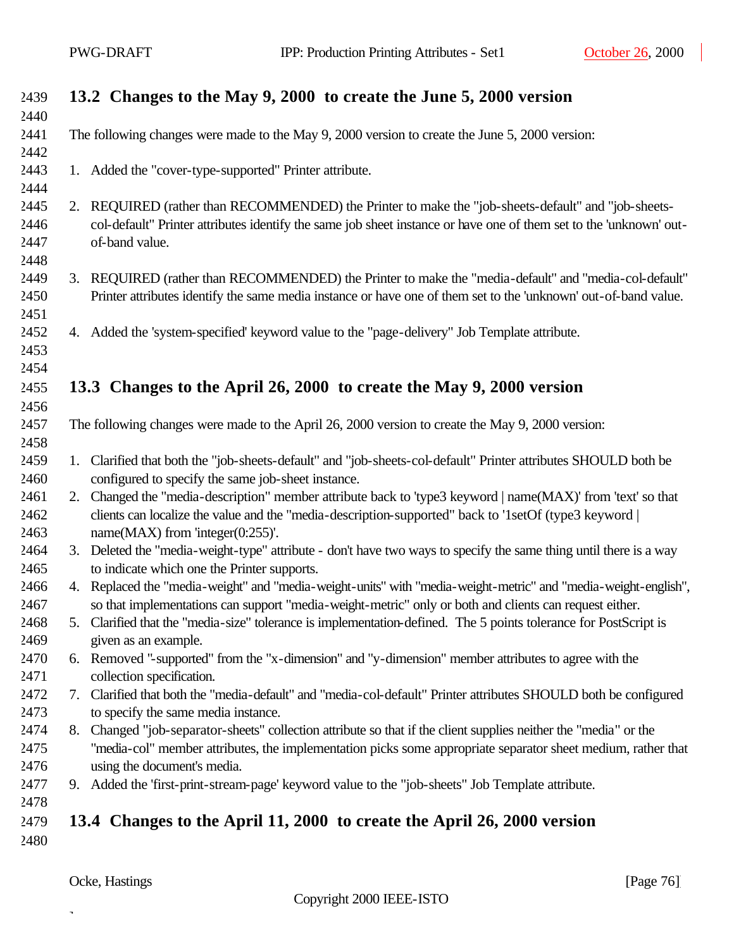| 2439         |    | 13.2 Changes to the May 9, 2000 to create the June 5, 2000 version                                                 |
|--------------|----|--------------------------------------------------------------------------------------------------------------------|
| 2440         |    |                                                                                                                    |
| 2441<br>2442 |    | The following changes were made to the May 9, 2000 version to create the June 5, 2000 version:                     |
| 2443         |    | 1. Added the "cover-type-supported" Printer attribute.                                                             |
| 2444         |    |                                                                                                                    |
| 2445         |    | 2. REQUIRED (rather than RECOMMENDED) the Printer to make the "job-sheets-default" and "job-sheets-                |
| 2446         |    | col-default" Printer attributes identify the same job sheet instance or have one of them set to the 'unknown' out- |
| 2447         |    | of-band value.                                                                                                     |
| 2448         |    |                                                                                                                    |
| 2449         |    | 3. REQUIRED (rather than RECOMMENDED) the Printer to make the "media-default" and "media-col-default"              |
| 2450         |    | Printer attributes identify the same media instance or have one of them set to the 'unknown' out-of-band value.    |
| 2451         |    |                                                                                                                    |
| 2452         |    | 4. Added the 'system-specified' keyword value to the "page-delivery" Job Template attribute.                       |
| 2453         |    |                                                                                                                    |
| 2454         |    |                                                                                                                    |
| 2455         |    | 13.3 Changes to the April 26, 2000 to create the May 9, 2000 version                                               |
| 2456         |    |                                                                                                                    |
| 2457         |    | The following changes were made to the April 26, 2000 version to create the May 9, 2000 version:                   |
| 2458         |    |                                                                                                                    |
| 2459         |    | 1. Clarified that both the "job-sheets-default" and "job-sheets-col-default" Printer attributes SHOULD both be     |
| 2460         |    | configured to specify the same job-sheet instance.                                                                 |
| 2461         |    | 2. Changed the "media-description" member attribute back to 'type3 keyword   name(MAX)' from 'text' so that        |
| 2462         |    | clients can localize the value and the "media-description-supported" back to '1setOf (type3 keyword                |
| 2463         |    | name $(MAX)$ from 'integer $(0:255)'$ .                                                                            |
| 2464         |    | 3. Deleted the "media-weight-type" attribute - don't have two ways to specify the same thing until there is a way  |
| 2465         |    | to indicate which one the Printer supports.                                                                        |
| 2466         |    | 4. Replaced the "media-weight" and "media-weight-units" with "media-weight-metric" and "media-weight-english",     |
| 2467         |    | so that implementations can support "media-weight-metric" only or both and clients can request either.             |
| 2468         |    | Clarified that the "media-size" tolerance is implementation-defined. The 5 points tolerance for PostScript is      |
| 2469         |    | given as an example.                                                                                               |
| 2470         |    | 6. Removed "-supported" from the "x-dimension" and "y-dimension" member attributes to agree with the               |
| 2471         |    | collection specification.                                                                                          |
| 2472         | 7. | Clarified that both the "media-default" and "media-col-default" Printer attributes SHOULD both be configured       |
| 2473         |    | to specify the same media instance.                                                                                |
| 2474         |    | 8. Changed "job-separator-sheets" collection attribute so that if the client supplies neither the "media" or the   |
| 2475         |    | "media-col" member attributes, the implementation picks some appropriate separator sheet medium, rather that       |
| 2476         |    | using the document's media.                                                                                        |
| 2477         |    | 9. Added the 'first-print-stream-page' keyword value to the "job-sheets" Job Template attribute.                   |
| 2478         |    |                                                                                                                    |
| 2479         |    | 13.4 Changes to the April 11, 2000 to create the April 26, 2000 version                                            |
| 2480         |    |                                                                                                                    |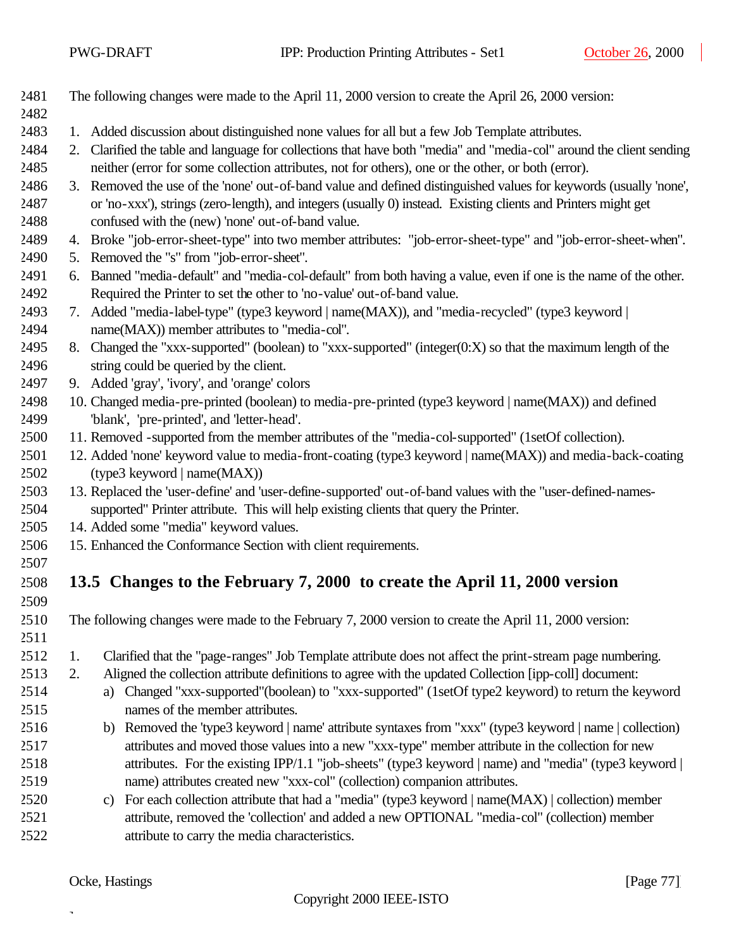The following changes were made to the April 11, 2000 version to create the April 26, 2000 version:

#### 

- 1. Added discussion about distinguished none values for all but a few Job Template attributes.
- 2. Clarified the table and language for collections that have both "media" and "media-col" around the client sending neither (error for some collection attributes, not for others), one or the other, or both (error).
- 3. Removed the use of the 'none' out-of-band value and defined distinguished values for keywords (usually 'none', or 'no-xxx'), strings (zero-length), and integers (usually 0) instead. Existing clients and Printers might get confused with the (new) 'none' out-of-band value.
- 4. Broke "job-error-sheet-type" into two member attributes: "job-error-sheet-type" and "job-error-sheet-when".
- 5. Removed the "s" from "job-error-sheet".
- 6. Banned "media-default" and "media-col-default" from both having a value, even if one is the name of the other. Required the Printer to set the other to 'no-value' out-of-band value.
- 7. Added "media-label-type" (type3 keyword | name(MAX)), and "media-recycled" (type3 keyword | name(MAX)) member attributes to "media-col".
- 8. Changed the "xxx-supported" (boolean) to "xxx-supported" (integer(0:X) so that the maximum length of the string could be queried by the client.
- 9. Added 'gray', 'ivory', and 'orange' colors
- 10. Changed media-pre-printed (boolean) to media-pre-printed (type3 keyword | name(MAX)) and defined 'blank', 'pre-printed', and 'letter-head'.
- 11. Removed -supported from the member attributes of the "media-col-supported" (1setOf collection).
- 12. Added 'none' keyword value to media-front-coating (type3 keyword | name(MAX)) and media-back-coating (type3 keyword | name(MAX))
- 13. Replaced the 'user-define' and 'user-define-supported' out-of-band values with the "user-defined-names-supported" Printer attribute. This will help existing clients that query the Printer.
- 14. Added some "media" keyword values.
- 15. Enhanced the Conformance Section with client requirements.
- 

### **13.5 Changes to the February 7, 2000 to create the April 11, 2000 version**

- The following changes were made to the February 7, 2000 version to create the April 11, 2000 version:
- 
- 1. Clarified that the "page-ranges" Job Template attribute does not affect the print-stream page numbering.
- 2. Aligned the collection attribute definitions to agree with the updated Collection [ipp-coll] document: a) Changed "xxx-supported"(boolean) to "xxx-supported" (1setOf type2 keyword) to return the keyword
	-

- names of the member attributes.
- b) Removed the 'type3 keyword | name' attribute syntaxes from "xxx" (type3 keyword | name | collection) attributes and moved those values into a new "xxx-type" member attribute in the collection for new attributes. For the existing IPP/1.1 "job-sheets" (type3 keyword | name) and "media" (type3 keyword | name) attributes created new "xxx-col" (collection) companion attributes.
- c) For each collection attribute that had a "media" (type3 keyword | name(MAX) | collection) member attribute, removed the 'collection' and added a new OPTIONAL "media-col" (collection) member attribute to carry the media characteristics.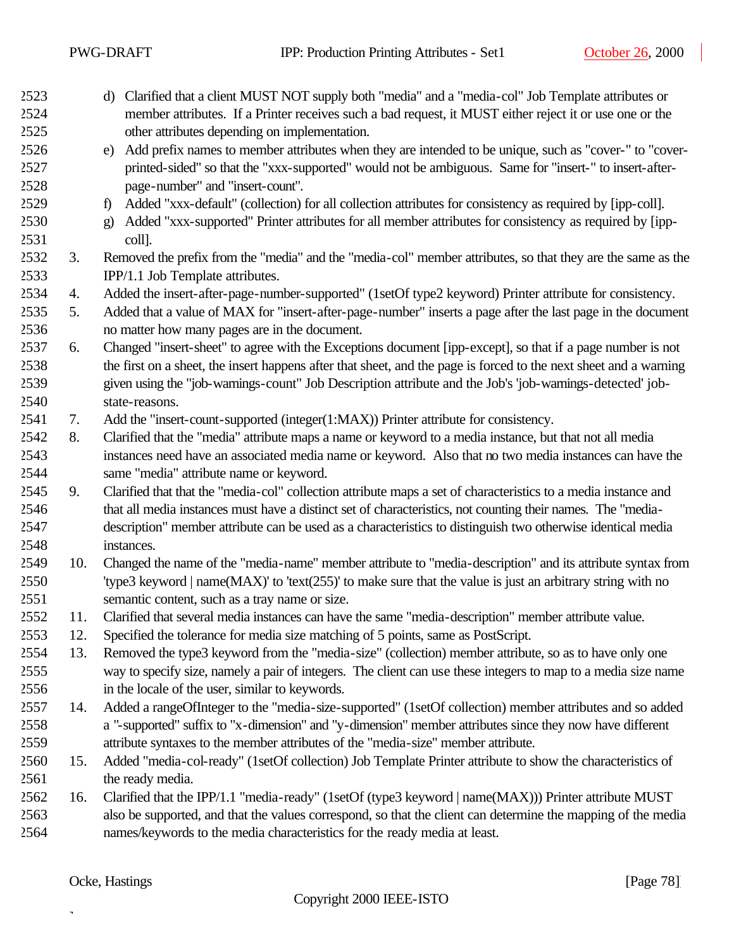| 2523         |     | d) Clarified that a client MUST NOT supply both "media" and a "media-col" Job Template attributes or                                                     |
|--------------|-----|----------------------------------------------------------------------------------------------------------------------------------------------------------|
| 2524<br>2525 |     | member attributes. If a Printer receives such a bad request, it MUST either reject it or use one or the<br>other attributes depending on implementation. |
| 2526         |     | Add prefix names to member attributes when they are intended to be unique, such as "cover-" to "cover-<br>e)                                             |
| 2527         |     | printed-sided" so that the "xxx-supported" would not be ambiguous. Same for "insert-" to insert-after-                                                   |
| 2528         |     | page-number" and "insert-count".                                                                                                                         |
| 2529         |     | Added "xxx-default" (collection) for all collection attributes for consistency as required by [ipp-coll].<br>$\mathbf{f}$                                |
| 2530         |     | Added "xxx-supported" Printer attributes for all member attributes for consistency as required by [ipp-<br>$\mathbf{g}$                                  |
| 2531         |     | coll].                                                                                                                                                   |
| 2532         | 3.  | Removed the prefix from the "media" and the "media-col" member attributes, so that they are the same as the                                              |
| 2533         |     | IPP/1.1 Job Template attributes.                                                                                                                         |
| 2534         | 4.  | Added the insert-after-page-number-supported" (1setOf type2 keyword) Printer attribute for consistency.                                                  |
| 2535         | 5.  | Added that a value of MAX for "insert-after-page-number" inserts a page after the last page in the document                                              |
| 2536         |     | no matter how many pages are in the document.                                                                                                            |
| 2537         | 6.  | Changed "insert-sheet" to agree with the Exceptions document [ipp-except], so that if a page number is not                                               |
| 2538         |     | the first on a sheet, the insert happens after that sheet, and the page is forced to the next sheet and a warning                                        |
| 2539         |     | given using the "job-warnings-count" Job Description attribute and the Job's 'job-warnings-detected' job-                                                |
| 2540         |     | state-reasons.                                                                                                                                           |
| 2541         | 7.  | Add the "insert-count-supported (integer(1:MAX)) Printer attribute for consistency.                                                                      |
| 2542         | 8.  | Clarified that the "media" attribute maps a name or keyword to a media instance, but that not all media                                                  |
| 2543         |     | instances need have an associated media name or keyword. Also that no two media instances can have the                                                   |
| 2544         |     | same "media" attribute name or keyword.                                                                                                                  |
| 2545         | 9.  | Clarified that that the "media-col" collection attribute maps a set of characteristics to a media instance and                                           |
| 2546         |     | that all media instances must have a distinct set of characteristics, not counting their names. The "media-                                              |
| 2547         |     | description" member attribute can be used as a characteristics to distinguish two otherwise identical media                                              |
| 2548         |     | instances.                                                                                                                                               |
| 2549         | 10. | Changed the name of the "media-name" member attribute to "media-description" and its attribute syntax from                                               |
| 2550         |     | 'type3 keyword   name(MAX)' to 'text(255)' to make sure that the value is just an arbitrary string with no                                               |
| 2551         |     | semantic content, such as a tray name or size.                                                                                                           |
| 2552         | 11. | Clarified that several media instances can have the same "media-description" member attribute value.                                                     |
| 2553         | 12. | Specified the tolerance for media size matching of 5 points, same as PostScript.                                                                         |
| 2554         | 13. | Removed the type3 keyword from the "media-size" (collection) member attribute, so as to have only one                                                    |
| 2555         |     | way to specify size, namely a pair of integers. The client can use these integers to map to a media size name                                            |
| 2556         |     | in the locale of the user, similar to keywords.                                                                                                          |
| 2557         | 14. | Added a rangeOfInteger to the "media-size-supported" (1setOf collection) member attributes and so added                                                  |
| 2558         |     | a "-supported" suffix to "x-dimension" and "y-dimension" member attributes since they now have different                                                 |
| 2559         |     | attribute syntaxes to the member attributes of the "media-size" member attribute.                                                                        |
| 2560         | 15. | Added "media-col-ready" (1setOf collection) Job Template Printer attribute to show the characteristics of                                                |
| 2561         |     | the ready media.                                                                                                                                         |
| 2562         | 16. | Clarified that the IPP/1.1 "media-ready" (1setOf (type3 keyword   name(MAX))) Printer attribute MUST                                                     |
| 2563         |     | also be supported, and that the values correspond, so that the client can determine the mapping of the media                                             |
| 2564         |     | names/keywords to the media characteristics for the ready media at least.                                                                                |
|              |     |                                                                                                                                                          |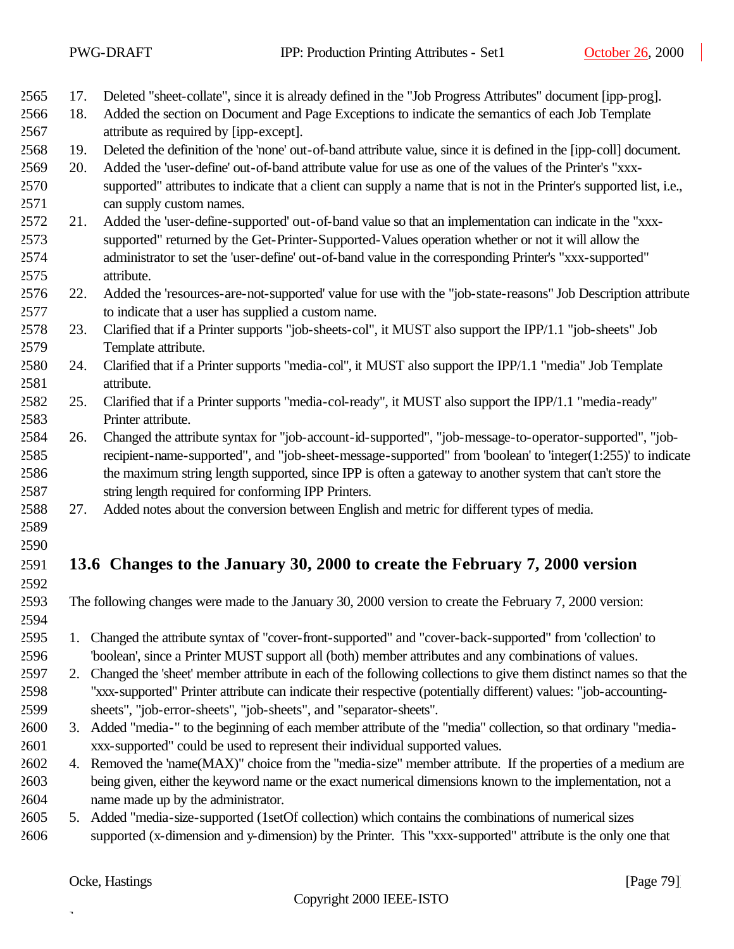|              |     | PWG-DRAFT                              | IPP: Production Printing Attributes - Set1                                                                           | October 26, 2000 |
|--------------|-----|----------------------------------------|----------------------------------------------------------------------------------------------------------------------|------------------|
|              |     |                                        |                                                                                                                      |                  |
| 2565         | 17. |                                        | Deleted "sheet-collate", since it is already defined in the "Job Progress Attributes" document [ipp-prog].           |                  |
| 2566         | 18. |                                        | Added the section on Document and Page Exceptions to indicate the semantics of each Job Template                     |                  |
| 2567         |     | attribute as required by [ipp-except]. |                                                                                                                      |                  |
| 2568         | 19. |                                        | Deleted the definition of the 'none' out-of-band attribute value, since it is defined in the [ipp-coll] document.    |                  |
| 2569         | 20. |                                        | Added the 'user-define' out-of-band attribute value for use as one of the values of the Printer's "xxx-              |                  |
| 2570         |     |                                        | supported" attributes to indicate that a client can supply a name that is not in the Printer's supported list, i.e., |                  |
| 2571         |     | can supply custom names.               |                                                                                                                      |                  |
| 2572         | 21. |                                        | Added the 'user-define-supported' out-of-band value so that an implementation can indicate in the "xxx-              |                  |
| 2573         |     |                                        | supported" returned by the Get-Printer-Supported-Values operation whether or not it will allow the                   |                  |
| 2574         |     |                                        | administrator to set the 'user-define' out-of-band value in the corresponding Printer's "xxx-supported"              |                  |
| 2575         |     | attribute.                             |                                                                                                                      |                  |
| 2576         | 22. |                                        | Added the 'resources-are-not-supported' value for use with the "job-state-reasons" Job Description attribute         |                  |
| 2577         |     |                                        | to indicate that a user has supplied a custom name.                                                                  |                  |
| 2578         | 23. |                                        | Clarified that if a Printer supports "job-sheets-col", it MUST also support the IPP/1.1 "job-sheets" Job             |                  |
| 2579         |     | Template attribute.                    |                                                                                                                      |                  |
| 2580         | 24. |                                        | Clarified that if a Printer supports "media-col", it MUST also support the IPP/1.1 "media" Job Template              |                  |
| 2581         |     | attribute.                             |                                                                                                                      |                  |
| 2582         | 25. |                                        | Clarified that if a Printer supports "media-col-ready", it MUST also support the IPP/1.1 "media-ready"               |                  |
| 2583         |     | Printer attribute.                     |                                                                                                                      |                  |
| 2584         | 26. |                                        | Changed the attribute syntax for "job-account-id-supported", "job-message-to-operator-supported", "job-              |                  |
| 2585         |     |                                        | recipient-name-supported", and "job-sheet-message-supported" from 'boolean' to 'integer(1:255)' to indicate          |                  |
| 2586         |     |                                        | the maximum string length supported, since IPP is often a gateway to another system that can't store the             |                  |
| 2587         |     |                                        | string length required for conforming IPP Printers.                                                                  |                  |
| 2588         | 27. |                                        | Added notes about the conversion between English and metric for different types of media.                            |                  |
| 2589         |     |                                        |                                                                                                                      |                  |
| 2590<br>2591 |     |                                        | 13.6 Changes to the January 30, 2000 to create the February 7, 2000 version                                          |                  |
| 2592         |     |                                        |                                                                                                                      |                  |
| 2593         |     |                                        | The following changes were made to the January 30, 2000 version to create the February 7, 2000 version:              |                  |
| 2594         |     |                                        |                                                                                                                      |                  |
| 2595         |     |                                        | 1. Changed the attribute syntax of "cover-front-supported" and "cover-back-supported" from 'collection' to           |                  |
| 2596         |     |                                        | 'boolean', since a Printer MUST support all (both) member attributes and any combinations of values.                 |                  |
| 2597         | 2.  |                                        | Changed the 'sheet' member attribute in each of the following collections to give them distinct names so that the    |                  |
| 2598         |     |                                        | "xxx-supported" Printer attribute can indicate their respective (potentially different) values: "job-accounting-     |                  |
| 2599         |     |                                        | sheets", "job-error-sheets", "job-sheets", and "separator-sheets".                                                   |                  |
| 2600         |     |                                        | 3. Added "media-" to the beginning of each member attribute of the "media" collection, so that ordinary "media-      |                  |
| 2601         |     |                                        | xxx-supported" could be used to represent their individual supported values.                                         |                  |
| 2602         |     |                                        | 4. Removed the 'name(MAX)" choice from the "media-size" member attribute. If the properties of a medium are          |                  |
| 2603         |     |                                        | being given, either the keyword name or the exact numerical dimensions known to the implementation, not a            |                  |
| 2604         |     | name made up by the administrator.     |                                                                                                                      |                  |
| 2605         |     |                                        | 5. Added "media-size-supported (1setOf collection) which contains the combinations of numerical sizes                |                  |
| 2606         |     |                                        | supported (x-dimension and y-dimension) by the Printer. This "xxx-supported" attribute is the only one that          |                  |
|              |     |                                        |                                                                                                                      |                  |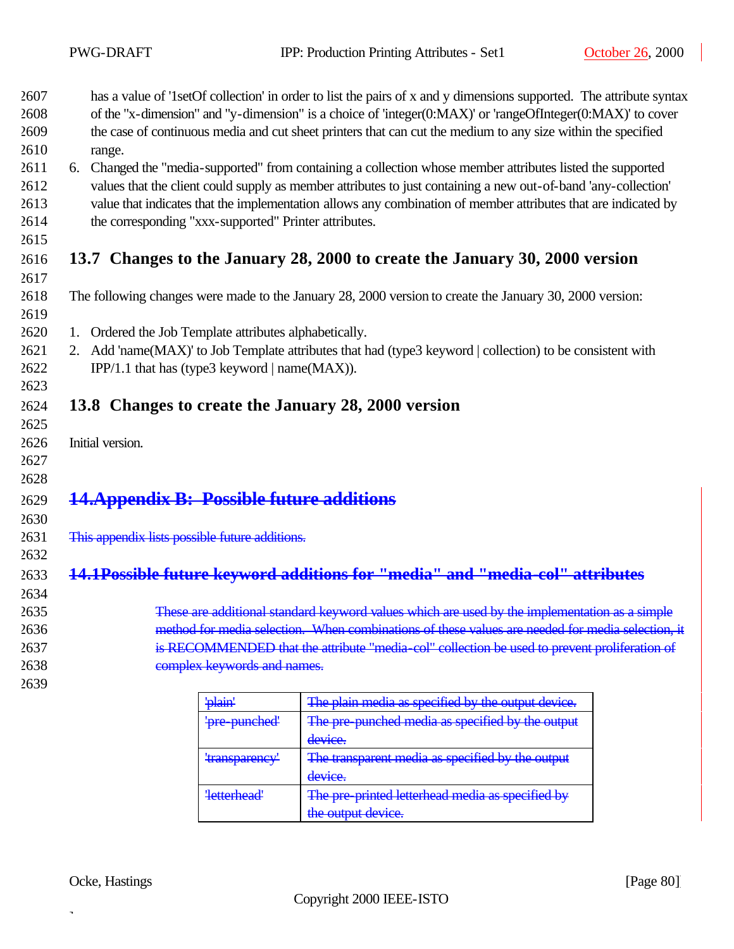| 2607 | has a value of '1setOf collection' in order to list the pairs of x and y dimensions supported. The attribute syntax |
|------|---------------------------------------------------------------------------------------------------------------------|
| 2608 | of the "x-dimension" and "y-dimension" is a choice of 'integer $(0:MAX)$ ' or 'rangeOfInteger $(0:MAX)$ ' to cover  |
| 2609 | the case of continuous media and cut sheet printers that can cut the medium to any size within the specified        |
| 2610 | range.                                                                                                              |
| 2611 | 6. Changed the "media-supported" from containing a collection whose member attributes listed the supported          |
| 2612 | values that the client could supply as member attributes to just containing a new out-of-band 'any-collection'      |
| 2613 | value that indicates that the implementation allows any combination of member attributes that are indicated by      |

- the corresponding "xxx-supported" Printer attributes.
- 

## **13.7 Changes to the January 28, 2000 to create the January 30, 2000 version**

- The following changes were made to the January 28, 2000 version to create the January 30, 2000 version:
- 

- 1. Ordered the Job Template attributes alphabetically.
- 2. Add 'name(MAX)' to Job Template attributes that had (type3 keyword | collection) to be consistent with IPP/1.1 that has (type3 keyword | name(MAX)).

### **13.8 Changes to create the January 28, 2000 version**

- Initial version.
- 

# **14.Appendix B: Possible future additions**

#### This appendix lists possible future additions.

### 

### **14.1Possible future keyword additions for "media" and "media-col" attributes**

- -
	-
- These are additional standard keyword values which are used by the implementation as a simple method for media selection. When combinations of these values are needed for media selection, it is RECOMMENDED that the attribute "media-col" collection be used to prevent proliferation of complex keywords and names.
	- 'plain' The plain media as specified by the output device. 'pre-punched' The pre-punched media as specified by the output device. 'transparency' The transparent media as specified by the output device. 'letterhead' The pre-printed letterhead media as specified by the output device.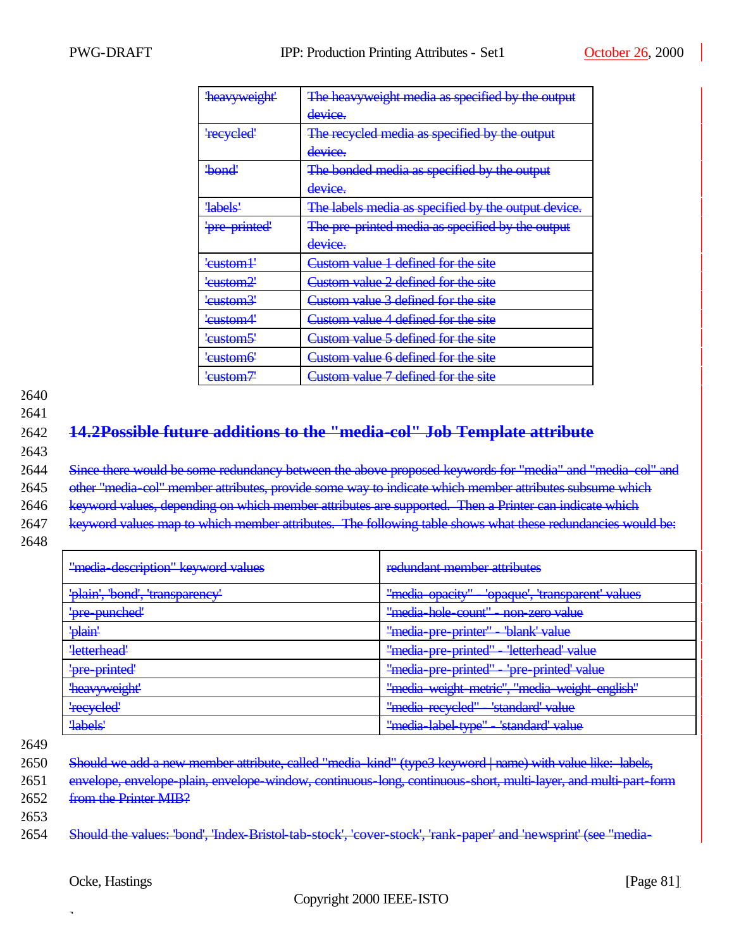| <b>heavyweight'</b>    | The heavyweight media as specified by the output    |
|------------------------|-----------------------------------------------------|
|                        | device.                                             |
| 'recycled'             | The recycled media as specified by the output       |
|                        | device.                                             |
| <del>'bond'</del>      | The bonded media as specified by the output         |
|                        | device.                                             |
| <b>labels</b>          | The labels media as specified by the output device. |
| 'pre-printed'          | The pre-printed media as specified by the output    |
|                        | device.                                             |
| ' <del>custom] '</del> | Custom value 1 defined for the site                 |
| <del>'custom2'</del>   | Custom value 2 defined for the site                 |
| <del>'custom3'</del>   | Custom value 3 defined for the site                 |
| <del>'custom4'</del>   | Custom value 4 defined for the site                 |
| <del>'custom5'</del>   | Custom value 5 defined for the site                 |
| ' <del>custom6'</del>  | <b>Lustom value 6 defined for the site</b>          |
| <del>'custom7'</del>   | Custom value 7 defined for the site                 |

2641

## 2642 **14.2Possible future additions to the "media-col" Job Template attribute**

2643

2644 Since there would be some redundancy between the above proposed keywords for "media" and "media-col" and

2645 other "media-col" member attributes, provide some way to indicate which member attributes subsume which

2646 keyword values, depending on which member attributes are supported. Then a Printer can indicate which

- 2647 keyword values map to which member attributes. The following table shows what these redundancies would be:
- 2648

| "media description" keyword values | redundant member attributes                       |
|------------------------------------|---------------------------------------------------|
| 'plain', 'bond', 'transparency'    | 'opaque', 'transparent' values<br>"media-opacity" |
| 'pre-punched'                      | "media hole count" - non zero value               |
| 'plain'                            | "media pre printer" - "blank' value               |
| 'letterhead'                       | "media pre printed"<br>- 'letterhead' value       |
| 'pre-printed'                      | "media pre printed"<br>'pre-printed' value        |
| 'heavyweight'                      | "media weight metric", "media weight english"     |
| 'recycled'                         | "media-recycled" - 'standard' value               |
| 'labels'                           | "media label type"<br>'standard' value            |

2649

2650 Should we add a new member attribute, called "media-kind" (type3 keyword | name) with value like: labels,

2651 envelope, envelope-plain, envelope-window, continuous-long, continuous-short, multi-layer, and multi-part-form 2652 from the Printer MIB?

2653

2654 Should the values: 'bond', 'Index-Bristol-tab-stock', 'cover-stock', 'rank-paper' and 'newsprint' (see "media-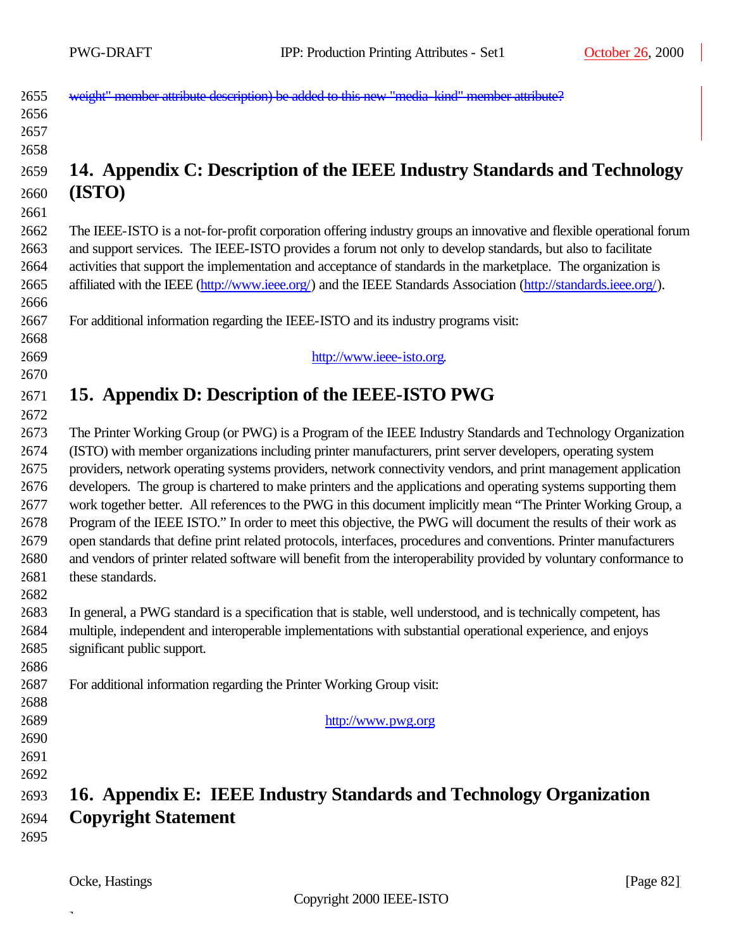$\overline{\phantom{a}}$ 

| 2655         | weight" member attribute description) be added to this new "media-kind" member attribute?                                                                                                                                          |
|--------------|------------------------------------------------------------------------------------------------------------------------------------------------------------------------------------------------------------------------------------|
| 2656         |                                                                                                                                                                                                                                    |
| 2657         |                                                                                                                                                                                                                                    |
| 2658         |                                                                                                                                                                                                                                    |
| 2659         | 14. Appendix C: Description of the IEEE Industry Standards and Technology                                                                                                                                                          |
| 2660         | (ISTO)                                                                                                                                                                                                                             |
| 2661         |                                                                                                                                                                                                                                    |
| 2662<br>2663 | The IEEE-ISTO is a not-for-profit corporation offering industry groups an innovative and flexible operational forum<br>and support services. The IEEE-ISTO provides a forum not only to develop standards, but also to facilitate  |
| 2664<br>2665 | activities that support the implementation and acceptance of standards in the marketplace. The organization is<br>affiliated with the IEEE (http://www.ieee.org/) and the IEEE Standards Association (http://standards.ieee.org/). |
| 2666         |                                                                                                                                                                                                                                    |
| 2667<br>2668 | For additional information regarding the IEEE-ISTO and its industry programs visit:                                                                                                                                                |
| 2669         | http://www.ieee-isto.org.                                                                                                                                                                                                          |
| 2670         |                                                                                                                                                                                                                                    |
| 2671         | 15. Appendix D: Description of the IEEE-ISTO PWG                                                                                                                                                                                   |
| 2672         |                                                                                                                                                                                                                                    |
| 2673         | The Printer Working Group (or PWG) is a Program of the IEEE Industry Standards and Technology Organization                                                                                                                         |
| 2674         | (ISTO) with member organizations including printer manufacturers, print server developers, operating system                                                                                                                        |
| 2675         | providers, network operating systems providers, network connectivity vendors, and print management application                                                                                                                     |
| 2676         | developers. The group is chartered to make printers and the applications and operating systems supporting them                                                                                                                     |
| 2677         | work together better. All references to the PWG in this document implicitly mean "The Printer Working Group, a                                                                                                                     |
| 2678         | Program of the IEEE ISTO." In order to meet this objective, the PWG will document the results of their work as                                                                                                                     |
| 2679         | open standards that define print related protocols, interfaces, procedures and conventions. Printer manufacturers                                                                                                                  |
| 2680         | and vendors of printer related software will benefit from the interoperability provided by voluntary conformance to                                                                                                                |
| 2681         | these standards.                                                                                                                                                                                                                   |
| 2682         |                                                                                                                                                                                                                                    |
| 2683<br>2684 | In general, a PWG standard is a specification that is stable, well understood, and is technically competent, has<br>multiple, independent and interoperable implementations with substantial operational experience, and enjoys    |
| 2685         | significant public support.                                                                                                                                                                                                        |
| 2686         |                                                                                                                                                                                                                                    |
| 2687         | For additional information regarding the Printer Working Group visit:                                                                                                                                                              |
| 2688         |                                                                                                                                                                                                                                    |
| 2689         | http://www.pwg.org                                                                                                                                                                                                                 |
| 2690         |                                                                                                                                                                                                                                    |
| 2691         |                                                                                                                                                                                                                                    |
| 2692         |                                                                                                                                                                                                                                    |
| 2693         | 16. Appendix E: IEEE Industry Standards and Technology Organization                                                                                                                                                                |
| 2694         | <b>Copyright Statement</b>                                                                                                                                                                                                         |
| 2695         |                                                                                                                                                                                                                                    |
|              |                                                                                                                                                                                                                                    |